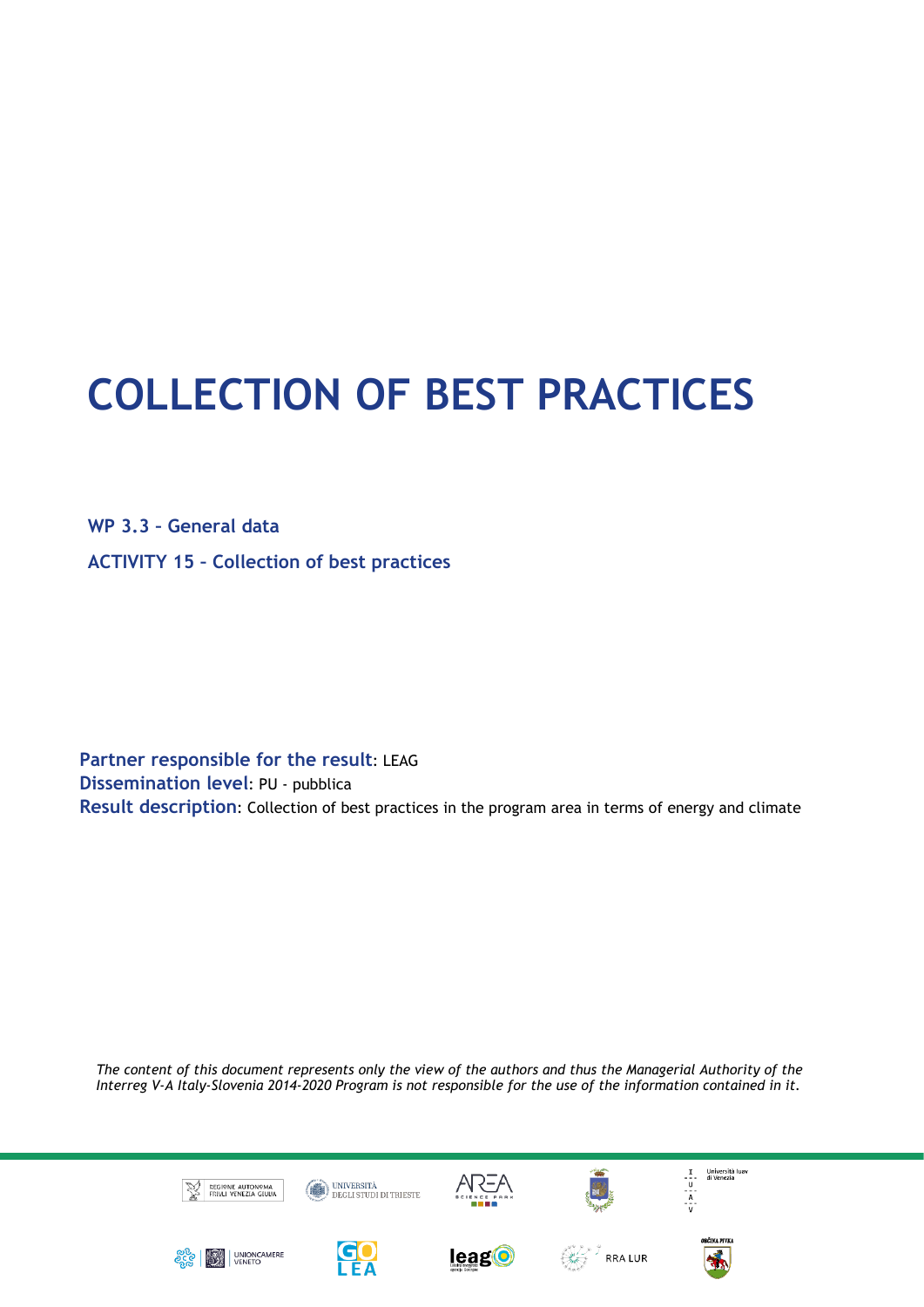# **COLLECTION OF BEST PRACTICES**

**WP 3.3 – General data ACTIVITY 15 – Collection of best practices**

**Partner responsible for the result**: LEAG **Dissemination level**: PU - pubblica **Result description**: Collection of best practices in the program area in terms of energy and climate

*The content of this document represents only the view of the authors and thus the Managerial Authority of the Interreg V-A Italy-Slovenia 2014-2020 Program is not responsible for the use of the information contained in it.* 

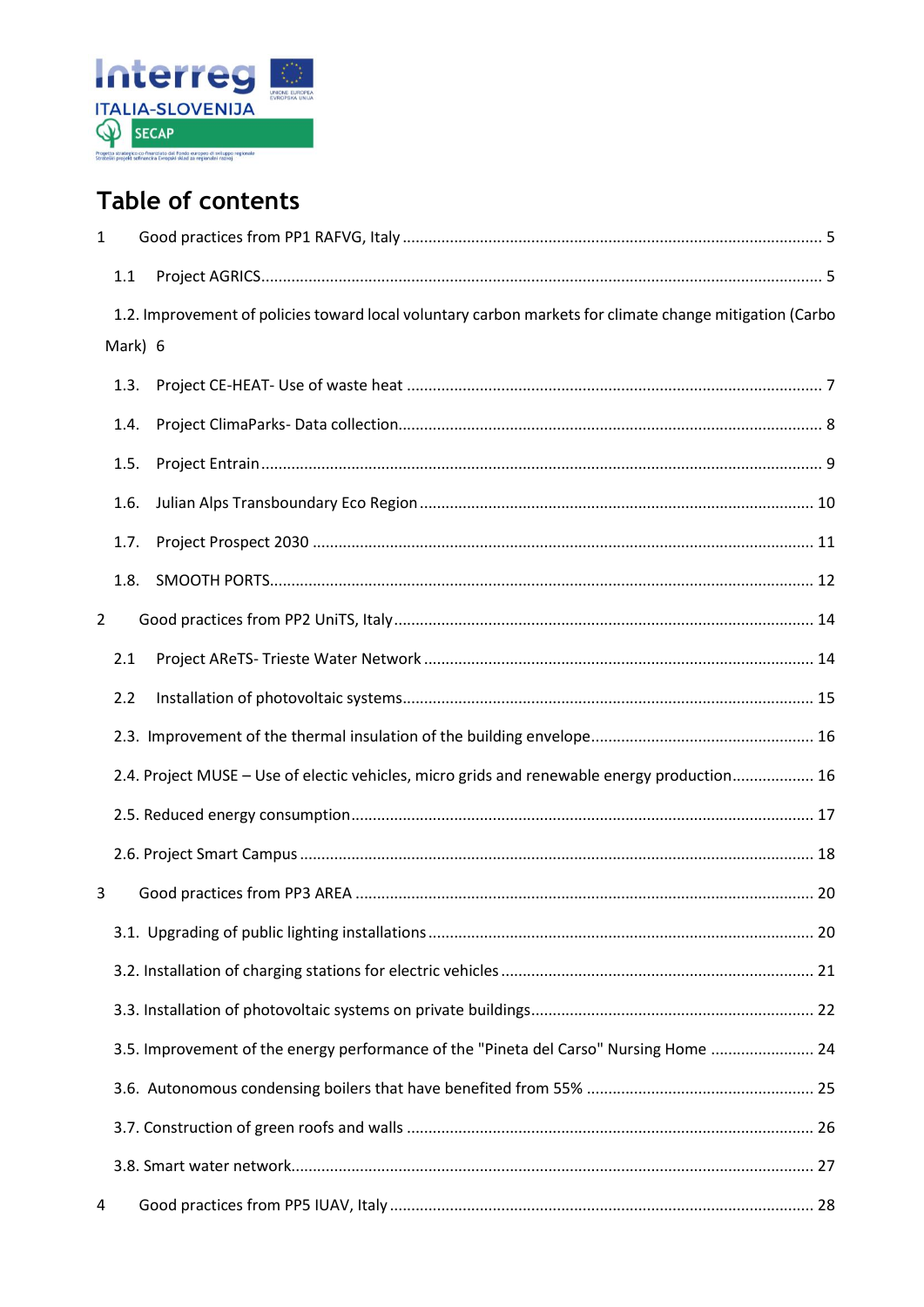

## **Table of contents**

| $\mathbf{1}$   |                                                                                                         |                                                                                             |  |  |  |
|----------------|---------------------------------------------------------------------------------------------------------|---------------------------------------------------------------------------------------------|--|--|--|
|                | 1.1                                                                                                     |                                                                                             |  |  |  |
|                | 1.2. Improvement of policies toward local voluntary carbon markets for climate change mitigation (Carbo |                                                                                             |  |  |  |
|                | Mark) 6                                                                                                 |                                                                                             |  |  |  |
|                | 1.3.                                                                                                    |                                                                                             |  |  |  |
|                | 1.4.                                                                                                    |                                                                                             |  |  |  |
|                | 1.5.                                                                                                    |                                                                                             |  |  |  |
|                | 1.6.                                                                                                    |                                                                                             |  |  |  |
|                | 1.7.                                                                                                    |                                                                                             |  |  |  |
|                | 1.8.                                                                                                    |                                                                                             |  |  |  |
| $\overline{2}$ |                                                                                                         |                                                                                             |  |  |  |
|                | 2.1                                                                                                     |                                                                                             |  |  |  |
|                | 2.2                                                                                                     |                                                                                             |  |  |  |
|                |                                                                                                         |                                                                                             |  |  |  |
|                |                                                                                                         | 2.4. Project MUSE - Use of electic vehicles, micro grids and renewable energy production 16 |  |  |  |
|                |                                                                                                         |                                                                                             |  |  |  |
|                |                                                                                                         |                                                                                             |  |  |  |
| 3              |                                                                                                         |                                                                                             |  |  |  |
|                |                                                                                                         |                                                                                             |  |  |  |
|                |                                                                                                         |                                                                                             |  |  |  |
|                |                                                                                                         |                                                                                             |  |  |  |
|                |                                                                                                         | 3.5. Improvement of the energy performance of the "Pineta del Carso" Nursing Home  24       |  |  |  |
|                |                                                                                                         |                                                                                             |  |  |  |
|                |                                                                                                         |                                                                                             |  |  |  |
|                |                                                                                                         |                                                                                             |  |  |  |
| 4              |                                                                                                         |                                                                                             |  |  |  |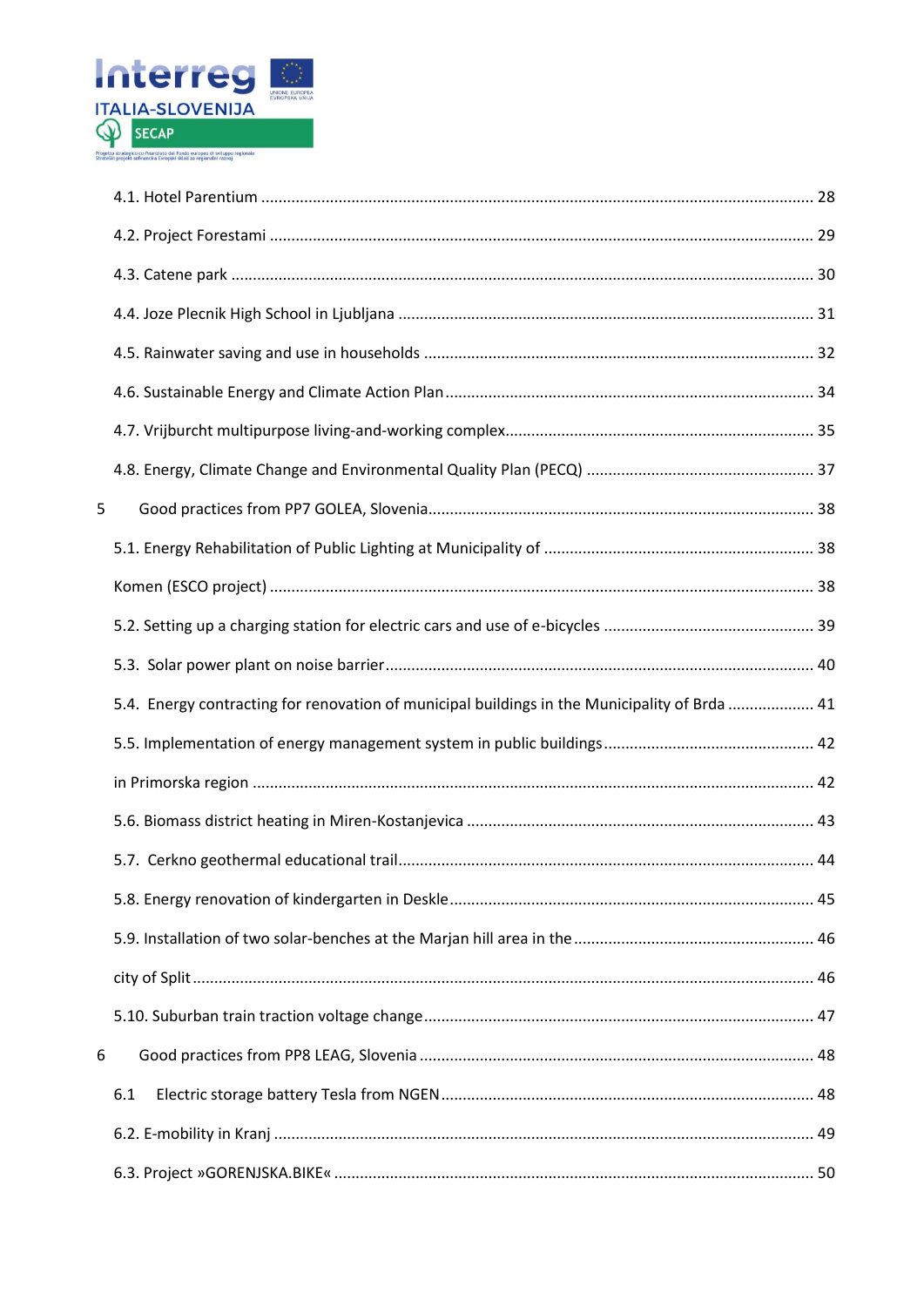

| 5                                                                                             |  |
|-----------------------------------------------------------------------------------------------|--|
|                                                                                               |  |
|                                                                                               |  |
|                                                                                               |  |
|                                                                                               |  |
| 5.4. Energy contracting for renovation of municipal buildings in the Municipality of Brda  41 |  |
|                                                                                               |  |
|                                                                                               |  |
|                                                                                               |  |
|                                                                                               |  |
|                                                                                               |  |
|                                                                                               |  |
|                                                                                               |  |
|                                                                                               |  |
| 6                                                                                             |  |
| 6.1                                                                                           |  |
|                                                                                               |  |
|                                                                                               |  |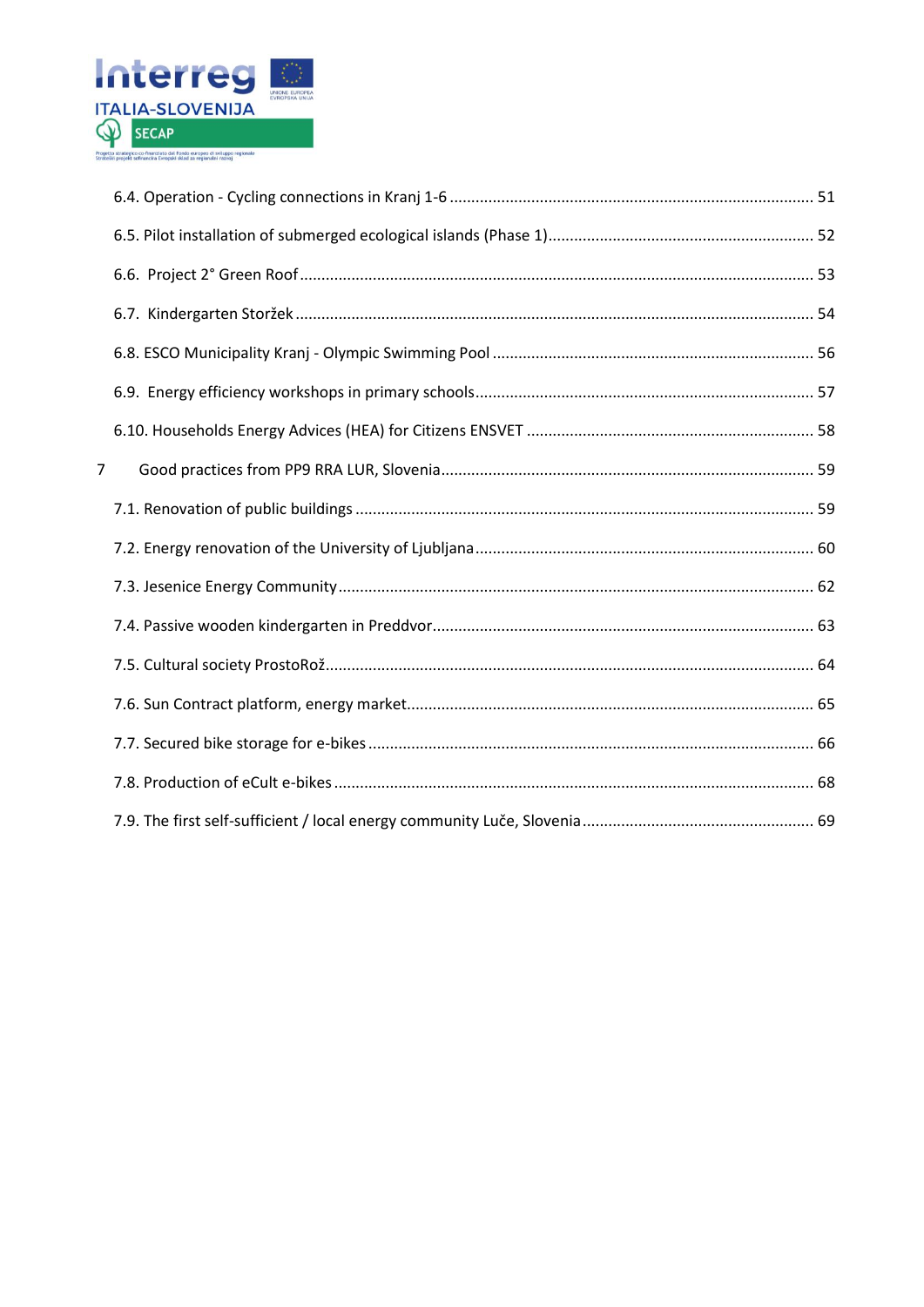

| $\overline{7}$ |  |
|----------------|--|
|                |  |
|                |  |
|                |  |
|                |  |
|                |  |
|                |  |
|                |  |
|                |  |
|                |  |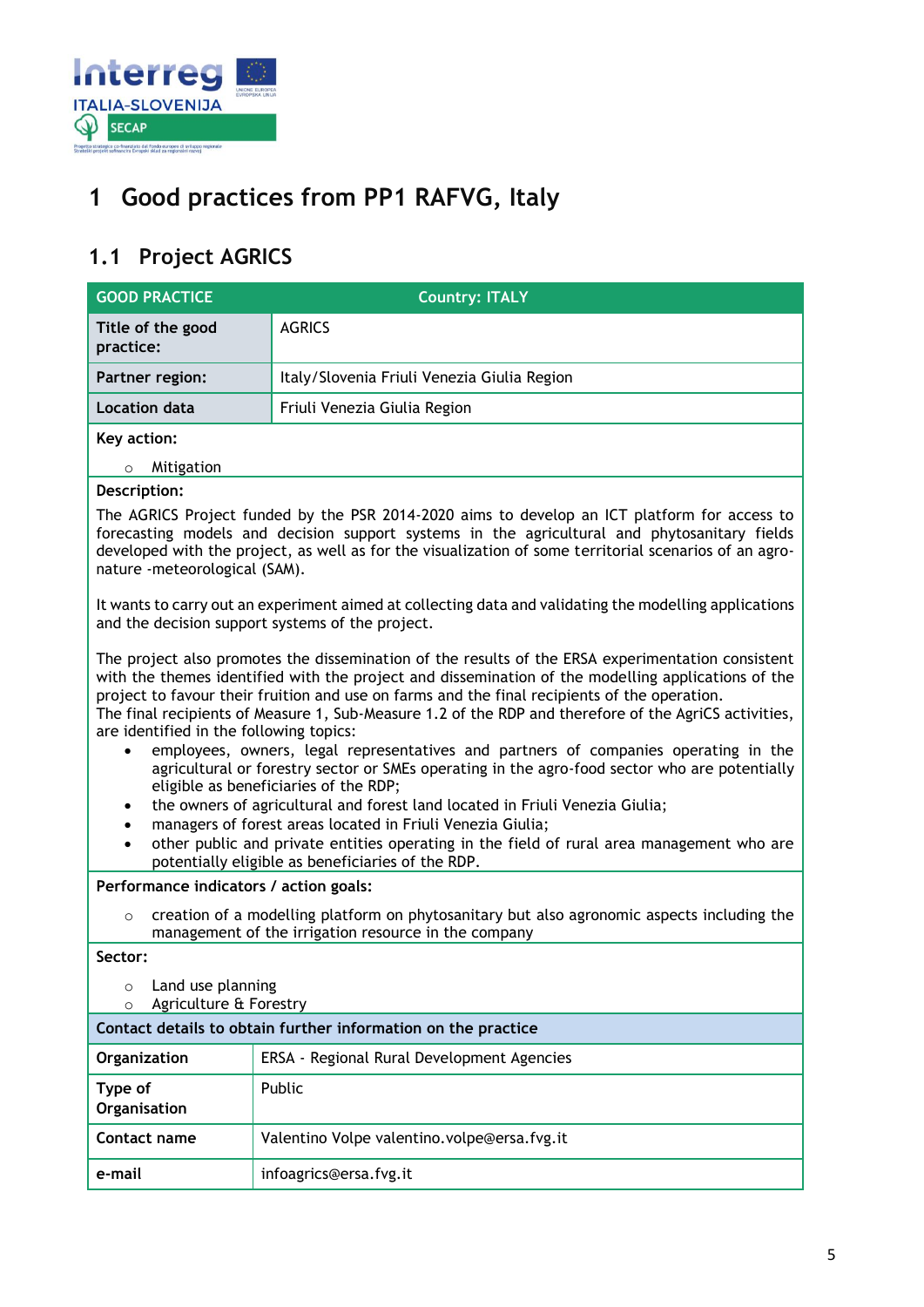

## <span id="page-4-0"></span>**1 Good practices from PP1 RAFVG, Italy**

## <span id="page-4-1"></span>**1.1 Project AGRICS**

| <b>AGRICS</b><br>Title of the good<br>practice:<br>Italy/Slovenia Friuli Venezia Giulia Region<br>Partner region:<br><b>Location data</b><br>Friuli Venezia Giulia Region<br>Key action:<br>Mitigation<br>$\circ$<br>Description:<br>The AGRICS Project funded by the PSR 2014-2020 aims to develop an ICT platform for access to<br>forecasting models and decision support systems in the agricultural and phytosanitary fields<br>developed with the project, as well as for the visualization of some territorial scenarios of an agro-<br>nature -meteorological (SAM).<br>It wants to carry out an experiment aimed at collecting data and validating the modelling applications<br>and the decision support systems of the project.<br>The project also promotes the dissemination of the results of the ERSA experimentation consistent<br>with the themes identified with the project and dissemination of the modelling applications of the<br>project to favour their fruition and use on farms and the final recipients of the operation.<br>The final recipients of Measure 1, Sub-Measure 1.2 of the RDP and therefore of the AgriCS activities,<br>are identified in the following topics:<br>employees, owners, legal representatives and partners of companies operating in the<br>$\bullet$<br>agricultural or forestry sector or SMEs operating in the agro-food sector who are potentially<br>eligible as beneficiaries of the RDP;<br>the owners of agricultural and forest land located in Friuli Venezia Giulia;<br>$\bullet$<br>managers of forest areas located in Friuli Venezia Giulia;<br>$\bullet$<br>other public and private entities operating in the field of rural area management who are<br>$\bullet$<br>potentially eligible as beneficiaries of the RDP.<br>Performance indicators / action goals:<br>creation of a modelling platform on phytosanitary but also agronomic aspects including the<br>$\circ$<br>management of the irrigation resource in the company<br>Sector:<br>Land use planning<br>$\circ$<br>Agriculture & Forestry<br>$\circ$<br>Contact details to obtain further information on the practice<br>ERSA - Regional Rural Development Agencies<br>Organization<br>Public<br>Type of<br>Organisation<br>Contact name<br>Valentino Volpe valentino.volpe@ersa.fvg.it | <b>GOOD PRACTICE</b> | <b>Country: ITALY</b>  |  |
|------------------------------------------------------------------------------------------------------------------------------------------------------------------------------------------------------------------------------------------------------------------------------------------------------------------------------------------------------------------------------------------------------------------------------------------------------------------------------------------------------------------------------------------------------------------------------------------------------------------------------------------------------------------------------------------------------------------------------------------------------------------------------------------------------------------------------------------------------------------------------------------------------------------------------------------------------------------------------------------------------------------------------------------------------------------------------------------------------------------------------------------------------------------------------------------------------------------------------------------------------------------------------------------------------------------------------------------------------------------------------------------------------------------------------------------------------------------------------------------------------------------------------------------------------------------------------------------------------------------------------------------------------------------------------------------------------------------------------------------------------------------------------------------------------------------------------------------------------------------------------------------------------------------------------------------------------------------------------------------------------------------------------------------------------------------------------------------------------------------------------------------------------------------------------------------------------------------------------------------------------------------------------------------------------------------------------|----------------------|------------------------|--|
|                                                                                                                                                                                                                                                                                                                                                                                                                                                                                                                                                                                                                                                                                                                                                                                                                                                                                                                                                                                                                                                                                                                                                                                                                                                                                                                                                                                                                                                                                                                                                                                                                                                                                                                                                                                                                                                                                                                                                                                                                                                                                                                                                                                                                                                                                                                              |                      |                        |  |
|                                                                                                                                                                                                                                                                                                                                                                                                                                                                                                                                                                                                                                                                                                                                                                                                                                                                                                                                                                                                                                                                                                                                                                                                                                                                                                                                                                                                                                                                                                                                                                                                                                                                                                                                                                                                                                                                                                                                                                                                                                                                                                                                                                                                                                                                                                                              |                      |                        |  |
|                                                                                                                                                                                                                                                                                                                                                                                                                                                                                                                                                                                                                                                                                                                                                                                                                                                                                                                                                                                                                                                                                                                                                                                                                                                                                                                                                                                                                                                                                                                                                                                                                                                                                                                                                                                                                                                                                                                                                                                                                                                                                                                                                                                                                                                                                                                              |                      |                        |  |
|                                                                                                                                                                                                                                                                                                                                                                                                                                                                                                                                                                                                                                                                                                                                                                                                                                                                                                                                                                                                                                                                                                                                                                                                                                                                                                                                                                                                                                                                                                                                                                                                                                                                                                                                                                                                                                                                                                                                                                                                                                                                                                                                                                                                                                                                                                                              |                      |                        |  |
|                                                                                                                                                                                                                                                                                                                                                                                                                                                                                                                                                                                                                                                                                                                                                                                                                                                                                                                                                                                                                                                                                                                                                                                                                                                                                                                                                                                                                                                                                                                                                                                                                                                                                                                                                                                                                                                                                                                                                                                                                                                                                                                                                                                                                                                                                                                              |                      |                        |  |
|                                                                                                                                                                                                                                                                                                                                                                                                                                                                                                                                                                                                                                                                                                                                                                                                                                                                                                                                                                                                                                                                                                                                                                                                                                                                                                                                                                                                                                                                                                                                                                                                                                                                                                                                                                                                                                                                                                                                                                                                                                                                                                                                                                                                                                                                                                                              |                      |                        |  |
|                                                                                                                                                                                                                                                                                                                                                                                                                                                                                                                                                                                                                                                                                                                                                                                                                                                                                                                                                                                                                                                                                                                                                                                                                                                                                                                                                                                                                                                                                                                                                                                                                                                                                                                                                                                                                                                                                                                                                                                                                                                                                                                                                                                                                                                                                                                              |                      |                        |  |
|                                                                                                                                                                                                                                                                                                                                                                                                                                                                                                                                                                                                                                                                                                                                                                                                                                                                                                                                                                                                                                                                                                                                                                                                                                                                                                                                                                                                                                                                                                                                                                                                                                                                                                                                                                                                                                                                                                                                                                                                                                                                                                                                                                                                                                                                                                                              |                      |                        |  |
|                                                                                                                                                                                                                                                                                                                                                                                                                                                                                                                                                                                                                                                                                                                                                                                                                                                                                                                                                                                                                                                                                                                                                                                                                                                                                                                                                                                                                                                                                                                                                                                                                                                                                                                                                                                                                                                                                                                                                                                                                                                                                                                                                                                                                                                                                                                              |                      |                        |  |
|                                                                                                                                                                                                                                                                                                                                                                                                                                                                                                                                                                                                                                                                                                                                                                                                                                                                                                                                                                                                                                                                                                                                                                                                                                                                                                                                                                                                                                                                                                                                                                                                                                                                                                                                                                                                                                                                                                                                                                                                                                                                                                                                                                                                                                                                                                                              |                      |                        |  |
|                                                                                                                                                                                                                                                                                                                                                                                                                                                                                                                                                                                                                                                                                                                                                                                                                                                                                                                                                                                                                                                                                                                                                                                                                                                                                                                                                                                                                                                                                                                                                                                                                                                                                                                                                                                                                                                                                                                                                                                                                                                                                                                                                                                                                                                                                                                              |                      |                        |  |
|                                                                                                                                                                                                                                                                                                                                                                                                                                                                                                                                                                                                                                                                                                                                                                                                                                                                                                                                                                                                                                                                                                                                                                                                                                                                                                                                                                                                                                                                                                                                                                                                                                                                                                                                                                                                                                                                                                                                                                                                                                                                                                                                                                                                                                                                                                                              |                      |                        |  |
|                                                                                                                                                                                                                                                                                                                                                                                                                                                                                                                                                                                                                                                                                                                                                                                                                                                                                                                                                                                                                                                                                                                                                                                                                                                                                                                                                                                                                                                                                                                                                                                                                                                                                                                                                                                                                                                                                                                                                                                                                                                                                                                                                                                                                                                                                                                              |                      |                        |  |
|                                                                                                                                                                                                                                                                                                                                                                                                                                                                                                                                                                                                                                                                                                                                                                                                                                                                                                                                                                                                                                                                                                                                                                                                                                                                                                                                                                                                                                                                                                                                                                                                                                                                                                                                                                                                                                                                                                                                                                                                                                                                                                                                                                                                                                                                                                                              |                      |                        |  |
|                                                                                                                                                                                                                                                                                                                                                                                                                                                                                                                                                                                                                                                                                                                                                                                                                                                                                                                                                                                                                                                                                                                                                                                                                                                                                                                                                                                                                                                                                                                                                                                                                                                                                                                                                                                                                                                                                                                                                                                                                                                                                                                                                                                                                                                                                                                              |                      |                        |  |
|                                                                                                                                                                                                                                                                                                                                                                                                                                                                                                                                                                                                                                                                                                                                                                                                                                                                                                                                                                                                                                                                                                                                                                                                                                                                                                                                                                                                                                                                                                                                                                                                                                                                                                                                                                                                                                                                                                                                                                                                                                                                                                                                                                                                                                                                                                                              |                      |                        |  |
|                                                                                                                                                                                                                                                                                                                                                                                                                                                                                                                                                                                                                                                                                                                                                                                                                                                                                                                                                                                                                                                                                                                                                                                                                                                                                                                                                                                                                                                                                                                                                                                                                                                                                                                                                                                                                                                                                                                                                                                                                                                                                                                                                                                                                                                                                                                              |                      |                        |  |
|                                                                                                                                                                                                                                                                                                                                                                                                                                                                                                                                                                                                                                                                                                                                                                                                                                                                                                                                                                                                                                                                                                                                                                                                                                                                                                                                                                                                                                                                                                                                                                                                                                                                                                                                                                                                                                                                                                                                                                                                                                                                                                                                                                                                                                                                                                                              | e-mail               | infoagrics@ersa.fvg.it |  |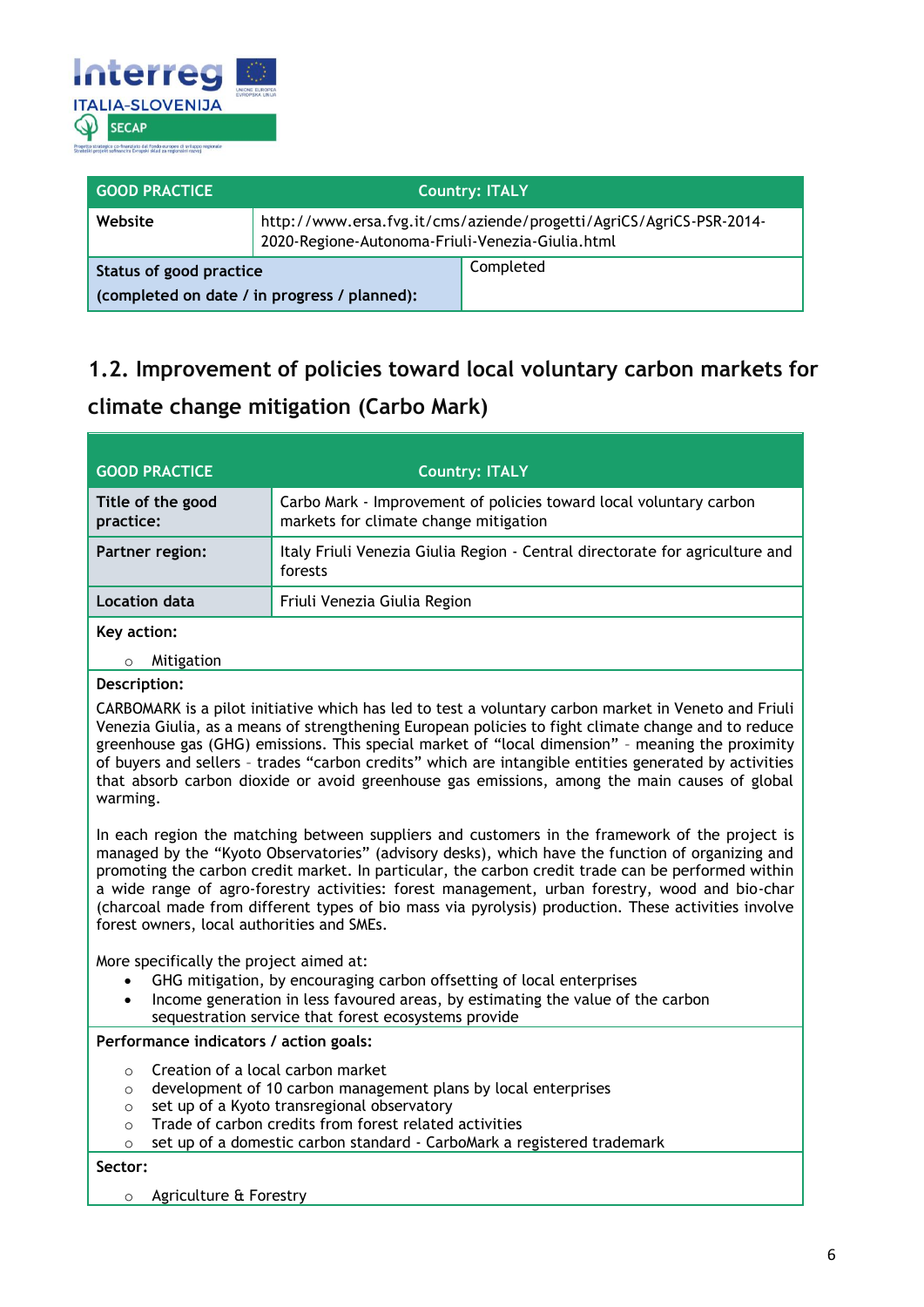

| <b>GOOD PRACTICE</b>                                                    |                                                  | <b>Country: ITALY</b>                                               |
|-------------------------------------------------------------------------|--------------------------------------------------|---------------------------------------------------------------------|
| Website                                                                 | 2020-Regione-Autonoma-Friuli-Venezia-Giulia.html | http://www.ersa.fvg.it/cms/aziende/progetti/AgriCS/AgriCS-PSR-2014- |
| Status of good practice<br>(completed on date / in progress / planned): |                                                  | Completed                                                           |

## <span id="page-5-0"></span>**1.2. Improvement of policies toward local voluntary carbon markets for climate change mitigation (Carbo Mark)**

| <b>GOOD PRACTICE</b>           | <b>Country: ITALY</b>                                                                                       |
|--------------------------------|-------------------------------------------------------------------------------------------------------------|
| Title of the good<br>practice: | Carbo Mark - Improvement of policies toward local voluntary carbon<br>markets for climate change mitigation |
| Partner region:                | Italy Friuli Venezia Giulia Region - Central directorate for agriculture and<br>forests                     |
| Location data                  | Friuli Venezia Giulia Region                                                                                |
| Key action:                    |                                                                                                             |
| Mitigation                     |                                                                                                             |

#### **Description:**

CARBOMARK is a pilot initiative which has led to test a voluntary carbon market in Veneto and Friuli Venezia Giulia, as a means of strengthening European policies to fight climate change and to reduce greenhouse gas (GHG) emissions. This special market of "local dimension" – meaning the proximity of buyers and sellers – trades "carbon credits" which are intangible entities generated by activities that absorb carbon dioxide or avoid greenhouse gas emissions, among the main causes of global warming.

In each region the matching between suppliers and customers in the framework of the project is managed by the "Kyoto Observatories" (advisory desks), which have the function of organizing and promoting the carbon credit market. In particular, the carbon credit trade can be performed within a wide range of agro-forestry activities: forest management, urban forestry, wood and bio-char (charcoal made from different types of bio mass via pyrolysis) production. These activities involve forest owners, local authorities and SMEs.

More specifically the project aimed at:

- GHG mitigation, by encouraging carbon offsetting of local enterprises
- Income generation in less favoured areas, by estimating the value of the carbon sequestration service that forest ecosystems provide

**Performance indicators / action goals:**

- o Creation of a local carbon market
- o development of 10 carbon management plans by local enterprises
- o set up of a Kyoto transregional observatory
- o Trade of carbon credits from forest related activities
- o set up of a domestic carbon standard CarboMark a registered trademark

**Sector:**

o Agriculture & Forestry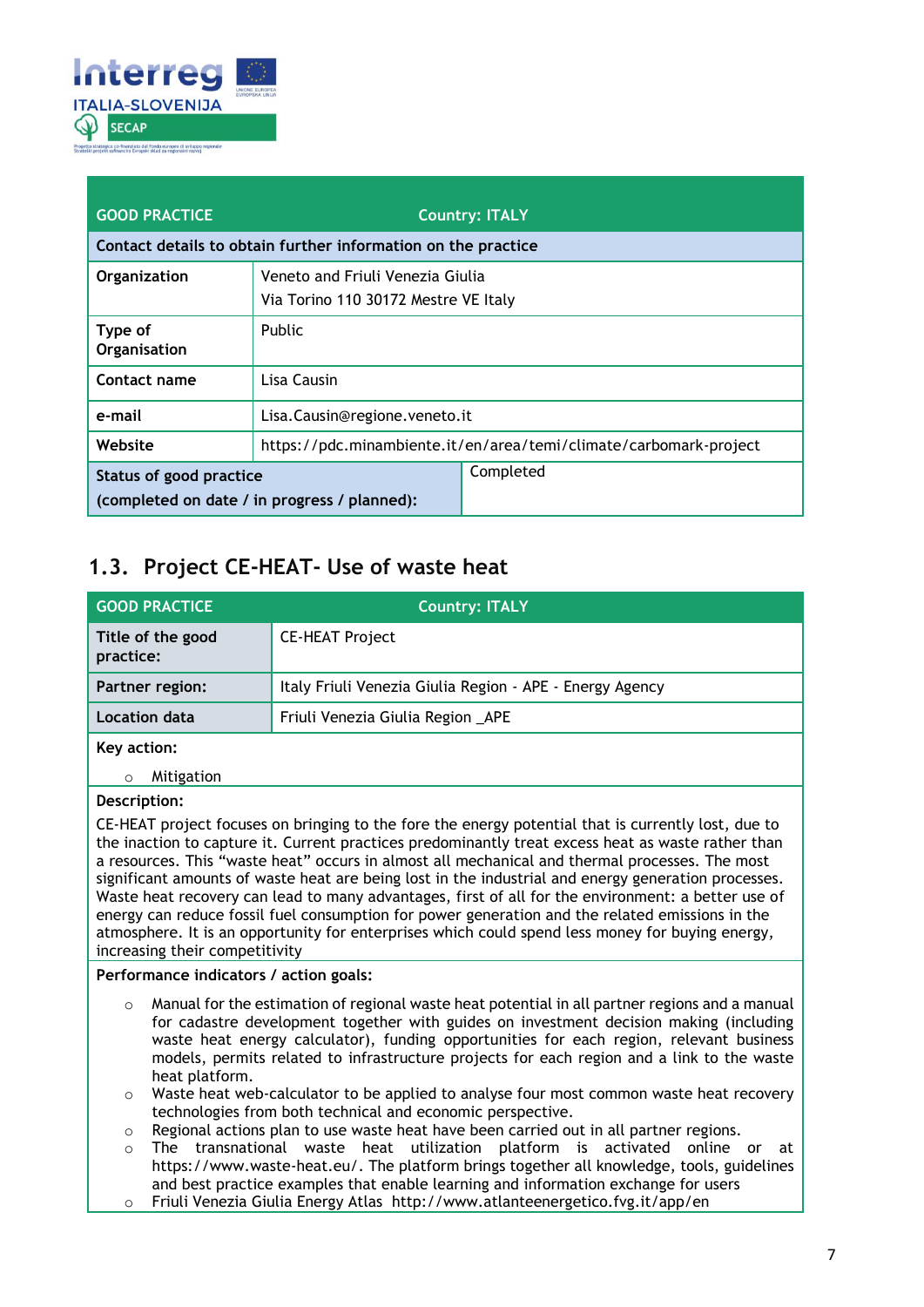

| <b>GOOD PRACTICE</b>                                                    |                                                                          | <b>Country: ITALY</b> |  |
|-------------------------------------------------------------------------|--------------------------------------------------------------------------|-----------------------|--|
|                                                                         | Contact details to obtain further information on the practice            |                       |  |
| Organization                                                            | Veneto and Friuli Venezia Giulia<br>Via Torino 110 30172 Mestre VE Italy |                       |  |
| Type of<br>Organisation                                                 | <b>Public</b>                                                            |                       |  |
| Contact name                                                            | Lisa Causin                                                              |                       |  |
| e-mail                                                                  | Lisa.Causin@regione.veneto.it                                            |                       |  |
| Website                                                                 | https://pdc.minambiente.it/en/area/temi/climate/carbomark-project        |                       |  |
| Status of good practice<br>(completed on date / in progress / planned): |                                                                          | Completed             |  |

### <span id="page-6-0"></span>**1.3. Project CE-HEAT- Use of waste heat**

| <b>GOOD PRACTICE</b>                                                                                                                                                                                                                                                                                                                                                                                                                                                                                                                                                                                                                                                                                                                                              | <b>Country: ITALY</b>                                    |  |  |
|-------------------------------------------------------------------------------------------------------------------------------------------------------------------------------------------------------------------------------------------------------------------------------------------------------------------------------------------------------------------------------------------------------------------------------------------------------------------------------------------------------------------------------------------------------------------------------------------------------------------------------------------------------------------------------------------------------------------------------------------------------------------|----------------------------------------------------------|--|--|
| Title of the good<br><b>CE-HEAT Project</b><br>practice:                                                                                                                                                                                                                                                                                                                                                                                                                                                                                                                                                                                                                                                                                                          |                                                          |  |  |
| Partner region:                                                                                                                                                                                                                                                                                                                                                                                                                                                                                                                                                                                                                                                                                                                                                   | Italy Friuli Venezia Giulia Region - APE - Energy Agency |  |  |
| <b>Location data</b>                                                                                                                                                                                                                                                                                                                                                                                                                                                                                                                                                                                                                                                                                                                                              | Friuli Venezia Giulia Region _APE                        |  |  |
| Key action:                                                                                                                                                                                                                                                                                                                                                                                                                                                                                                                                                                                                                                                                                                                                                       |                                                          |  |  |
| Mitigation<br>$\circ$                                                                                                                                                                                                                                                                                                                                                                                                                                                                                                                                                                                                                                                                                                                                             |                                                          |  |  |
| Description:                                                                                                                                                                                                                                                                                                                                                                                                                                                                                                                                                                                                                                                                                                                                                      |                                                          |  |  |
| CE-HEAT project focuses on bringing to the fore the energy potential that is currently lost, due to<br>the inaction to capture it. Current practices predominantly treat excess heat as waste rather than<br>a resources. This "waste heat" occurs in almost all mechanical and thermal processes. The most<br>significant amounts of waste heat are being lost in the industrial and energy generation processes.<br>Waste heat recovery can lead to many advantages, first of all for the environment: a better use of<br>energy can reduce fossil fuel consumption for power generation and the related emissions in the<br>atmosphere. It is an opportunity for enterprises which could spend less money for buying energy,<br>increasing their competitivity |                                                          |  |  |
| Performance indicators / action goals:                                                                                                                                                                                                                                                                                                                                                                                                                                                                                                                                                                                                                                                                                                                            |                                                          |  |  |
| $\sim$ Manual for the estimation of regional waste heat potential in all partner regions and a manual                                                                                                                                                                                                                                                                                                                                                                                                                                                                                                                                                                                                                                                             |                                                          |  |  |

- o Manual for the estimation of regional waste heat potential in all partner regions and a manual for cadastre development together with guides on investment decision making (including waste heat energy calculator), funding opportunities for each region, relevant business models, permits related to infrastructure projects for each region and a link to the waste heat platform.
- o Waste heat web-calculator to be applied to analyse four most common waste heat recovery technologies from both technical and economic perspective.
- o Regional actions plan to use waste heat have been carried out in all partner regions.
- o The transnational waste heat utilization platform is activated online or at https://www.waste-heat.eu/. The platform brings together all knowledge, tools, guidelines and best practice examples that enable learning and information exchange for users o Friuli Venezia Giulia Energy Atlas http://www.atlanteenergetico.fvg.it/app/en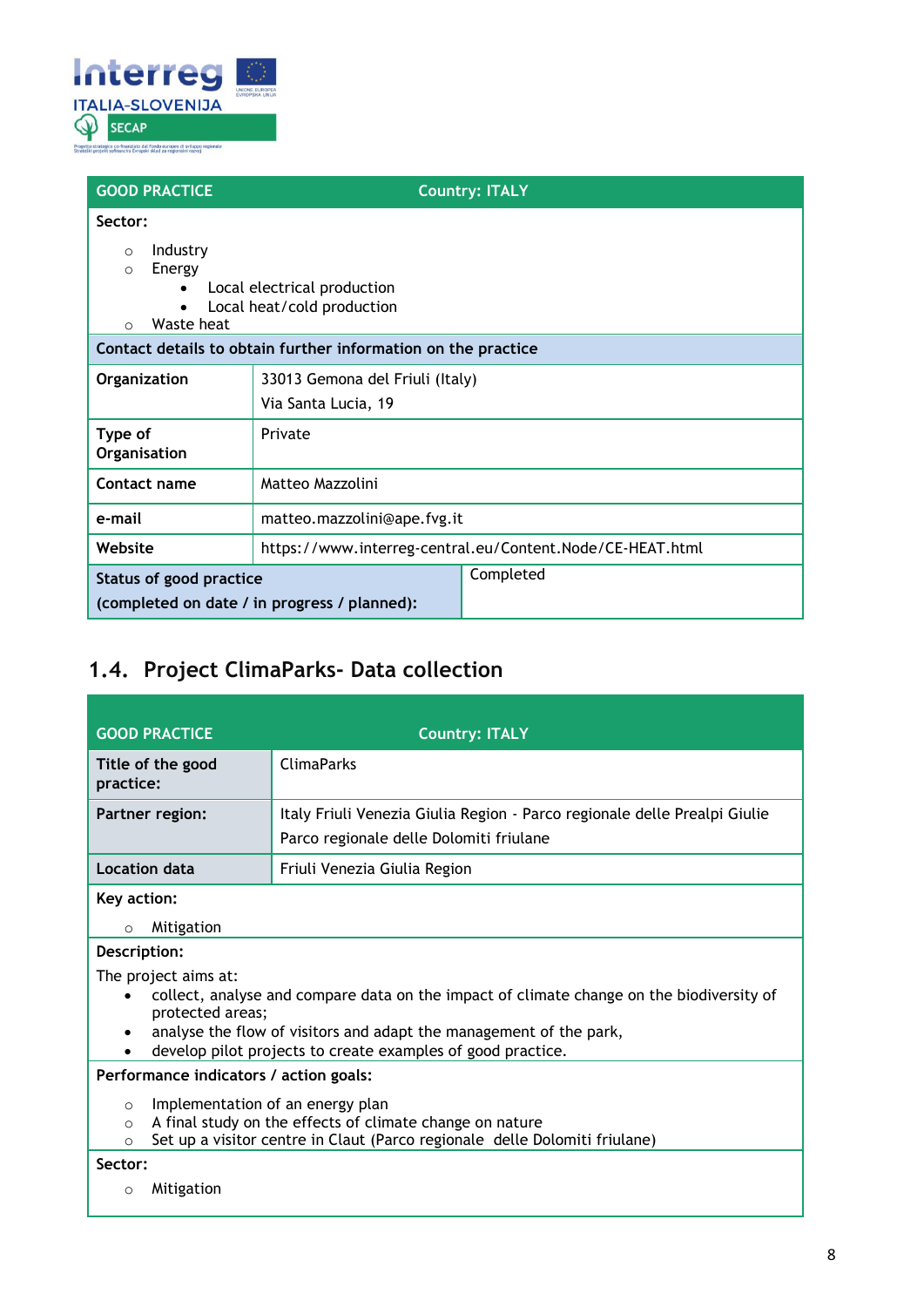

| <b>GOOD PRACTICE</b>                                                            | <b>Country: ITALY</b>                                                                                                      |  |
|---------------------------------------------------------------------------------|----------------------------------------------------------------------------------------------------------------------------|--|
| Sector:<br>Industry<br>$\circ$<br>Energy<br>$\circ$<br>Waste heat<br>$\bigcirc$ | Local electrical production<br>Local heat/cold production<br>Contact details to obtain further information on the practice |  |
| Organization                                                                    | 33013 Gemona del Friuli (Italy)<br>Via Santa Lucia, 19                                                                     |  |
| Type of<br>Organisation                                                         | Private                                                                                                                    |  |
| Contact name                                                                    | Matteo Mazzolini                                                                                                           |  |
| e-mail                                                                          | matteo.mazzolini@ape.fvg.it                                                                                                |  |
| Website                                                                         | https://www.interreg-central.eu/Content.Node/CE-HEAT.html                                                                  |  |
| Status of good practice                                                         | Completed<br>(completed on date / in progress / planned):                                                                  |  |

### <span id="page-7-0"></span>**1.4. Project ClimaParks- Data collection**

| <b>GOOD PRACTICE</b>                                                                                                                                                                                                                                                      | <b>Country: ITALY</b>                                                                                                                  |  |
|---------------------------------------------------------------------------------------------------------------------------------------------------------------------------------------------------------------------------------------------------------------------------|----------------------------------------------------------------------------------------------------------------------------------------|--|
| Title of the good<br>practice:                                                                                                                                                                                                                                            | <b>ClimaParks</b>                                                                                                                      |  |
| Partner region:                                                                                                                                                                                                                                                           | Italy Friuli Venezia Giulia Region - Parco regionale delle Prealpi Giulie<br>Parco regionale delle Dolomiti friulane                   |  |
| <b>Location data</b>                                                                                                                                                                                                                                                      | Friuli Venezia Giulia Region                                                                                                           |  |
| Key action:<br>Mitigation<br>$\circ$                                                                                                                                                                                                                                      |                                                                                                                                        |  |
| Description:                                                                                                                                                                                                                                                              |                                                                                                                                        |  |
| The project aims at:<br>collect, analyse and compare data on the impact of climate change on the biodiversity of<br>protected areas;<br>analyse the flow of visitors and adapt the management of the park,<br>develop pilot projects to create examples of good practice. |                                                                                                                                        |  |
| Performance indicators / action goals:                                                                                                                                                                                                                                    |                                                                                                                                        |  |
| Implementation of an energy plan<br>$\circ$<br>$\Omega$<br>$\Omega$<br>Sector:                                                                                                                                                                                            | A final study on the effects of climate change on nature<br>Set up a visitor centre in Claut (Parco regionale delle Dolomiti friulane) |  |
| Mitigation<br>$\circ$                                                                                                                                                                                                                                                     |                                                                                                                                        |  |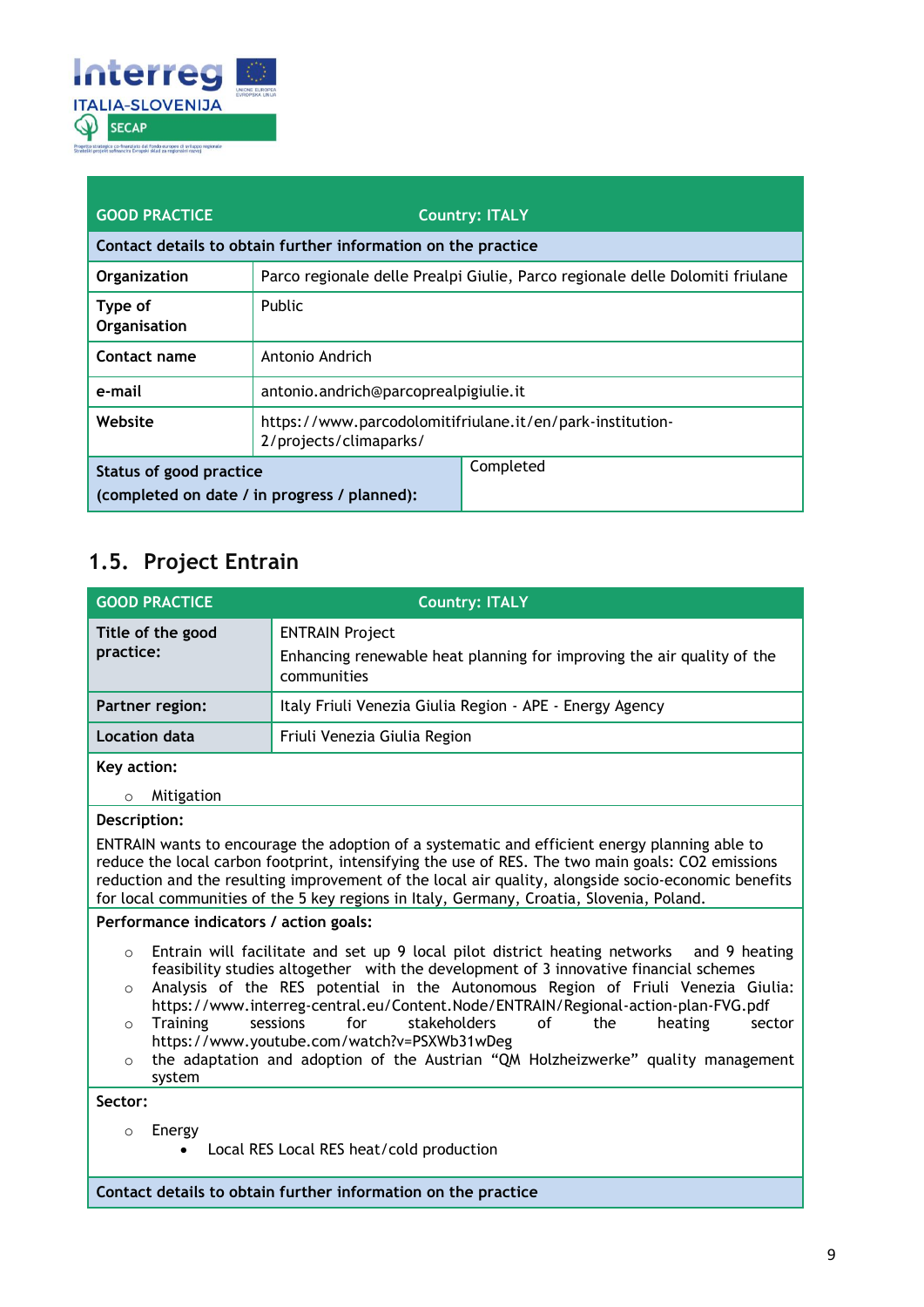

| <b>GOOD PRACTICE</b>    |                                                               | <b>Country: ITALY</b>                                                         |  |
|-------------------------|---------------------------------------------------------------|-------------------------------------------------------------------------------|--|
|                         | Contact details to obtain further information on the practice |                                                                               |  |
| Organization            |                                                               | Parco regionale delle Prealpi Giulie, Parco regionale delle Dolomiti friulane |  |
| Type of<br>Organisation | <b>Public</b>                                                 |                                                                               |  |
| Contact name            | Antonio Andrich                                               |                                                                               |  |
| e-mail                  | antonio.andrich@parcoprealpigiulie.it                         |                                                                               |  |
| Website                 | 2/projects/climaparks/                                        | https://www.parcodolomitifriulane.it/en/park-institution-                     |  |
| Status of good practice |                                                               | Completed                                                                     |  |
|                         | (completed on date / in progress / planned):                  |                                                                               |  |

## <span id="page-8-0"></span>**1.5. Project Entrain**

| <b>GOOD PRACTICE</b>                                                                                                                                                                                                                                                                                                                                                                                                                                                                                                                                                                                                                   | <b>Country: ITALY</b>                                                                                                                                                                                                                                                                                                                                                                                 |  |
|----------------------------------------------------------------------------------------------------------------------------------------------------------------------------------------------------------------------------------------------------------------------------------------------------------------------------------------------------------------------------------------------------------------------------------------------------------------------------------------------------------------------------------------------------------------------------------------------------------------------------------------|-------------------------------------------------------------------------------------------------------------------------------------------------------------------------------------------------------------------------------------------------------------------------------------------------------------------------------------------------------------------------------------------------------|--|
| Title of the good<br>practice:                                                                                                                                                                                                                                                                                                                                                                                                                                                                                                                                                                                                         | <b>ENTRAIN Project</b><br>Enhancing renewable heat planning for improving the air quality of the<br>communities                                                                                                                                                                                                                                                                                       |  |
| Partner region:                                                                                                                                                                                                                                                                                                                                                                                                                                                                                                                                                                                                                        | Italy Friuli Venezia Giulia Region - APE - Energy Agency                                                                                                                                                                                                                                                                                                                                              |  |
| Location data                                                                                                                                                                                                                                                                                                                                                                                                                                                                                                                                                                                                                          | Friuli Venezia Giulia Region                                                                                                                                                                                                                                                                                                                                                                          |  |
| Key action:<br>Mitigation<br>$\circ$                                                                                                                                                                                                                                                                                                                                                                                                                                                                                                                                                                                                   |                                                                                                                                                                                                                                                                                                                                                                                                       |  |
| Description:                                                                                                                                                                                                                                                                                                                                                                                                                                                                                                                                                                                                                           | ENTRAIN wants to encourage the adoption of a systematic and efficient energy planning able to<br>reduce the local carbon footprint, intensifying the use of RES. The two main goals: CO2 emissions<br>reduction and the resulting improvement of the local air quality, alongside socio-economic benefits<br>for local communities of the 5 key regions in Italy, Germany, Croatia, Slovenia, Poland. |  |
| Performance indicators / action goals:                                                                                                                                                                                                                                                                                                                                                                                                                                                                                                                                                                                                 |                                                                                                                                                                                                                                                                                                                                                                                                       |  |
| Entrain will facilitate and set up 9 local pilot district heating networks and 9 heating<br>$\circ$<br>feasibility studies altogether with the development of 3 innovative financial schemes<br>Analysis of the RES potential in the Autonomous Region of Friuli Venezia Giulia:<br>$\Omega$<br>https://www.interreg-central.eu/Content.Node/ENTRAIN/Regional-action-plan-FVG.pdf<br>sessions<br>for<br>stakeholders<br>Training<br>οf<br>the<br>heating<br>sector<br>$\circ$<br>https://www.youtube.com/watch?v=PSXWb31wDeg<br>the adaptation and adoption of the Austrian "QM Holzheizwerke" quality management<br>$\circ$<br>system |                                                                                                                                                                                                                                                                                                                                                                                                       |  |
| Sector:                                                                                                                                                                                                                                                                                                                                                                                                                                                                                                                                                                                                                                |                                                                                                                                                                                                                                                                                                                                                                                                       |  |
| Energy<br>$\Omega$                                                                                                                                                                                                                                                                                                                                                                                                                                                                                                                                                                                                                     | Local RES Local RES heat/cold production                                                                                                                                                                                                                                                                                                                                                              |  |
|                                                                                                                                                                                                                                                                                                                                                                                                                                                                                                                                                                                                                                        | Contact details to obtain further information on the practice                                                                                                                                                                                                                                                                                                                                         |  |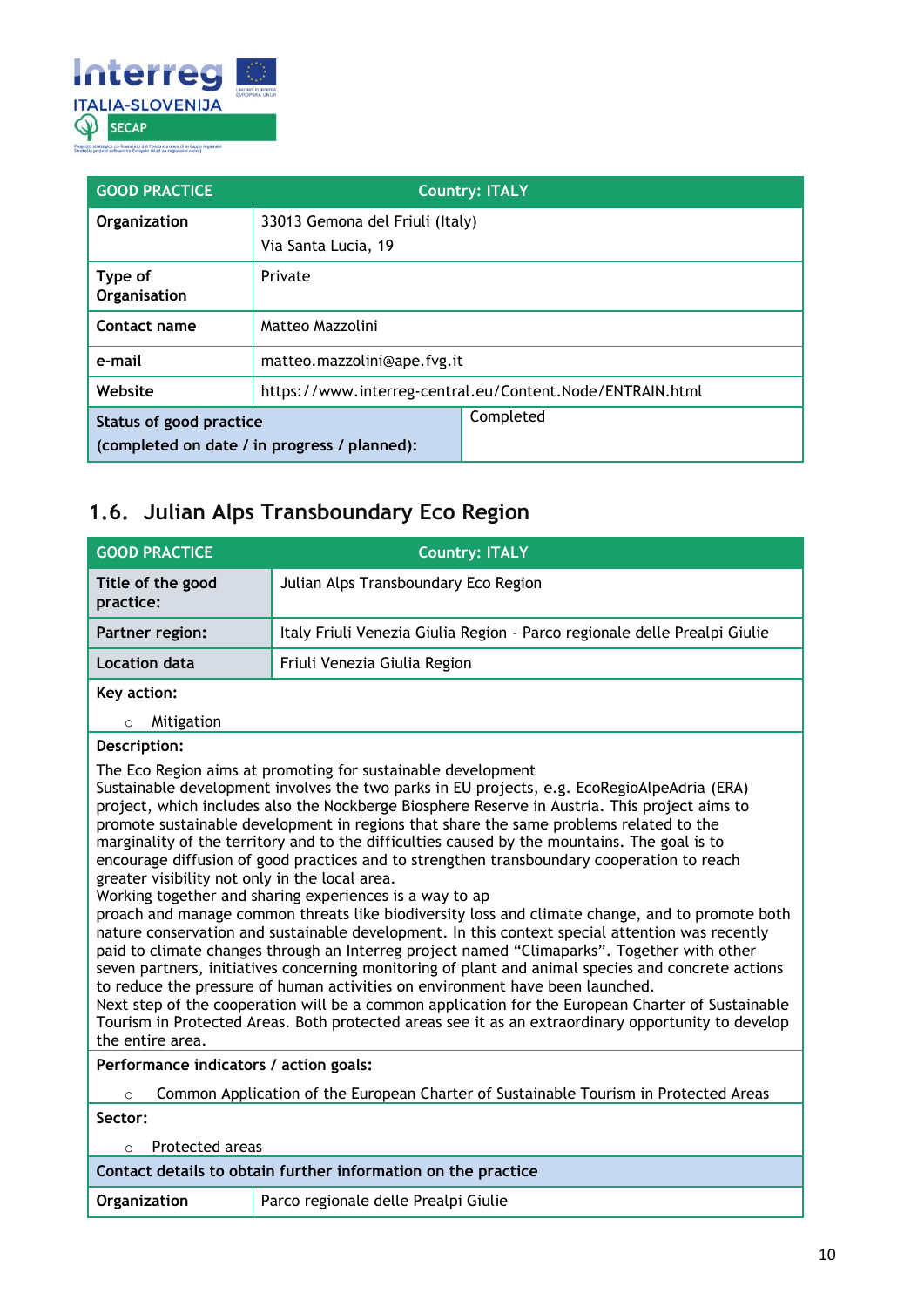

| <b>GOOD PRACTICE</b>                                                    |                                                           | <b>Country: ITALY</b> |
|-------------------------------------------------------------------------|-----------------------------------------------------------|-----------------------|
| Organization                                                            | 33013 Gemona del Friuli (Italy)                           |                       |
|                                                                         | Via Santa Lucia, 19                                       |                       |
| Type of<br>Organisation                                                 | Private                                                   |                       |
| Contact name                                                            | Matteo Mazzolini                                          |                       |
| e-mail                                                                  | matteo.mazzolini@ape.fvg.it                               |                       |
| Website                                                                 | https://www.interreg-central.eu/Content.Node/ENTRAIN.html |                       |
| Status of good practice<br>(completed on date / in progress / planned): |                                                           | Completed             |

## <span id="page-9-0"></span>**1.6. Julian Alps Transboundary Eco Region**

| <b>GOOD PRACTICE</b>                                                                            | <b>Country: ITALY</b>                                                                                                                                                                                                                                                                                                                                                                                                                                                                                                                                                                                                                                                                                                                                                                                                                                                                                                                                                                                                                                                                                                                                                                                                                                                                                                  |
|-------------------------------------------------------------------------------------------------|------------------------------------------------------------------------------------------------------------------------------------------------------------------------------------------------------------------------------------------------------------------------------------------------------------------------------------------------------------------------------------------------------------------------------------------------------------------------------------------------------------------------------------------------------------------------------------------------------------------------------------------------------------------------------------------------------------------------------------------------------------------------------------------------------------------------------------------------------------------------------------------------------------------------------------------------------------------------------------------------------------------------------------------------------------------------------------------------------------------------------------------------------------------------------------------------------------------------------------------------------------------------------------------------------------------------|
| Title of the good<br>practice:                                                                  | Julian Alps Transboundary Eco Region                                                                                                                                                                                                                                                                                                                                                                                                                                                                                                                                                                                                                                                                                                                                                                                                                                                                                                                                                                                                                                                                                                                                                                                                                                                                                   |
| Partner region:                                                                                 | Italy Friuli Venezia Giulia Region - Parco regionale delle Prealpi Giulie                                                                                                                                                                                                                                                                                                                                                                                                                                                                                                                                                                                                                                                                                                                                                                                                                                                                                                                                                                                                                                                                                                                                                                                                                                              |
| Location data                                                                                   | Friuli Venezia Giulia Region                                                                                                                                                                                                                                                                                                                                                                                                                                                                                                                                                                                                                                                                                                                                                                                                                                                                                                                                                                                                                                                                                                                                                                                                                                                                                           |
| Key action:                                                                                     |                                                                                                                                                                                                                                                                                                                                                                                                                                                                                                                                                                                                                                                                                                                                                                                                                                                                                                                                                                                                                                                                                                                                                                                                                                                                                                                        |
| Mitigation<br>$\circ$                                                                           |                                                                                                                                                                                                                                                                                                                                                                                                                                                                                                                                                                                                                                                                                                                                                                                                                                                                                                                                                                                                                                                                                                                                                                                                                                                                                                                        |
| Description:                                                                                    |                                                                                                                                                                                                                                                                                                                                                                                                                                                                                                                                                                                                                                                                                                                                                                                                                                                                                                                                                                                                                                                                                                                                                                                                                                                                                                                        |
| greater visibility not only in the local area.<br>the entire area.                              | The Eco Region aims at promoting for sustainable development<br>Sustainable development involves the two parks in EU projects, e.g. EcoRegioAlpeAdria (ERA)<br>project, which includes also the Nockberge Biosphere Reserve in Austria. This project aims to<br>promote sustainable development in regions that share the same problems related to the<br>marginality of the territory and to the difficulties caused by the mountains. The goal is to<br>encourage diffusion of good practices and to strengthen transboundary cooperation to reach<br>Working together and sharing experiences is a way to ap<br>proach and manage common threats like biodiversity loss and climate change, and to promote both<br>nature conservation and sustainable development. In this context special attention was recently<br>paid to climate changes through an Interreg project named "Climaparks". Together with other<br>seven partners, initiatives concerning monitoring of plant and animal species and concrete actions<br>to reduce the pressure of human activities on environment have been launched.<br>Next step of the cooperation will be a common application for the European Charter of Sustainable<br>Tourism in Protected Areas. Both protected areas see it as an extraordinary opportunity to develop |
| Performance indicators / action goals:                                                          |                                                                                                                                                                                                                                                                                                                                                                                                                                                                                                                                                                                                                                                                                                                                                                                                                                                                                                                                                                                                                                                                                                                                                                                                                                                                                                                        |
| Common Application of the European Charter of Sustainable Tourism in Protected Areas<br>$\circ$ |                                                                                                                                                                                                                                                                                                                                                                                                                                                                                                                                                                                                                                                                                                                                                                                                                                                                                                                                                                                                                                                                                                                                                                                                                                                                                                                        |
| Sector:                                                                                         |                                                                                                                                                                                                                                                                                                                                                                                                                                                                                                                                                                                                                                                                                                                                                                                                                                                                                                                                                                                                                                                                                                                                                                                                                                                                                                                        |
| <b>Protected areas</b><br>$\Omega$                                                              |                                                                                                                                                                                                                                                                                                                                                                                                                                                                                                                                                                                                                                                                                                                                                                                                                                                                                                                                                                                                                                                                                                                                                                                                                                                                                                                        |
|                                                                                                 | Contact details to obtain further information on the practice                                                                                                                                                                                                                                                                                                                                                                                                                                                                                                                                                                                                                                                                                                                                                                                                                                                                                                                                                                                                                                                                                                                                                                                                                                                          |
| Organization                                                                                    | Parco regionale delle Prealpi Giulie                                                                                                                                                                                                                                                                                                                                                                                                                                                                                                                                                                                                                                                                                                                                                                                                                                                                                                                                                                                                                                                                                                                                                                                                                                                                                   |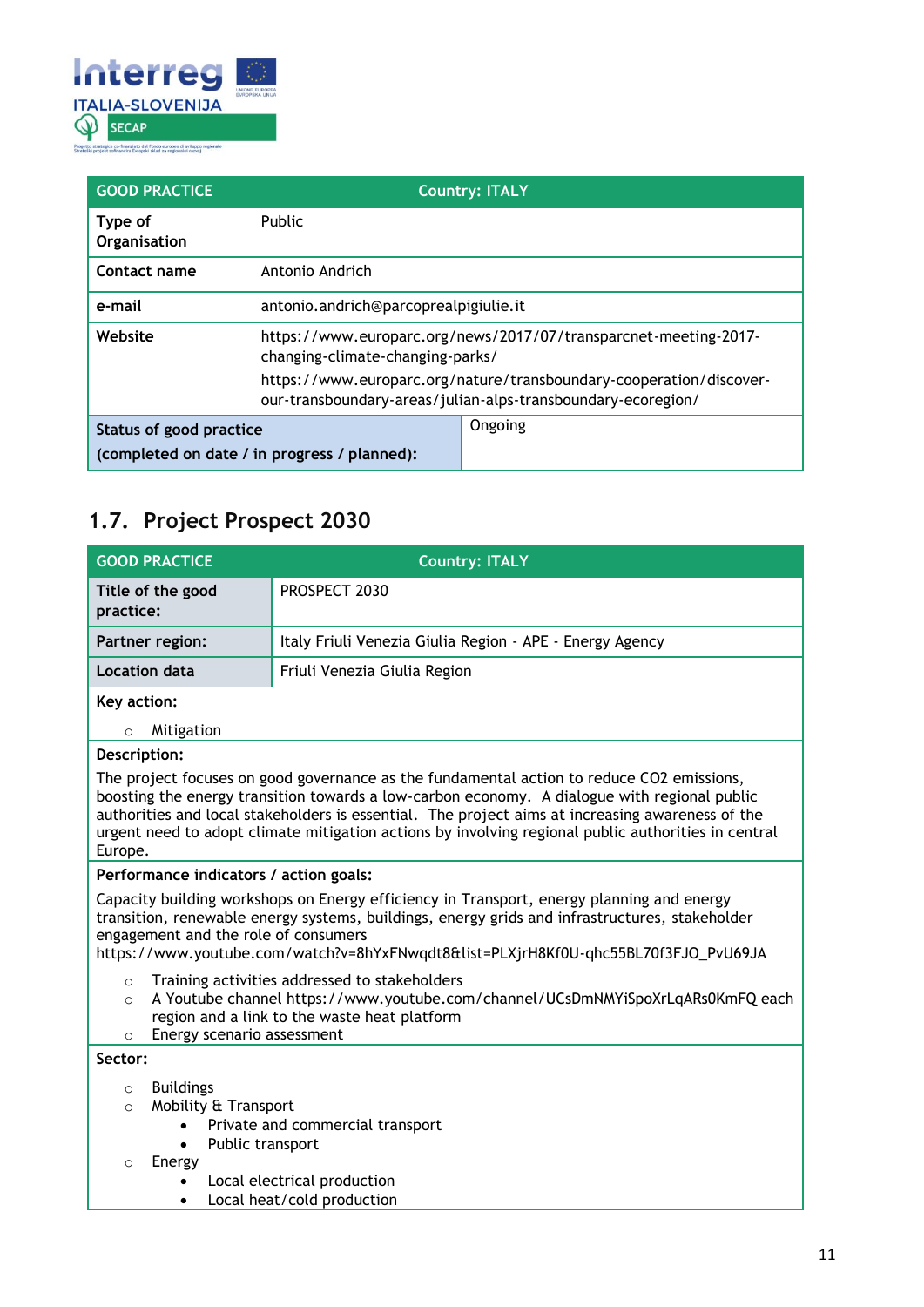

| <b>GOOD PRACTICE</b>                         | <b>Country: ITALY</b>                                                                                                               |         |
|----------------------------------------------|-------------------------------------------------------------------------------------------------------------------------------------|---------|
| Type of<br>Organisation                      | Public                                                                                                                              |         |
| Contact name                                 | Antonio Andrich                                                                                                                     |         |
| e-mail                                       | antonio.andrich@parcoprealpigiulie.it                                                                                               |         |
| Website                                      | https://www.europarc.org/news/2017/07/transparcnet-meeting-2017-<br>changing-climate-changing-parks/                                |         |
|                                              | https://www.europarc.org/nature/transboundary-cooperation/discover-<br>our-transboundary-areas/julian-alps-transboundary-ecoregion/ |         |
| Status of good practice                      |                                                                                                                                     | Ongoing |
| (completed on date / in progress / planned): |                                                                                                                                     |         |

### <span id="page-10-0"></span>**1.7. Project Prospect 2030**

| <b>GOOD PRACTICE</b>           | <b>Country: ITALY</b>                                    |
|--------------------------------|----------------------------------------------------------|
| Title of the good<br>practice: | PROSPECT 2030                                            |
| Partner region:                | Italy Friuli Venezia Giulia Region - APE - Energy Agency |
| Location data                  | Friuli Venezia Giulia Region                             |
| $Var$                          |                                                          |

**Key action:** 

o Mitigation

### **Description:**

The project focuses on good governance as the fundamental action to reduce CO2 emissions, boosting the energy transition towards a low-carbon economy. A dialogue with regional public authorities and local stakeholders is essential. The project aims at increasing awareness of the urgent need to adopt climate mitigation actions by involving regional public authorities in central Europe.

#### **Performance indicators / action goals:**

Capacity building workshops on Energy efficiency in Transport, energy planning and energy transition, renewable energy systems, buildings, energy grids and infrastructures, stakeholder engagement and the role of consumers

https://www.youtube.com/watch?v=8hYxFNwqdt8&list=PLXjrH8Kf0U-qhc55BL70f3FJO\_PvU69JA

- o Training activities addressed to stakeholders
- o A Youtube channel https://www.youtube.com/channel/UCsDmNMYiSpoXrLqARs0KmFQ each region and a link to the waste heat platform
- o Energy scenario assessment

**Sector:**

- o Buildings
- o Mobility & Transport
	- Private and commercial transport
	- Public transport
- o Energy
	- Local electrical production
	- Local heat/cold production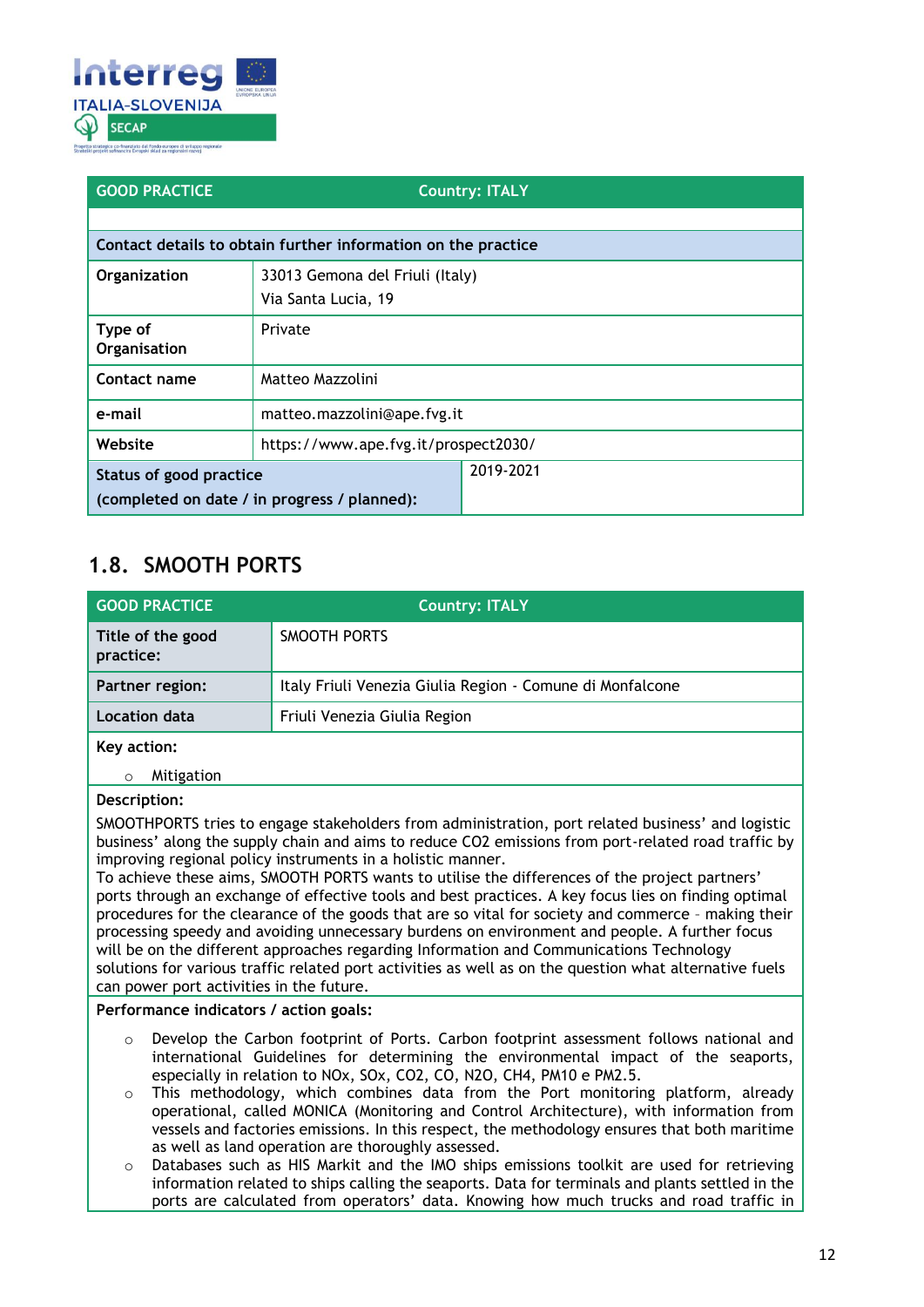

| <b>GOOD PRACTICE</b>                                                                        |                                                               | <b>Country: ITALY</b> |
|---------------------------------------------------------------------------------------------|---------------------------------------------------------------|-----------------------|
|                                                                                             |                                                               |                       |
|                                                                                             | Contact details to obtain further information on the practice |                       |
| Organization                                                                                | 33013 Gemona del Friuli (Italy)                               |                       |
|                                                                                             | Via Santa Lucia, 19                                           |                       |
| Type of<br>Organisation                                                                     | Private                                                       |                       |
| Contact name                                                                                | Matteo Mazzolini                                              |                       |
| e-mail                                                                                      | matteo.mazzolini@ape.fvg.it                                   |                       |
| Website                                                                                     | https://www.ape.fvg.it/prospect2030/                          |                       |
| 2019-2021<br><b>Status of good practice</b><br>(completed on date / in progress / planned): |                                                               |                       |

### <span id="page-11-0"></span>**1.8. SMOOTH PORTS**

| <b>GOOD PRACTICE</b>           | <b>Country: ITALY</b>                                     |
|--------------------------------|-----------------------------------------------------------|
| Title of the good<br>practice: | SMOOTH PORTS                                              |
| Partner region:                | Italy Friuli Venezia Giulia Region - Comune di Monfalcone |
| Location data                  | Friuli Venezia Giulia Region                              |
| Key action:                    |                                                           |

o Mitigation

#### **Description:**

SMOOTHPORTS tries to engage stakeholders from administration, port related business' and logistic business' along the supply chain and aims to reduce CO2 emissions from port-related road traffic by improving regional policy instruments in a holistic manner.

To achieve these aims, SMOOTH PORTS wants to utilise the differences of the project partners' ports through an exchange of effective tools and best practices. A key focus lies on finding optimal procedures for the clearance of the goods that are so vital for society and commerce – making their processing speedy and avoiding unnecessary burdens on environment and people. A further focus will be on the different approaches regarding Information and Communications Technology solutions for various traffic related port activities as well as on the question what alternative fuels can power port activities in the future.

#### **Performance indicators / action goals:**

- $\circ$  Develop the Carbon footprint of Ports. Carbon footprint assessment follows national and international Guidelines for determining the environmental impact of the seaports, especially in relation to NOx, SOx, CO2, CO, N2O, CH4, PM10 e PM2.5.
- o This methodology, which combines data from the Port monitoring platform, already operational, called MONICA (Monitoring and Control Architecture), with information from vessels and factories emissions. In this respect, the methodology ensures that both maritime as well as land operation are thoroughly assessed.
- o Databases such as HIS Markit and the IMO ships emissions toolkit are used for retrieving information related to ships calling the seaports. Data for terminals and plants settled in the ports are calculated from operators' data. Knowing how much trucks and road traffic in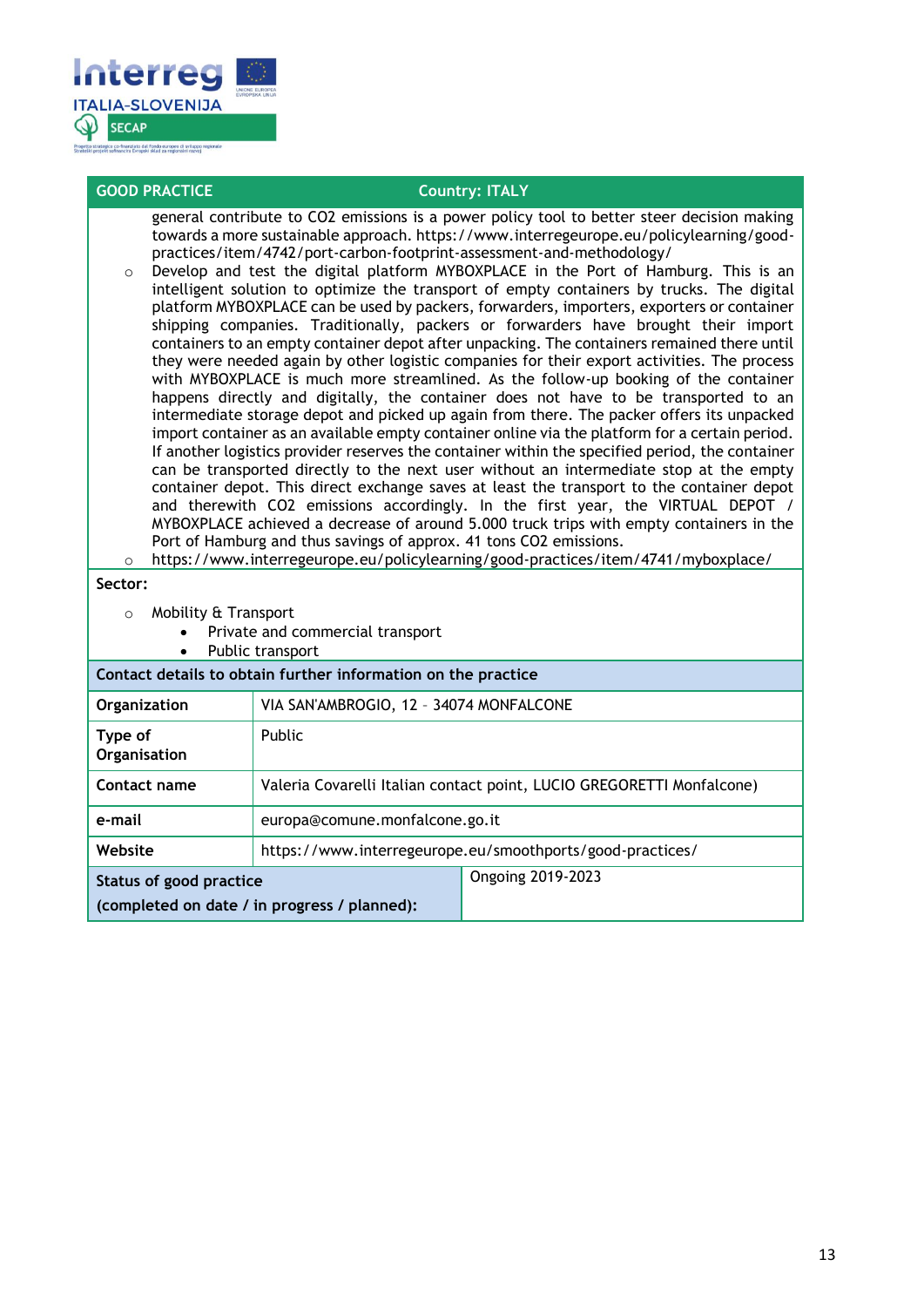

| <b>GOOD PRACTICE</b>                                                                                                                                                                                                                                                                                                                                                                                                                                                                                                                                                                                                                                                                                                                                                                                                                                                                                                                                                                                                                                                                                                                                                                                                                                                                                                                                                                                                                                                                                                                                                                                                                                                                                                                                                                                                                                                                 |                                                                       | <b>Country: ITALY</b>                                     |  |
|--------------------------------------------------------------------------------------------------------------------------------------------------------------------------------------------------------------------------------------------------------------------------------------------------------------------------------------------------------------------------------------------------------------------------------------------------------------------------------------------------------------------------------------------------------------------------------------------------------------------------------------------------------------------------------------------------------------------------------------------------------------------------------------------------------------------------------------------------------------------------------------------------------------------------------------------------------------------------------------------------------------------------------------------------------------------------------------------------------------------------------------------------------------------------------------------------------------------------------------------------------------------------------------------------------------------------------------------------------------------------------------------------------------------------------------------------------------------------------------------------------------------------------------------------------------------------------------------------------------------------------------------------------------------------------------------------------------------------------------------------------------------------------------------------------------------------------------------------------------------------------------|-----------------------------------------------------------------------|-----------------------------------------------------------|--|
| general contribute to CO2 emissions is a power policy tool to better steer decision making<br>towards a more sustainable approach. https://www.interregeurope.eu/policylearning/good-<br>practices/item/4742/port-carbon-footprint-assessment-and-methodology/<br>Develop and test the digital platform MYBOXPLACE in the Port of Hamburg. This is an<br>$\circ$<br>intelligent solution to optimize the transport of empty containers by trucks. The digital<br>platform MYBOXPLACE can be used by packers, forwarders, importers, exporters or container<br>shipping companies. Traditionally, packers or forwarders have brought their import<br>containers to an empty container depot after unpacking. The containers remained there until<br>they were needed again by other logistic companies for their export activities. The process<br>with MYBOXPLACE is much more streamlined. As the follow-up booking of the container<br>happens directly and digitally, the container does not have to be transported to an<br>intermediate storage depot and picked up again from there. The packer offers its unpacked<br>import container as an available empty container online via the platform for a certain period.<br>If another logistics provider reserves the container within the specified period, the container<br>can be transported directly to the next user without an intermediate stop at the empty<br>container depot. This direct exchange saves at least the transport to the container depot<br>and therewith CO2 emissions accordingly. In the first year, the VIRTUAL DEPOT /<br>MYBOXPLACE achieved a decrease of around 5.000 truck trips with empty containers in the<br>Port of Hamburg and thus savings of approx. 41 tons CO2 emissions.<br>https://www.interregeurope.eu/policylearning/good-practices/item/4741/myboxplace/<br>$\circ$<br>Sector: |                                                                       |                                                           |  |
|                                                                                                                                                                                                                                                                                                                                                                                                                                                                                                                                                                                                                                                                                                                                                                                                                                                                                                                                                                                                                                                                                                                                                                                                                                                                                                                                                                                                                                                                                                                                                                                                                                                                                                                                                                                                                                                                                      | Private and commercial transport                                      |                                                           |  |
| Public transport<br>Contact details to obtain further information on the practice                                                                                                                                                                                                                                                                                                                                                                                                                                                                                                                                                                                                                                                                                                                                                                                                                                                                                                                                                                                                                                                                                                                                                                                                                                                                                                                                                                                                                                                                                                                                                                                                                                                                                                                                                                                                    |                                                                       |                                                           |  |
| Organization                                                                                                                                                                                                                                                                                                                                                                                                                                                                                                                                                                                                                                                                                                                                                                                                                                                                                                                                                                                                                                                                                                                                                                                                                                                                                                                                                                                                                                                                                                                                                                                                                                                                                                                                                                                                                                                                         |                                                                       | VIA SAN'AMBROGIO, 12 - 34074 MONFALCONE                   |  |
| Type of<br>Organisation                                                                                                                                                                                                                                                                                                                                                                                                                                                                                                                                                                                                                                                                                                                                                                                                                                                                                                                                                                                                                                                                                                                                                                                                                                                                                                                                                                                                                                                                                                                                                                                                                                                                                                                                                                                                                                                              | Public                                                                |                                                           |  |
| Contact name                                                                                                                                                                                                                                                                                                                                                                                                                                                                                                                                                                                                                                                                                                                                                                                                                                                                                                                                                                                                                                                                                                                                                                                                                                                                                                                                                                                                                                                                                                                                                                                                                                                                                                                                                                                                                                                                         | Valeria Covarelli Italian contact point, LUCIO GREGORETTI Monfalcone) |                                                           |  |
| e-mail                                                                                                                                                                                                                                                                                                                                                                                                                                                                                                                                                                                                                                                                                                                                                                                                                                                                                                                                                                                                                                                                                                                                                                                                                                                                                                                                                                                                                                                                                                                                                                                                                                                                                                                                                                                                                                                                               | europa@comune.monfalcone.go.it                                        |                                                           |  |
| Website                                                                                                                                                                                                                                                                                                                                                                                                                                                                                                                                                                                                                                                                                                                                                                                                                                                                                                                                                                                                                                                                                                                                                                                                                                                                                                                                                                                                                                                                                                                                                                                                                                                                                                                                                                                                                                                                              |                                                                       | https://www.interregeurope.eu/smoothports/good-practices/ |  |
|                                                                                                                                                                                                                                                                                                                                                                                                                                                                                                                                                                                                                                                                                                                                                                                                                                                                                                                                                                                                                                                                                                                                                                                                                                                                                                                                                                                                                                                                                                                                                                                                                                                                                                                                                                                                                                                                                      | <b>Ongoing 2019-2023</b><br><b>Status of good practice</b>            |                                                           |  |
|                                                                                                                                                                                                                                                                                                                                                                                                                                                                                                                                                                                                                                                                                                                                                                                                                                                                                                                                                                                                                                                                                                                                                                                                                                                                                                                                                                                                                                                                                                                                                                                                                                                                                                                                                                                                                                                                                      | (completed on date / in progress / planned):                          |                                                           |  |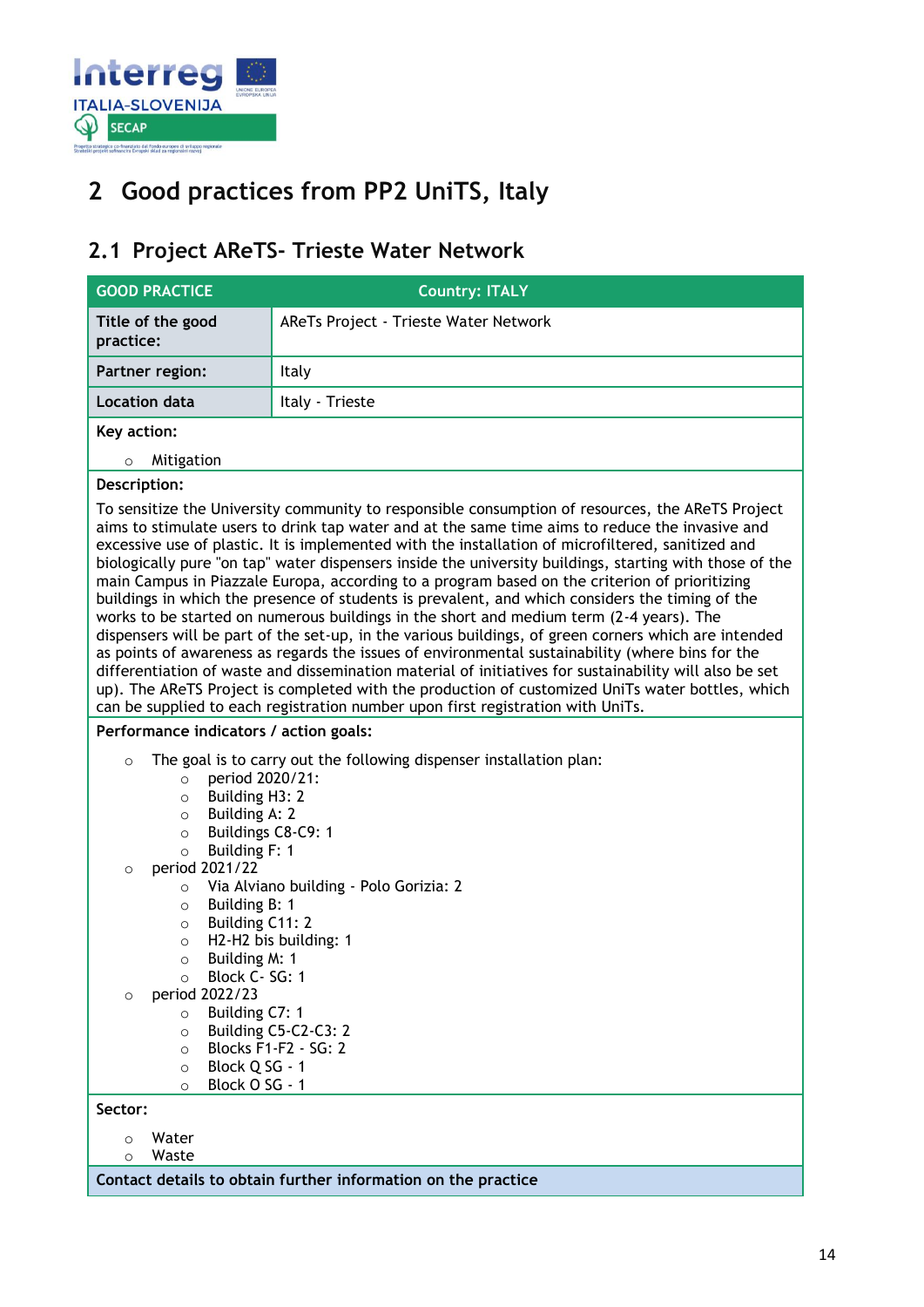

## <span id="page-13-0"></span>**2 Good practices from PP2 UniTS, Italy**

### <span id="page-13-1"></span>**2.1 Project AReTS- Trieste Water Network**

| <b>GOOD PRACTICE</b>                                                                                                                                                                                                                                                                                                                                                                                                                                                                                                                                                                                                                                     | <b>Country: ITALY</b>                                                                                                                                                                                                                                                                                                                                                                                                                                                                                                                                                                                                                                                                                                                                                                                                                                                                                                                                                                                                                                                                                                                                                                                                           |
|----------------------------------------------------------------------------------------------------------------------------------------------------------------------------------------------------------------------------------------------------------------------------------------------------------------------------------------------------------------------------------------------------------------------------------------------------------------------------------------------------------------------------------------------------------------------------------------------------------------------------------------------------------|---------------------------------------------------------------------------------------------------------------------------------------------------------------------------------------------------------------------------------------------------------------------------------------------------------------------------------------------------------------------------------------------------------------------------------------------------------------------------------------------------------------------------------------------------------------------------------------------------------------------------------------------------------------------------------------------------------------------------------------------------------------------------------------------------------------------------------------------------------------------------------------------------------------------------------------------------------------------------------------------------------------------------------------------------------------------------------------------------------------------------------------------------------------------------------------------------------------------------------|
| Title of the good<br>practice:                                                                                                                                                                                                                                                                                                                                                                                                                                                                                                                                                                                                                           | AReTs Project - Trieste Water Network                                                                                                                                                                                                                                                                                                                                                                                                                                                                                                                                                                                                                                                                                                                                                                                                                                                                                                                                                                                                                                                                                                                                                                                           |
| Partner region:                                                                                                                                                                                                                                                                                                                                                                                                                                                                                                                                                                                                                                          | Italy                                                                                                                                                                                                                                                                                                                                                                                                                                                                                                                                                                                                                                                                                                                                                                                                                                                                                                                                                                                                                                                                                                                                                                                                                           |
| <b>Location data</b>                                                                                                                                                                                                                                                                                                                                                                                                                                                                                                                                                                                                                                     | Italy - Trieste                                                                                                                                                                                                                                                                                                                                                                                                                                                                                                                                                                                                                                                                                                                                                                                                                                                                                                                                                                                                                                                                                                                                                                                                                 |
| Key action:                                                                                                                                                                                                                                                                                                                                                                                                                                                                                                                                                                                                                                              |                                                                                                                                                                                                                                                                                                                                                                                                                                                                                                                                                                                                                                                                                                                                                                                                                                                                                                                                                                                                                                                                                                                                                                                                                                 |
| Mitigation<br>$\circ$                                                                                                                                                                                                                                                                                                                                                                                                                                                                                                                                                                                                                                    |                                                                                                                                                                                                                                                                                                                                                                                                                                                                                                                                                                                                                                                                                                                                                                                                                                                                                                                                                                                                                                                                                                                                                                                                                                 |
| Description:                                                                                                                                                                                                                                                                                                                                                                                                                                                                                                                                                                                                                                             |                                                                                                                                                                                                                                                                                                                                                                                                                                                                                                                                                                                                                                                                                                                                                                                                                                                                                                                                                                                                                                                                                                                                                                                                                                 |
|                                                                                                                                                                                                                                                                                                                                                                                                                                                                                                                                                                                                                                                          | To sensitize the University community to responsible consumption of resources, the AReTS Project<br>aims to stimulate users to drink tap water and at the same time aims to reduce the invasive and<br>excessive use of plastic. It is implemented with the installation of microfiltered, sanitized and<br>biologically pure "on tap" water dispensers inside the university buildings, starting with those of the<br>main Campus in Piazzale Europa, according to a program based on the criterion of prioritizing<br>buildings in which the presence of students is prevalent, and which considers the timing of the<br>works to be started on numerous buildings in the short and medium term (2-4 years). The<br>dispensers will be part of the set-up, in the various buildings, of green corners which are intended<br>as points of awareness as regards the issues of environmental sustainability (where bins for the<br>differentiation of waste and dissemination material of initiatives for sustainability will also be set<br>up). The AReTS Project is completed with the production of customized UniTs water bottles, which<br>can be supplied to each registration number upon first registration with UniTs. |
| Performance indicators / action goals:                                                                                                                                                                                                                                                                                                                                                                                                                                                                                                                                                                                                                   |                                                                                                                                                                                                                                                                                                                                                                                                                                                                                                                                                                                                                                                                                                                                                                                                                                                                                                                                                                                                                                                                                                                                                                                                                                 |
| The goal is to carry out the following dispenser installation plan:<br>$\circ$<br>period 2020/21:<br>$\circ$<br>Building H3: 2<br>$\circ$<br>Building A: 2<br>$\circ$<br>Buildings C8-C9: 1<br>$\circ$<br>Building F: 1<br>$\circ$<br>period 2021/22<br>$\circ$<br>Via Alviano building - Polo Gorizia: 2<br>$\circ$<br>Building B: 1<br>$\circ$<br>Building C11: 2<br>$\circ$<br>H2-H2 bis building: 1<br>$\circ$<br>Building M: 1<br>O<br>Block C-SG: 1<br>$\circ$<br>period 2022/23<br>$\circ$<br>Building C7: 1<br>$\circ$<br>Building C5-C2-C3: 2<br>$\circ$<br>Blocks F1-F2 - SG: 2<br>$\circ$<br>Block Q SG - 1<br>$\circ$<br>Block O SG - 1<br>O |                                                                                                                                                                                                                                                                                                                                                                                                                                                                                                                                                                                                                                                                                                                                                                                                                                                                                                                                                                                                                                                                                                                                                                                                                                 |
| Sector:                                                                                                                                                                                                                                                                                                                                                                                                                                                                                                                                                                                                                                                  |                                                                                                                                                                                                                                                                                                                                                                                                                                                                                                                                                                                                                                                                                                                                                                                                                                                                                                                                                                                                                                                                                                                                                                                                                                 |
| Water<br>$\circ$<br>Waste                                                                                                                                                                                                                                                                                                                                                                                                                                                                                                                                                                                                                                |                                                                                                                                                                                                                                                                                                                                                                                                                                                                                                                                                                                                                                                                                                                                                                                                                                                                                                                                                                                                                                                                                                                                                                                                                                 |
| $\circ$                                                                                                                                                                                                                                                                                                                                                                                                                                                                                                                                                                                                                                                  | Contact details to obtain further information on the practice                                                                                                                                                                                                                                                                                                                                                                                                                                                                                                                                                                                                                                                                                                                                                                                                                                                                                                                                                                                                                                                                                                                                                                   |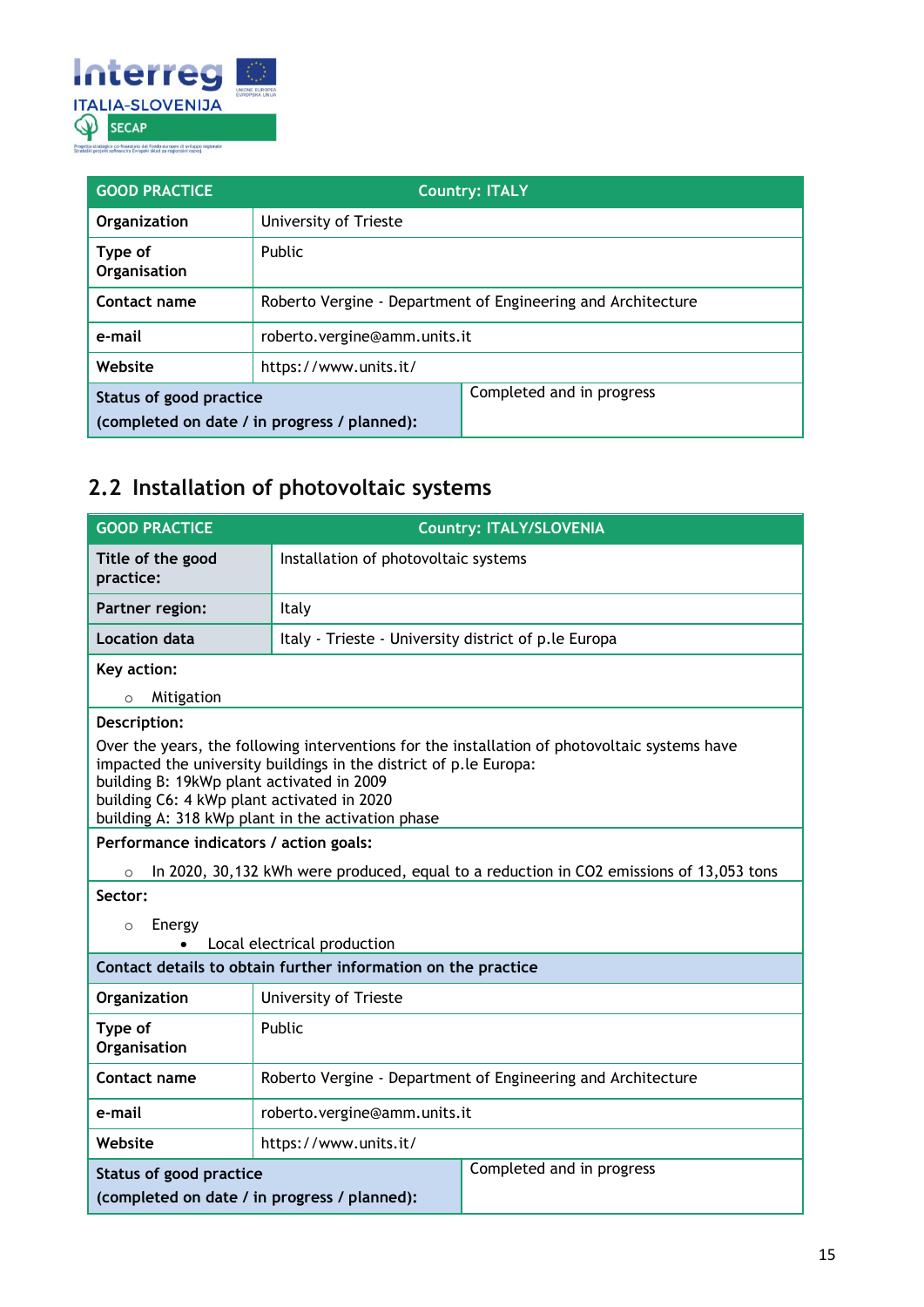

| <b>GOOD PRACTICE</b>                                                    | <b>Country: ITALY</b>                                        |                           |
|-------------------------------------------------------------------------|--------------------------------------------------------------|---------------------------|
| Organization                                                            | University of Trieste                                        |                           |
| Type of<br>Organisation                                                 | <b>Public</b>                                                |                           |
| Contact name                                                            | Roberto Vergine - Department of Engineering and Architecture |                           |
| e-mail                                                                  | roberto.vergine@amm.units.it                                 |                           |
| Website                                                                 | https://www.units.it/                                        |                           |
| Status of good practice<br>(completed on date / in progress / planned): |                                                              | Completed and in progress |

### <span id="page-14-0"></span>**2.2 Installation of photovoltaic systems**

| <b>GOOD PRACTICE</b>                                                                                                                                                                                                                                                                                               |                                                              | <b>Country: ITALY/SLOVENIA</b>                                                          |
|--------------------------------------------------------------------------------------------------------------------------------------------------------------------------------------------------------------------------------------------------------------------------------------------------------------------|--------------------------------------------------------------|-----------------------------------------------------------------------------------------|
| Title of the good<br>practice:                                                                                                                                                                                                                                                                                     | Installation of photovoltaic systems                         |                                                                                         |
| Partner region:                                                                                                                                                                                                                                                                                                    | Italy                                                        |                                                                                         |
| <b>Location data</b>                                                                                                                                                                                                                                                                                               | Italy - Trieste - University district of p.le Europa         |                                                                                         |
| Key action:                                                                                                                                                                                                                                                                                                        |                                                              |                                                                                         |
| Mitigation<br>$\circ$                                                                                                                                                                                                                                                                                              |                                                              |                                                                                         |
| Description:                                                                                                                                                                                                                                                                                                       |                                                              |                                                                                         |
| Over the years, the following interventions for the installation of photovoltaic systems have<br>impacted the university buildings in the district of p.le Europa:<br>building B: 19kWp plant activated in 2009<br>building C6: 4 kWp plant activated in 2020<br>building A: 318 kWp plant in the activation phase |                                                              |                                                                                         |
| Performance indicators / action goals:                                                                                                                                                                                                                                                                             |                                                              |                                                                                         |
| $\circ$                                                                                                                                                                                                                                                                                                            |                                                              | In 2020, 30,132 kWh were produced, equal to a reduction in CO2 emissions of 13,053 tons |
| Sector:                                                                                                                                                                                                                                                                                                            |                                                              |                                                                                         |
| Energy<br>$\circ$                                                                                                                                                                                                                                                                                                  |                                                              |                                                                                         |
| Local electrical production                                                                                                                                                                                                                                                                                        |                                                              |                                                                                         |
| Contact details to obtain further information on the practice                                                                                                                                                                                                                                                      |                                                              |                                                                                         |
| Organization                                                                                                                                                                                                                                                                                                       | University of Trieste                                        |                                                                                         |
| Type of<br>Organisation                                                                                                                                                                                                                                                                                            | Public                                                       |                                                                                         |
| Contact name                                                                                                                                                                                                                                                                                                       | Roberto Vergine - Department of Engineering and Architecture |                                                                                         |
| e-mail                                                                                                                                                                                                                                                                                                             | roberto.vergine@amm.units.it                                 |                                                                                         |
| Website                                                                                                                                                                                                                                                                                                            | https://www.units.it/                                        |                                                                                         |
| <b>Status of good practice</b>                                                                                                                                                                                                                                                                                     |                                                              | Completed and in progress                                                               |
| (completed on date / in progress / planned):                                                                                                                                                                                                                                                                       |                                                              |                                                                                         |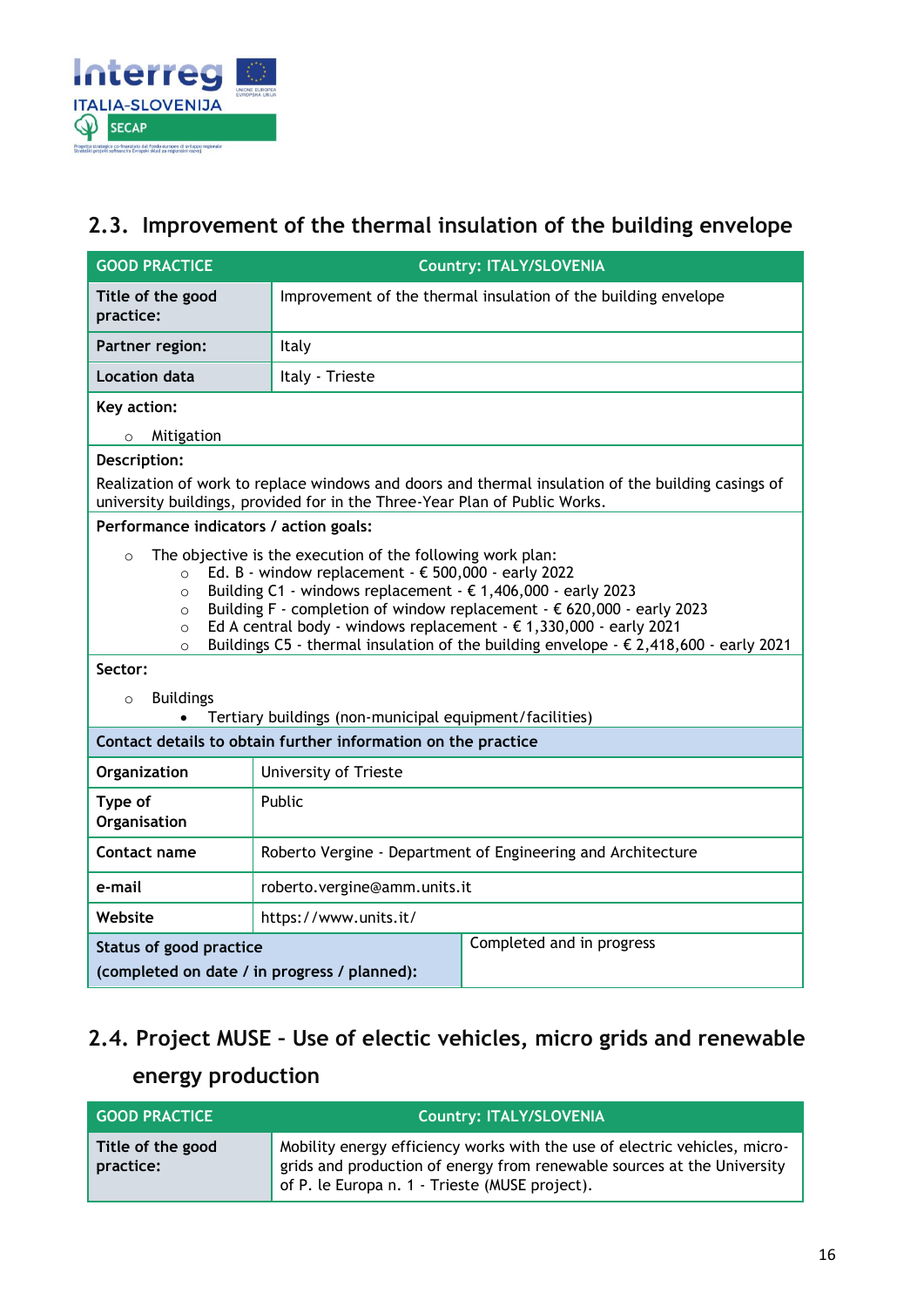

### <span id="page-15-0"></span>**2.3. Improvement of the thermal insulation of the building envelope**

| <b>GOOD PRACTICE</b>                                                                                                                                                                                                                                                                                                                                                                                                                                                                                                                                                                                                                                          | <b>Country: ITALY/SLOVENIA</b>                                                                              |                                                                                                    |
|---------------------------------------------------------------------------------------------------------------------------------------------------------------------------------------------------------------------------------------------------------------------------------------------------------------------------------------------------------------------------------------------------------------------------------------------------------------------------------------------------------------------------------------------------------------------------------------------------------------------------------------------------------------|-------------------------------------------------------------------------------------------------------------|----------------------------------------------------------------------------------------------------|
| Title of the good<br>practice:                                                                                                                                                                                                                                                                                                                                                                                                                                                                                                                                                                                                                                | Improvement of the thermal insulation of the building envelope                                              |                                                                                                    |
| Partner region:                                                                                                                                                                                                                                                                                                                                                                                                                                                                                                                                                                                                                                               | Italy                                                                                                       |                                                                                                    |
| <b>Location data</b>                                                                                                                                                                                                                                                                                                                                                                                                                                                                                                                                                                                                                                          | Italy - Trieste                                                                                             |                                                                                                    |
| Key action:                                                                                                                                                                                                                                                                                                                                                                                                                                                                                                                                                                                                                                                   |                                                                                                             |                                                                                                    |
| Mitigation<br>$\circ$                                                                                                                                                                                                                                                                                                                                                                                                                                                                                                                                                                                                                                         |                                                                                                             |                                                                                                    |
| Description:                                                                                                                                                                                                                                                                                                                                                                                                                                                                                                                                                                                                                                                  |                                                                                                             |                                                                                                    |
|                                                                                                                                                                                                                                                                                                                                                                                                                                                                                                                                                                                                                                                               | university buildings, provided for in the Three-Year Plan of Public Works.                                  | Realization of work to replace windows and doors and thermal insulation of the building casings of |
| Performance indicators / action goals:                                                                                                                                                                                                                                                                                                                                                                                                                                                                                                                                                                                                                        |                                                                                                             |                                                                                                    |
| The objective is the execution of the following work plan:<br>$\Omega$<br>Ed. B - window replacement - $\epsilon$ 500,000 - early 2022<br>$\circ$<br>Building C1 - windows replacement - $\epsilon$ 1,406,000 - early 2023<br>$\circ$<br>Building F - completion of window replacement - $\epsilon$ 620,000 - early 2023<br>$\circ$<br>Ed A central body - windows replacement - $\epsilon$ 1,330,000 - early 2021<br>$\circ$<br>Buildings C5 - thermal insulation of the building envelope - $\epsilon$ 2,418,600 - early 2021<br>$\Omega$<br>Sector:<br><b>Buildings</b><br>$\circ$<br>Tertiary buildings (non-municipal equipment/facilities)<br>$\bullet$ |                                                                                                             |                                                                                                    |
| Contact details to obtain further information on the practice                                                                                                                                                                                                                                                                                                                                                                                                                                                                                                                                                                                                 |                                                                                                             |                                                                                                    |
| Organization                                                                                                                                                                                                                                                                                                                                                                                                                                                                                                                                                                                                                                                  | University of Trieste                                                                                       |                                                                                                    |
| Type of<br>Organisation                                                                                                                                                                                                                                                                                                                                                                                                                                                                                                                                                                                                                                       | Public                                                                                                      |                                                                                                    |
| Contact name                                                                                                                                                                                                                                                                                                                                                                                                                                                                                                                                                                                                                                                  | Roberto Vergine - Department of Engineering and Architecture                                                |                                                                                                    |
| e-mail                                                                                                                                                                                                                                                                                                                                                                                                                                                                                                                                                                                                                                                        | roberto.vergine@amm.units.it                                                                                |                                                                                                    |
| Website                                                                                                                                                                                                                                                                                                                                                                                                                                                                                                                                                                                                                                                       | https://www.units.it/                                                                                       |                                                                                                    |
|                                                                                                                                                                                                                                                                                                                                                                                                                                                                                                                                                                                                                                                               | Completed and in progress<br><b>Status of good practice</b><br>(completed on date / in progress / planned): |                                                                                                    |

## <span id="page-15-1"></span>**2.4. Project MUSE – Use of electic vehicles, micro grids and renewable energy production**

| <b>GOOD PRACTICE</b>           | <b>Country: ITALY/SLOVENIA</b>                                                                                                                                                                          |
|--------------------------------|---------------------------------------------------------------------------------------------------------------------------------------------------------------------------------------------------------|
| Title of the good<br>practice: | Mobility energy efficiency works with the use of electric vehicles, micro-<br>grids and production of energy from renewable sources at the University<br>of P. le Europa n. 1 - Trieste (MUSE project). |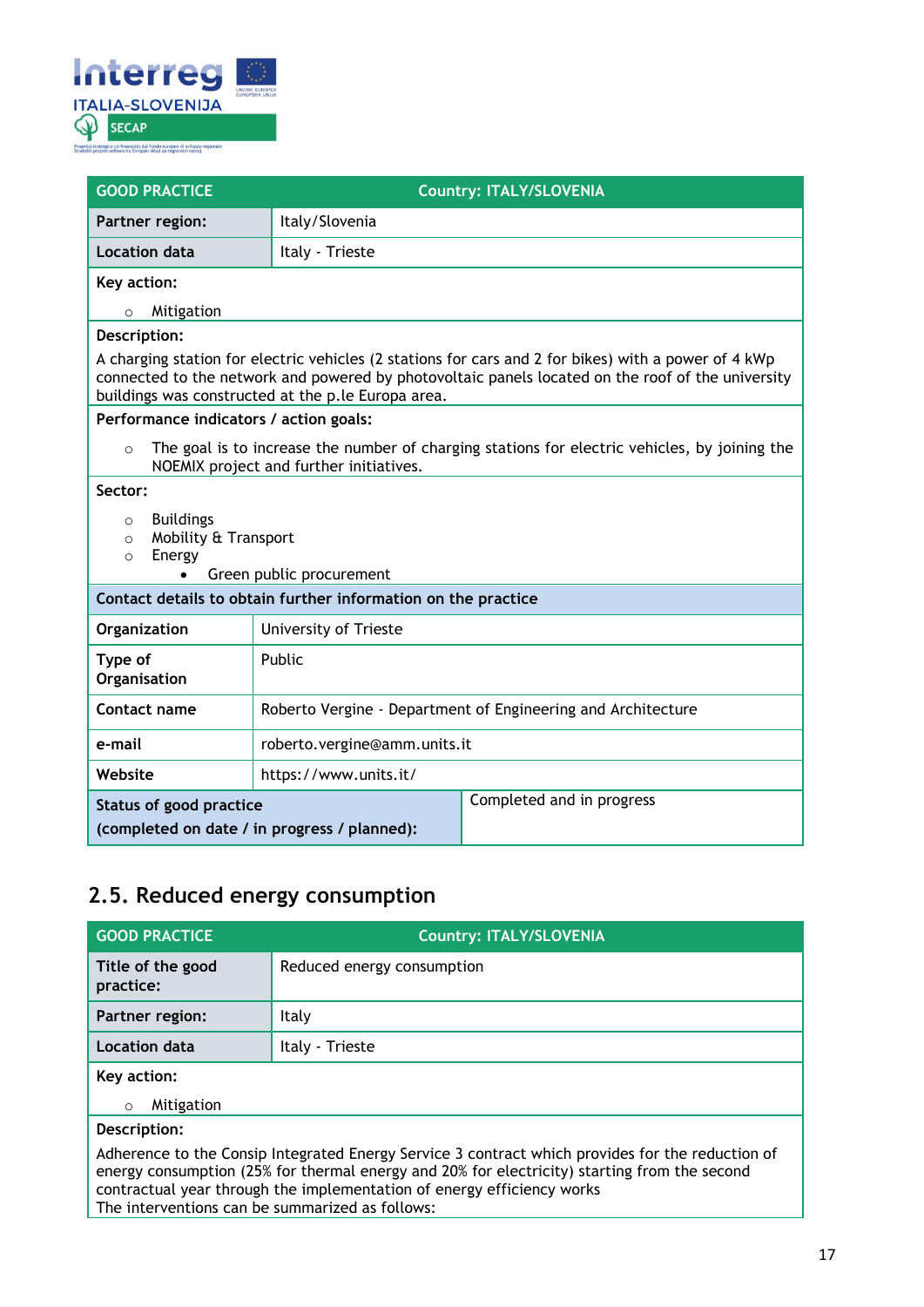

| <b>GOOD PRACTICE</b>                                                                                                                                                                                                                                            | <b>Country: ITALY/SLOVENIA</b>                               |  |  |
|-----------------------------------------------------------------------------------------------------------------------------------------------------------------------------------------------------------------------------------------------------------------|--------------------------------------------------------------|--|--|
| Partner region:                                                                                                                                                                                                                                                 | Italy/Slovenia                                               |  |  |
| Location data                                                                                                                                                                                                                                                   | Italy - Trieste                                              |  |  |
| Key action:                                                                                                                                                                                                                                                     |                                                              |  |  |
| Mitigation<br>$\circ$                                                                                                                                                                                                                                           |                                                              |  |  |
| Description:                                                                                                                                                                                                                                                    |                                                              |  |  |
| A charging station for electric vehicles (2 stations for cars and 2 for bikes) with a power of 4 kWp<br>connected to the network and powered by photovoltaic panels located on the roof of the university<br>buildings was constructed at the p.le Europa area. |                                                              |  |  |
| Performance indicators / action goals:                                                                                                                                                                                                                          |                                                              |  |  |
| The goal is to increase the number of charging stations for electric vehicles, by joining the<br>$\circ$<br>NOEMIX project and further initiatives.                                                                                                             |                                                              |  |  |
| Sector:                                                                                                                                                                                                                                                         |                                                              |  |  |
| <b>Buildings</b><br>$\Omega$                                                                                                                                                                                                                                    |                                                              |  |  |
| Mobility & Transport<br>$\Omega$<br>Energy<br>$\circ$                                                                                                                                                                                                           |                                                              |  |  |
| Green public procurement                                                                                                                                                                                                                                        |                                                              |  |  |
| Contact details to obtain further information on the practice                                                                                                                                                                                                   |                                                              |  |  |
| Organization                                                                                                                                                                                                                                                    | University of Trieste                                        |  |  |
| Type of<br>Organisation                                                                                                                                                                                                                                         | Public                                                       |  |  |
| Contact name                                                                                                                                                                                                                                                    | Roberto Vergine - Department of Engineering and Architecture |  |  |
| e-mail                                                                                                                                                                                                                                                          | roberto.vergine@amm.units.it                                 |  |  |
| Website                                                                                                                                                                                                                                                         | https://www.units.it/                                        |  |  |
| Status of good practice                                                                                                                                                                                                                                         | Completed and in progress                                    |  |  |
| (completed on date / in progress / planned):                                                                                                                                                                                                                    |                                                              |  |  |

### <span id="page-16-0"></span>**2.5. Reduced energy consumption**

| <b>GOOD PRACTICE</b>                                                                                                                                                                                                                                                       | <b>Country: ITALY/SLOVENIA</b> |  |
|----------------------------------------------------------------------------------------------------------------------------------------------------------------------------------------------------------------------------------------------------------------------------|--------------------------------|--|
| Title of the good<br>practice:                                                                                                                                                                                                                                             | Reduced energy consumption     |  |
| Partner region:                                                                                                                                                                                                                                                            | Italy                          |  |
| <b>Location data</b>                                                                                                                                                                                                                                                       | Italy - Trieste                |  |
| Key action:                                                                                                                                                                                                                                                                |                                |  |
| Mitigation<br>$\circ$                                                                                                                                                                                                                                                      |                                |  |
| Description:                                                                                                                                                                                                                                                               |                                |  |
| Adherence to the Consip Integrated Energy Service 3 contract which provides for the reduction of<br>energy consumption (25% for thermal energy and 20% for electricity) starting from the second<br>contractual year through the implementation of energy efficiency works |                                |  |

The interventions can be summarized as follows: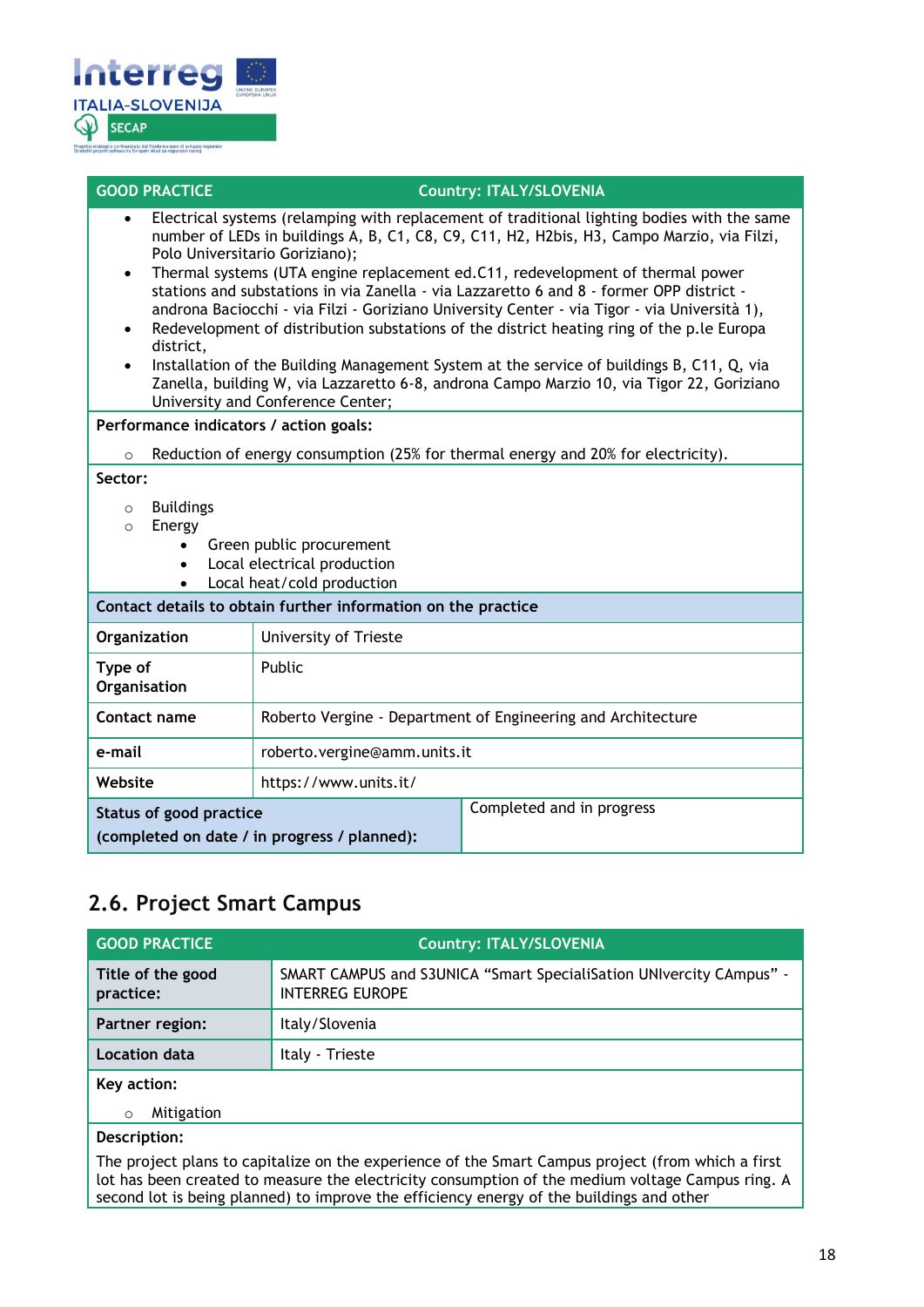

#### **GOOD PRACTICE COUNTRY: ITALY/SLOVENIA**

- Electrical systems (relamping with replacement of traditional lighting bodies with the same number of LEDs in buildings A, B, C1, C8, C9, C11, H2, H2bis, H3, Campo Marzio, via Filzi, Polo Universitario Goriziano);
- Thermal systems (UTA engine replacement ed.C11, redevelopment of thermal power stations and substations in via Zanella - via Lazzaretto 6 and 8 - former OPP district androna Baciocchi - via Filzi - Goriziano University Center - via Tigor - via Università 1),
- Redevelopment of distribution substations of the district heating ring of the p.le Europa district,
- Installation of the Building Management System at the service of buildings B, C11, Q, via Zanella, building W, via Lazzaretto 6-8, androna Campo Marzio 10, via Tigor 22, Goriziano University and Conference Center;

**Performance indicators / action goals:**

 $\circ$  Reduction of energy consumption (25% for thermal energy and 20% for electricity).

#### **Sector:**

- o Buildings
- o Energy
	- Green public procurement
	- Local electrical production
	- Local heat/cold production

| Contact details to obtain further information on the practice           |                                                              |                           |
|-------------------------------------------------------------------------|--------------------------------------------------------------|---------------------------|
| Organization                                                            | University of Trieste                                        |                           |
| Type of<br>Organisation                                                 | <b>Public</b>                                                |                           |
| Contact name                                                            | Roberto Vergine - Department of Engineering and Architecture |                           |
| e-mail                                                                  | roberto.vergine@amm.units.it                                 |                           |
| Website                                                                 | https://www.units.it/                                        |                           |
| Status of good practice<br>(completed on date / in progress / planned): |                                                              | Completed and in progress |

### <span id="page-17-0"></span>**2.6. Project Smart Campus**

| <b>GOOD PRACTICE</b>           | <b>Country: ITALY/SLOVENIA</b>                                                                    |
|--------------------------------|---------------------------------------------------------------------------------------------------|
| Title of the good<br>practice: | SMART CAMPUS and S3UNICA "Smart SpecialiSation UNIvercity CAmpus" -<br><b>INTERREG EUROPE</b>     |
| Partner region:                | Italy/Slovenia                                                                                    |
| Location data                  | Italy - Trieste                                                                                   |
| Key action:                    |                                                                                                   |
| Mitigation<br>$\circ$          |                                                                                                   |
| Description:                   |                                                                                                   |
|                                | The project plans to capitalize on the experience of the Smart Campus project (from which a first |

The project plans to capitalize on the experience of the Smart Campus project (from which a first lot has been created to measure the electricity consumption of the medium voltage Campus ring. A second lot is being planned) to improve the efficiency energy of the buildings and other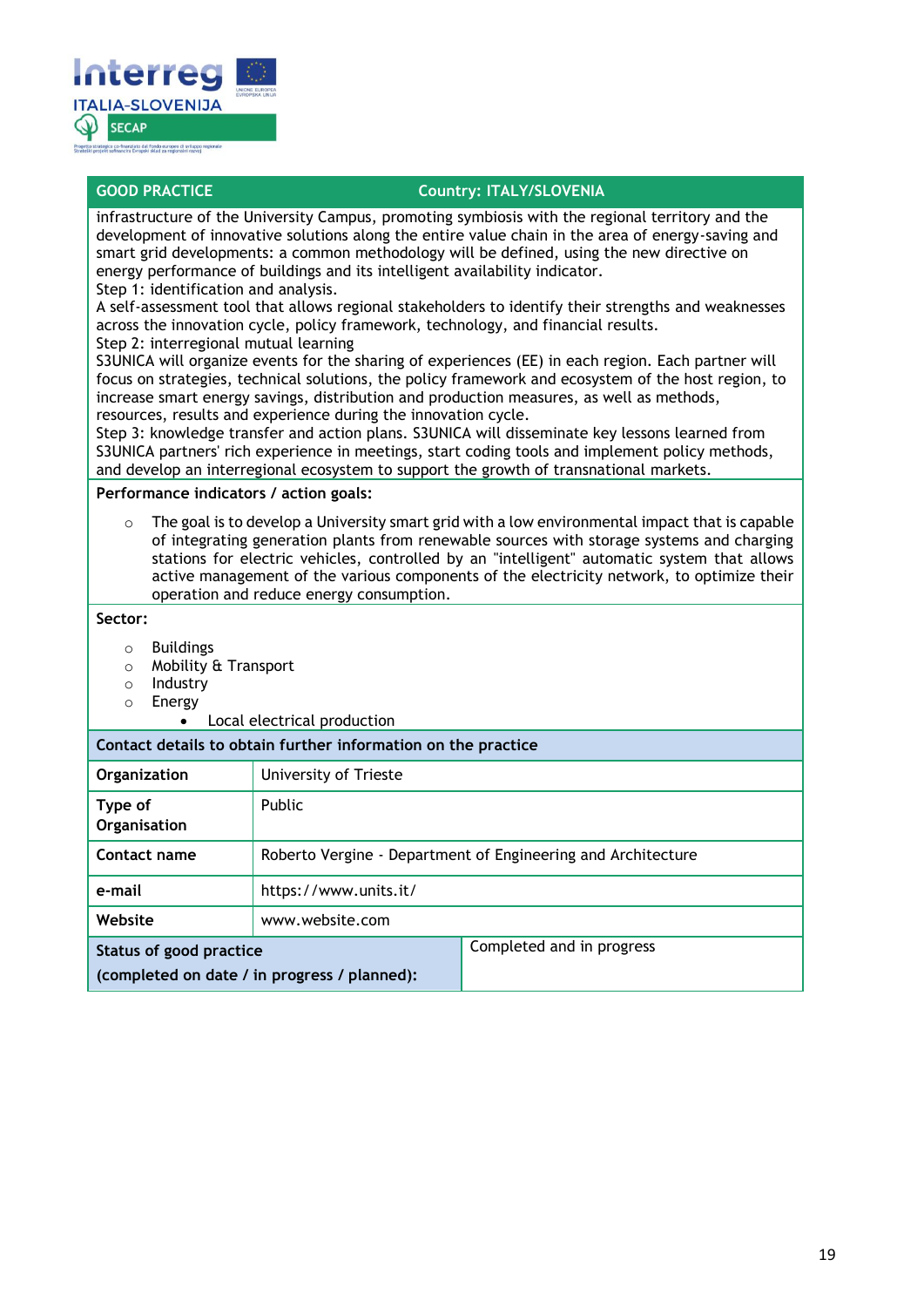

#### **GOOD PRACTICE COUNTY: ITALY/SLOVENIA**

infrastructure of the University Campus, promoting symbiosis with the regional territory and the development of innovative solutions along the entire value chain in the area of energy-saving and smart grid developments: a common methodology will be defined, using the new directive on energy performance of buildings and its intelligent availability indicator.

Step 1: identification and analysis.

A self-assessment tool that allows regional stakeholders to identify their strengths and weaknesses across the innovation cycle, policy framework, technology, and financial results.

Step 2: interregional mutual learning

S3UNICA will organize events for the sharing of experiences (EE) in each region. Each partner will focus on strategies, technical solutions, the policy framework and ecosystem of the host region, to increase smart energy savings, distribution and production measures, as well as methods, resources, results and experience during the innovation cycle.

Step 3: knowledge transfer and action plans. S3UNICA will disseminate key lessons learned from S3UNICA partners' rich experience in meetings, start coding tools and implement policy methods, and develop an interregional ecosystem to support the growth of transnational markets.

**Performance indicators / action goals:**

 $\circ$  The goal is to develop a University smart grid with a low environmental impact that is capable of integrating generation plants from renewable sources with storage systems and charging stations for electric vehicles, controlled by an "intelligent" automatic system that allows active management of the various components of the electricity network, to optimize their operation and reduce energy consumption.

**Sector:**

- o Buildings
- o Mobility & Transport
- o Industry
- o Energy
	- Local electrical production

**Contact details to obtain further information on the practice**

| Organization                                 | University of Trieste                                        |                           |
|----------------------------------------------|--------------------------------------------------------------|---------------------------|
| Type of<br>Organisation                      | Public                                                       |                           |
| Contact name                                 | Roberto Vergine - Department of Engineering and Architecture |                           |
| e-mail                                       | https://www.units.it/                                        |                           |
| Website                                      | www.website.com                                              |                           |
| <b>Status of good practice</b>               |                                                              | Completed and in progress |
| (completed on date / in progress / planned): |                                                              |                           |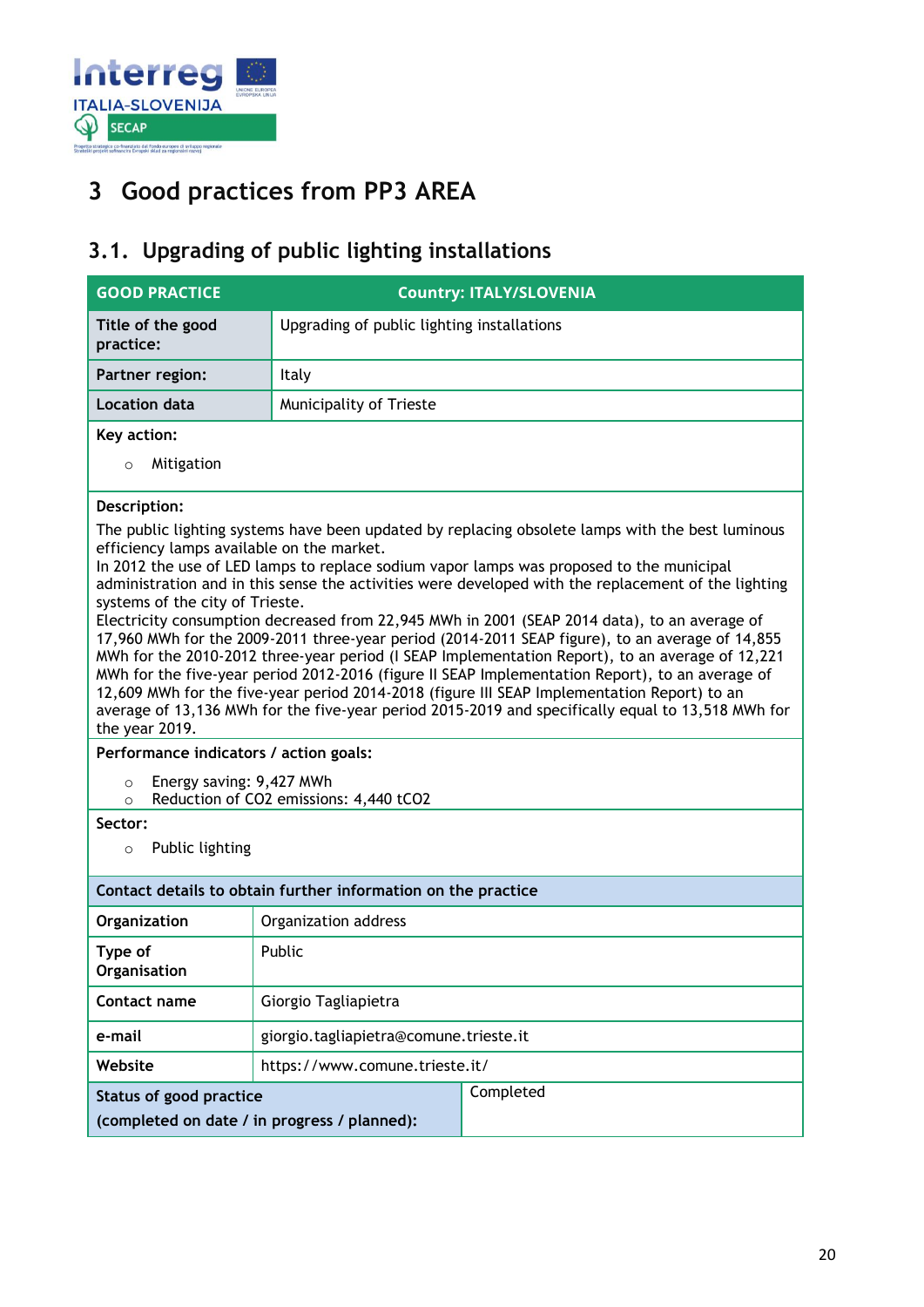

## <span id="page-19-0"></span>**3 Good practices from PP3 AREA**

### <span id="page-19-1"></span>**3.1. Upgrading of public lighting installations**

| <b>GOOD PRACTICE</b>                                                                                                                                                                                                                                                                                                                                                                                                                                                                                                                                                                                                                                                                                                                                                                                                                                                                                                                                                                                                               | <b>Country: ITALY/SLOVENIA</b>             |  |  |  |
|------------------------------------------------------------------------------------------------------------------------------------------------------------------------------------------------------------------------------------------------------------------------------------------------------------------------------------------------------------------------------------------------------------------------------------------------------------------------------------------------------------------------------------------------------------------------------------------------------------------------------------------------------------------------------------------------------------------------------------------------------------------------------------------------------------------------------------------------------------------------------------------------------------------------------------------------------------------------------------------------------------------------------------|--------------------------------------------|--|--|--|
| Title of the good<br>practice:                                                                                                                                                                                                                                                                                                                                                                                                                                                                                                                                                                                                                                                                                                                                                                                                                                                                                                                                                                                                     | Upgrading of public lighting installations |  |  |  |
| Partner region:                                                                                                                                                                                                                                                                                                                                                                                                                                                                                                                                                                                                                                                                                                                                                                                                                                                                                                                                                                                                                    | Italy                                      |  |  |  |
| <b>Location data</b>                                                                                                                                                                                                                                                                                                                                                                                                                                                                                                                                                                                                                                                                                                                                                                                                                                                                                                                                                                                                               | Municipality of Trieste                    |  |  |  |
| Key action:<br>Mitigation<br>$\circ$                                                                                                                                                                                                                                                                                                                                                                                                                                                                                                                                                                                                                                                                                                                                                                                                                                                                                                                                                                                               |                                            |  |  |  |
| Description:<br>The public lighting systems have been updated by replacing obsolete lamps with the best luminous<br>efficiency lamps available on the market.<br>In 2012 the use of LED lamps to replace sodium vapor lamps was proposed to the municipal<br>administration and in this sense the activities were developed with the replacement of the lighting<br>systems of the city of Trieste.<br>Electricity consumption decreased from 22,945 MWh in 2001 (SEAP 2014 data), to an average of<br>17,960 MWh for the 2009-2011 three-year period (2014-2011 SEAP figure), to an average of 14,855<br>MWh for the 2010-2012 three-year period (I SEAP Implementation Report), to an average of 12,221<br>MWh for the five-year period 2012-2016 (figure II SEAP Implementation Report), to an average of<br>12,609 MWh for the five-year period 2014-2018 (figure III SEAP Implementation Report) to an<br>average of 13,136 MWh for the five-year period 2015-2019 and specifically equal to 13,518 MWh for<br>the year 2019. |                                            |  |  |  |
| Performance indicators / action goals:<br>Energy saving: 9,427 MWh<br>$\circ$<br>Reduction of CO2 emissions: 4,440 tCO2<br>$\circ$                                                                                                                                                                                                                                                                                                                                                                                                                                                                                                                                                                                                                                                                                                                                                                                                                                                                                                 |                                            |  |  |  |
| Sector:<br>Public lighting<br>$\circ$                                                                                                                                                                                                                                                                                                                                                                                                                                                                                                                                                                                                                                                                                                                                                                                                                                                                                                                                                                                              |                                            |  |  |  |
| Contact details to obtain further information on the practice                                                                                                                                                                                                                                                                                                                                                                                                                                                                                                                                                                                                                                                                                                                                                                                                                                                                                                                                                                      |                                            |  |  |  |
| Organization                                                                                                                                                                                                                                                                                                                                                                                                                                                                                                                                                                                                                                                                                                                                                                                                                                                                                                                                                                                                                       | Organization address                       |  |  |  |
| Type of<br>Organisation                                                                                                                                                                                                                                                                                                                                                                                                                                                                                                                                                                                                                                                                                                                                                                                                                                                                                                                                                                                                            | Public                                     |  |  |  |
| Contact name                                                                                                                                                                                                                                                                                                                                                                                                                                                                                                                                                                                                                                                                                                                                                                                                                                                                                                                                                                                                                       | Giorgio Tagliapietra                       |  |  |  |
| e-mail                                                                                                                                                                                                                                                                                                                                                                                                                                                                                                                                                                                                                                                                                                                                                                                                                                                                                                                                                                                                                             | giorgio.tagliapietra@comune.trieste.it     |  |  |  |
| Website                                                                                                                                                                                                                                                                                                                                                                                                                                                                                                                                                                                                                                                                                                                                                                                                                                                                                                                                                                                                                            | https://www.comune.trieste.it/             |  |  |  |
| Status of good practice<br>(completed on date / in progress / planned):                                                                                                                                                                                                                                                                                                                                                                                                                                                                                                                                                                                                                                                                                                                                                                                                                                                                                                                                                            | Completed                                  |  |  |  |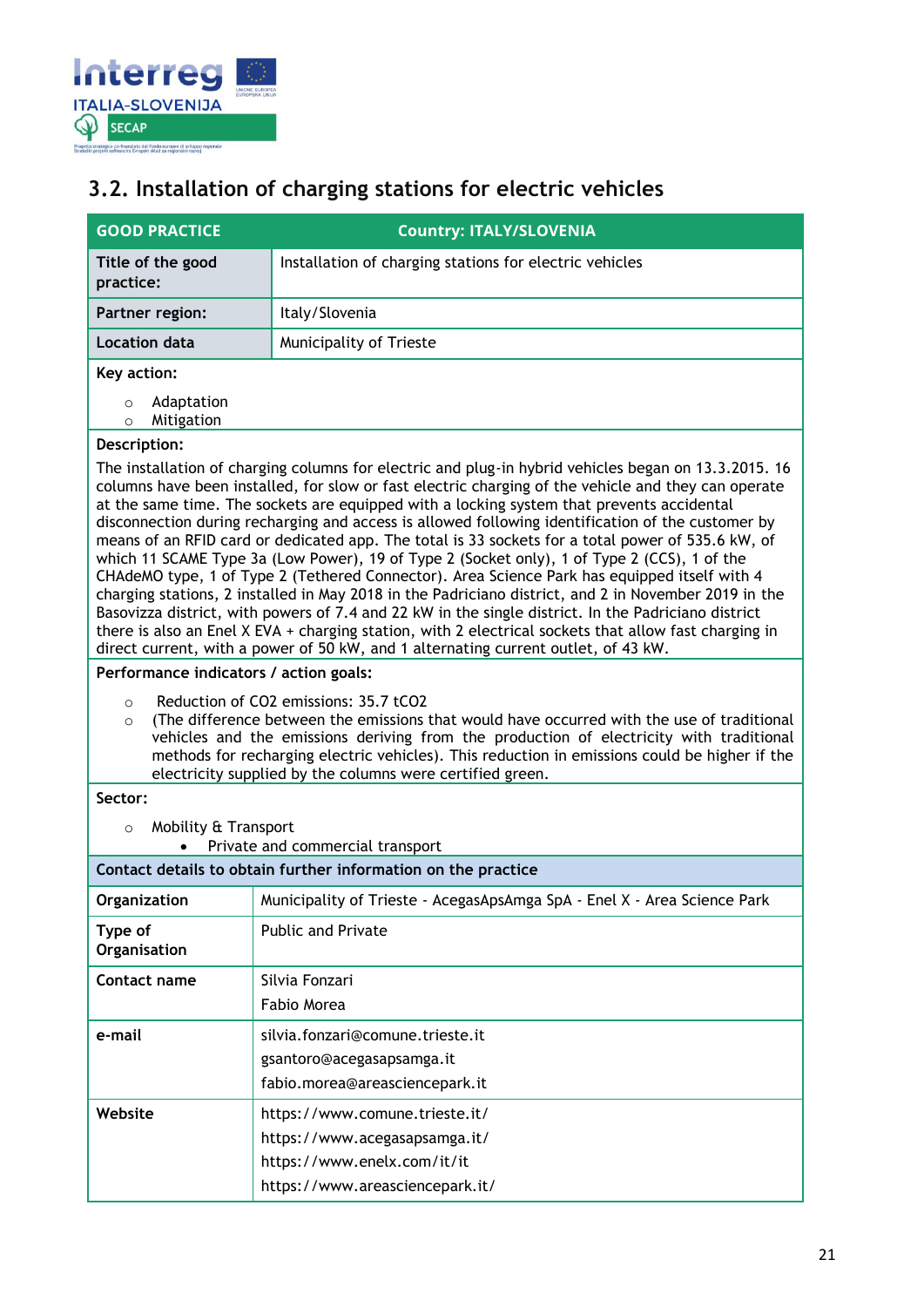

## <span id="page-20-0"></span>**3.2. Installation of charging stations for electric vehicles**

| <b>GOOD PRACTICE</b>                           | <b>Country: ITALY/SLOVENIA</b>                                                                                                                                                                                                                                                                                                                                                                                                                                                                                                                                                                                                                                                                                                                                                                                                                                                                                                                                                                                                                                                                                                  |
|------------------------------------------------|---------------------------------------------------------------------------------------------------------------------------------------------------------------------------------------------------------------------------------------------------------------------------------------------------------------------------------------------------------------------------------------------------------------------------------------------------------------------------------------------------------------------------------------------------------------------------------------------------------------------------------------------------------------------------------------------------------------------------------------------------------------------------------------------------------------------------------------------------------------------------------------------------------------------------------------------------------------------------------------------------------------------------------------------------------------------------------------------------------------------------------|
| Title of the good<br>practice:                 | Installation of charging stations for electric vehicles                                                                                                                                                                                                                                                                                                                                                                                                                                                                                                                                                                                                                                                                                                                                                                                                                                                                                                                                                                                                                                                                         |
| Partner region:                                | Italy/Slovenia                                                                                                                                                                                                                                                                                                                                                                                                                                                                                                                                                                                                                                                                                                                                                                                                                                                                                                                                                                                                                                                                                                                  |
| <b>Location data</b>                           | Municipality of Trieste                                                                                                                                                                                                                                                                                                                                                                                                                                                                                                                                                                                                                                                                                                                                                                                                                                                                                                                                                                                                                                                                                                         |
| Key action:                                    |                                                                                                                                                                                                                                                                                                                                                                                                                                                                                                                                                                                                                                                                                                                                                                                                                                                                                                                                                                                                                                                                                                                                 |
| Adaptation<br>$\circ$<br>Mitigation<br>$\circ$ |                                                                                                                                                                                                                                                                                                                                                                                                                                                                                                                                                                                                                                                                                                                                                                                                                                                                                                                                                                                                                                                                                                                                 |
| Description:                                   |                                                                                                                                                                                                                                                                                                                                                                                                                                                                                                                                                                                                                                                                                                                                                                                                                                                                                                                                                                                                                                                                                                                                 |
|                                                | The installation of charging columns for electric and plug-in hybrid vehicles began on 13.3.2015. 16<br>columns have been installed, for slow or fast electric charging of the vehicle and they can operate<br>at the same time. The sockets are equipped with a locking system that prevents accidental<br>disconnection during recharging and access is allowed following identification of the customer by<br>means of an RFID card or dedicated app. The total is 33 sockets for a total power of 535.6 kW, of<br>which 11 SCAME Type 3a (Low Power), 19 of Type 2 (Socket only), 1 of Type 2 (CCS), 1 of the<br>CHAdeMO type, 1 of Type 2 (Tethered Connector). Area Science Park has equipped itself with 4<br>charging stations, 2 installed in May 2018 in the Padriciano district, and 2 in November 2019 in the<br>Basovizza district, with powers of 7.4 and 22 kW in the single district. In the Padriciano district<br>there is also an Enel X EVA + charging station, with 2 electrical sockets that allow fast charging in<br>direct current, with a power of 50 kW, and 1 alternating current outlet, of 43 kW. |
| Performance indicators / action goals:         |                                                                                                                                                                                                                                                                                                                                                                                                                                                                                                                                                                                                                                                                                                                                                                                                                                                                                                                                                                                                                                                                                                                                 |
| $\circ$<br>$\circ$                             | Reduction of CO2 emissions: 35.7 tCO2<br>(The difference between the emissions that would have occurred with the use of traditional<br>vehicles and the emissions deriving from the production of electricity with traditional<br>methods for recharging electric vehicles). This reduction in emissions could be higher if the<br>electricity supplied by the columns were certified green.                                                                                                                                                                                                                                                                                                                                                                                                                                                                                                                                                                                                                                                                                                                                    |
| Sector:                                        |                                                                                                                                                                                                                                                                                                                                                                                                                                                                                                                                                                                                                                                                                                                                                                                                                                                                                                                                                                                                                                                                                                                                 |
| Mobility & Transport<br>$\circ$                | Private and commercial transport                                                                                                                                                                                                                                                                                                                                                                                                                                                                                                                                                                                                                                                                                                                                                                                                                                                                                                                                                                                                                                                                                                |
|                                                | Contact details to obtain further information on the practice                                                                                                                                                                                                                                                                                                                                                                                                                                                                                                                                                                                                                                                                                                                                                                                                                                                                                                                                                                                                                                                                   |
| Organization                                   | Municipality of Trieste - AcegasApsAmga SpA - Enel X - Area Science Park                                                                                                                                                                                                                                                                                                                                                                                                                                                                                                                                                                                                                                                                                                                                                                                                                                                                                                                                                                                                                                                        |
| Type of<br>Organisation                        | Public and Private                                                                                                                                                                                                                                                                                                                                                                                                                                                                                                                                                                                                                                                                                                                                                                                                                                                                                                                                                                                                                                                                                                              |
| Contact name                                   | Silvia Fonzari<br>Fabio Morea                                                                                                                                                                                                                                                                                                                                                                                                                                                                                                                                                                                                                                                                                                                                                                                                                                                                                                                                                                                                                                                                                                   |
| e-mail                                         | silvia.fonzari@comune.trieste.it<br>gsantoro@acegasapsamga.it<br>fabio.morea@areasciencepark.it                                                                                                                                                                                                                                                                                                                                                                                                                                                                                                                                                                                                                                                                                                                                                                                                                                                                                                                                                                                                                                 |
| Website                                        | https://www.comune.trieste.it/<br>https://www.acegasapsamga.it/<br>https://www.enelx.com/it/it<br>https://www.areasciencepark.it/                                                                                                                                                                                                                                                                                                                                                                                                                                                                                                                                                                                                                                                                                                                                                                                                                                                                                                                                                                                               |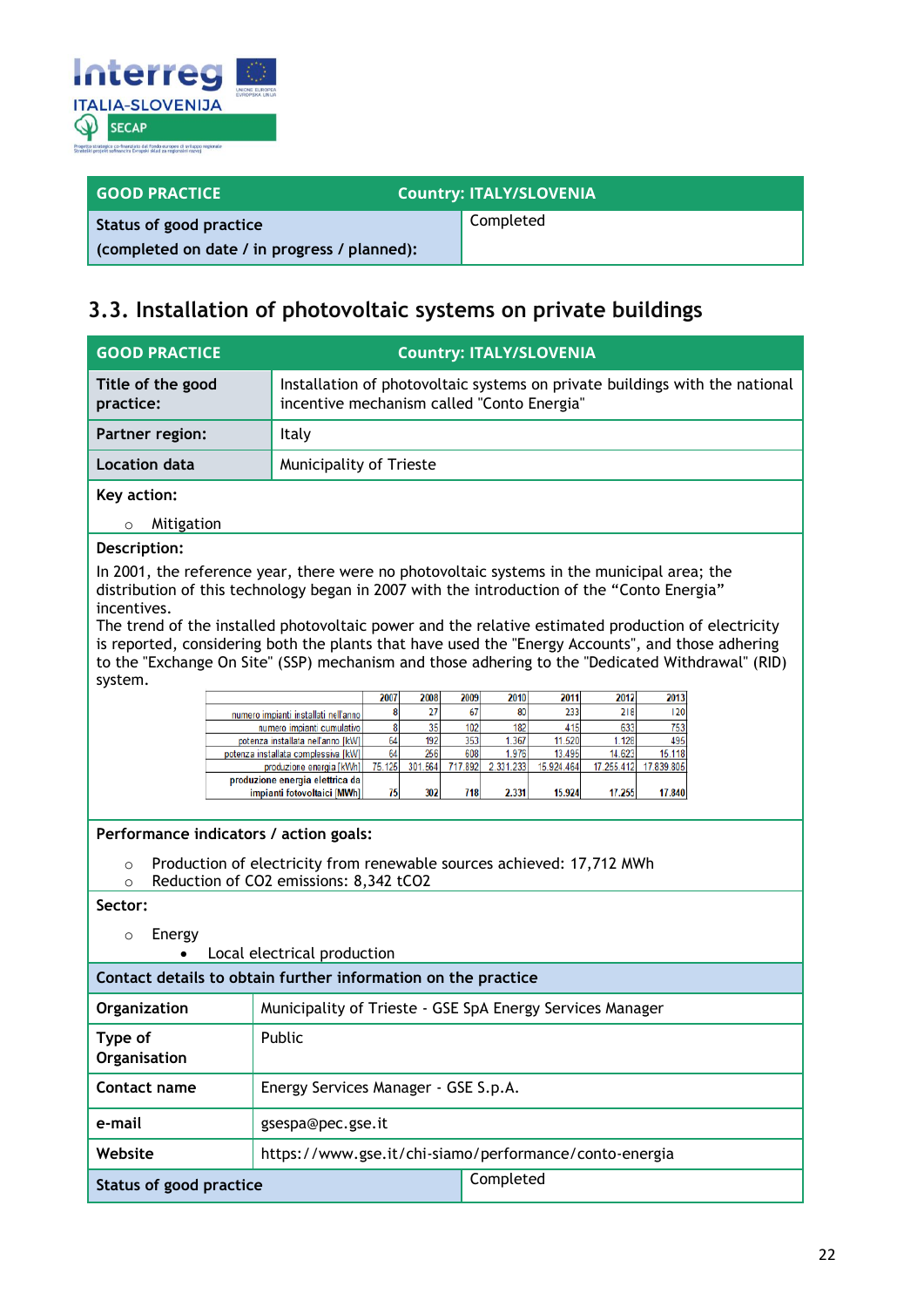

| <b>GOOD PRACTICE</b>                         | <b>Country: ITALY/SLOVENIA</b> |  |
|----------------------------------------------|--------------------------------|--|
| Status of good practice                      | Completed                      |  |
| (completed on date / in progress / planned): |                                |  |

### <span id="page-21-0"></span>**3.3. Installation of photovoltaic systems on private buildings**

| <b>GOOD PRACTICE</b>                                                                                                                                                                                                                                                                                                                                                                                                                                                                                                              | <b>Country: ITALY/SLOVENIA</b>                                                                                            |                        |                              |                  |                 |               |  |
|-----------------------------------------------------------------------------------------------------------------------------------------------------------------------------------------------------------------------------------------------------------------------------------------------------------------------------------------------------------------------------------------------------------------------------------------------------------------------------------------------------------------------------------|---------------------------------------------------------------------------------------------------------------------------|------------------------|------------------------------|------------------|-----------------|---------------|--|
| Title of the good<br>practice:                                                                                                                                                                                                                                                                                                                                                                                                                                                                                                    | Installation of photovoltaic systems on private buildings with the national<br>incentive mechanism called "Conto Energia" |                        |                              |                  |                 |               |  |
| Partner region:                                                                                                                                                                                                                                                                                                                                                                                                                                                                                                                   | Italy                                                                                                                     |                        |                              |                  |                 |               |  |
| <b>Location data</b>                                                                                                                                                                                                                                                                                                                                                                                                                                                                                                              | Municipality of Trieste                                                                                                   |                        |                              |                  |                 |               |  |
| Key action:                                                                                                                                                                                                                                                                                                                                                                                                                                                                                                                       |                                                                                                                           |                        |                              |                  |                 |               |  |
| Mitigation<br>$\circ$                                                                                                                                                                                                                                                                                                                                                                                                                                                                                                             |                                                                                                                           |                        |                              |                  |                 |               |  |
| Description:                                                                                                                                                                                                                                                                                                                                                                                                                                                                                                                      |                                                                                                                           |                        |                              |                  |                 |               |  |
| In 2001, the reference year, there were no photovoltaic systems in the municipal area; the<br>distribution of this technology began in 2007 with the introduction of the "Conto Energia"<br>incentives.<br>The trend of the installed photovoltaic power and the relative estimated production of electricity<br>is reported, considering both the plants that have used the "Energy Accounts", and those adhering<br>to the "Exchange On Site" (SSP) mechanism and those adhering to the "Dedicated Withdrawal" (RID)<br>system. |                                                                                                                           |                        |                              |                  |                 |               |  |
|                                                                                                                                                                                                                                                                                                                                                                                                                                                                                                                                   |                                                                                                                           | 2007<br>2008           | 2009<br>2010                 | 2011             | 2012            | 2013          |  |
|                                                                                                                                                                                                                                                                                                                                                                                                                                                                                                                                   | numero impianti installati nell'anno<br>numero impianti cumulativo                                                        | 27<br>8<br>8<br>35     | 67<br>80<br>102<br>182       | 233<br>415       | 218<br>633      | 120<br>753    |  |
|                                                                                                                                                                                                                                                                                                                                                                                                                                                                                                                                   | potenza installata nell'anno [kW]<br>potenza installata complessiva [kW]                                                  | 64<br>192<br>64<br>256 | 353<br>1.367<br>608<br>1.976 | 11.520<br>13.495 | 1.128<br>14.623 | 495<br>15.118 |  |
|                                                                                                                                                                                                                                                                                                                                                                                                                                                                                                                                   | produzione energia [kWh]                                                                                                  | 75.125<br>301.564      | 717.892<br>2.331.233         | 15.924.464       | 17.255.412      | 17.839.805    |  |
|                                                                                                                                                                                                                                                                                                                                                                                                                                                                                                                                   | produzione energia elettrica da<br>impianti fotovoltaici [MWh]                                                            | 75<br>302              | 718<br>2.331                 | 15.924           | 17.255          | 17.840        |  |
| Performance indicators / action goals:                                                                                                                                                                                                                                                                                                                                                                                                                                                                                            |                                                                                                                           |                        |                              |                  |                 |               |  |
| $\circ$<br>$\Omega$                                                                                                                                                                                                                                                                                                                                                                                                                                                                                                               | Production of electricity from renewable sources achieved: 17,712 MWh                                                     |                        |                              |                  |                 |               |  |
| Reduction of CO2 emissions: 8,342 tCO2<br>Sector:                                                                                                                                                                                                                                                                                                                                                                                                                                                                                 |                                                                                                                           |                        |                              |                  |                 |               |  |
| Energy<br>$\circ$<br>Local electrical production                                                                                                                                                                                                                                                                                                                                                                                                                                                                                  |                                                                                                                           |                        |                              |                  |                 |               |  |
| Contact details to obtain further information on the practice                                                                                                                                                                                                                                                                                                                                                                                                                                                                     |                                                                                                                           |                        |                              |                  |                 |               |  |
| Organization                                                                                                                                                                                                                                                                                                                                                                                                                                                                                                                      | Municipality of Trieste - GSE SpA Energy Services Manager                                                                 |                        |                              |                  |                 |               |  |
| Type of<br>Organisation                                                                                                                                                                                                                                                                                                                                                                                                                                                                                                           | Public                                                                                                                    |                        |                              |                  |                 |               |  |
| Contact name                                                                                                                                                                                                                                                                                                                                                                                                                                                                                                                      | Energy Services Manager - GSE S.p.A.                                                                                      |                        |                              |                  |                 |               |  |
| e-mail                                                                                                                                                                                                                                                                                                                                                                                                                                                                                                                            | gsespa@pec.gse.it                                                                                                         |                        |                              |                  |                 |               |  |
| Website                                                                                                                                                                                                                                                                                                                                                                                                                                                                                                                           | https://www.gse.it/chi-siamo/performance/conto-energia                                                                    |                        |                              |                  |                 |               |  |
| <b>Status of good practice</b>                                                                                                                                                                                                                                                                                                                                                                                                                                                                                                    | Completed                                                                                                                 |                        |                              |                  |                 |               |  |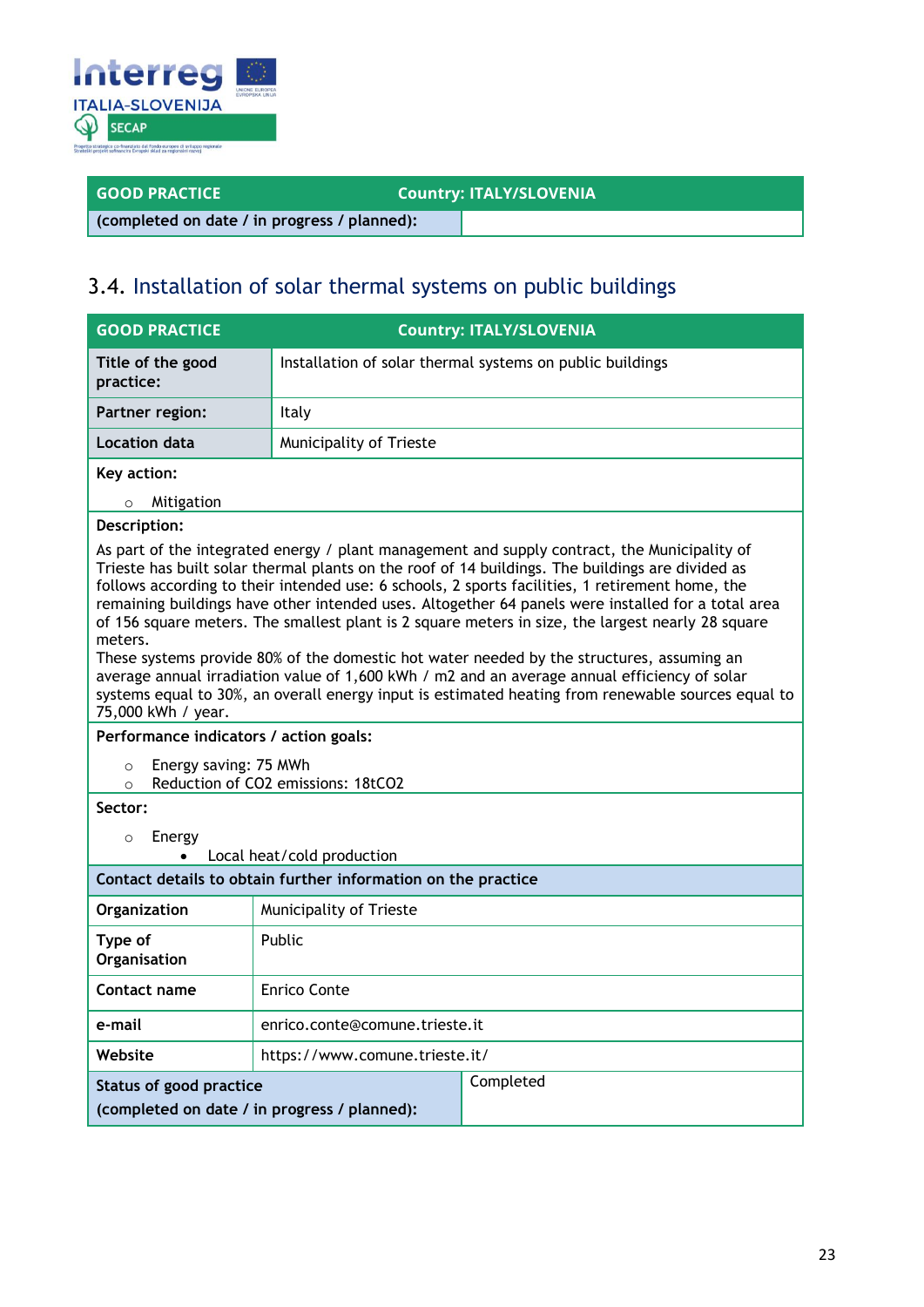

### **GOOD PRACTICE COUNTY: ITALY/SLOVENIA**

**(completed on date / in progress / planned):**

### 3.4. Installation of solar thermal systems on public buildings

| <b>GOOD PRACTICE</b>                                                                                                                                                                                                                                                                                                                                                                                                                                                                                                                                                                                                                                                                                                                                                                                                                                                                                                                                                                                          |                                | <b>Country: ITALY/SLOVENIA</b>                            |  |  |
|---------------------------------------------------------------------------------------------------------------------------------------------------------------------------------------------------------------------------------------------------------------------------------------------------------------------------------------------------------------------------------------------------------------------------------------------------------------------------------------------------------------------------------------------------------------------------------------------------------------------------------------------------------------------------------------------------------------------------------------------------------------------------------------------------------------------------------------------------------------------------------------------------------------------------------------------------------------------------------------------------------------|--------------------------------|-----------------------------------------------------------|--|--|
| Title of the good<br>practice:                                                                                                                                                                                                                                                                                                                                                                                                                                                                                                                                                                                                                                                                                                                                                                                                                                                                                                                                                                                |                                | Installation of solar thermal systems on public buildings |  |  |
| Partner region:                                                                                                                                                                                                                                                                                                                                                                                                                                                                                                                                                                                                                                                                                                                                                                                                                                                                                                                                                                                               | Italy                          |                                                           |  |  |
| Location data                                                                                                                                                                                                                                                                                                                                                                                                                                                                                                                                                                                                                                                                                                                                                                                                                                                                                                                                                                                                 | Municipality of Trieste        |                                                           |  |  |
| Key action:                                                                                                                                                                                                                                                                                                                                                                                                                                                                                                                                                                                                                                                                                                                                                                                                                                                                                                                                                                                                   |                                |                                                           |  |  |
| Mitigation<br>$\circ$                                                                                                                                                                                                                                                                                                                                                                                                                                                                                                                                                                                                                                                                                                                                                                                                                                                                                                                                                                                         |                                |                                                           |  |  |
| Description:<br>As part of the integrated energy / plant management and supply contract, the Municipality of<br>Trieste has built solar thermal plants on the roof of 14 buildings. The buildings are divided as<br>follows according to their intended use: 6 schools, 2 sports facilities, 1 retirement home, the<br>remaining buildings have other intended uses. Altogether 64 panels were installed for a total area<br>of 156 square meters. The smallest plant is 2 square meters in size, the largest nearly 28 square<br>meters.<br>These systems provide 80% of the domestic hot water needed by the structures, assuming an<br>average annual irradiation value of 1,600 kWh / m2 and an average annual efficiency of solar<br>systems equal to 30%, an overall energy input is estimated heating from renewable sources equal to<br>75,000 kWh / year.<br>Performance indicators / action goals:<br>Energy saving: 75 MWh<br>$\circ$<br>Reduction of CO2 emissions: 18tCO2<br>$\Omega$<br>Sector: |                                |                                                           |  |  |
| Energy<br>$\circ$<br>Local heat/cold production                                                                                                                                                                                                                                                                                                                                                                                                                                                                                                                                                                                                                                                                                                                                                                                                                                                                                                                                                               |                                |                                                           |  |  |
| Contact details to obtain further information on the practice                                                                                                                                                                                                                                                                                                                                                                                                                                                                                                                                                                                                                                                                                                                                                                                                                                                                                                                                                 |                                |                                                           |  |  |
| Organization                                                                                                                                                                                                                                                                                                                                                                                                                                                                                                                                                                                                                                                                                                                                                                                                                                                                                                                                                                                                  | Municipality of Trieste        |                                                           |  |  |
| Type of<br>Organisation                                                                                                                                                                                                                                                                                                                                                                                                                                                                                                                                                                                                                                                                                                                                                                                                                                                                                                                                                                                       | Public                         |                                                           |  |  |
| Contact name                                                                                                                                                                                                                                                                                                                                                                                                                                                                                                                                                                                                                                                                                                                                                                                                                                                                                                                                                                                                  | <b>Enrico Conte</b>            |                                                           |  |  |
| e-mail                                                                                                                                                                                                                                                                                                                                                                                                                                                                                                                                                                                                                                                                                                                                                                                                                                                                                                                                                                                                        | enrico.conte@comune.trieste.it |                                                           |  |  |
| Website                                                                                                                                                                                                                                                                                                                                                                                                                                                                                                                                                                                                                                                                                                                                                                                                                                                                                                                                                                                                       | https://www.comune.trieste.it/ |                                                           |  |  |
| <b>Status of good practice</b><br>(completed on date / in progress / planned):                                                                                                                                                                                                                                                                                                                                                                                                                                                                                                                                                                                                                                                                                                                                                                                                                                                                                                                                |                                | Completed                                                 |  |  |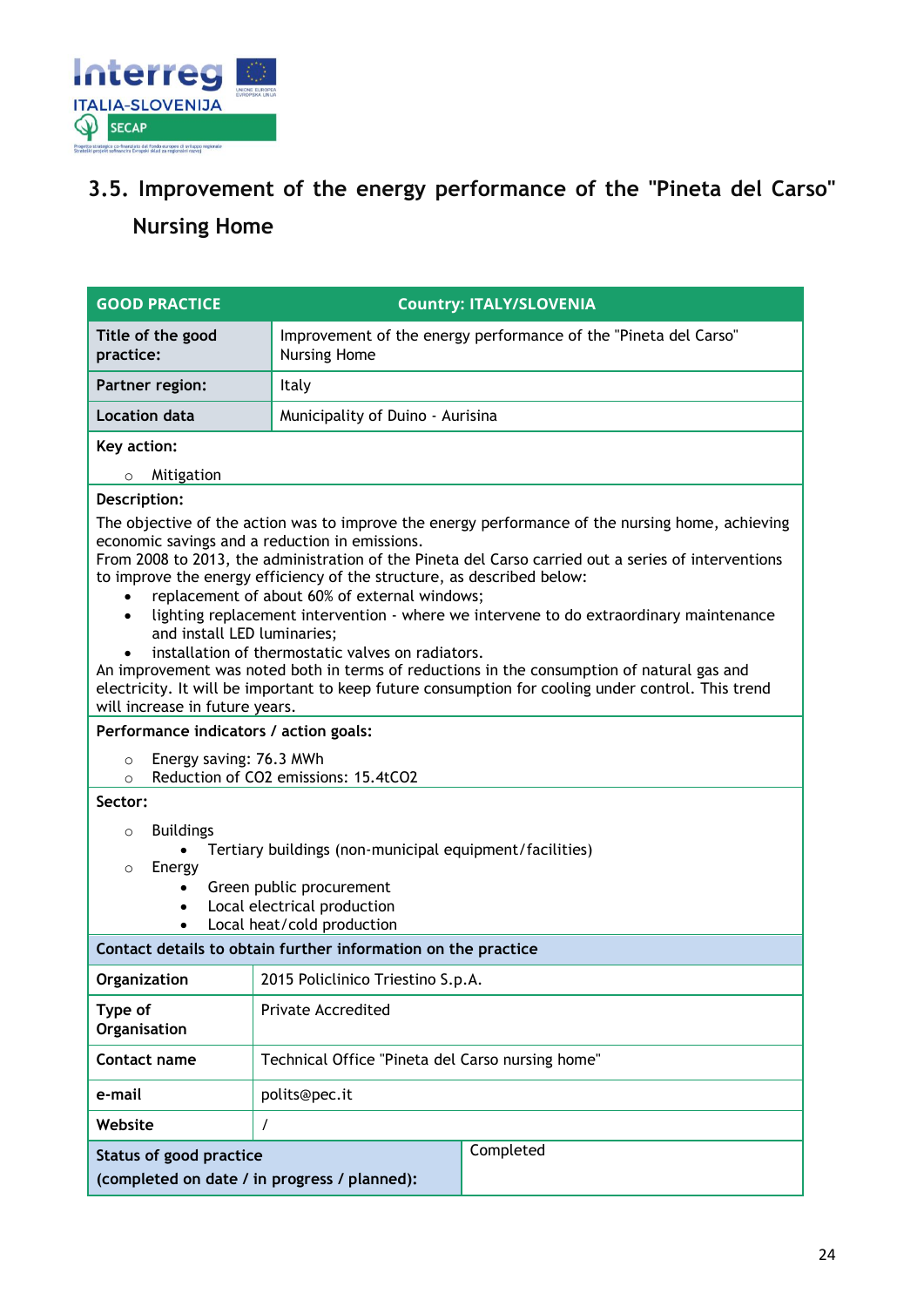

## <span id="page-23-0"></span>**3.5. Improvement of the energy performance of the "Pineta del Carso" Nursing Home**

| <b>GOOD PRACTICE</b>                                                                                                                                                                                                                                                                                                                                                                                                                                                                                                                                                                                                                                                                                                                                                                                     | <b>Country: ITALY/SLOVENIA</b>                                                         |  |  |
|----------------------------------------------------------------------------------------------------------------------------------------------------------------------------------------------------------------------------------------------------------------------------------------------------------------------------------------------------------------------------------------------------------------------------------------------------------------------------------------------------------------------------------------------------------------------------------------------------------------------------------------------------------------------------------------------------------------------------------------------------------------------------------------------------------|----------------------------------------------------------------------------------------|--|--|
| Title of the good<br>practice:                                                                                                                                                                                                                                                                                                                                                                                                                                                                                                                                                                                                                                                                                                                                                                           | Improvement of the energy performance of the "Pineta del Carso"<br><b>Nursing Home</b> |  |  |
| <b>Partner region:</b>                                                                                                                                                                                                                                                                                                                                                                                                                                                                                                                                                                                                                                                                                                                                                                                   | Italy                                                                                  |  |  |
| <b>Location data</b>                                                                                                                                                                                                                                                                                                                                                                                                                                                                                                                                                                                                                                                                                                                                                                                     | Municipality of Duino - Aurisina                                                       |  |  |
| Key action:                                                                                                                                                                                                                                                                                                                                                                                                                                                                                                                                                                                                                                                                                                                                                                                              |                                                                                        |  |  |
| Mitigation<br>$\circ$                                                                                                                                                                                                                                                                                                                                                                                                                                                                                                                                                                                                                                                                                                                                                                                    |                                                                                        |  |  |
| Description:                                                                                                                                                                                                                                                                                                                                                                                                                                                                                                                                                                                                                                                                                                                                                                                             |                                                                                        |  |  |
| The objective of the action was to improve the energy performance of the nursing home, achieving<br>economic savings and a reduction in emissions.<br>From 2008 to 2013, the administration of the Pineta del Carso carried out a series of interventions<br>to improve the energy efficiency of the structure, as described below:<br>replacement of about 60% of external windows;<br>lighting replacement intervention - where we intervene to do extraordinary maintenance<br>and install LED luminaries;<br>installation of thermostatic valves on radiators.<br>An improvement was noted both in terms of reductions in the consumption of natural gas and<br>electricity. It will be important to keep future consumption for cooling under control. This trend<br>will increase in future years. |                                                                                        |  |  |
| Performance indicators / action goals:                                                                                                                                                                                                                                                                                                                                                                                                                                                                                                                                                                                                                                                                                                                                                                   |                                                                                        |  |  |
| Energy saving: 76.3 MWh<br>$\circ$<br>$\circ$                                                                                                                                                                                                                                                                                                                                                                                                                                                                                                                                                                                                                                                                                                                                                            | Reduction of CO2 emissions: 15.4tCO2                                                   |  |  |
| Sector:                                                                                                                                                                                                                                                                                                                                                                                                                                                                                                                                                                                                                                                                                                                                                                                                  |                                                                                        |  |  |
| <b>Buildings</b><br>$\circ$<br>Tertiary buildings (non-municipal equipment/facilities)<br>Energy<br>$\circ$<br>Green public procurement<br>$\bullet$<br>Local electrical production<br>$\bullet$<br>Local heat/cold production<br>$\bullet$                                                                                                                                                                                                                                                                                                                                                                                                                                                                                                                                                              |                                                                                        |  |  |
|                                                                                                                                                                                                                                                                                                                                                                                                                                                                                                                                                                                                                                                                                                                                                                                                          | Contact details to obtain further information on the practice                          |  |  |
| Organization                                                                                                                                                                                                                                                                                                                                                                                                                                                                                                                                                                                                                                                                                                                                                                                             | 2015 Policlinico Triestino S.p.A.                                                      |  |  |
| Type of<br>Organisation                                                                                                                                                                                                                                                                                                                                                                                                                                                                                                                                                                                                                                                                                                                                                                                  | Private Accredited                                                                     |  |  |
| Contact name                                                                                                                                                                                                                                                                                                                                                                                                                                                                                                                                                                                                                                                                                                                                                                                             | Technical Office "Pineta del Carso nursing home"                                       |  |  |
| e-mail                                                                                                                                                                                                                                                                                                                                                                                                                                                                                                                                                                                                                                                                                                                                                                                                   | polits@pec.it                                                                          |  |  |
| Website                                                                                                                                                                                                                                                                                                                                                                                                                                                                                                                                                                                                                                                                                                                                                                                                  | $\prime$                                                                               |  |  |
| Completed<br><b>Status of good practice</b><br>(completed on date / in progress / planned):                                                                                                                                                                                                                                                                                                                                                                                                                                                                                                                                                                                                                                                                                                              |                                                                                        |  |  |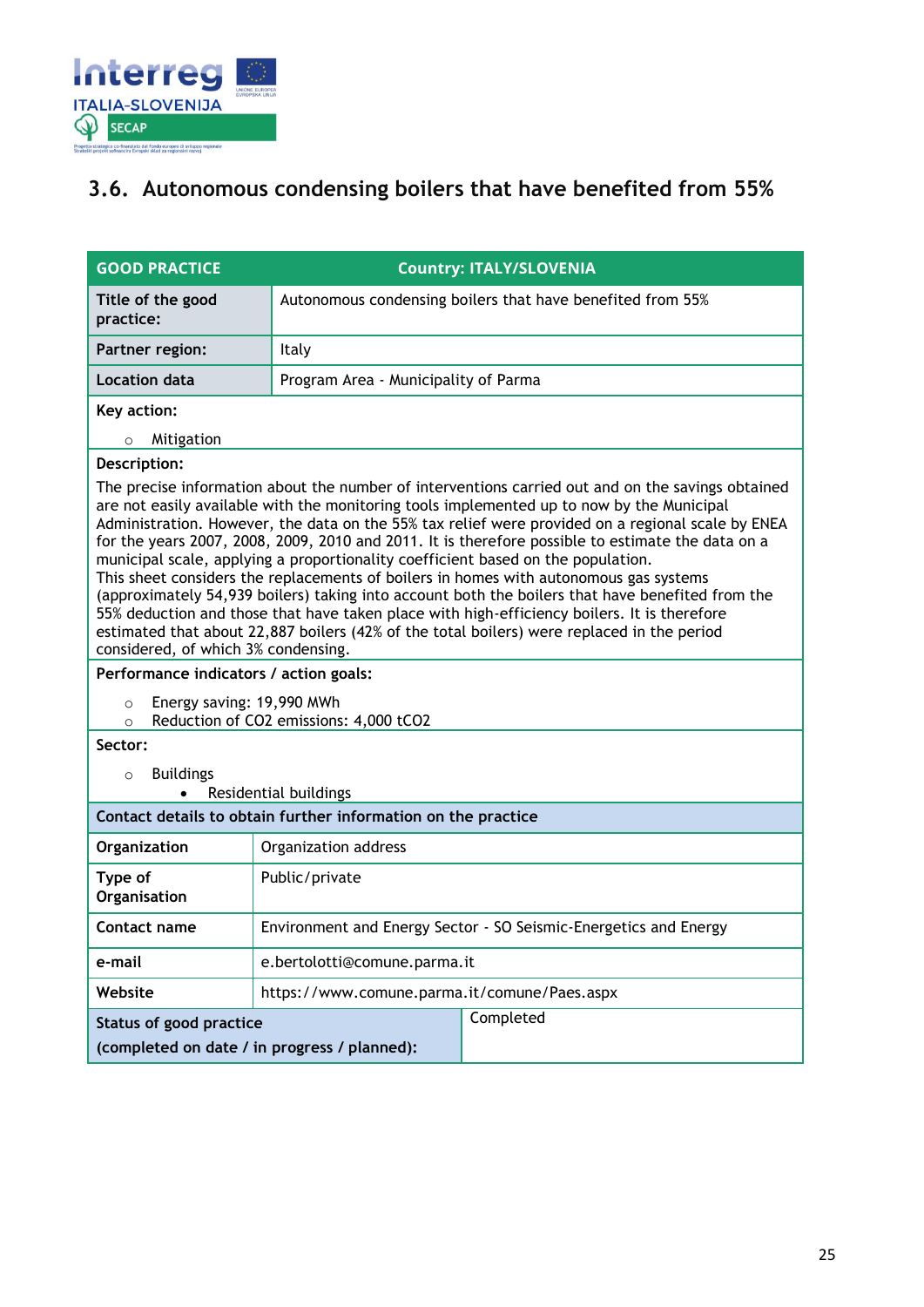

### <span id="page-24-0"></span>**3.6. Autonomous condensing boilers that have benefited from 55%**

| <b>GOOD PRACTICE</b>                                                                                                                                                                                                                                                                                                                                                                                                                                                                                                                                                                                                                                                                                                                                                                                                                                                                                                                          | <b>Country: ITALY/SLOVENIA</b>                                   |                                                            |  |  |
|-----------------------------------------------------------------------------------------------------------------------------------------------------------------------------------------------------------------------------------------------------------------------------------------------------------------------------------------------------------------------------------------------------------------------------------------------------------------------------------------------------------------------------------------------------------------------------------------------------------------------------------------------------------------------------------------------------------------------------------------------------------------------------------------------------------------------------------------------------------------------------------------------------------------------------------------------|------------------------------------------------------------------|------------------------------------------------------------|--|--|
| Title of the good<br>practice:                                                                                                                                                                                                                                                                                                                                                                                                                                                                                                                                                                                                                                                                                                                                                                                                                                                                                                                |                                                                  | Autonomous condensing boilers that have benefited from 55% |  |  |
| Partner region:                                                                                                                                                                                                                                                                                                                                                                                                                                                                                                                                                                                                                                                                                                                                                                                                                                                                                                                               | Italy                                                            |                                                            |  |  |
| Location data                                                                                                                                                                                                                                                                                                                                                                                                                                                                                                                                                                                                                                                                                                                                                                                                                                                                                                                                 | Program Area - Municipality of Parma                             |                                                            |  |  |
| Key action:                                                                                                                                                                                                                                                                                                                                                                                                                                                                                                                                                                                                                                                                                                                                                                                                                                                                                                                                   |                                                                  |                                                            |  |  |
| Mitigation<br>$\circ$                                                                                                                                                                                                                                                                                                                                                                                                                                                                                                                                                                                                                                                                                                                                                                                                                                                                                                                         |                                                                  |                                                            |  |  |
| Description:<br>The precise information about the number of interventions carried out and on the savings obtained<br>are not easily available with the monitoring tools implemented up to now by the Municipal<br>Administration. However, the data on the 55% tax relief were provided on a regional scale by ENEA<br>for the years 2007, 2008, 2009, 2010 and 2011. It is therefore possible to estimate the data on a<br>municipal scale, applying a proportionality coefficient based on the population.<br>This sheet considers the replacements of boilers in homes with autonomous gas systems<br>(approximately 54,939 boilers) taking into account both the boilers that have benefited from the<br>55% deduction and those that have taken place with high-efficiency boilers. It is therefore<br>estimated that about 22,887 boilers (42% of the total boilers) were replaced in the period<br>considered, of which 3% condensing. |                                                                  |                                                            |  |  |
| Performance indicators / action goals:                                                                                                                                                                                                                                                                                                                                                                                                                                                                                                                                                                                                                                                                                                                                                                                                                                                                                                        |                                                                  |                                                            |  |  |
| Energy saving: 19,990 MWh<br>$\circ$<br>Reduction of CO2 emissions: 4,000 tCO2<br>$\circ$                                                                                                                                                                                                                                                                                                                                                                                                                                                                                                                                                                                                                                                                                                                                                                                                                                                     |                                                                  |                                                            |  |  |
| Sector:                                                                                                                                                                                                                                                                                                                                                                                                                                                                                                                                                                                                                                                                                                                                                                                                                                                                                                                                       |                                                                  |                                                            |  |  |
| <b>Buildings</b><br>$\circ$                                                                                                                                                                                                                                                                                                                                                                                                                                                                                                                                                                                                                                                                                                                                                                                                                                                                                                                   |                                                                  |                                                            |  |  |
| Residential buildings                                                                                                                                                                                                                                                                                                                                                                                                                                                                                                                                                                                                                                                                                                                                                                                                                                                                                                                         |                                                                  |                                                            |  |  |
| Contact details to obtain further information on the practice                                                                                                                                                                                                                                                                                                                                                                                                                                                                                                                                                                                                                                                                                                                                                                                                                                                                                 |                                                                  |                                                            |  |  |
| Organization                                                                                                                                                                                                                                                                                                                                                                                                                                                                                                                                                                                                                                                                                                                                                                                                                                                                                                                                  | Organization address                                             |                                                            |  |  |
| Type of<br>Organisation                                                                                                                                                                                                                                                                                                                                                                                                                                                                                                                                                                                                                                                                                                                                                                                                                                                                                                                       | Public/private                                                   |                                                            |  |  |
| Contact name                                                                                                                                                                                                                                                                                                                                                                                                                                                                                                                                                                                                                                                                                                                                                                                                                                                                                                                                  | Environment and Energy Sector - SO Seismic-Energetics and Energy |                                                            |  |  |
| e-mail                                                                                                                                                                                                                                                                                                                                                                                                                                                                                                                                                                                                                                                                                                                                                                                                                                                                                                                                        |                                                                  | e.bertolotti@comune.parma.it                               |  |  |
| Website                                                                                                                                                                                                                                                                                                                                                                                                                                                                                                                                                                                                                                                                                                                                                                                                                                                                                                                                       | https://www.comune.parma.it/comune/Paes.aspx                     |                                                            |  |  |
| Completed<br><b>Status of good practice</b><br>(completed on date / in progress / planned):                                                                                                                                                                                                                                                                                                                                                                                                                                                                                                                                                                                                                                                                                                                                                                                                                                                   |                                                                  |                                                            |  |  |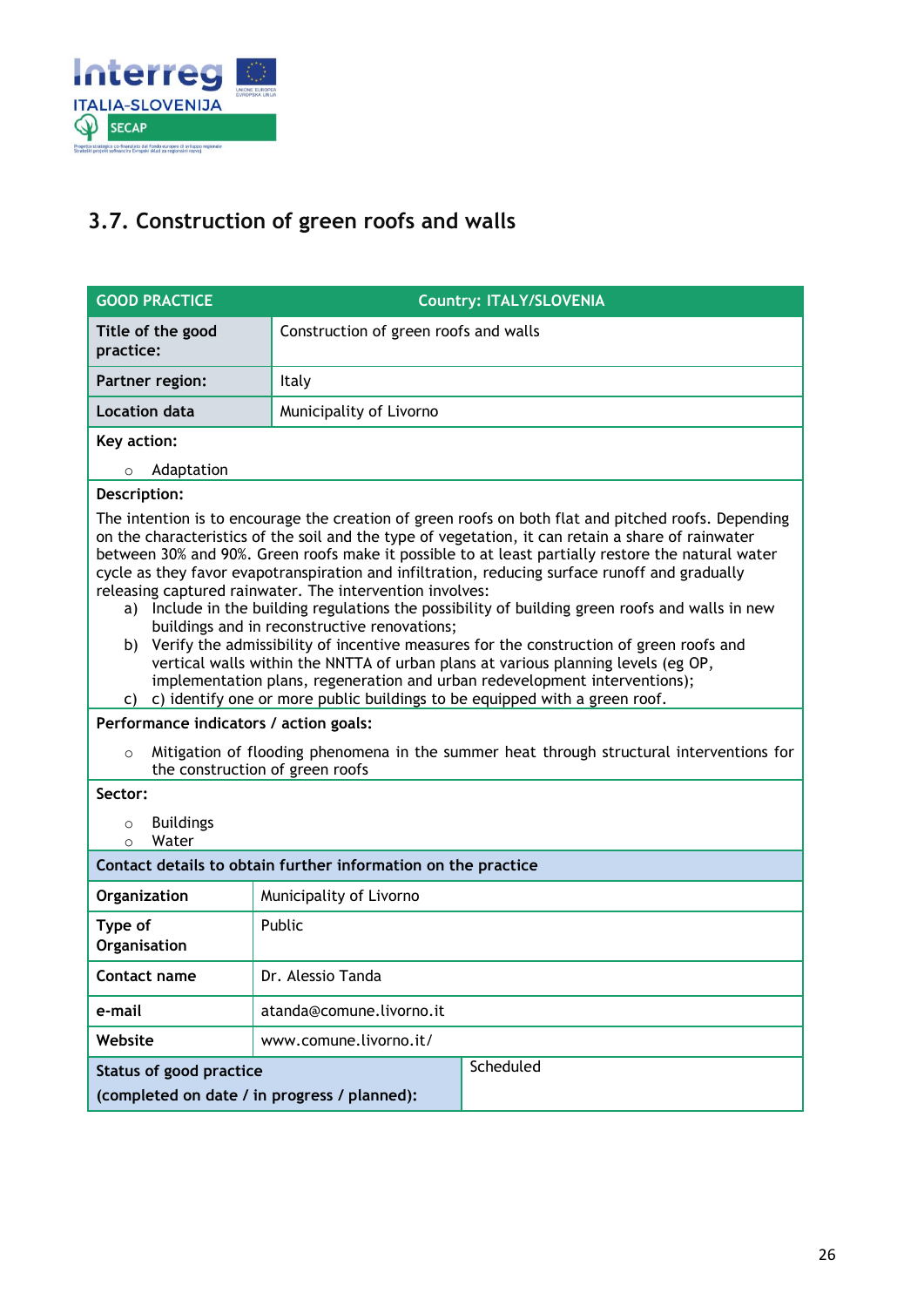

## <span id="page-25-0"></span>**3.7. Construction of green roofs and walls**

| <b>GOOD PRACTICE</b>                                                                                                                                                                                                                                                                                                                                                                                                                                                                                                                                                                                                                                                                                                                                                                                                                                                                                                                                                                                                                                                                                                                | <b>Country: ITALY/SLOVENIA</b>        |  |
|-------------------------------------------------------------------------------------------------------------------------------------------------------------------------------------------------------------------------------------------------------------------------------------------------------------------------------------------------------------------------------------------------------------------------------------------------------------------------------------------------------------------------------------------------------------------------------------------------------------------------------------------------------------------------------------------------------------------------------------------------------------------------------------------------------------------------------------------------------------------------------------------------------------------------------------------------------------------------------------------------------------------------------------------------------------------------------------------------------------------------------------|---------------------------------------|--|
| Title of the good<br>practice:                                                                                                                                                                                                                                                                                                                                                                                                                                                                                                                                                                                                                                                                                                                                                                                                                                                                                                                                                                                                                                                                                                      | Construction of green roofs and walls |  |
| Partner region:                                                                                                                                                                                                                                                                                                                                                                                                                                                                                                                                                                                                                                                                                                                                                                                                                                                                                                                                                                                                                                                                                                                     | Italy                                 |  |
| <b>Location data</b>                                                                                                                                                                                                                                                                                                                                                                                                                                                                                                                                                                                                                                                                                                                                                                                                                                                                                                                                                                                                                                                                                                                | Municipality of Livorno               |  |
| Key action:                                                                                                                                                                                                                                                                                                                                                                                                                                                                                                                                                                                                                                                                                                                                                                                                                                                                                                                                                                                                                                                                                                                         |                                       |  |
| Adaptation<br>$\circ$                                                                                                                                                                                                                                                                                                                                                                                                                                                                                                                                                                                                                                                                                                                                                                                                                                                                                                                                                                                                                                                                                                               |                                       |  |
| Description:                                                                                                                                                                                                                                                                                                                                                                                                                                                                                                                                                                                                                                                                                                                                                                                                                                                                                                                                                                                                                                                                                                                        |                                       |  |
| The intention is to encourage the creation of green roofs on both flat and pitched roofs. Depending<br>on the characteristics of the soil and the type of vegetation, it can retain a share of rainwater<br>between 30% and 90%. Green roofs make it possible to at least partially restore the natural water<br>cycle as they favor evapotranspiration and infiltration, reducing surface runoff and gradually<br>releasing captured rainwater. The intervention involves:<br>a) Include in the building regulations the possibility of building green roofs and walls in new<br>buildings and in reconstructive renovations;<br>Verify the admissibility of incentive measures for the construction of green roofs and<br>b)<br>vertical walls within the NNTTA of urban plans at various planning levels (eg OP,<br>implementation plans, regeneration and urban redevelopment interventions);<br>c) c) identify one or more public buildings to be equipped with a green roof.<br>Performance indicators / action goals:<br>Mitigation of flooding phenomena in the summer heat through structural interventions for<br>$\circ$ |                                       |  |
| Sector:                                                                                                                                                                                                                                                                                                                                                                                                                                                                                                                                                                                                                                                                                                                                                                                                                                                                                                                                                                                                                                                                                                                             | the construction of green roofs       |  |
| <b>Buildings</b><br>$\circ$<br>Water<br>$\Omega$                                                                                                                                                                                                                                                                                                                                                                                                                                                                                                                                                                                                                                                                                                                                                                                                                                                                                                                                                                                                                                                                                    |                                       |  |
| Contact details to obtain further information on the practice                                                                                                                                                                                                                                                                                                                                                                                                                                                                                                                                                                                                                                                                                                                                                                                                                                                                                                                                                                                                                                                                       |                                       |  |
| Organization                                                                                                                                                                                                                                                                                                                                                                                                                                                                                                                                                                                                                                                                                                                                                                                                                                                                                                                                                                                                                                                                                                                        | Municipality of Livorno               |  |
| Type of<br>Organisation                                                                                                                                                                                                                                                                                                                                                                                                                                                                                                                                                                                                                                                                                                                                                                                                                                                                                                                                                                                                                                                                                                             | Public                                |  |
| Contact name                                                                                                                                                                                                                                                                                                                                                                                                                                                                                                                                                                                                                                                                                                                                                                                                                                                                                                                                                                                                                                                                                                                        | Dr. Alessio Tanda                     |  |
| e-mail                                                                                                                                                                                                                                                                                                                                                                                                                                                                                                                                                                                                                                                                                                                                                                                                                                                                                                                                                                                                                                                                                                                              | atanda@comune.livorno.it              |  |
| Website                                                                                                                                                                                                                                                                                                                                                                                                                                                                                                                                                                                                                                                                                                                                                                                                                                                                                                                                                                                                                                                                                                                             | www.comune.livorno.it/                |  |
| Scheduled<br>Status of good practice<br>(completed on date / in progress / planned):                                                                                                                                                                                                                                                                                                                                                                                                                                                                                                                                                                                                                                                                                                                                                                                                                                                                                                                                                                                                                                                |                                       |  |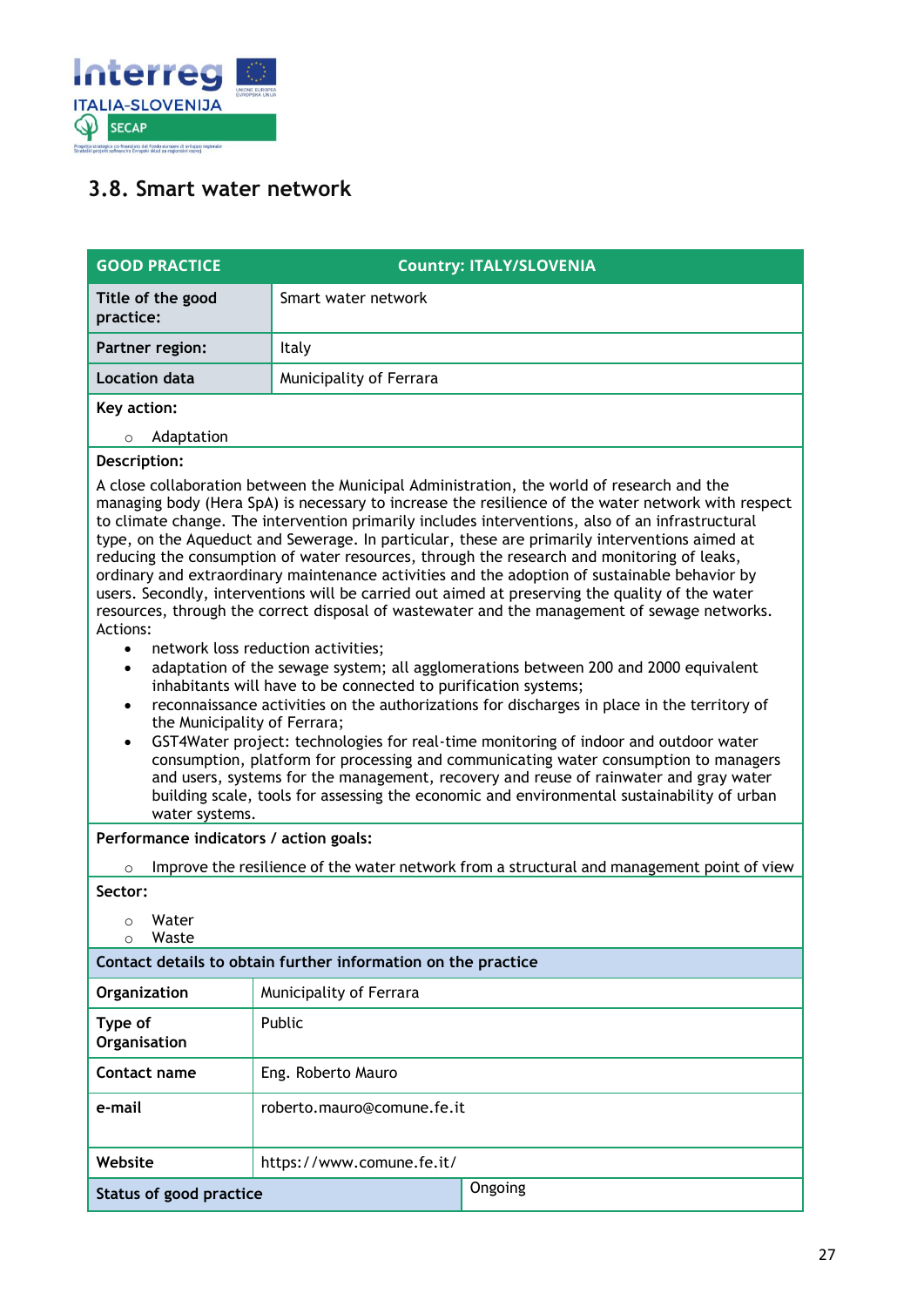

### <span id="page-26-0"></span>**3.8. Smart water network**

| <b>GOOD PRACTICE</b>                                                                                                                                                                                                                                                                                                                                                                                                                                                                                                                                                                                                                                                                                                                                                                                                                                                                                                                                                                                                                                                                                                                                                                                                                                                                                                                                                                                                                                                                                                                                                                                          |                            | <b>Country: ITALY/SLOVENIA</b> |
|---------------------------------------------------------------------------------------------------------------------------------------------------------------------------------------------------------------------------------------------------------------------------------------------------------------------------------------------------------------------------------------------------------------------------------------------------------------------------------------------------------------------------------------------------------------------------------------------------------------------------------------------------------------------------------------------------------------------------------------------------------------------------------------------------------------------------------------------------------------------------------------------------------------------------------------------------------------------------------------------------------------------------------------------------------------------------------------------------------------------------------------------------------------------------------------------------------------------------------------------------------------------------------------------------------------------------------------------------------------------------------------------------------------------------------------------------------------------------------------------------------------------------------------------------------------------------------------------------------------|----------------------------|--------------------------------|
| Title of the good<br>practice:                                                                                                                                                                                                                                                                                                                                                                                                                                                                                                                                                                                                                                                                                                                                                                                                                                                                                                                                                                                                                                                                                                                                                                                                                                                                                                                                                                                                                                                                                                                                                                                | Smart water network        |                                |
| Partner region:                                                                                                                                                                                                                                                                                                                                                                                                                                                                                                                                                                                                                                                                                                                                                                                                                                                                                                                                                                                                                                                                                                                                                                                                                                                                                                                                                                                                                                                                                                                                                                                               | Italy                      |                                |
| Location data                                                                                                                                                                                                                                                                                                                                                                                                                                                                                                                                                                                                                                                                                                                                                                                                                                                                                                                                                                                                                                                                                                                                                                                                                                                                                                                                                                                                                                                                                                                                                                                                 | Municipality of Ferrara    |                                |
| Key action:<br>Adaptation<br>$\circ$                                                                                                                                                                                                                                                                                                                                                                                                                                                                                                                                                                                                                                                                                                                                                                                                                                                                                                                                                                                                                                                                                                                                                                                                                                                                                                                                                                                                                                                                                                                                                                          |                            |                                |
|                                                                                                                                                                                                                                                                                                                                                                                                                                                                                                                                                                                                                                                                                                                                                                                                                                                                                                                                                                                                                                                                                                                                                                                                                                                                                                                                                                                                                                                                                                                                                                                                               |                            |                                |
| Description:<br>A close collaboration between the Municipal Administration, the world of research and the<br>managing body (Hera SpA) is necessary to increase the resilience of the water network with respect<br>to climate change. The intervention primarily includes interventions, also of an infrastructural<br>type, on the Aqueduct and Sewerage. In particular, these are primarily interventions aimed at<br>reducing the consumption of water resources, through the research and monitoring of leaks,<br>ordinary and extraordinary maintenance activities and the adoption of sustainable behavior by<br>users. Secondly, interventions will be carried out aimed at preserving the quality of the water<br>resources, through the correct disposal of wastewater and the management of sewage networks.<br>Actions:<br>network loss reduction activities;<br>$\bullet$<br>adaptation of the sewage system; all agglomerations between 200 and 2000 equivalent<br>$\bullet$<br>inhabitants will have to be connected to purification systems;<br>reconnaissance activities on the authorizations for discharges in place in the territory of<br>$\bullet$<br>the Municipality of Ferrara;<br>GST4Water project: technologies for real-time monitoring of indoor and outdoor water<br>$\bullet$<br>consumption, platform for processing and communicating water consumption to managers<br>and users, systems for the management, recovery and reuse of rainwater and gray water<br>building scale, tools for assessing the economic and environmental sustainability of urban<br>water systems. |                            |                                |
| Performance indicators / action goals:                                                                                                                                                                                                                                                                                                                                                                                                                                                                                                                                                                                                                                                                                                                                                                                                                                                                                                                                                                                                                                                                                                                                                                                                                                                                                                                                                                                                                                                                                                                                                                        |                            |                                |
| Improve the resilience of the water network from a structural and management point of view<br>$\circ$<br>Sector:                                                                                                                                                                                                                                                                                                                                                                                                                                                                                                                                                                                                                                                                                                                                                                                                                                                                                                                                                                                                                                                                                                                                                                                                                                                                                                                                                                                                                                                                                              |                            |                                |
| Water<br>$\circ$<br>Waste<br>$\circ$                                                                                                                                                                                                                                                                                                                                                                                                                                                                                                                                                                                                                                                                                                                                                                                                                                                                                                                                                                                                                                                                                                                                                                                                                                                                                                                                                                                                                                                                                                                                                                          |                            |                                |
| Contact details to obtain further information on the practice                                                                                                                                                                                                                                                                                                                                                                                                                                                                                                                                                                                                                                                                                                                                                                                                                                                                                                                                                                                                                                                                                                                                                                                                                                                                                                                                                                                                                                                                                                                                                 |                            |                                |
| Organization                                                                                                                                                                                                                                                                                                                                                                                                                                                                                                                                                                                                                                                                                                                                                                                                                                                                                                                                                                                                                                                                                                                                                                                                                                                                                                                                                                                                                                                                                                                                                                                                  | Municipality of Ferrara    |                                |
| Type of<br>Organisation                                                                                                                                                                                                                                                                                                                                                                                                                                                                                                                                                                                                                                                                                                                                                                                                                                                                                                                                                                                                                                                                                                                                                                                                                                                                                                                                                                                                                                                                                                                                                                                       | Public                     |                                |
| Contact name                                                                                                                                                                                                                                                                                                                                                                                                                                                                                                                                                                                                                                                                                                                                                                                                                                                                                                                                                                                                                                                                                                                                                                                                                                                                                                                                                                                                                                                                                                                                                                                                  | Eng. Roberto Mauro         |                                |
| e-mail                                                                                                                                                                                                                                                                                                                                                                                                                                                                                                                                                                                                                                                                                                                                                                                                                                                                                                                                                                                                                                                                                                                                                                                                                                                                                                                                                                                                                                                                                                                                                                                                        | roberto.mauro@comune.fe.it |                                |
| Website                                                                                                                                                                                                                                                                                                                                                                                                                                                                                                                                                                                                                                                                                                                                                                                                                                                                                                                                                                                                                                                                                                                                                                                                                                                                                                                                                                                                                                                                                                                                                                                                       | https://www.comune.fe.it/  |                                |
| <b>Status of good practice</b>                                                                                                                                                                                                                                                                                                                                                                                                                                                                                                                                                                                                                                                                                                                                                                                                                                                                                                                                                                                                                                                                                                                                                                                                                                                                                                                                                                                                                                                                                                                                                                                |                            | Ongoing                        |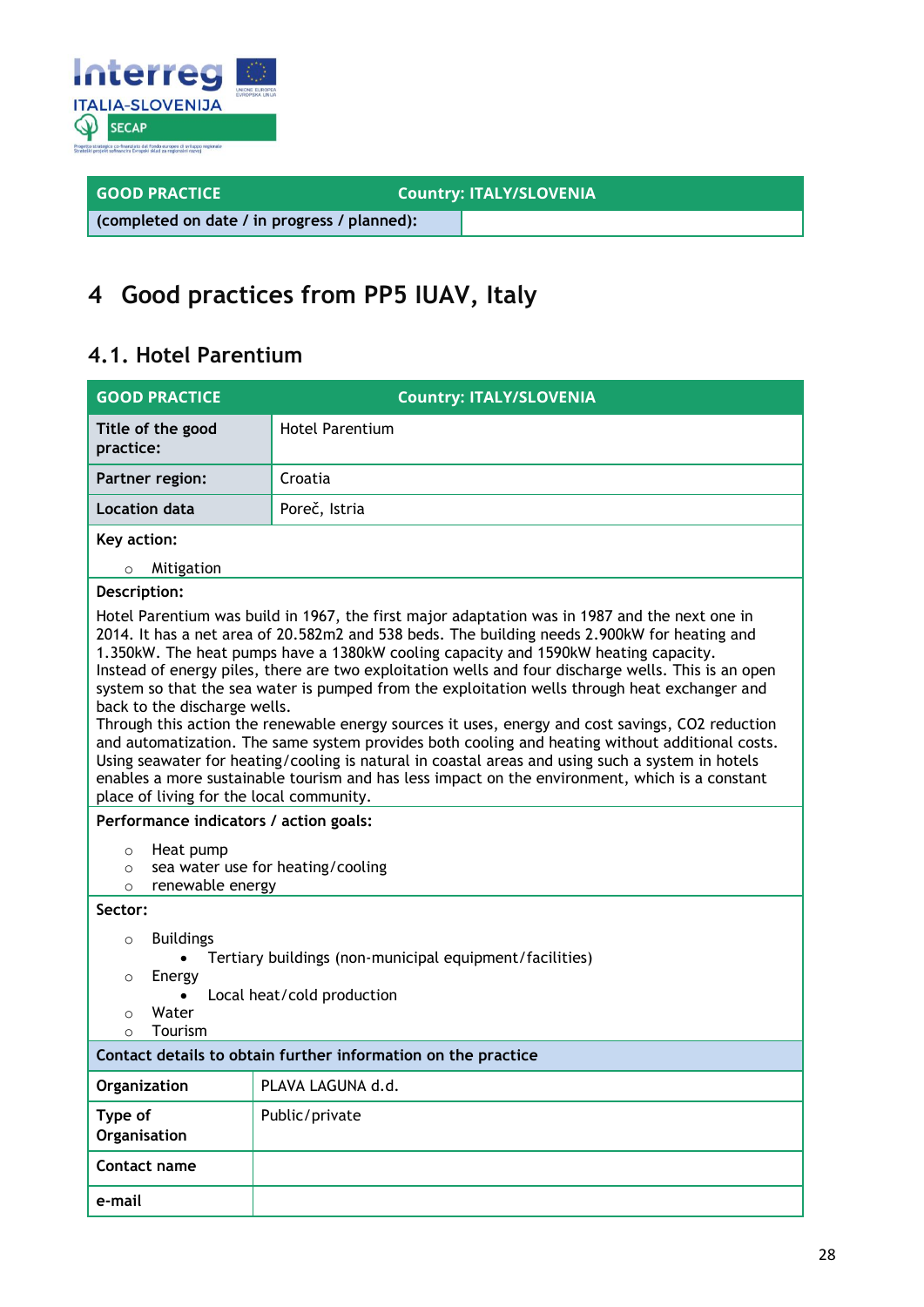

**GOOD PRACTICE COUNTY: ITALY/SLOVENIA** 

**(completed on date / in progress / planned):**

## <span id="page-27-0"></span>**4 Good practices from PP5 IUAV, Italy**

### <span id="page-27-1"></span>**4.1. Hotel Parentium**

| <b>GOOD PRACTICE</b>                                                                                                                                                                                                                                                                                                                                                                                                                                                                                                                                                                                                                                                                                                                                                                                                                                                                                                                                                                  | <b>Country: ITALY/SLOVENIA</b> |  |
|---------------------------------------------------------------------------------------------------------------------------------------------------------------------------------------------------------------------------------------------------------------------------------------------------------------------------------------------------------------------------------------------------------------------------------------------------------------------------------------------------------------------------------------------------------------------------------------------------------------------------------------------------------------------------------------------------------------------------------------------------------------------------------------------------------------------------------------------------------------------------------------------------------------------------------------------------------------------------------------|--------------------------------|--|
| Title of the good<br>practice:                                                                                                                                                                                                                                                                                                                                                                                                                                                                                                                                                                                                                                                                                                                                                                                                                                                                                                                                                        | <b>Hotel Parentium</b>         |  |
| Partner region:                                                                                                                                                                                                                                                                                                                                                                                                                                                                                                                                                                                                                                                                                                                                                                                                                                                                                                                                                                       | Croatia                        |  |
| <b>Location data</b>                                                                                                                                                                                                                                                                                                                                                                                                                                                                                                                                                                                                                                                                                                                                                                                                                                                                                                                                                                  | Poreč, Istria                  |  |
| Key action:                                                                                                                                                                                                                                                                                                                                                                                                                                                                                                                                                                                                                                                                                                                                                                                                                                                                                                                                                                           |                                |  |
| Mitigation<br>$\circ$                                                                                                                                                                                                                                                                                                                                                                                                                                                                                                                                                                                                                                                                                                                                                                                                                                                                                                                                                                 |                                |  |
| Description:                                                                                                                                                                                                                                                                                                                                                                                                                                                                                                                                                                                                                                                                                                                                                                                                                                                                                                                                                                          |                                |  |
| Hotel Parentium was build in 1967, the first major adaptation was in 1987 and the next one in<br>2014. It has a net area of 20.582m2 and 538 beds. The building needs 2.900kW for heating and<br>1.350kW. The heat pumps have a 1380kW cooling capacity and 1590kW heating capacity.<br>Instead of energy piles, there are two exploitation wells and four discharge wells. This is an open<br>system so that the sea water is pumped from the exploitation wells through heat exchanger and<br>back to the discharge wells.<br>Through this action the renewable energy sources it uses, energy and cost savings, CO2 reduction<br>and automatization. The same system provides both cooling and heating without additional costs.<br>Using seawater for heating/cooling is natural in coastal areas and using such a system in hotels<br>enables a more sustainable tourism and has less impact on the environment, which is a constant<br>place of living for the local community. |                                |  |
| Performance indicators / action goals:                                                                                                                                                                                                                                                                                                                                                                                                                                                                                                                                                                                                                                                                                                                                                                                                                                                                                                                                                |                                |  |
| Heat pump<br>$\circ$<br>sea water use for heating/cooling<br>$\circ$<br>renewable energy<br>$\Omega$                                                                                                                                                                                                                                                                                                                                                                                                                                                                                                                                                                                                                                                                                                                                                                                                                                                                                  |                                |  |
| Sector:                                                                                                                                                                                                                                                                                                                                                                                                                                                                                                                                                                                                                                                                                                                                                                                                                                                                                                                                                                               |                                |  |
| <b>Buildings</b><br>$\circ$<br>Tertiary buildings (non-municipal equipment/facilities)<br>Energy<br>$\circ$<br>Local heat/cold production<br>Water<br>$\circ$<br>Tourism<br>$\Omega$                                                                                                                                                                                                                                                                                                                                                                                                                                                                                                                                                                                                                                                                                                                                                                                                  |                                |  |
| Contact details to obtain further information on the practice                                                                                                                                                                                                                                                                                                                                                                                                                                                                                                                                                                                                                                                                                                                                                                                                                                                                                                                         |                                |  |
| Organization                                                                                                                                                                                                                                                                                                                                                                                                                                                                                                                                                                                                                                                                                                                                                                                                                                                                                                                                                                          | PLAVA LAGUNA d.d.              |  |
| Type of<br>Organisation                                                                                                                                                                                                                                                                                                                                                                                                                                                                                                                                                                                                                                                                                                                                                                                                                                                                                                                                                               | Public/private                 |  |
| Contact name                                                                                                                                                                                                                                                                                                                                                                                                                                                                                                                                                                                                                                                                                                                                                                                                                                                                                                                                                                          |                                |  |
| e-mail                                                                                                                                                                                                                                                                                                                                                                                                                                                                                                                                                                                                                                                                                                                                                                                                                                                                                                                                                                                |                                |  |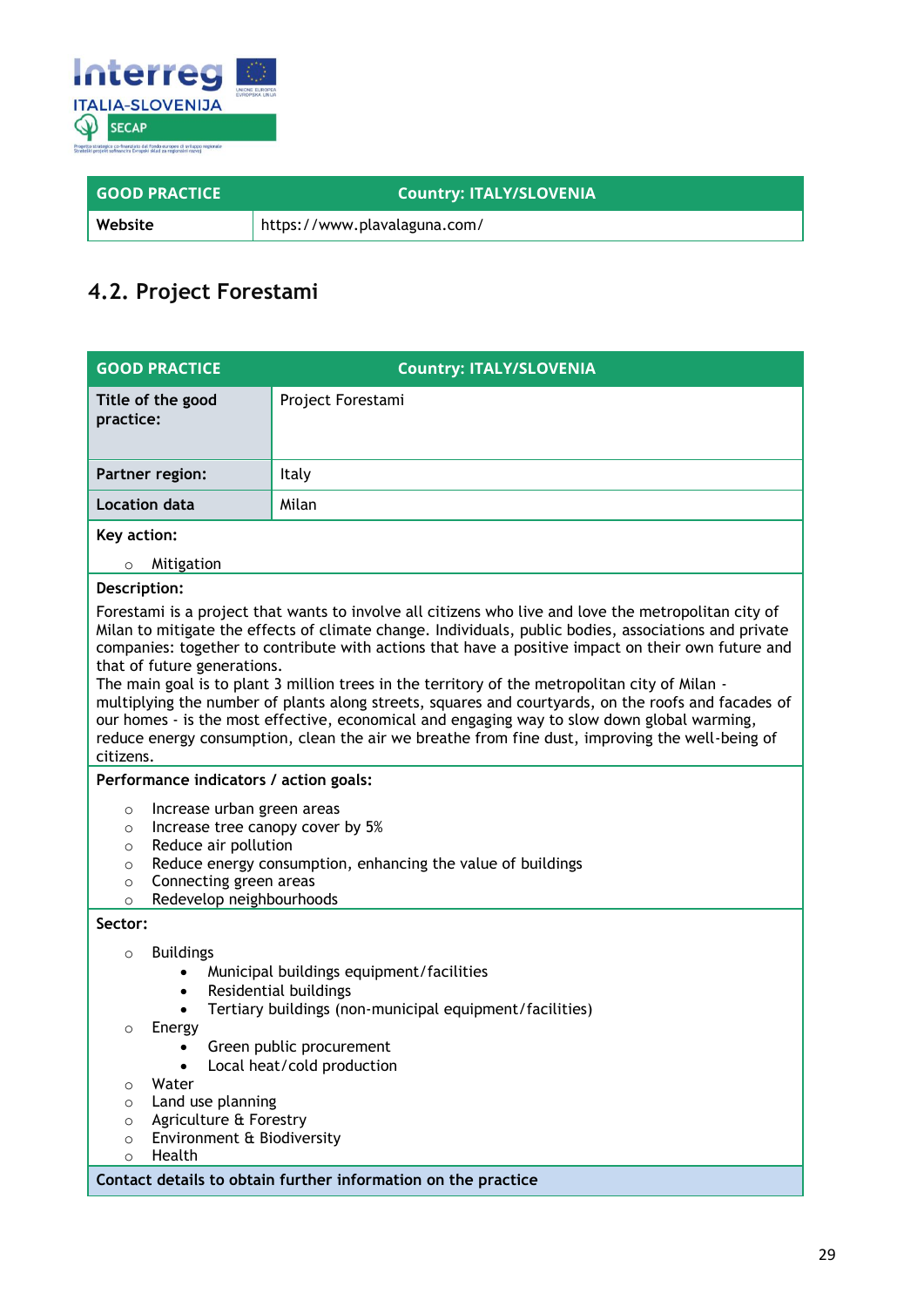

| <b>GOOD PRACTICE</b> | Country: ITALY/SLOVENIA      |
|----------------------|------------------------------|
| Website              | https://www.plavalaguna.com/ |

### <span id="page-28-0"></span>**4.2. Project Forestami**

| <b>GOOD PRACTICE</b>                                                                                                                                                                                                                                                                                                                                                                       | <b>Country: ITALY/SLOVENIA</b>                                                                                                                                                                                                                                                                                                                                                                                                                                                                                                                                                                                                                                                                                                 |  |  |
|--------------------------------------------------------------------------------------------------------------------------------------------------------------------------------------------------------------------------------------------------------------------------------------------------------------------------------------------------------------------------------------------|--------------------------------------------------------------------------------------------------------------------------------------------------------------------------------------------------------------------------------------------------------------------------------------------------------------------------------------------------------------------------------------------------------------------------------------------------------------------------------------------------------------------------------------------------------------------------------------------------------------------------------------------------------------------------------------------------------------------------------|--|--|
| Title of the good<br>practice:                                                                                                                                                                                                                                                                                                                                                             | Project Forestami                                                                                                                                                                                                                                                                                                                                                                                                                                                                                                                                                                                                                                                                                                              |  |  |
| Partner region:                                                                                                                                                                                                                                                                                                                                                                            | Italy                                                                                                                                                                                                                                                                                                                                                                                                                                                                                                                                                                                                                                                                                                                          |  |  |
| <b>Location data</b>                                                                                                                                                                                                                                                                                                                                                                       | Milan                                                                                                                                                                                                                                                                                                                                                                                                                                                                                                                                                                                                                                                                                                                          |  |  |
| Key action:                                                                                                                                                                                                                                                                                                                                                                                |                                                                                                                                                                                                                                                                                                                                                                                                                                                                                                                                                                                                                                                                                                                                |  |  |
| Mitigation<br>$\circ$                                                                                                                                                                                                                                                                                                                                                                      |                                                                                                                                                                                                                                                                                                                                                                                                                                                                                                                                                                                                                                                                                                                                |  |  |
| Description:                                                                                                                                                                                                                                                                                                                                                                               |                                                                                                                                                                                                                                                                                                                                                                                                                                                                                                                                                                                                                                                                                                                                |  |  |
| that of future generations.<br>citizens.                                                                                                                                                                                                                                                                                                                                                   | Forestami is a project that wants to involve all citizens who live and love the metropolitan city of<br>Milan to mitigate the effects of climate change. Individuals, public bodies, associations and private<br>companies: together to contribute with actions that have a positive impact on their own future and<br>The main goal is to plant 3 million trees in the territory of the metropolitan city of Milan -<br>multiplying the number of plants along streets, squares and courtyards, on the roofs and facades of<br>our homes - is the most effective, economical and engaging way to slow down global warming,<br>reduce energy consumption, clean the air we breathe from fine dust, improving the well-being of |  |  |
| Performance indicators / action goals:                                                                                                                                                                                                                                                                                                                                                     |                                                                                                                                                                                                                                                                                                                                                                                                                                                                                                                                                                                                                                                                                                                                |  |  |
| Increase urban green areas<br>$\circ$                                                                                                                                                                                                                                                                                                                                                      |                                                                                                                                                                                                                                                                                                                                                                                                                                                                                                                                                                                                                                                                                                                                |  |  |
| $\circ$                                                                                                                                                                                                                                                                                                                                                                                    | Increase tree canopy cover by 5%                                                                                                                                                                                                                                                                                                                                                                                                                                                                                                                                                                                                                                                                                               |  |  |
| Reduce air pollution<br>$\circ$                                                                                                                                                                                                                                                                                                                                                            |                                                                                                                                                                                                                                                                                                                                                                                                                                                                                                                                                                                                                                                                                                                                |  |  |
| $\circ$<br>Connecting green areas<br>$\circ$                                                                                                                                                                                                                                                                                                                                               | Reduce energy consumption, enhancing the value of buildings                                                                                                                                                                                                                                                                                                                                                                                                                                                                                                                                                                                                                                                                    |  |  |
| $\circ$                                                                                                                                                                                                                                                                                                                                                                                    | Redevelop neighbourhoods                                                                                                                                                                                                                                                                                                                                                                                                                                                                                                                                                                                                                                                                                                       |  |  |
| Sector:                                                                                                                                                                                                                                                                                                                                                                                    |                                                                                                                                                                                                                                                                                                                                                                                                                                                                                                                                                                                                                                                                                                                                |  |  |
| <b>Buildings</b><br>$\circ$<br>Municipal buildings equipment/facilities<br>Residential buildings<br>٠<br>Tertiary buildings (non-municipal equipment/facilities)<br>Energy<br>$\circ$<br>Green public procurement<br>Local heat/cold production<br>Water<br>O<br>Land use planning<br>$\circ$<br>Agriculture & Forestry<br>$\circ$<br>Environment & Biodiversity<br>O<br>Health<br>$\circ$ |                                                                                                                                                                                                                                                                                                                                                                                                                                                                                                                                                                                                                                                                                                                                |  |  |
|                                                                                                                                                                                                                                                                                                                                                                                            | Contact details to obtain further information on the practice                                                                                                                                                                                                                                                                                                                                                                                                                                                                                                                                                                                                                                                                  |  |  |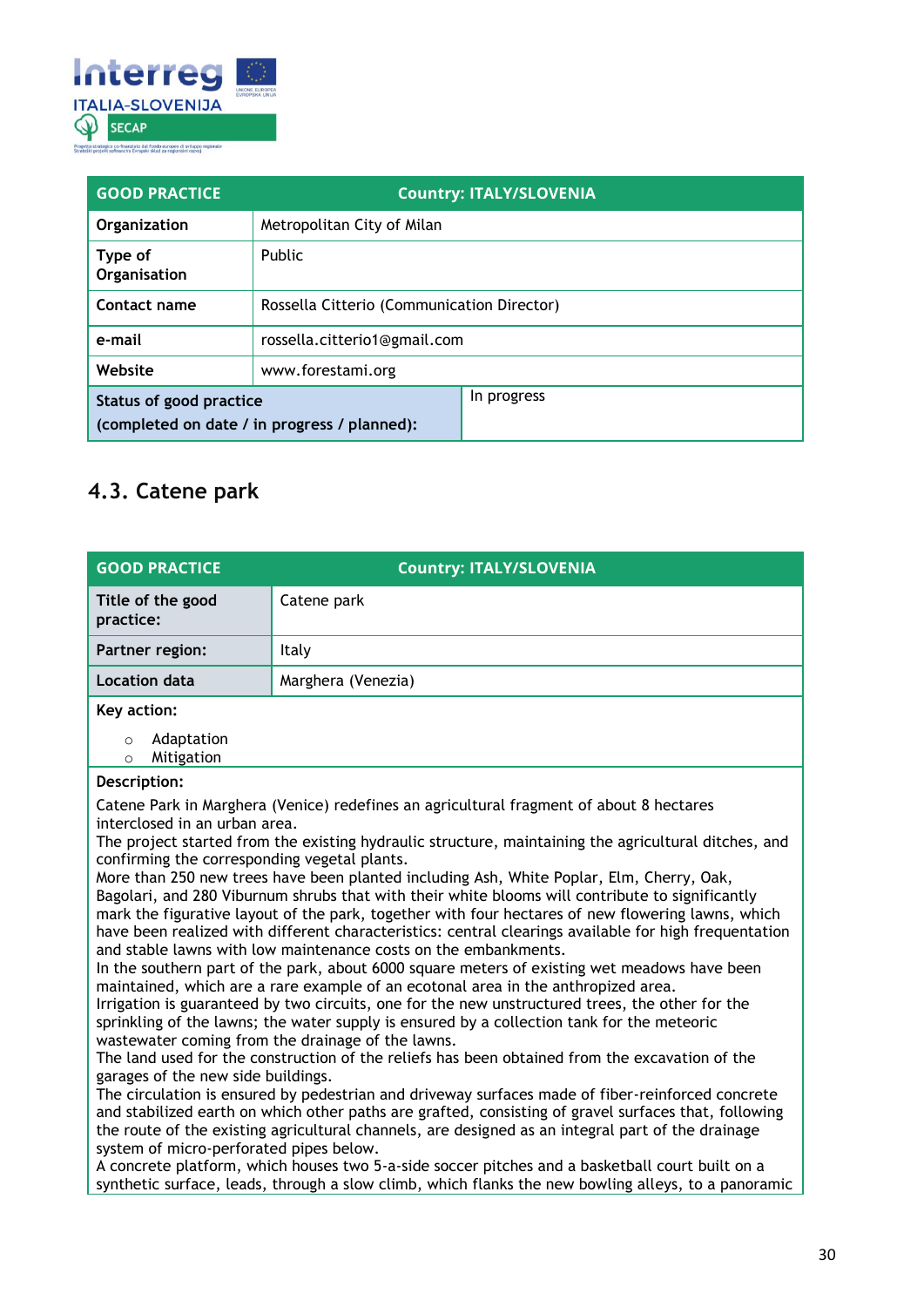

| <b>GOOD PRACTICE</b>                                                    |                                            | <b>Country: ITALY/SLOVENIA</b> |
|-------------------------------------------------------------------------|--------------------------------------------|--------------------------------|
| Organization                                                            | Metropolitan City of Milan                 |                                |
| Type of<br>Organisation                                                 | <b>Public</b>                              |                                |
| Contact name                                                            | Rossella Citterio (Communication Director) |                                |
| e-mail                                                                  | rossella.citterio1@gmail.com               |                                |
| Website                                                                 | www.forestami.org                          |                                |
| Status of good practice<br>(completed on date / in progress / planned): |                                            | In progress                    |

### <span id="page-29-0"></span>**4.3. Catene park**

| <b>GOOD PRACTICE</b>                                                                                                                                                                                                                                                                                                                                                                                                                                                                                                                                                                                                                                                                                                                                                                                                                                                                                                                                                                                                                                                                                                                                                                                                                                                                                                                                                                                                                                                                                                                                            | <b>Country: ITALY/SLOVENIA</b>                                                                                                                                                                                                                  |  |
|-----------------------------------------------------------------------------------------------------------------------------------------------------------------------------------------------------------------------------------------------------------------------------------------------------------------------------------------------------------------------------------------------------------------------------------------------------------------------------------------------------------------------------------------------------------------------------------------------------------------------------------------------------------------------------------------------------------------------------------------------------------------------------------------------------------------------------------------------------------------------------------------------------------------------------------------------------------------------------------------------------------------------------------------------------------------------------------------------------------------------------------------------------------------------------------------------------------------------------------------------------------------------------------------------------------------------------------------------------------------------------------------------------------------------------------------------------------------------------------------------------------------------------------------------------------------|-------------------------------------------------------------------------------------------------------------------------------------------------------------------------------------------------------------------------------------------------|--|
| Title of the good<br>practice:                                                                                                                                                                                                                                                                                                                                                                                                                                                                                                                                                                                                                                                                                                                                                                                                                                                                                                                                                                                                                                                                                                                                                                                                                                                                                                                                                                                                                                                                                                                                  | Catene park                                                                                                                                                                                                                                     |  |
| <b>Partner region:</b>                                                                                                                                                                                                                                                                                                                                                                                                                                                                                                                                                                                                                                                                                                                                                                                                                                                                                                                                                                                                                                                                                                                                                                                                                                                                                                                                                                                                                                                                                                                                          | Italy                                                                                                                                                                                                                                           |  |
| <b>Location data</b>                                                                                                                                                                                                                                                                                                                                                                                                                                                                                                                                                                                                                                                                                                                                                                                                                                                                                                                                                                                                                                                                                                                                                                                                                                                                                                                                                                                                                                                                                                                                            | Marghera (Venezia)                                                                                                                                                                                                                              |  |
| Key action:                                                                                                                                                                                                                                                                                                                                                                                                                                                                                                                                                                                                                                                                                                                                                                                                                                                                                                                                                                                                                                                                                                                                                                                                                                                                                                                                                                                                                                                                                                                                                     |                                                                                                                                                                                                                                                 |  |
| Adaptation<br>$\circ$<br>Mitigation<br>$\circ$                                                                                                                                                                                                                                                                                                                                                                                                                                                                                                                                                                                                                                                                                                                                                                                                                                                                                                                                                                                                                                                                                                                                                                                                                                                                                                                                                                                                                                                                                                                  |                                                                                                                                                                                                                                                 |  |
| Description:                                                                                                                                                                                                                                                                                                                                                                                                                                                                                                                                                                                                                                                                                                                                                                                                                                                                                                                                                                                                                                                                                                                                                                                                                                                                                                                                                                                                                                                                                                                                                    |                                                                                                                                                                                                                                                 |  |
| Catene Park in Marghera (Venice) redefines an agricultural fragment of about 8 hectares<br>interclosed in an urban area.<br>The project started from the existing hydraulic structure, maintaining the agricultural ditches, and<br>confirming the corresponding vegetal plants.<br>More than 250 new trees have been planted including Ash, White Poplar, Elm, Cherry, Oak,<br>Bagolari, and 280 Viburnum shrubs that with their white blooms will contribute to significantly<br>mark the figurative layout of the park, together with four hectares of new flowering lawns, which<br>have been realized with different characteristics: central clearings available for high frequentation<br>and stable lawns with low maintenance costs on the embankments.<br>In the southern part of the park, about 6000 square meters of existing wet meadows have been<br>maintained, which are a rare example of an ecotonal area in the anthropized area.<br>Irrigation is guaranteed by two circuits, one for the new unstructured trees, the other for the<br>sprinkling of the lawns; the water supply is ensured by a collection tank for the meteoric<br>wastewater coming from the drainage of the lawns.<br>The land used for the construction of the reliefs has been obtained from the excavation of the<br>garages of the new side buildings.<br>The circulation is ensured by pedestrian and driveway surfaces made of fiber-reinforced concrete<br>and stabilized earth on which other paths are grafted, consisting of gravel surfaces that, following |                                                                                                                                                                                                                                                 |  |
|                                                                                                                                                                                                                                                                                                                                                                                                                                                                                                                                                                                                                                                                                                                                                                                                                                                                                                                                                                                                                                                                                                                                                                                                                                                                                                                                                                                                                                                                                                                                                                 | the route of the existing agricultural channels, are designed as an integral part of the drainage<br>system of micro-perforated pipes below.<br>A concrete platform, which houses two 5-a-side soccer pitches and a basketball court built on a |  |
| synthetic surface, leads, through a slow climb, which flanks the new bowling alleys, to a panoramic                                                                                                                                                                                                                                                                                                                                                                                                                                                                                                                                                                                                                                                                                                                                                                                                                                                                                                                                                                                                                                                                                                                                                                                                                                                                                                                                                                                                                                                             |                                                                                                                                                                                                                                                 |  |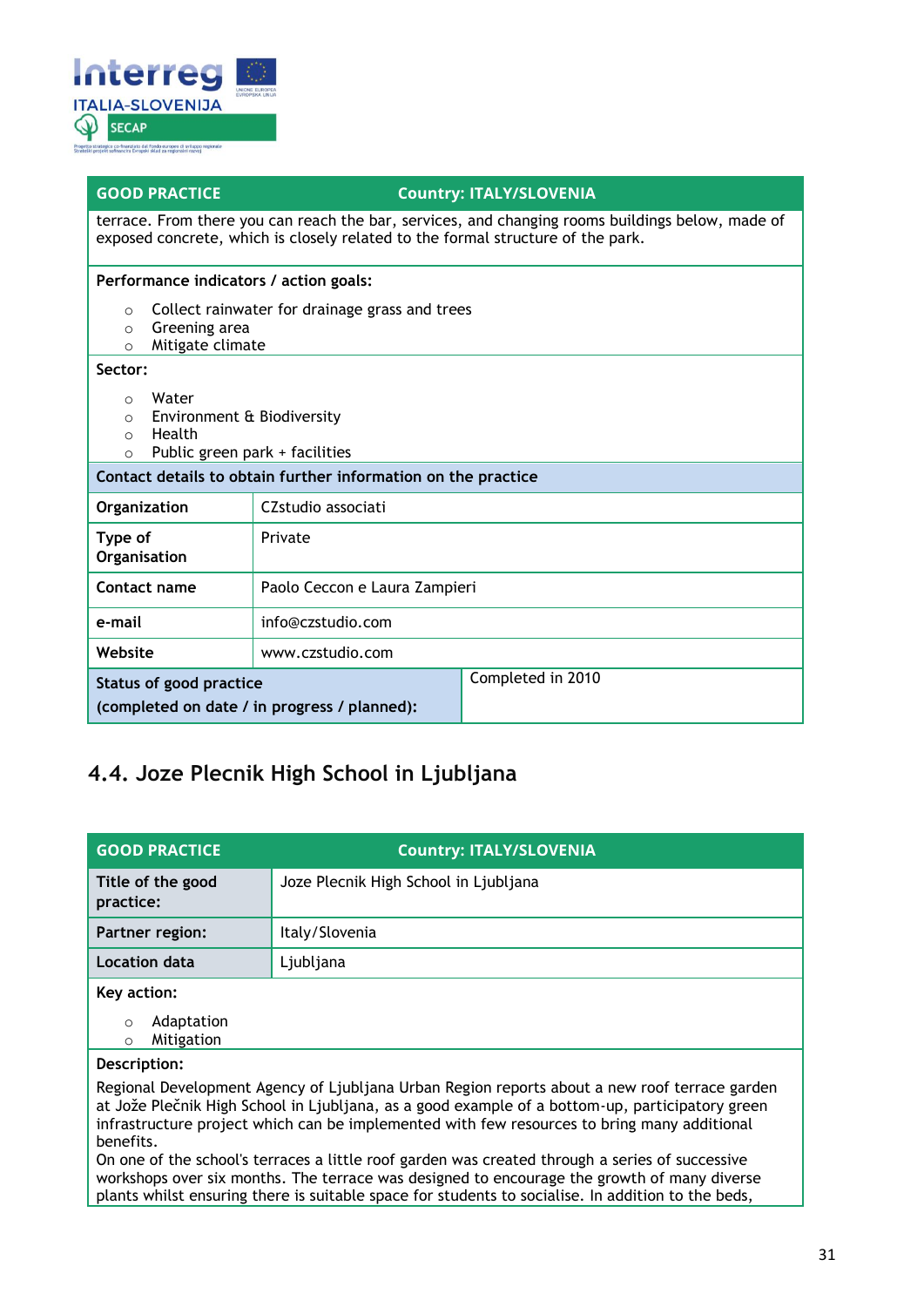

#### **GOOD PRACTICE COUNTY: ITALY/SLOVENIA**

terrace. From there you can reach the bar, services, and changing rooms buildings below, made of exposed concrete, which is closely related to the formal structure of the park.

**Performance indicators / action goals:**

- o Collect rainwater for drainage grass and trees
- o Greening area
- o Mitigate climate

#### **Sector:**

- o Water
- o Environment & Biodiversity
- o Health
- $\circ$  Public green park + facilities

| Contact details to obtain further information on the practice           |                               |                   |
|-------------------------------------------------------------------------|-------------------------------|-------------------|
| Organization                                                            | CZstudio associati            |                   |
| Type of<br>Organisation                                                 | Private                       |                   |
| Contact name                                                            | Paolo Ceccon e Laura Zampieri |                   |
| e-mail                                                                  | info@czstudio.com             |                   |
| Website                                                                 | www.czstudio.com              |                   |
| Status of good practice<br>(completed on date / in progress / planned): |                               | Completed in 2010 |

### <span id="page-30-0"></span>**4.4. Joze Plecnik High School in Ljubljana**

| <b>GOOD PRACTICE</b>                                                                                                                                                                                                                                                                                         | <b>Country: ITALY/SLOVENIA</b>        |
|--------------------------------------------------------------------------------------------------------------------------------------------------------------------------------------------------------------------------------------------------------------------------------------------------------------|---------------------------------------|
| Title of the good<br>practice:                                                                                                                                                                                                                                                                               | Joze Plecnik High School in Ljubljana |
| Partner region:                                                                                                                                                                                                                                                                                              | Italy/Slovenia                        |
| Location data                                                                                                                                                                                                                                                                                                | Ljubljana                             |
| Key action:                                                                                                                                                                                                                                                                                                  |                                       |
| Adaptation<br>$\Omega$<br>Mitigation<br>$\circ$                                                                                                                                                                                                                                                              |                                       |
| Description:                                                                                                                                                                                                                                                                                                 |                                       |
| Regional Development Agency of Ljubljana Urban Region reports about a new roof terrace garden<br>at Jože Plečnik High School in Ljubljana, as a good example of a bottom-up, participatory green<br>infrastructure project which can be implemented with few resources to bring many additional<br>benefits. |                                       |

On one of the school's terraces a little roof garden was created through a series of successive workshops over six months. The terrace was designed to encourage the growth of many diverse plants whilst ensuring there is suitable space for students to socialise. In addition to the beds,

Ξ Ξ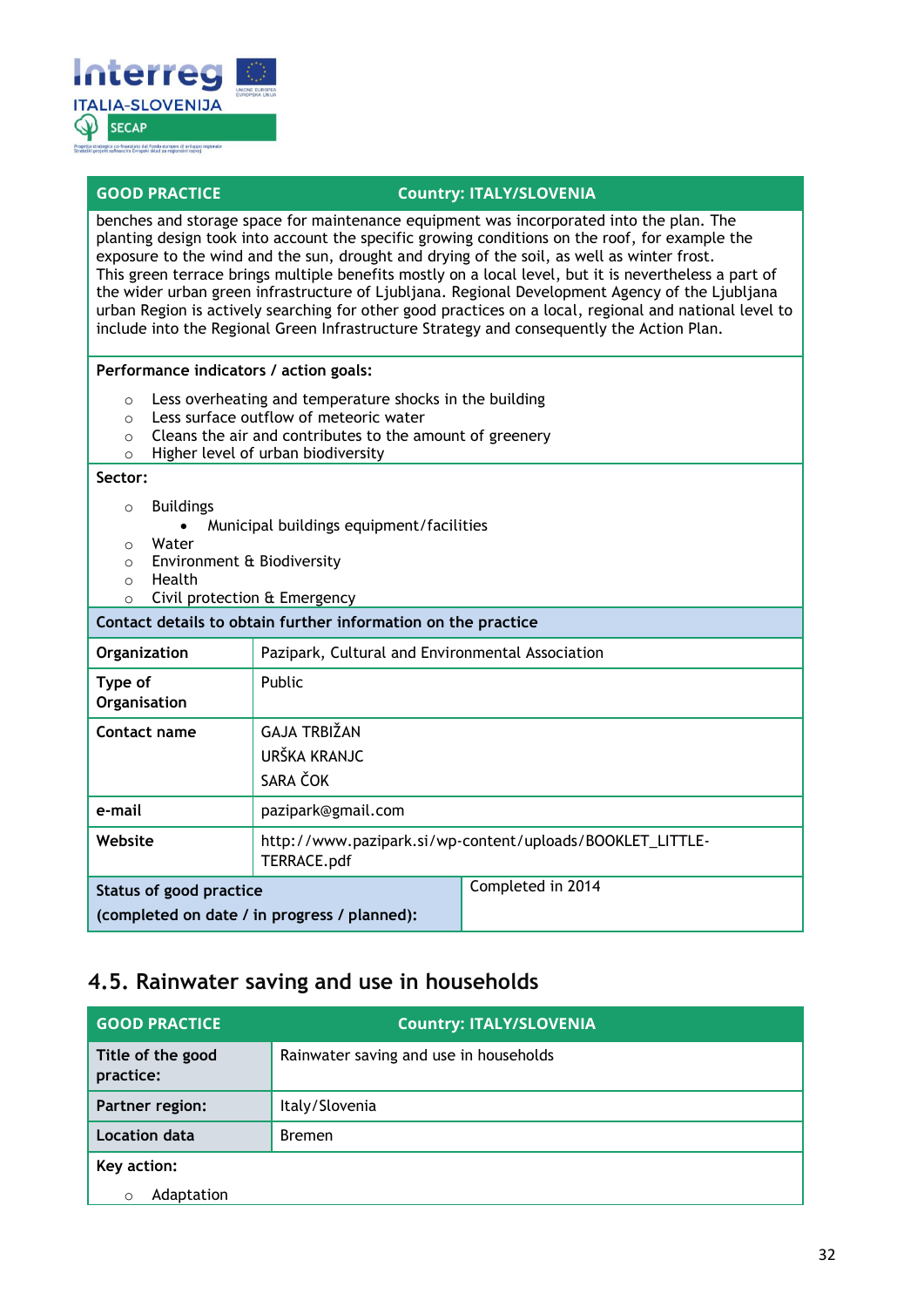

benches and storage space for maintenance equipment was incorporated into the plan. The planting design took into account the specific growing conditions on the roof, for example the exposure to the wind and the sun, drought and drying of the soil, as well as winter frost. This green terrace brings multiple benefits mostly on a local level, but it is nevertheless a part of the wider urban green infrastructure of Ljubljana. Regional Development Agency of the Ljubljana urban Region is actively searching for other good practices on a local, regional and national level to include into the Regional Green Infrastructure Strategy and consequently the Action Plan.

#### **Performance indicators / action goals:**

- o Less overheating and temperature shocks in the building
- o Less surface outflow of meteoric water
- o Cleans the air and contributes to the amount of greenery
- o Higher level of urban biodiversity

#### **Sector:**

- o Buildings
	- Municipal buildings equipment/facilities
- o Water
- o Environment & Biodiversity
- o Health
- o Civil protection & Emergency

| Contact details to obtain further information on the practice           |                                                                          |                   |
|-------------------------------------------------------------------------|--------------------------------------------------------------------------|-------------------|
| Organization                                                            | Pazipark, Cultural and Environmental Association                         |                   |
| Type of<br>Organisation                                                 | Public                                                                   |                   |
| Contact name                                                            | <b>GAJA TRBIŽAN</b><br>URŠKA KRANJC<br>SARA ČOK                          |                   |
| e-mail                                                                  | pazipark@gmail.com                                                       |                   |
| Website                                                                 | http://www.pazipark.si/wp-content/uploads/BOOKLET_LITTLE-<br>TERRACE.pdf |                   |
| Status of good practice<br>(completed on date / in progress / planned): |                                                                          | Completed in 2014 |

### <span id="page-31-0"></span>**4.5. Rainwater saving and use in households**

| <b>GOOD PRACTICE</b>           | <b>Country: ITALY/SLOVENIA</b>         |
|--------------------------------|----------------------------------------|
| Title of the good<br>practice: | Rainwater saving and use in households |
| Partner region:                | Italy/Slovenia                         |
| Location data                  | <b>Bremen</b>                          |
| Key action:                    |                                        |
| Adaptation                     |                                        |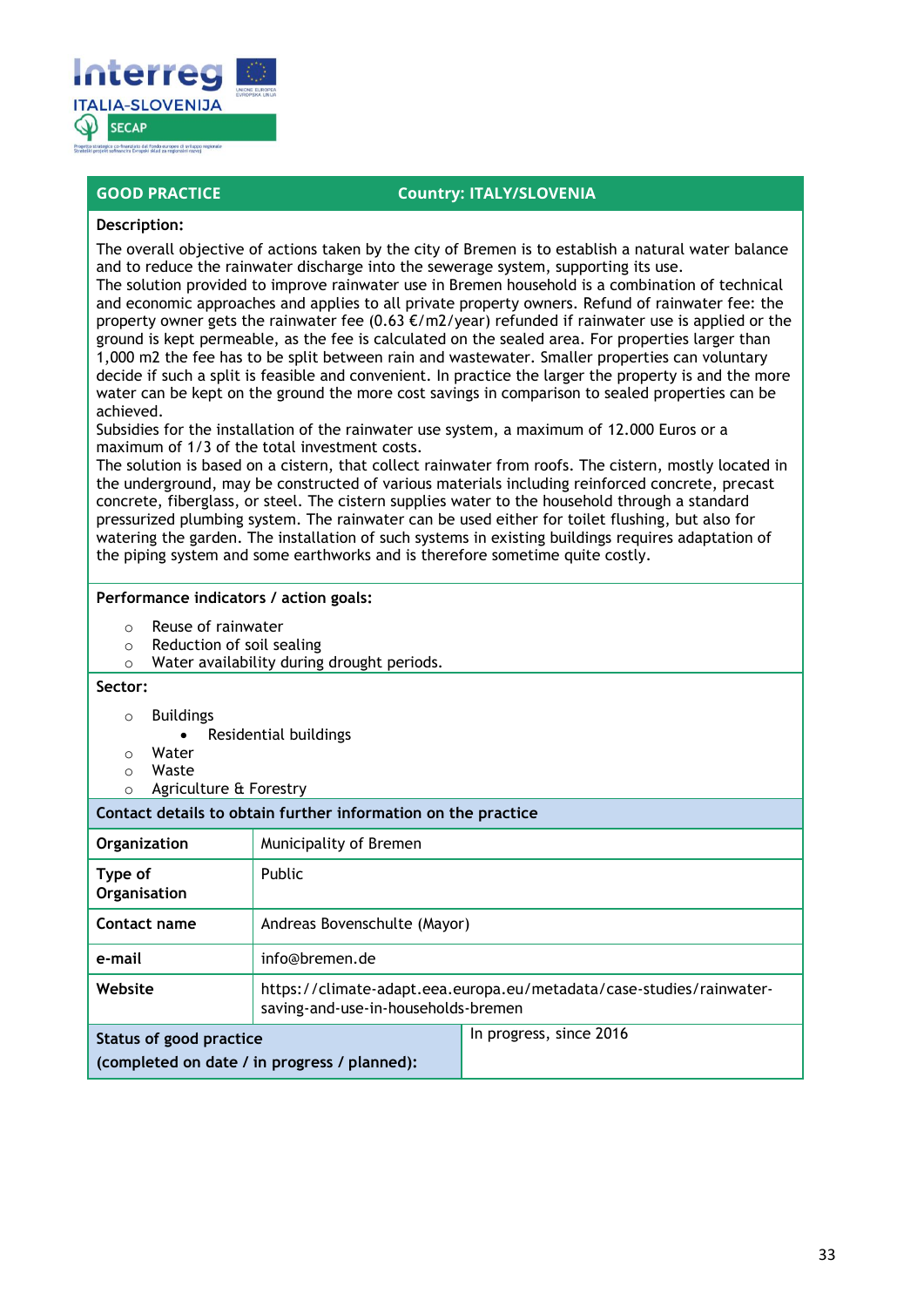

#### **Description:**

The overall objective of actions taken by the city of Bremen is to establish a natural water balance and to reduce the rainwater discharge into the sewerage system, supporting its use.

The solution provided to improve rainwater use in Bremen household is a combination of technical and economic approaches and applies to all private property owners. Refund of rainwater fee: the property owner gets the rainwater fee  $(0.63 \text{ E/m2/year})$  refunded if rainwater use is applied or the ground is kept permeable, as the fee is calculated on the sealed area. For properties larger than 1,000 m2 the fee has to be split between rain and wastewater. Smaller properties can voluntary decide if such a split is feasible and convenient. In practice the larger the property is and the more water can be kept on the ground the more cost savings in comparison to sealed properties can be achieved.

Subsidies for the installation of the rainwater use system, a maximum of 12.000 Euros or a maximum of 1/3 of the total investment costs.

The solution is based on a cistern, that collect rainwater from roofs. The cistern, mostly located in the underground, may be constructed of various materials including reinforced concrete, precast concrete, fiberglass, or steel. The cistern supplies water to the household through a standard pressurized plumbing system. The rainwater can be used either for toilet flushing, but also for watering the garden. The installation of such systems in existing buildings requires adaptation of the piping system and some earthworks and is therefore sometime quite costly.

#### **Performance indicators / action goals:**

- o Reuse of rainwater
- o Reduction of soil sealing
- o Water availability during drought periods.

#### **Sector:**

- o Buildings
	- Residential buildings
- o Water
- o Waste
- o Agriculture & Forestry

**Contact details to obtain further information on the practice Organization** Municipality of Bremen **Type of Organisation** Public **Contact name** Andreas Bovenschulte (Mayor) **e-mail** info@bremen.de **Website** https://climate-adapt.eea.europa.eu/metadata/case-studies/rainwatersaving-and-use-in-households-bremen **Status of good practice (completed on date / in progress / planned):** In progress, since 2016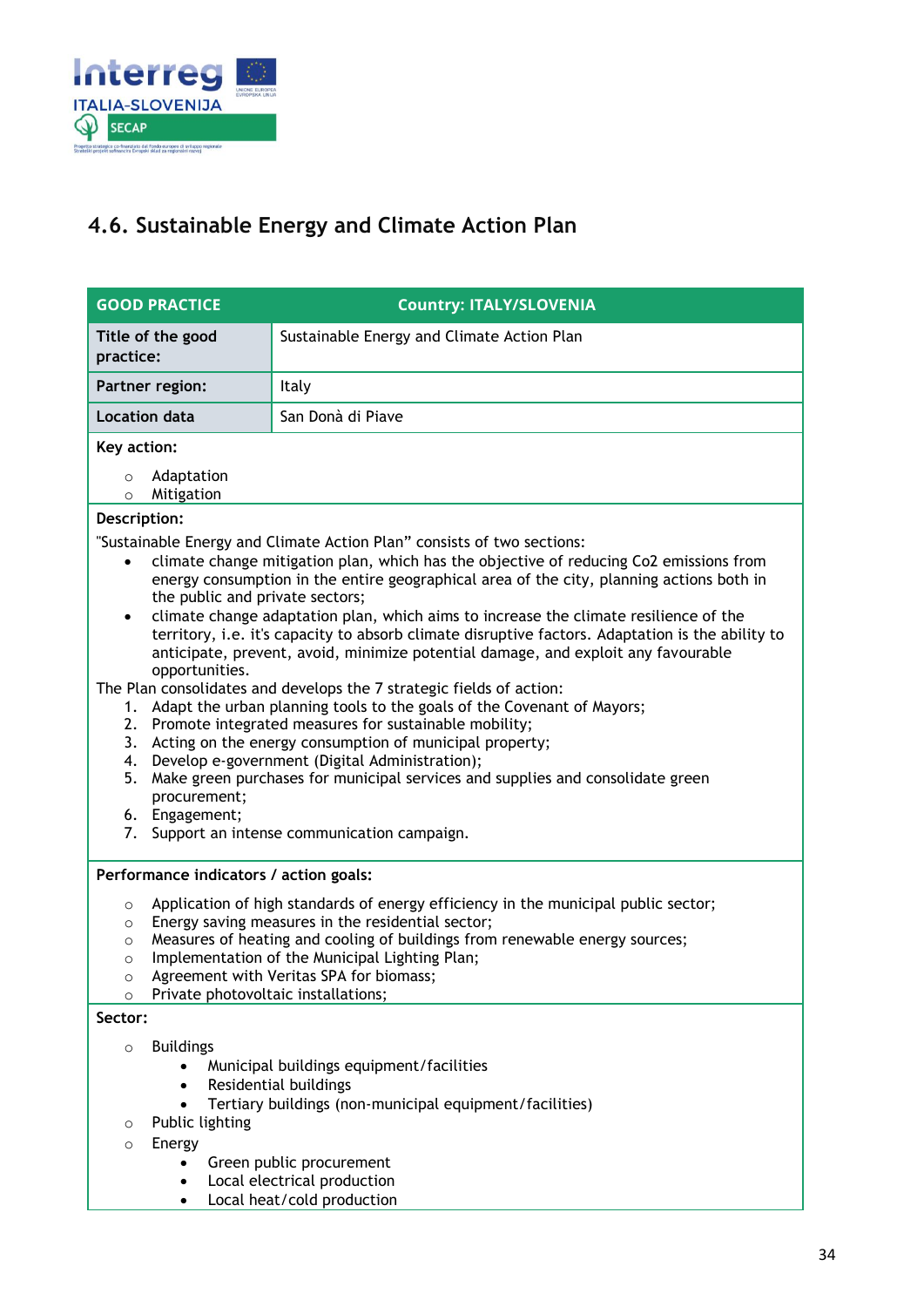

### <span id="page-33-0"></span>**4.6. Sustainable Energy and Climate Action Plan**

| <b>GOOD PRACTICE</b>                                                                                                                                                                                                                                                                                                                                                                                                                                                                                                                                                                                                                                                                                                                                                                                                                                                                                                                                                                                                                                                                                                                                       | <b>Country: ITALY/SLOVENIA</b>                                                                                                                                                                                        |  |
|------------------------------------------------------------------------------------------------------------------------------------------------------------------------------------------------------------------------------------------------------------------------------------------------------------------------------------------------------------------------------------------------------------------------------------------------------------------------------------------------------------------------------------------------------------------------------------------------------------------------------------------------------------------------------------------------------------------------------------------------------------------------------------------------------------------------------------------------------------------------------------------------------------------------------------------------------------------------------------------------------------------------------------------------------------------------------------------------------------------------------------------------------------|-----------------------------------------------------------------------------------------------------------------------------------------------------------------------------------------------------------------------|--|
| Title of the good<br>practice:                                                                                                                                                                                                                                                                                                                                                                                                                                                                                                                                                                                                                                                                                                                                                                                                                                                                                                                                                                                                                                                                                                                             | Sustainable Energy and Climate Action Plan                                                                                                                                                                            |  |
| Partner region:                                                                                                                                                                                                                                                                                                                                                                                                                                                                                                                                                                                                                                                                                                                                                                                                                                                                                                                                                                                                                                                                                                                                            | Italy                                                                                                                                                                                                                 |  |
| <b>Location data</b>                                                                                                                                                                                                                                                                                                                                                                                                                                                                                                                                                                                                                                                                                                                                                                                                                                                                                                                                                                                                                                                                                                                                       | San Donà di Piave                                                                                                                                                                                                     |  |
| Key action:                                                                                                                                                                                                                                                                                                                                                                                                                                                                                                                                                                                                                                                                                                                                                                                                                                                                                                                                                                                                                                                                                                                                                |                                                                                                                                                                                                                       |  |
| Adaptation<br>$\circ$<br>Mitigation<br>$\circ$                                                                                                                                                                                                                                                                                                                                                                                                                                                                                                                                                                                                                                                                                                                                                                                                                                                                                                                                                                                                                                                                                                             |                                                                                                                                                                                                                       |  |
| Description:                                                                                                                                                                                                                                                                                                                                                                                                                                                                                                                                                                                                                                                                                                                                                                                                                                                                                                                                                                                                                                                                                                                                               |                                                                                                                                                                                                                       |  |
| "Sustainable Energy and Climate Action Plan" consists of two sections:<br>climate change mitigation plan, which has the objective of reducing Co2 emissions from<br>$\bullet$<br>energy consumption in the entire geographical area of the city, planning actions both in<br>the public and private sectors;<br>climate change adaptation plan, which aims to increase the climate resilience of the<br>$\bullet$<br>territory, i.e. it's capacity to absorb climate disruptive factors. Adaptation is the ability to<br>anticipate, prevent, avoid, minimize potential damage, and exploit any favourable<br>opportunities.<br>The Plan consolidates and develops the 7 strategic fields of action:<br>Adapt the urban planning tools to the goals of the Covenant of Mayors;<br>1.<br>2.<br>Promote integrated measures for sustainable mobility;<br>3.<br>Acting on the energy consumption of municipal property;<br>Develop e-government (Digital Administration);<br>4.<br>Make green purchases for municipal services and supplies and consolidate green<br>5.<br>procurement;<br>6. Engagement;<br>Support an intense communication campaign.<br>7. |                                                                                                                                                                                                                       |  |
| Performance indicators / action goals:<br>Application of high standards of energy efficiency in the municipal public sector;<br>$\circ$<br>Energy saving measures in the residential sector;<br>$\circ$<br>Measures of heating and cooling of buildings from renewable energy sources;<br>$\circ$<br>Implementation of the Municipal Lighting Plan;<br>$\circ$<br>Agreement with Veritas SPA for biomass;<br>$\circ$<br>Private photovoltaic installations;<br>$\circ$                                                                                                                                                                                                                                                                                                                                                                                                                                                                                                                                                                                                                                                                                     |                                                                                                                                                                                                                       |  |
| Sector:                                                                                                                                                                                                                                                                                                                                                                                                                                                                                                                                                                                                                                                                                                                                                                                                                                                                                                                                                                                                                                                                                                                                                    |                                                                                                                                                                                                                       |  |
| <b>Buildings</b><br>$\circ$<br>$\bullet$<br>Public lighting<br>$\circ$<br>Energy<br>$\circ$                                                                                                                                                                                                                                                                                                                                                                                                                                                                                                                                                                                                                                                                                                                                                                                                                                                                                                                                                                                                                                                                | Municipal buildings equipment/facilities<br>Residential buildings<br>Tertiary buildings (non-municipal equipment/facilities)<br>Green public procurement<br>Local electrical production<br>Local heat/cold production |  |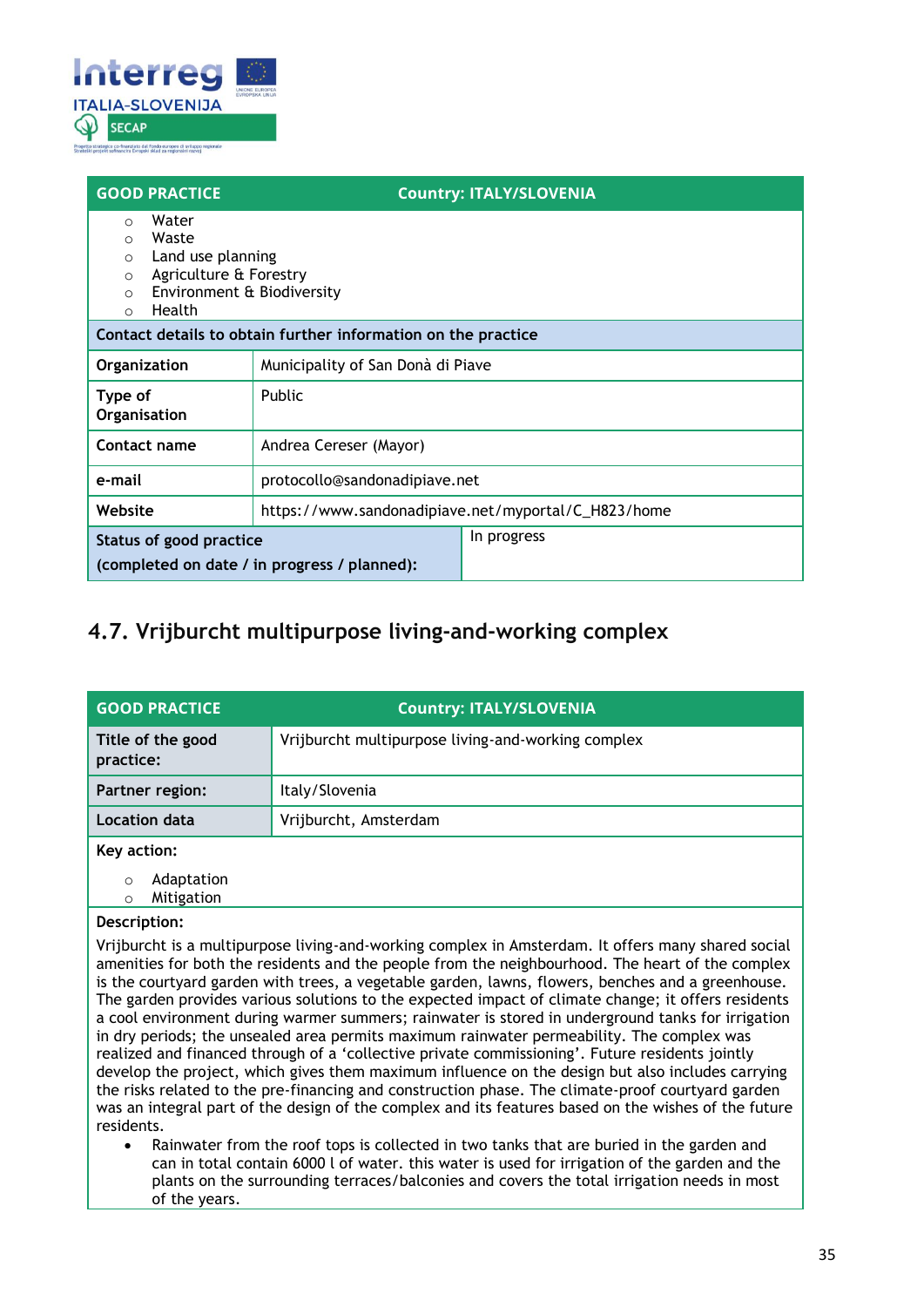

| <b>GOOD PRACTICE</b>                                                                                                                                                                |                                                               | <b>Country: ITALY/SLOVENIA</b> |  |
|-------------------------------------------------------------------------------------------------------------------------------------------------------------------------------------|---------------------------------------------------------------|--------------------------------|--|
| Water<br>$\bigcirc$<br>Waste<br>$\bigcirc$<br>Land use planning<br>$\Omega$<br>Agriculture & Forestry<br>$\Omega$<br>Environment & Biodiversity<br>$\Omega$<br>Health<br>$\bigcirc$ |                                                               |                                |  |
|                                                                                                                                                                                     | Contact details to obtain further information on the practice |                                |  |
| <b>Organization</b>                                                                                                                                                                 | Municipality of San Donà di Piave                             |                                |  |
| Type of<br>Organisation                                                                                                                                                             | Public                                                        |                                |  |
| Contact name                                                                                                                                                                        | Andrea Cereser (Mayor)                                        |                                |  |
| e-mail                                                                                                                                                                              | protocollo@sandonadipiave.net                                 |                                |  |
| Website                                                                                                                                                                             | https://www.sandonadipiave.net/myportal/C_H823/home           |                                |  |
| In progress<br>Status of good practice<br>(completed on date / in progress / planned):                                                                                              |                                                               |                                |  |

### <span id="page-34-0"></span>**4.7. Vrijburcht multipurpose living-and-working complex**

| <b>GOOD PRACTICE</b>               | <b>Country: ITALY/SLOVENIA</b>                     |  |
|------------------------------------|----------------------------------------------------|--|
| Title of the good<br>practice:     | Vrijburcht multipurpose living-and-working complex |  |
| Partner region:                    | Italy/Slovenia                                     |  |
| Location data                      | Vrijburcht, Amsterdam                              |  |
| Key action:                        |                                                    |  |
| Adaptation<br>O<br>Mitigation<br>O |                                                    |  |

#### **Description:**

Vrijburcht is a multipurpose living-and-working complex in Amsterdam. It offers many shared social amenities for both the residents and the people from the neighbourhood. The heart of the complex is the courtyard garden with trees, a vegetable garden, lawns, flowers, benches and a greenhouse. The garden provides various solutions to the expected impact of climate change; it offers residents a cool environment during warmer summers; rainwater is stored in underground tanks for irrigation in dry periods; the unsealed area permits maximum rainwater permeability. The complex was realized and financed through of a 'collective private commissioning'. Future residents jointly develop the project, which gives them maximum influence on the design but also includes carrying the risks related to the pre-financing and construction phase. The climate-proof courtyard garden was an integral part of the design of the complex and its features based on the wishes of the future residents.

• Rainwater from the roof tops is collected in two tanks that are buried in the garden and can in total contain 6000 l of water. this water is used for irrigation of the garden and the plants on the surrounding terraces/balconies and covers the total irrigation needs in most of the years.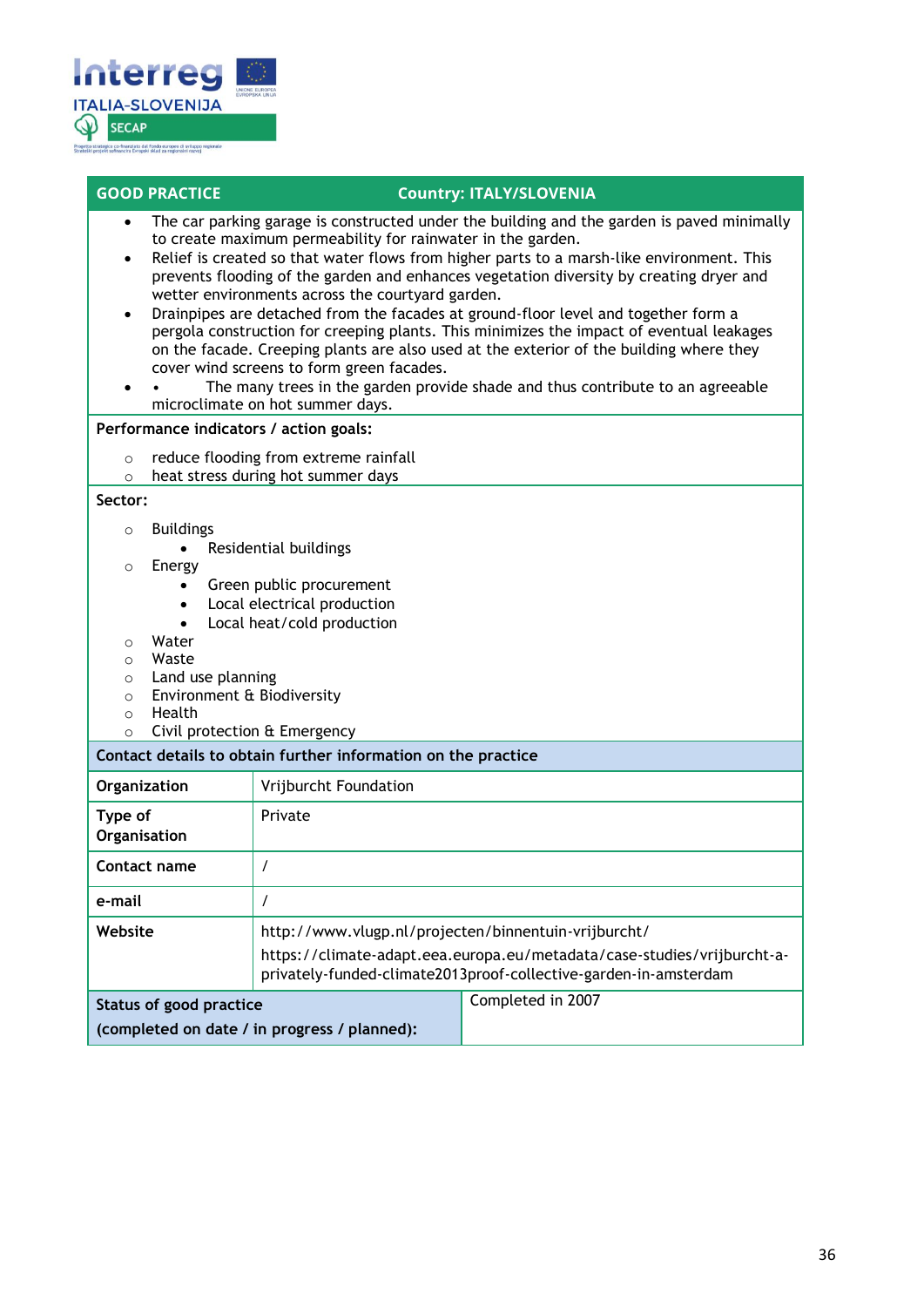

- The car parking garage is constructed under the building and the garden is paved minimally to create maximum permeability for rainwater in the garden.
- Relief is created so that water flows from higher parts to a marsh-like environment. This prevents flooding of the garden and enhances vegetation diversity by creating dryer and wetter environments across the courtyard garden.
- Drainpipes are detached from the facades at ground-floor level and together form a pergola construction for creeping plants. This minimizes the impact of eventual leakages on the facade. Creeping plants are also used at the exterior of the building where they cover wind screens to form green facades.
- The many trees in the garden provide shade and thus contribute to an agreeable microclimate on hot summer days.

#### **Performance indicators / action goals:**

- o reduce flooding from extreme rainfall
- o heat stress during hot summer days

#### **Sector:**

- o Buildings
	- Residential buildings
- o Energy
	- Green public procurement
	- Local electrical production
	- Local heat/cold production
- o Water
- o Waste
- 
- o Land use planning<br>
o Environment & Bio Environment & Biodiversity
- o Health
- o Civil protection & Emergency

#### **Contact details to obtain further information on the practice**

| Organization                                                            | Vrijburcht Foundation                                                                                                                                                                               |                   |
|-------------------------------------------------------------------------|-----------------------------------------------------------------------------------------------------------------------------------------------------------------------------------------------------|-------------------|
| Type of<br>Organisation                                                 | Private                                                                                                                                                                                             |                   |
| Contact name                                                            |                                                                                                                                                                                                     |                   |
| e-mail                                                                  |                                                                                                                                                                                                     |                   |
| Website                                                                 | http://www.vlugp.nl/projecten/binnentuin-vrijburcht/<br>https://climate-adapt.eea.europa.eu/metadata/case-studies/vrijburcht-a-<br>privately-funded-climate2013proof-collective-garden-in-amsterdam |                   |
| Status of good practice<br>(completed on date / in progress / planned): |                                                                                                                                                                                                     | Completed in 2007 |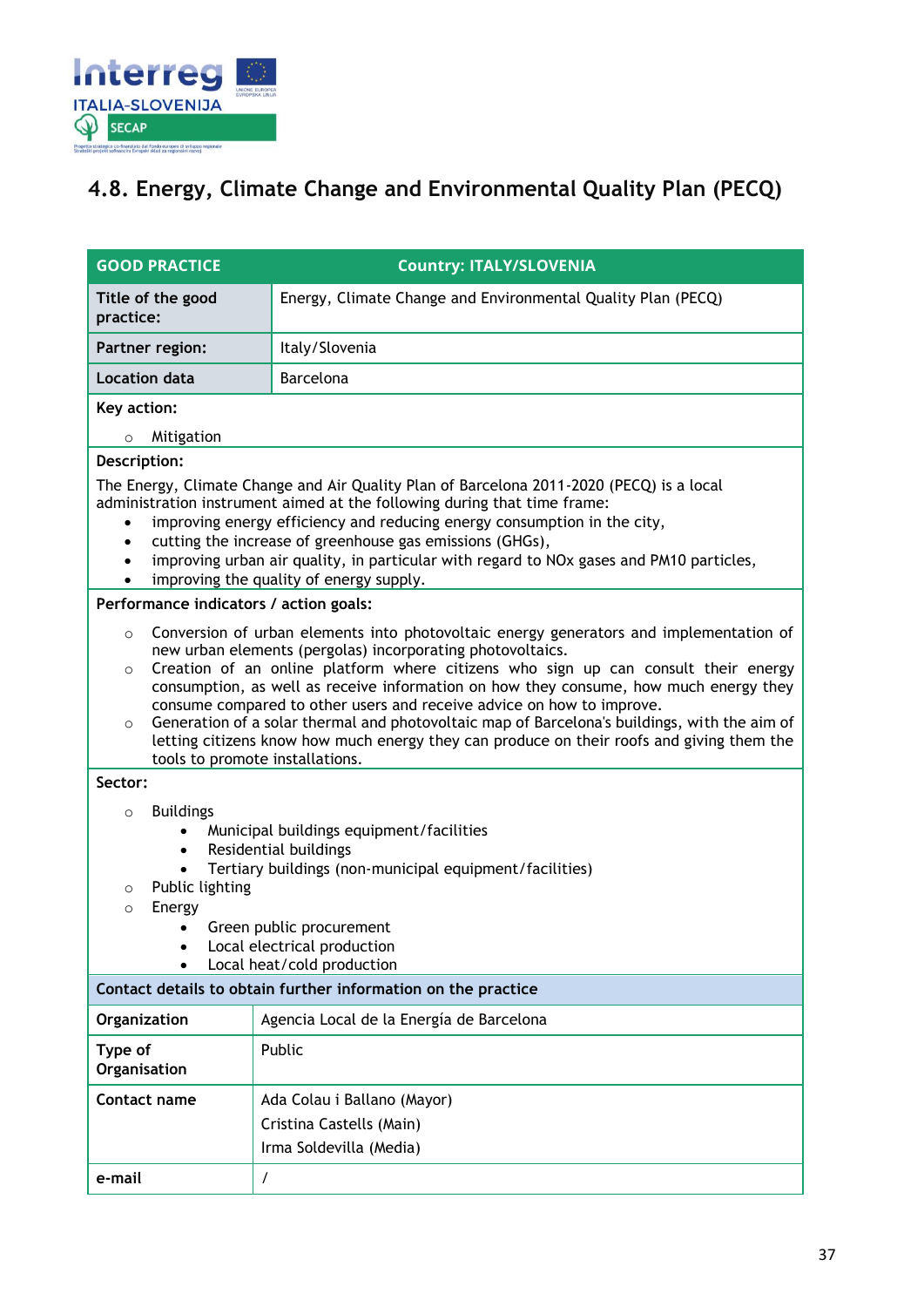

### <span id="page-36-0"></span>**4.8. Energy, Climate Change and Environmental Quality Plan (PECQ)**

| <b>GOOD PRACTICE</b>                                                                                                                                                                                                                                                                                                                                                                                                                                                                                                                                                                                                                                                          | <b>Country: ITALY/SLOVENIA</b>                                                     |  |  |
|-------------------------------------------------------------------------------------------------------------------------------------------------------------------------------------------------------------------------------------------------------------------------------------------------------------------------------------------------------------------------------------------------------------------------------------------------------------------------------------------------------------------------------------------------------------------------------------------------------------------------------------------------------------------------------|------------------------------------------------------------------------------------|--|--|
| Energy, Climate Change and Environmental Quality Plan (PECQ)<br>Title of the good<br>practice:                                                                                                                                                                                                                                                                                                                                                                                                                                                                                                                                                                                |                                                                                    |  |  |
| Partner region:                                                                                                                                                                                                                                                                                                                                                                                                                                                                                                                                                                                                                                                               | Italy/Slovenia                                                                     |  |  |
| Location data                                                                                                                                                                                                                                                                                                                                                                                                                                                                                                                                                                                                                                                                 | Barcelona                                                                          |  |  |
| Key action:                                                                                                                                                                                                                                                                                                                                                                                                                                                                                                                                                                                                                                                                   |                                                                                    |  |  |
| Mitigation<br>$\circ$                                                                                                                                                                                                                                                                                                                                                                                                                                                                                                                                                                                                                                                         |                                                                                    |  |  |
| Description:<br>The Energy, Climate Change and Air Quality Plan of Barcelona 2011-2020 (PECQ) is a local<br>administration instrument aimed at the following during that time frame:<br>improving energy efficiency and reducing energy consumption in the city,<br>$\bullet$<br>cutting the increase of greenhouse gas emissions (GHGs),<br>improving urban air quality, in particular with regard to NOx gases and PM10 particles,<br>improving the quality of energy supply.                                                                                                                                                                                               |                                                                                    |  |  |
| Performance indicators / action goals:                                                                                                                                                                                                                                                                                                                                                                                                                                                                                                                                                                                                                                        |                                                                                    |  |  |
| Conversion of urban elements into photovoltaic energy generators and implementation of<br>$\circ$<br>new urban elements (pergolas) incorporating photovoltaics.<br>Creation of an online platform where citizens who sign up can consult their energy<br>$\circ$<br>consumption, as well as receive information on how they consume, how much energy they<br>consume compared to other users and receive advice on how to improve.<br>Generation of a solar thermal and photovoltaic map of Barcelona's buildings, with the aim of<br>$\circ$<br>letting citizens know how much energy they can produce on their roofs and giving them the<br>tools to promote installations. |                                                                                    |  |  |
| Sector:                                                                                                                                                                                                                                                                                                                                                                                                                                                                                                                                                                                                                                                                       |                                                                                    |  |  |
| <b>Buildings</b><br>$\circ$<br>Municipal buildings equipment/facilities<br>Residential buildings<br>$\bullet$<br>Tertiary buildings (non-municipal equipment/facilities)<br>Public lighting<br>$\circ$<br>Energy<br>$\circ$<br>Green public procurement<br>Local electrical production<br>٠<br>Local heat/cold production                                                                                                                                                                                                                                                                                                                                                     |                                                                                    |  |  |
| Contact details to obtain further information on the practice                                                                                                                                                                                                                                                                                                                                                                                                                                                                                                                                                                                                                 |                                                                                    |  |  |
| Organization                                                                                                                                                                                                                                                                                                                                                                                                                                                                                                                                                                                                                                                                  | Agencia Local de la Energía de Barcelona                                           |  |  |
| Type of<br>Organisation                                                                                                                                                                                                                                                                                                                                                                                                                                                                                                                                                                                                                                                       | Public                                                                             |  |  |
| Contact name                                                                                                                                                                                                                                                                                                                                                                                                                                                                                                                                                                                                                                                                  | Ada Colau i Ballano (Mayor)<br>Cristina Castells (Main)<br>Irma Soldevilla (Media) |  |  |
| e-mail                                                                                                                                                                                                                                                                                                                                                                                                                                                                                                                                                                                                                                                                        | $\prime$                                                                           |  |  |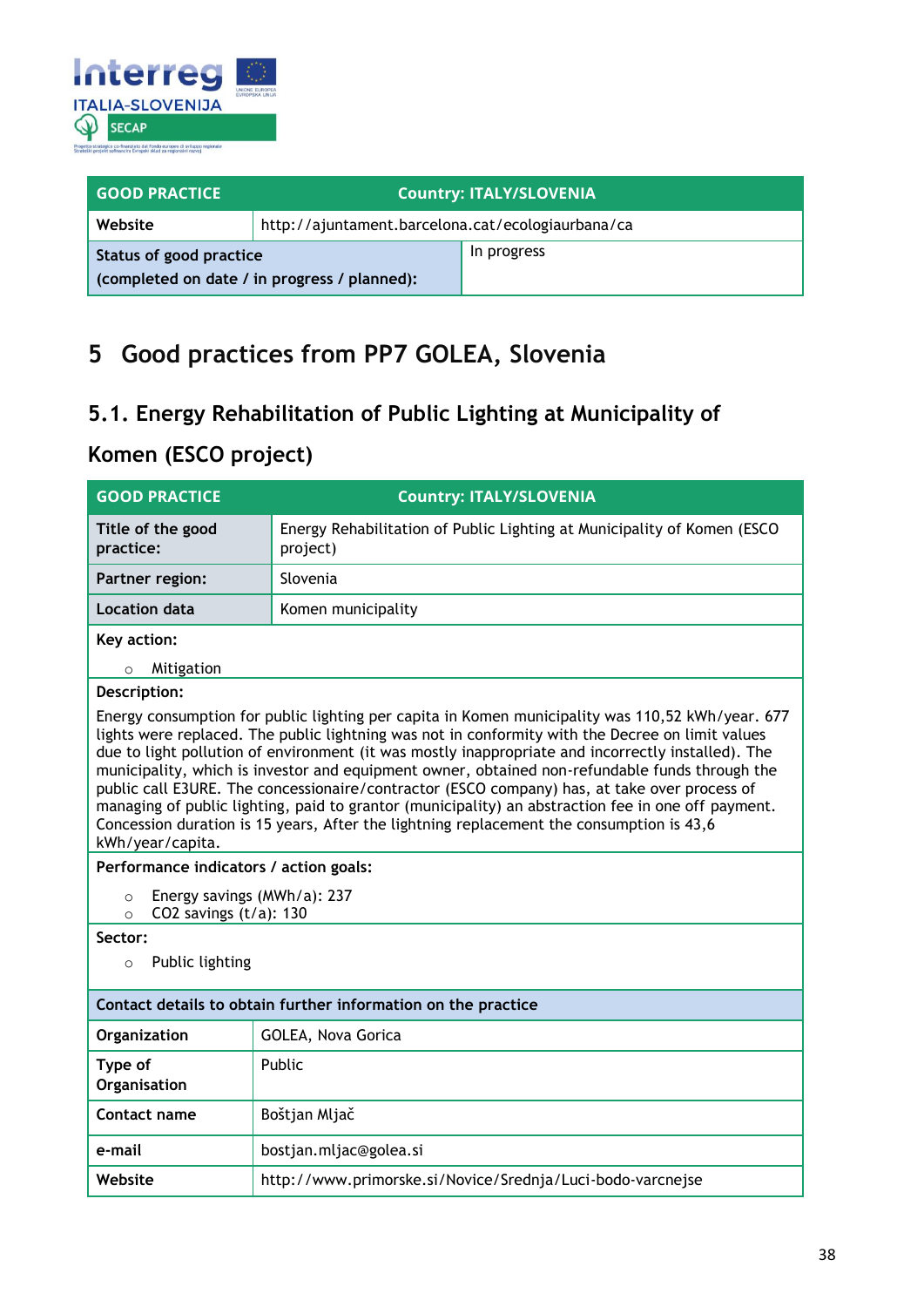

| <b>GOOD PRACTICE</b>                                                    | <b>Country: ITALY/SLOVENIA</b>                    |             |
|-------------------------------------------------------------------------|---------------------------------------------------|-------------|
| Website                                                                 | http://ajuntament.barcelona.cat/ecologiaurbana/ca |             |
| Status of good practice<br>(completed on date / in progress / planned): |                                                   | In progress |

## <span id="page-37-0"></span>**5 Good practices from PP7 GOLEA, Slovenia**

### <span id="page-37-1"></span>**5.1. Energy Rehabilitation of Public Lighting at Municipality of**

### <span id="page-37-2"></span>**Komen (ESCO project)**

| <b>GOOD PRACTICE</b>                                                                                                                                                                                                                                                                                                                                                                                                                                                                                                                                                                                                                                                                                                               | <b>Country: ITALY/SLOVENIA</b>                                                      |  |  |
|------------------------------------------------------------------------------------------------------------------------------------------------------------------------------------------------------------------------------------------------------------------------------------------------------------------------------------------------------------------------------------------------------------------------------------------------------------------------------------------------------------------------------------------------------------------------------------------------------------------------------------------------------------------------------------------------------------------------------------|-------------------------------------------------------------------------------------|--|--|
| Title of the good<br>practice:                                                                                                                                                                                                                                                                                                                                                                                                                                                                                                                                                                                                                                                                                                     | Energy Rehabilitation of Public Lighting at Municipality of Komen (ESCO<br>project) |  |  |
| Partner region:                                                                                                                                                                                                                                                                                                                                                                                                                                                                                                                                                                                                                                                                                                                    | Slovenia                                                                            |  |  |
| <b>Location data</b>                                                                                                                                                                                                                                                                                                                                                                                                                                                                                                                                                                                                                                                                                                               | Komen municipality                                                                  |  |  |
| Key action:                                                                                                                                                                                                                                                                                                                                                                                                                                                                                                                                                                                                                                                                                                                        |                                                                                     |  |  |
| Mitigation<br>$\circ$                                                                                                                                                                                                                                                                                                                                                                                                                                                                                                                                                                                                                                                                                                              |                                                                                     |  |  |
| Description:                                                                                                                                                                                                                                                                                                                                                                                                                                                                                                                                                                                                                                                                                                                       |                                                                                     |  |  |
| Energy consumption for public lighting per capita in Komen municipality was 110,52 kWh/year. 677<br>lights were replaced. The public lightning was not in conformity with the Decree on limit values<br>due to light pollution of environment (it was mostly inappropriate and incorrectly installed). The<br>municipality, which is investor and equipment owner, obtained non-refundable funds through the<br>public call E3URE. The concessionaire/contractor (ESCO company) has, at take over process of<br>managing of public lighting, paid to grantor (municipality) an abstraction fee in one off payment.<br>Concession duration is 15 years, After the lightning replacement the consumption is 43,6<br>kWh/year/capita. |                                                                                     |  |  |
| Performance indicators / action goals:                                                                                                                                                                                                                                                                                                                                                                                                                                                                                                                                                                                                                                                                                             |                                                                                     |  |  |
| Energy savings (MWh/a): 237<br>$\circ$<br>CO2 savings $(t/a)$ : 130<br>$\circ$                                                                                                                                                                                                                                                                                                                                                                                                                                                                                                                                                                                                                                                     |                                                                                     |  |  |
| Sector:                                                                                                                                                                                                                                                                                                                                                                                                                                                                                                                                                                                                                                                                                                                            |                                                                                     |  |  |
| Public lighting<br>$\circ$                                                                                                                                                                                                                                                                                                                                                                                                                                                                                                                                                                                                                                                                                                         |                                                                                     |  |  |
| Contact details to obtain further information on the practice                                                                                                                                                                                                                                                                                                                                                                                                                                                                                                                                                                                                                                                                      |                                                                                     |  |  |
| Organization                                                                                                                                                                                                                                                                                                                                                                                                                                                                                                                                                                                                                                                                                                                       | GOLEA, Nova Gorica                                                                  |  |  |
| Type of<br>Organisation                                                                                                                                                                                                                                                                                                                                                                                                                                                                                                                                                                                                                                                                                                            | Public                                                                              |  |  |
| Contact name                                                                                                                                                                                                                                                                                                                                                                                                                                                                                                                                                                                                                                                                                                                       | Boštjan Mljač                                                                       |  |  |
| e-mail                                                                                                                                                                                                                                                                                                                                                                                                                                                                                                                                                                                                                                                                                                                             | bostjan.mljac@golea.si                                                              |  |  |
| Website                                                                                                                                                                                                                                                                                                                                                                                                                                                                                                                                                                                                                                                                                                                            | http://www.primorske.si/Novice/Srednja/Luci-bodo-varcnejse                          |  |  |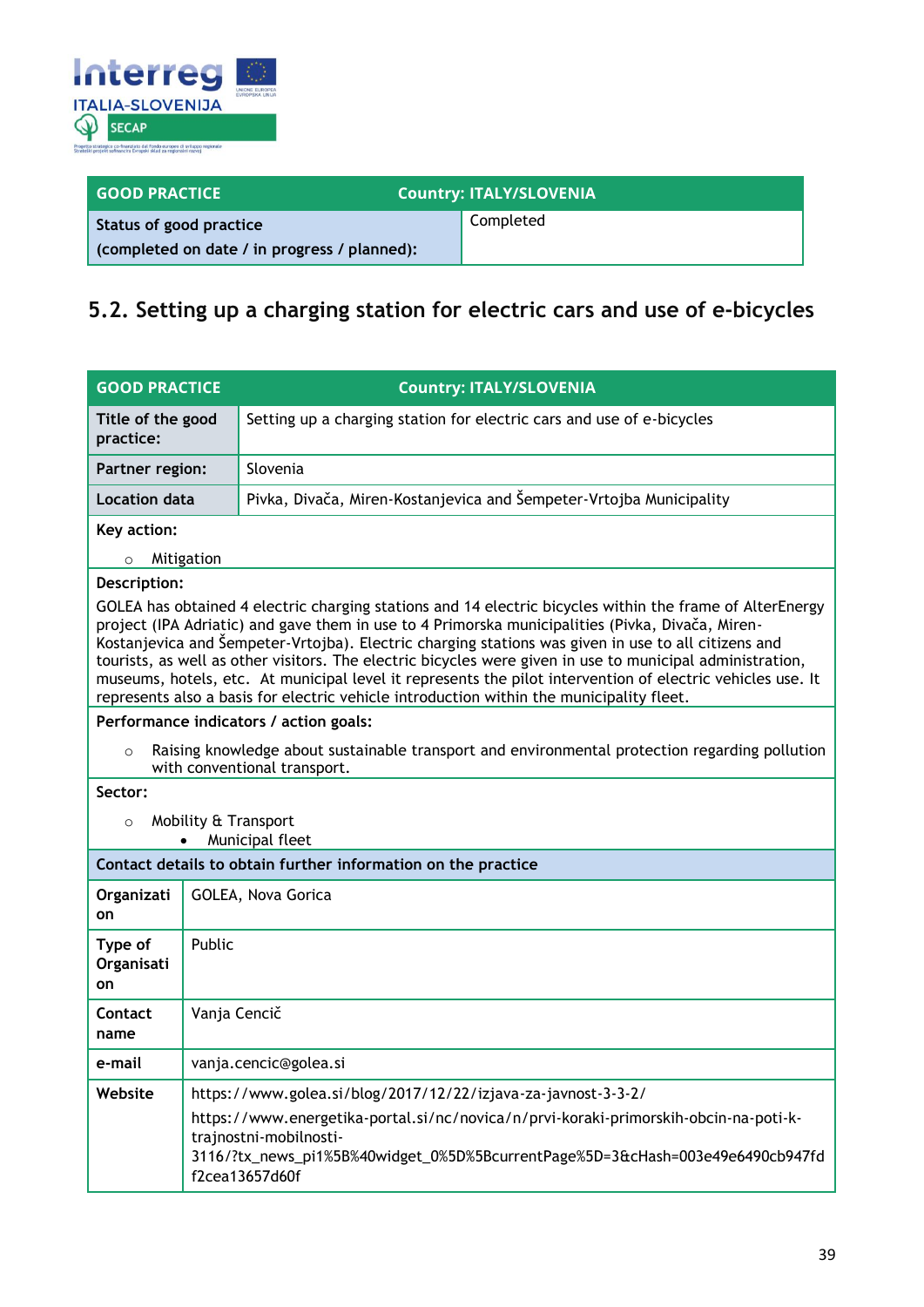

| <b>GOOD PRACTICE</b>                         | <b>Country: ITALY/SLOVENIA</b> |  |
|----------------------------------------------|--------------------------------|--|
| Status of good practice                      | Completed                      |  |
| (completed on date / in progress / planned): |                                |  |

### <span id="page-38-0"></span>**5.2. Setting up a charging station for electric cars and use of e-bicycles**

| <b>GOOD PRACTICE</b>                                                                                                                                                                                                                                                                                                                                                                                                                                                                                                                                                                                                                       |              | <b>Country: ITALY/SLOVENIA</b>                                                                                                                                                                                     |  |
|--------------------------------------------------------------------------------------------------------------------------------------------------------------------------------------------------------------------------------------------------------------------------------------------------------------------------------------------------------------------------------------------------------------------------------------------------------------------------------------------------------------------------------------------------------------------------------------------------------------------------------------------|--------------|--------------------------------------------------------------------------------------------------------------------------------------------------------------------------------------------------------------------|--|
| Title of the good<br>practice:                                                                                                                                                                                                                                                                                                                                                                                                                                                                                                                                                                                                             |              | Setting up a charging station for electric cars and use of e-bicycles                                                                                                                                              |  |
| <b>Partner region:</b>                                                                                                                                                                                                                                                                                                                                                                                                                                                                                                                                                                                                                     |              | Slovenia                                                                                                                                                                                                           |  |
| <b>Location data</b>                                                                                                                                                                                                                                                                                                                                                                                                                                                                                                                                                                                                                       |              | Pivka, Divača, Miren-Kostanjevica and Šempeter-Vrtojba Municipality                                                                                                                                                |  |
| Key action:                                                                                                                                                                                                                                                                                                                                                                                                                                                                                                                                                                                                                                |              |                                                                                                                                                                                                                    |  |
| $\circ$                                                                                                                                                                                                                                                                                                                                                                                                                                                                                                                                                                                                                                    | Mitigation   |                                                                                                                                                                                                                    |  |
| Description:                                                                                                                                                                                                                                                                                                                                                                                                                                                                                                                                                                                                                               |              |                                                                                                                                                                                                                    |  |
| GOLEA has obtained 4 electric charging stations and 14 electric bicycles within the frame of AlterEnergy<br>project (IPA Adriatic) and gave them in use to 4 Primorska municipalities (Pivka, Divača, Miren-<br>Kostanjevica and Šempeter-Vrtojba). Electric charging stations was given in use to all citizens and<br>tourists, as well as other visitors. The electric bicycles were given in use to municipal administration,<br>museums, hotels, etc. At municipal level it represents the pilot intervention of electric vehicles use. It<br>represents also a basis for electric vehicle introduction within the municipality fleet. |              |                                                                                                                                                                                                                    |  |
|                                                                                                                                                                                                                                                                                                                                                                                                                                                                                                                                                                                                                                            |              | Performance indicators / action goals:                                                                                                                                                                             |  |
| $\circ$                                                                                                                                                                                                                                                                                                                                                                                                                                                                                                                                                                                                                                    |              | Raising knowledge about sustainable transport and environmental protection regarding pollution<br>with conventional transport.                                                                                     |  |
| Sector:                                                                                                                                                                                                                                                                                                                                                                                                                                                                                                                                                                                                                                    |              |                                                                                                                                                                                                                    |  |
| Mobility & Transport<br>$\circ$<br>Municipal fleet                                                                                                                                                                                                                                                                                                                                                                                                                                                                                                                                                                                         |              |                                                                                                                                                                                                                    |  |
| Contact details to obtain further information on the practice                                                                                                                                                                                                                                                                                                                                                                                                                                                                                                                                                                              |              |                                                                                                                                                                                                                    |  |
| Organizati<br>on                                                                                                                                                                                                                                                                                                                                                                                                                                                                                                                                                                                                                           |              | GOLEA, Nova Gorica                                                                                                                                                                                                 |  |
| Type of<br>Organisati<br>on                                                                                                                                                                                                                                                                                                                                                                                                                                                                                                                                                                                                                | Public       |                                                                                                                                                                                                                    |  |
| Contact<br>name                                                                                                                                                                                                                                                                                                                                                                                                                                                                                                                                                                                                                            | Vanja Cencič |                                                                                                                                                                                                                    |  |
| e-mail                                                                                                                                                                                                                                                                                                                                                                                                                                                                                                                                                                                                                                     |              | vanja.cencic@golea.si                                                                                                                                                                                              |  |
| Website                                                                                                                                                                                                                                                                                                                                                                                                                                                                                                                                                                                                                                    |              | https://www.golea.si/blog/2017/12/22/izjava-za-javnost-3-3-2/                                                                                                                                                      |  |
|                                                                                                                                                                                                                                                                                                                                                                                                                                                                                                                                                                                                                                            |              | https://www.energetika-portal.si/nc/novica/n/prvi-koraki-primorskih-obcin-na-poti-k-<br>trajnostni-mobilnosti-<br>3116/?tx_news_pi1%5B%40widget_0%5D%5BcurrentPage%5D=3&cHash=003e49e6490cb947fd<br>f2cea13657d60f |  |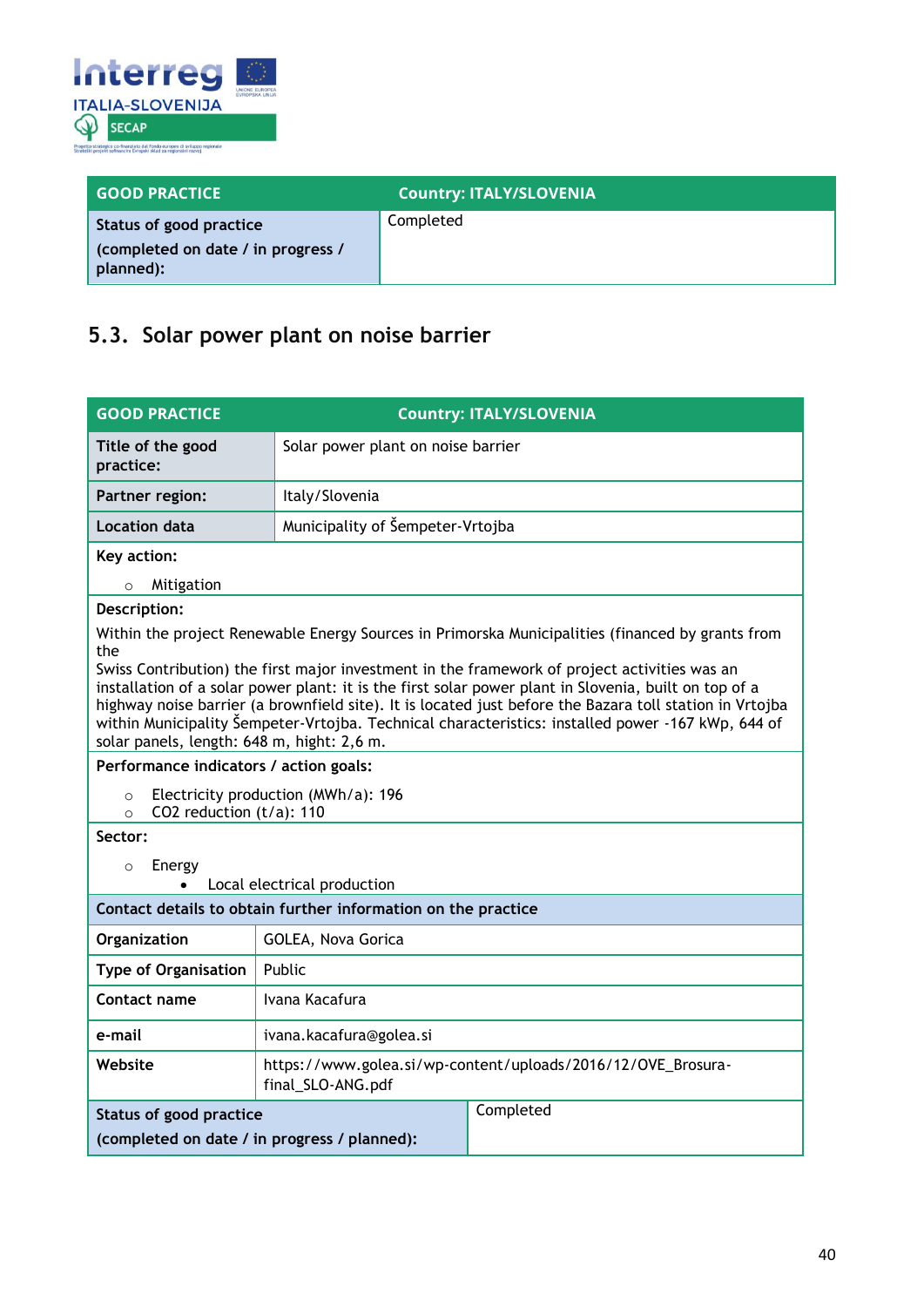

| <b>GOOD PRACTICE</b>                                                       | <b>Country: ITALY/SLOVENIA</b> |
|----------------------------------------------------------------------------|--------------------------------|
| Status of good practice<br>(completed on date / in progress /<br>planned): | Completed                      |

### <span id="page-39-0"></span>**5.3. Solar power plant on noise barrier**

| <b>GOOD PRACTICE</b>                                                                                                                                                                                                                                                                                                                                                                                                                                                | <b>Country: ITALY/SLOVENIA</b>                                                                   |  |  |
|---------------------------------------------------------------------------------------------------------------------------------------------------------------------------------------------------------------------------------------------------------------------------------------------------------------------------------------------------------------------------------------------------------------------------------------------------------------------|--------------------------------------------------------------------------------------------------|--|--|
| Title of the good<br>practice:                                                                                                                                                                                                                                                                                                                                                                                                                                      | Solar power plant on noise barrier                                                               |  |  |
| Partner region:                                                                                                                                                                                                                                                                                                                                                                                                                                                     | Italy/Slovenia                                                                                   |  |  |
| <b>Location data</b>                                                                                                                                                                                                                                                                                                                                                                                                                                                | Municipality of Šempeter-Vrtojba                                                                 |  |  |
| Key action:                                                                                                                                                                                                                                                                                                                                                                                                                                                         |                                                                                                  |  |  |
| Mitigation<br>$\circ$                                                                                                                                                                                                                                                                                                                                                                                                                                               |                                                                                                  |  |  |
| Description:                                                                                                                                                                                                                                                                                                                                                                                                                                                        |                                                                                                  |  |  |
| the                                                                                                                                                                                                                                                                                                                                                                                                                                                                 | Within the project Renewable Energy Sources in Primorska Municipalities (financed by grants from |  |  |
| Swiss Contribution) the first major investment in the framework of project activities was an<br>installation of a solar power plant: it is the first solar power plant in Slovenia, built on top of a<br>highway noise barrier (a brownfield site). It is located just before the Bazara toll station in Vrtojba<br>within Municipality Šempeter-Vrtojba. Technical characteristics: installed power -167 kWp, 644 of<br>solar panels, length: 648 m, hight: 2,6 m. |                                                                                                  |  |  |
| Performance indicators / action goals:                                                                                                                                                                                                                                                                                                                                                                                                                              |                                                                                                  |  |  |
| Electricity production (MWh/a): 196<br>$\circ$<br>CO2 reduction (t/a): 110<br>$\Omega$                                                                                                                                                                                                                                                                                                                                                                              |                                                                                                  |  |  |
| Sector:                                                                                                                                                                                                                                                                                                                                                                                                                                                             |                                                                                                  |  |  |
| Energy<br>$\circ$                                                                                                                                                                                                                                                                                                                                                                                                                                                   |                                                                                                  |  |  |
| Local electrical production                                                                                                                                                                                                                                                                                                                                                                                                                                         |                                                                                                  |  |  |
| Contact details to obtain further information on the practice                                                                                                                                                                                                                                                                                                                                                                                                       |                                                                                                  |  |  |
| Organization                                                                                                                                                                                                                                                                                                                                                                                                                                                        | GOLEA, Nova Gorica                                                                               |  |  |
| <b>Type of Organisation</b>                                                                                                                                                                                                                                                                                                                                                                                                                                         | Public                                                                                           |  |  |
| Contact name                                                                                                                                                                                                                                                                                                                                                                                                                                                        | Ivana Kacafura                                                                                   |  |  |
| e-mail                                                                                                                                                                                                                                                                                                                                                                                                                                                              | ivana.kacafura@golea.si                                                                          |  |  |
| Website                                                                                                                                                                                                                                                                                                                                                                                                                                                             | https://www.golea.si/wp-content/uploads/2016/12/OVE_Brosura-<br>final_SLO-ANG.pdf                |  |  |
| <b>Status of good practice</b>                                                                                                                                                                                                                                                                                                                                                                                                                                      | Completed                                                                                        |  |  |
| (completed on date / in progress / planned):                                                                                                                                                                                                                                                                                                                                                                                                                        |                                                                                                  |  |  |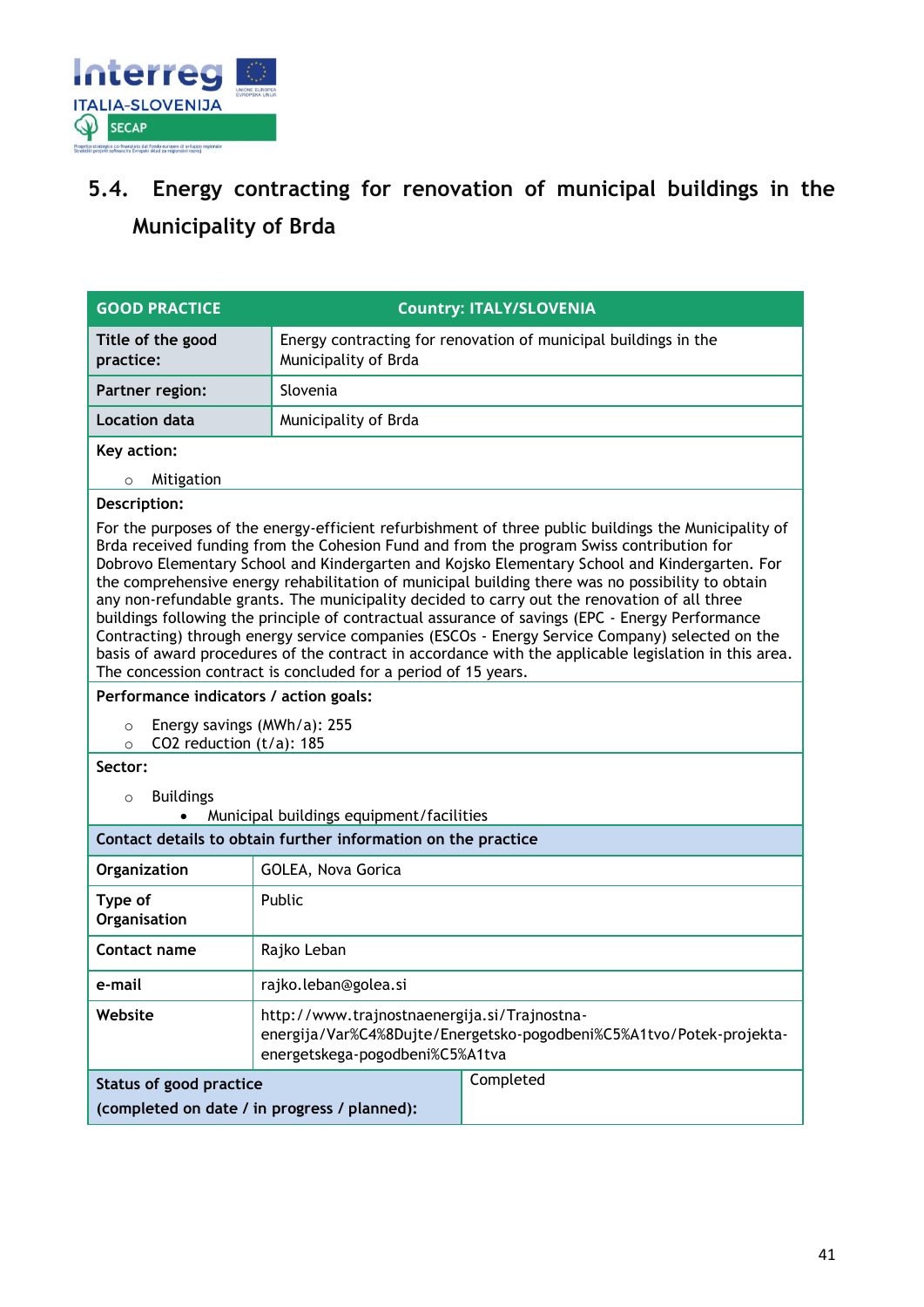

## <span id="page-40-0"></span>**5.4. Energy contracting for renovation of municipal buildings in the Municipality of Brda**

| <b>GOOD PRACTICE</b>                                                                                                                                                                                                                                                                                                                                                                                                                                                                                                                                                                                                                                                                                                                                                                                                                                                                                                                                                                                                         | <b>Country: ITALY/SLOVENIA</b>                                                                                                                          |  |  |
|------------------------------------------------------------------------------------------------------------------------------------------------------------------------------------------------------------------------------------------------------------------------------------------------------------------------------------------------------------------------------------------------------------------------------------------------------------------------------------------------------------------------------------------------------------------------------------------------------------------------------------------------------------------------------------------------------------------------------------------------------------------------------------------------------------------------------------------------------------------------------------------------------------------------------------------------------------------------------------------------------------------------------|---------------------------------------------------------------------------------------------------------------------------------------------------------|--|--|
| Title of the good<br>practice:                                                                                                                                                                                                                                                                                                                                                                                                                                                                                                                                                                                                                                                                                                                                                                                                                                                                                                                                                                                               | Energy contracting for renovation of municipal buildings in the<br>Municipality of Brda                                                                 |  |  |
| Partner region:                                                                                                                                                                                                                                                                                                                                                                                                                                                                                                                                                                                                                                                                                                                                                                                                                                                                                                                                                                                                              | Slovenia                                                                                                                                                |  |  |
| <b>Location data</b>                                                                                                                                                                                                                                                                                                                                                                                                                                                                                                                                                                                                                                                                                                                                                                                                                                                                                                                                                                                                         | Municipality of Brda                                                                                                                                    |  |  |
| Key action:                                                                                                                                                                                                                                                                                                                                                                                                                                                                                                                                                                                                                                                                                                                                                                                                                                                                                                                                                                                                                  |                                                                                                                                                         |  |  |
| Mitigation<br>$\circ$                                                                                                                                                                                                                                                                                                                                                                                                                                                                                                                                                                                                                                                                                                                                                                                                                                                                                                                                                                                                        |                                                                                                                                                         |  |  |
| Description:                                                                                                                                                                                                                                                                                                                                                                                                                                                                                                                                                                                                                                                                                                                                                                                                                                                                                                                                                                                                                 |                                                                                                                                                         |  |  |
| For the purposes of the energy-efficient refurbishment of three public buildings the Municipality of<br>Brda received funding from the Cohesion Fund and from the program Swiss contribution for<br>Dobrovo Elementary School and Kindergarten and Kojsko Elementary School and Kindergarten. For<br>the comprehensive energy rehabilitation of municipal building there was no possibility to obtain<br>any non-refundable grants. The municipality decided to carry out the renovation of all three<br>buildings following the principle of contractual assurance of savings (EPC - Energy Performance<br>Contracting) through energy service companies (ESCOs - Energy Service Company) selected on the<br>basis of award procedures of the contract in accordance with the applicable legislation in this area.<br>The concession contract is concluded for a period of 15 years.<br>Performance indicators / action goals:<br>Energy savings (MWh/a): 255<br>$\circ$<br>CO2 reduction (t/a): 185<br>$\Omega$<br>Sector: |                                                                                                                                                         |  |  |
| <b>Buildings</b><br>$\circ$<br>Municipal buildings equipment/facilities                                                                                                                                                                                                                                                                                                                                                                                                                                                                                                                                                                                                                                                                                                                                                                                                                                                                                                                                                      |                                                                                                                                                         |  |  |
| Contact details to obtain further information on the practice                                                                                                                                                                                                                                                                                                                                                                                                                                                                                                                                                                                                                                                                                                                                                                                                                                                                                                                                                                |                                                                                                                                                         |  |  |
| Organization                                                                                                                                                                                                                                                                                                                                                                                                                                                                                                                                                                                                                                                                                                                                                                                                                                                                                                                                                                                                                 | GOLEA, Nova Gorica                                                                                                                                      |  |  |
| Type of<br>Organisation                                                                                                                                                                                                                                                                                                                                                                                                                                                                                                                                                                                                                                                                                                                                                                                                                                                                                                                                                                                                      | Public                                                                                                                                                  |  |  |
| Contact name                                                                                                                                                                                                                                                                                                                                                                                                                                                                                                                                                                                                                                                                                                                                                                                                                                                                                                                                                                                                                 | Rajko Leban                                                                                                                                             |  |  |
| e-mail                                                                                                                                                                                                                                                                                                                                                                                                                                                                                                                                                                                                                                                                                                                                                                                                                                                                                                                                                                                                                       | rajko.leban@golea.si                                                                                                                                    |  |  |
| Website                                                                                                                                                                                                                                                                                                                                                                                                                                                                                                                                                                                                                                                                                                                                                                                                                                                                                                                                                                                                                      | http://www.trajnostnaenergija.si/Trajnostna-<br>energija/Var%C4%8Dujte/Energetsko-pogodbeni%C5%A1tvo/Potek-projekta-<br>energetskega-pogodbeni%C5%A1tva |  |  |
| Status of good practice                                                                                                                                                                                                                                                                                                                                                                                                                                                                                                                                                                                                                                                                                                                                                                                                                                                                                                                                                                                                      | Completed                                                                                                                                               |  |  |
|                                                                                                                                                                                                                                                                                                                                                                                                                                                                                                                                                                                                                                                                                                                                                                                                                                                                                                                                                                                                                              | (completed on date / in progress / planned):                                                                                                            |  |  |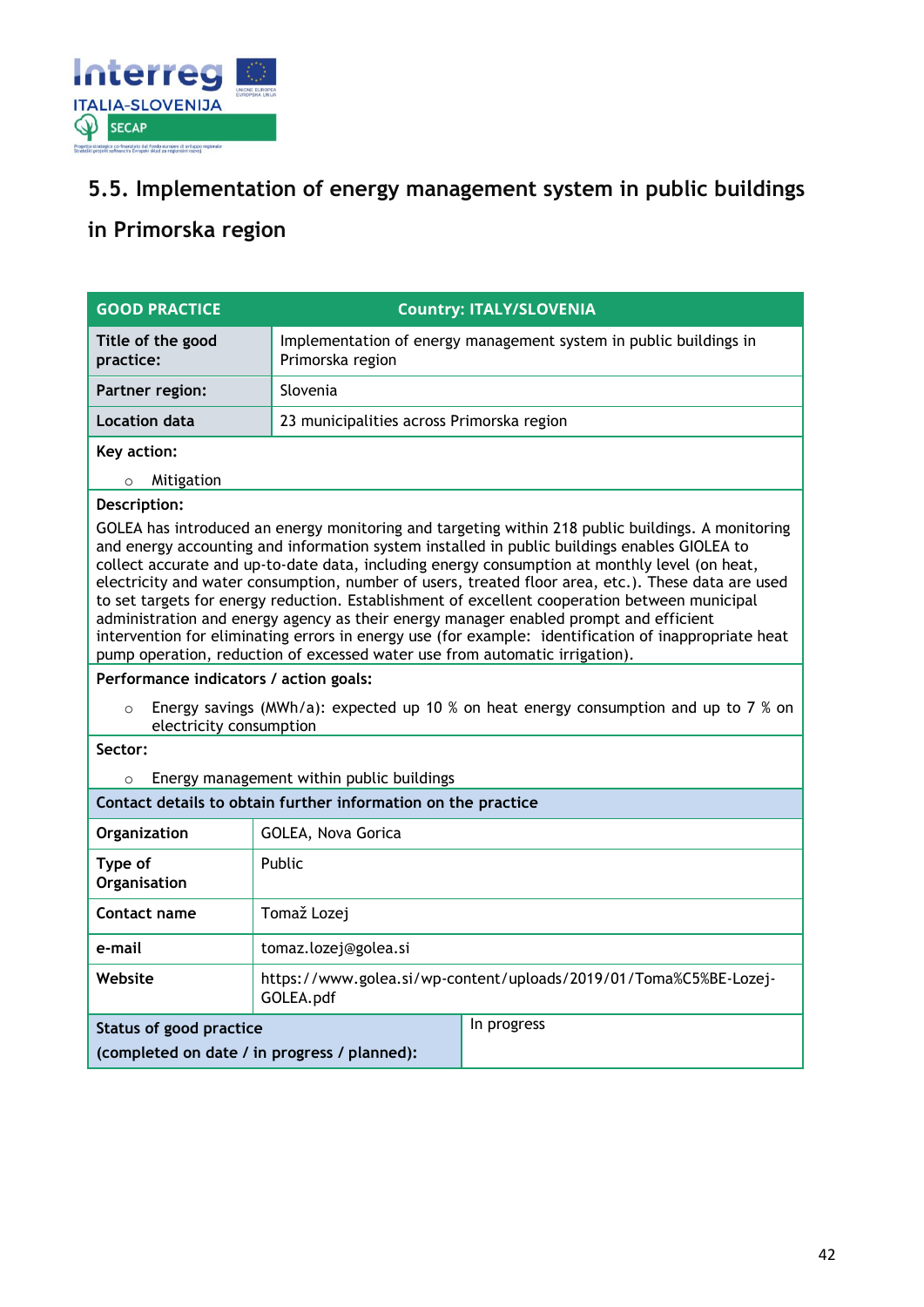

### <span id="page-41-0"></span>**5.5. Implementation of energy management system in public buildings**

### <span id="page-41-1"></span>**in Primorska region**

| <b>GOOD PRACTICE</b>                                                                                                                                                                                                                                                                                                                                                                                                                                                                                                                                                                                                                                                                                                                                                                      | <b>Country: ITALY/SLOVENIA</b>                                                        |             |  |
|-------------------------------------------------------------------------------------------------------------------------------------------------------------------------------------------------------------------------------------------------------------------------------------------------------------------------------------------------------------------------------------------------------------------------------------------------------------------------------------------------------------------------------------------------------------------------------------------------------------------------------------------------------------------------------------------------------------------------------------------------------------------------------------------|---------------------------------------------------------------------------------------|-------------|--|
| Title of the good<br>practice:                                                                                                                                                                                                                                                                                                                                                                                                                                                                                                                                                                                                                                                                                                                                                            | Implementation of energy management system in public buildings in<br>Primorska region |             |  |
| Partner region:                                                                                                                                                                                                                                                                                                                                                                                                                                                                                                                                                                                                                                                                                                                                                                           | Slovenia                                                                              |             |  |
| Location data                                                                                                                                                                                                                                                                                                                                                                                                                                                                                                                                                                                                                                                                                                                                                                             | 23 municipalities across Primorska region                                             |             |  |
| Key action:                                                                                                                                                                                                                                                                                                                                                                                                                                                                                                                                                                                                                                                                                                                                                                               |                                                                                       |             |  |
| Mitigation<br>$\circ$                                                                                                                                                                                                                                                                                                                                                                                                                                                                                                                                                                                                                                                                                                                                                                     |                                                                                       |             |  |
| Description:                                                                                                                                                                                                                                                                                                                                                                                                                                                                                                                                                                                                                                                                                                                                                                              |                                                                                       |             |  |
| GOLEA has introduced an energy monitoring and targeting within 218 public buildings. A monitoring<br>and energy accounting and information system installed in public buildings enables GIOLEA to<br>collect accurate and up-to-date data, including energy consumption at monthly level (on heat,<br>electricity and water consumption, number of users, treated floor area, etc.). These data are used<br>to set targets for energy reduction. Establishment of excellent cooperation between municipal<br>administration and energy agency as their energy manager enabled prompt and efficient<br>intervention for eliminating errors in energy use (for example: identification of inappropriate heat<br>pump operation, reduction of excessed water use from automatic irrigation). |                                                                                       |             |  |
| Performance indicators / action goals:                                                                                                                                                                                                                                                                                                                                                                                                                                                                                                                                                                                                                                                                                                                                                    |                                                                                       |             |  |
| Energy savings (MWh/a): expected up 10 % on heat energy consumption and up to 7 % on<br>$\Omega$<br>electricity consumption                                                                                                                                                                                                                                                                                                                                                                                                                                                                                                                                                                                                                                                               |                                                                                       |             |  |
| Sector:                                                                                                                                                                                                                                                                                                                                                                                                                                                                                                                                                                                                                                                                                                                                                                                   |                                                                                       |             |  |
| Energy management within public buildings<br>$\circ$                                                                                                                                                                                                                                                                                                                                                                                                                                                                                                                                                                                                                                                                                                                                      |                                                                                       |             |  |
| Contact details to obtain further information on the practice                                                                                                                                                                                                                                                                                                                                                                                                                                                                                                                                                                                                                                                                                                                             |                                                                                       |             |  |
| Organization                                                                                                                                                                                                                                                                                                                                                                                                                                                                                                                                                                                                                                                                                                                                                                              | GOLEA, Nova Gorica                                                                    |             |  |
| Type of<br>Organisation                                                                                                                                                                                                                                                                                                                                                                                                                                                                                                                                                                                                                                                                                                                                                                   | Public                                                                                |             |  |
| Contact name                                                                                                                                                                                                                                                                                                                                                                                                                                                                                                                                                                                                                                                                                                                                                                              | Tomaž Lozej                                                                           |             |  |
| e-mail                                                                                                                                                                                                                                                                                                                                                                                                                                                                                                                                                                                                                                                                                                                                                                                    | tomaz.lozej@golea.si                                                                  |             |  |
| Website                                                                                                                                                                                                                                                                                                                                                                                                                                                                                                                                                                                                                                                                                                                                                                                   | https://www.golea.si/wp-content/uploads/2019/01/Toma%C5%BE-Lozej-<br>GOLEA.pdf        |             |  |
| <b>Status of good practice</b>                                                                                                                                                                                                                                                                                                                                                                                                                                                                                                                                                                                                                                                                                                                                                            |                                                                                       | In progress |  |
| (completed on date / in progress / planned):                                                                                                                                                                                                                                                                                                                                                                                                                                                                                                                                                                                                                                                                                                                                              |                                                                                       |             |  |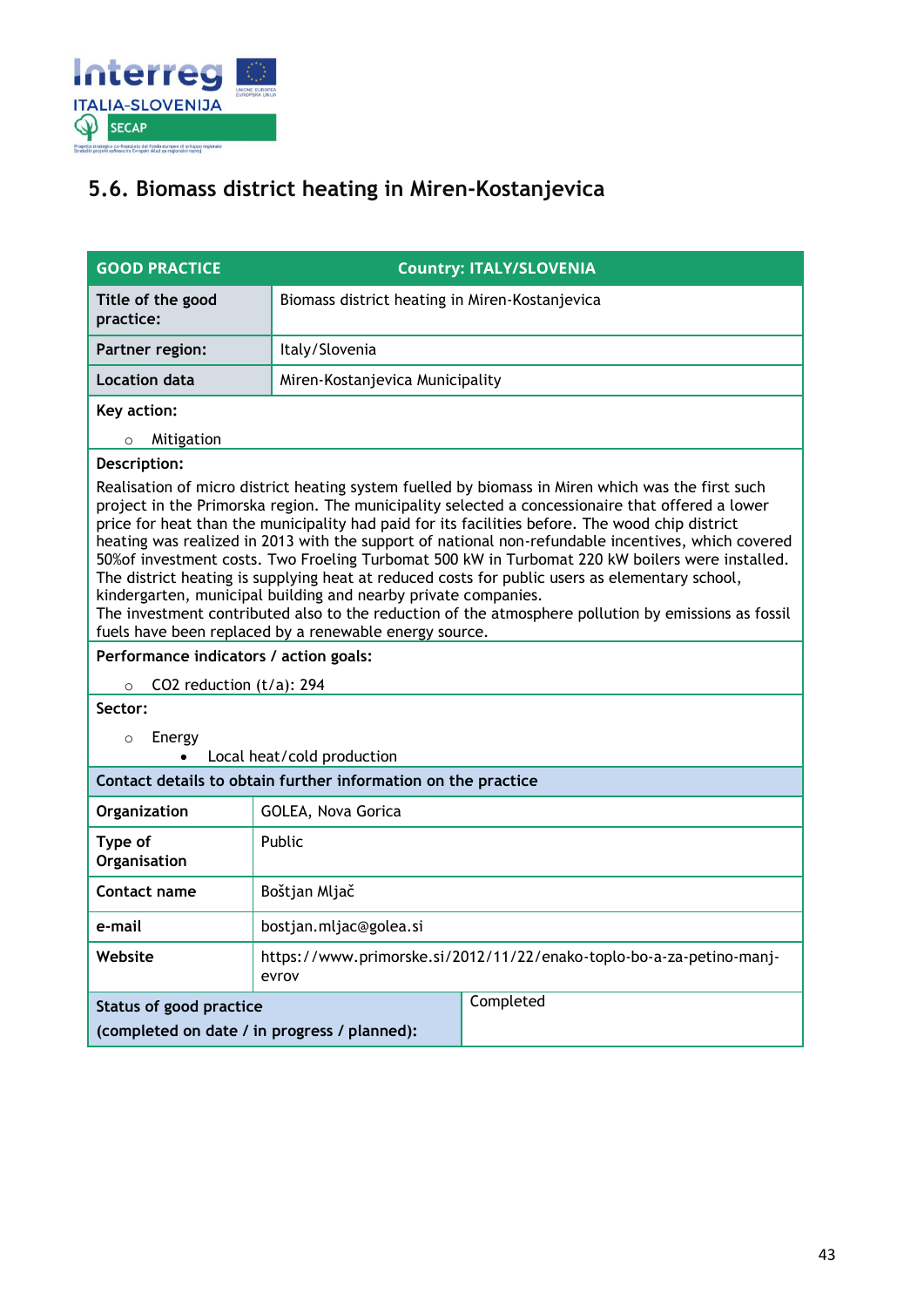

### <span id="page-42-0"></span>**5.6. Biomass district heating in Miren-Kostanjevica**

| <b>GOOD PRACTICE</b>                                                           | <b>Country: ITALY/SLOVENIA</b>                                                                                                                                                                                                                                                                                                                                                                                                                                                                                                                                                                                                                                                                                                                                                                                                                          |  |
|--------------------------------------------------------------------------------|---------------------------------------------------------------------------------------------------------------------------------------------------------------------------------------------------------------------------------------------------------------------------------------------------------------------------------------------------------------------------------------------------------------------------------------------------------------------------------------------------------------------------------------------------------------------------------------------------------------------------------------------------------------------------------------------------------------------------------------------------------------------------------------------------------------------------------------------------------|--|
| Title of the good<br>practice:                                                 | Biomass district heating in Miren-Kostanjevica                                                                                                                                                                                                                                                                                                                                                                                                                                                                                                                                                                                                                                                                                                                                                                                                          |  |
| <b>Partner region:</b>                                                         | Italy/Slovenia                                                                                                                                                                                                                                                                                                                                                                                                                                                                                                                                                                                                                                                                                                                                                                                                                                          |  |
| <b>Location data</b>                                                           | Miren-Kostanjevica Municipality                                                                                                                                                                                                                                                                                                                                                                                                                                                                                                                                                                                                                                                                                                                                                                                                                         |  |
| Key action:                                                                    |                                                                                                                                                                                                                                                                                                                                                                                                                                                                                                                                                                                                                                                                                                                                                                                                                                                         |  |
| Mitigation<br>$\circ$                                                          |                                                                                                                                                                                                                                                                                                                                                                                                                                                                                                                                                                                                                                                                                                                                                                                                                                                         |  |
| Description:                                                                   |                                                                                                                                                                                                                                                                                                                                                                                                                                                                                                                                                                                                                                                                                                                                                                                                                                                         |  |
|                                                                                | Realisation of micro district heating system fuelled by biomass in Miren which was the first such<br>project in the Primorska region. The municipality selected a concessionaire that offered a lower<br>price for heat than the municipality had paid for its facilities before. The wood chip district<br>heating was realized in 2013 with the support of national non-refundable incentives, which covered<br>50% of investment costs. Two Froeling Turbomat 500 kW in Turbomat 220 kW boilers were installed.<br>The district heating is supplying heat at reduced costs for public users as elementary school,<br>kindergarten, municipal building and nearby private companies.<br>The investment contributed also to the reduction of the atmosphere pollution by emissions as fossil<br>fuels have been replaced by a renewable energy source. |  |
| Performance indicators / action goals:                                         |                                                                                                                                                                                                                                                                                                                                                                                                                                                                                                                                                                                                                                                                                                                                                                                                                                                         |  |
| CO2 reduction $(t/a)$ : 294<br>$\circ$                                         |                                                                                                                                                                                                                                                                                                                                                                                                                                                                                                                                                                                                                                                                                                                                                                                                                                                         |  |
| Sector:                                                                        |                                                                                                                                                                                                                                                                                                                                                                                                                                                                                                                                                                                                                                                                                                                                                                                                                                                         |  |
| Energy<br>$\circ$                                                              | Local heat/cold production                                                                                                                                                                                                                                                                                                                                                                                                                                                                                                                                                                                                                                                                                                                                                                                                                              |  |
| Contact details to obtain further information on the practice                  |                                                                                                                                                                                                                                                                                                                                                                                                                                                                                                                                                                                                                                                                                                                                                                                                                                                         |  |
| Organization                                                                   | GOLEA, Nova Gorica                                                                                                                                                                                                                                                                                                                                                                                                                                                                                                                                                                                                                                                                                                                                                                                                                                      |  |
| Type of<br>Organisation                                                        | Public                                                                                                                                                                                                                                                                                                                                                                                                                                                                                                                                                                                                                                                                                                                                                                                                                                                  |  |
| Contact name                                                                   | Boštjan Mljač                                                                                                                                                                                                                                                                                                                                                                                                                                                                                                                                                                                                                                                                                                                                                                                                                                           |  |
| e-mail                                                                         | bostjan.mljac@golea.si                                                                                                                                                                                                                                                                                                                                                                                                                                                                                                                                                                                                                                                                                                                                                                                                                                  |  |
| Website                                                                        | https://www.primorske.si/2012/11/22/enako-toplo-bo-a-za-petino-manj-<br>evrov                                                                                                                                                                                                                                                                                                                                                                                                                                                                                                                                                                                                                                                                                                                                                                           |  |
| <b>Status of good practice</b><br>(completed on date / in progress / planned): | Completed                                                                                                                                                                                                                                                                                                                                                                                                                                                                                                                                                                                                                                                                                                                                                                                                                                               |  |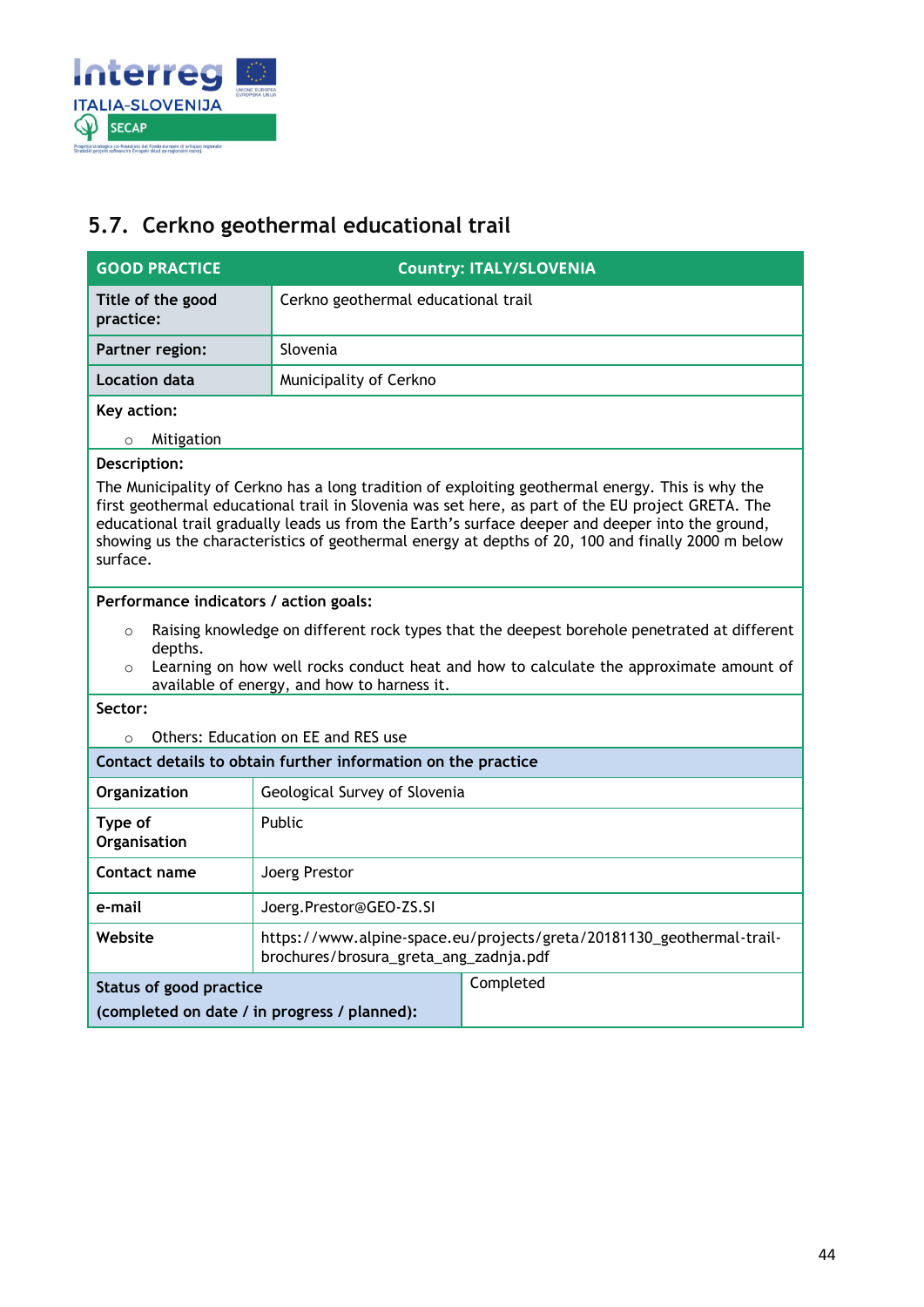

### <span id="page-43-0"></span>**5.7. Cerkno geothermal educational trail**

| <b>GOOD PRACTICE</b>                                                                                                                                                                                                                                                                                                                                                                                                       | <b>Country: ITALY/SLOVENIA</b>                                                                                                        |  |  |
|----------------------------------------------------------------------------------------------------------------------------------------------------------------------------------------------------------------------------------------------------------------------------------------------------------------------------------------------------------------------------------------------------------------------------|---------------------------------------------------------------------------------------------------------------------------------------|--|--|
| Title of the good<br>practice:                                                                                                                                                                                                                                                                                                                                                                                             | Cerkno geothermal educational trail                                                                                                   |  |  |
| <b>Partner region:</b>                                                                                                                                                                                                                                                                                                                                                                                                     | Slovenia                                                                                                                              |  |  |
| <b>Location data</b>                                                                                                                                                                                                                                                                                                                                                                                                       | Municipality of Cerkno                                                                                                                |  |  |
| Key action:                                                                                                                                                                                                                                                                                                                                                                                                                |                                                                                                                                       |  |  |
| Mitigation<br>$\circ$                                                                                                                                                                                                                                                                                                                                                                                                      |                                                                                                                                       |  |  |
| Description:                                                                                                                                                                                                                                                                                                                                                                                                               |                                                                                                                                       |  |  |
| The Municipality of Cerkno has a long tradition of exploiting geothermal energy. This is why the<br>first geothermal educational trail in Slovenia was set here, as part of the EU project GRETA. The<br>educational trail gradually leads us from the Earth's surface deeper and deeper into the ground,<br>showing us the characteristics of geothermal energy at depths of 20, 100 and finally 2000 m below<br>surface. |                                                                                                                                       |  |  |
| Performance indicators / action goals:                                                                                                                                                                                                                                                                                                                                                                                     |                                                                                                                                       |  |  |
| $\circ$<br>depths.                                                                                                                                                                                                                                                                                                                                                                                                         | Raising knowledge on different rock types that the deepest borehole penetrated at different                                           |  |  |
| $\circ$                                                                                                                                                                                                                                                                                                                                                                                                                    | Learning on how well rocks conduct heat and how to calculate the approximate amount of<br>available of energy, and how to harness it. |  |  |
| Sector:                                                                                                                                                                                                                                                                                                                                                                                                                    |                                                                                                                                       |  |  |
| $\Omega$                                                                                                                                                                                                                                                                                                                                                                                                                   | Others: Education on EE and RES use                                                                                                   |  |  |
|                                                                                                                                                                                                                                                                                                                                                                                                                            | Contact details to obtain further information on the practice                                                                         |  |  |
| Organization                                                                                                                                                                                                                                                                                                                                                                                                               | Geological Survey of Slovenia                                                                                                         |  |  |
| Type of<br>Organisation                                                                                                                                                                                                                                                                                                                                                                                                    | Public                                                                                                                                |  |  |
| <b>Contact name</b>                                                                                                                                                                                                                                                                                                                                                                                                        | Joerg Prestor                                                                                                                         |  |  |
| e-mail                                                                                                                                                                                                                                                                                                                                                                                                                     | Joerg.Prestor@GEO-ZS.SI                                                                                                               |  |  |
| Website                                                                                                                                                                                                                                                                                                                                                                                                                    | https://www.alpine-space.eu/projects/greta/20181130_geothermal-trail-<br>brochures/brosura_greta_ang_zadnja.pdf                       |  |  |
| Status of good practice                                                                                                                                                                                                                                                                                                                                                                                                    | Completed                                                                                                                             |  |  |
|                                                                                                                                                                                                                                                                                                                                                                                                                            | (completed on date / in progress / planned):                                                                                          |  |  |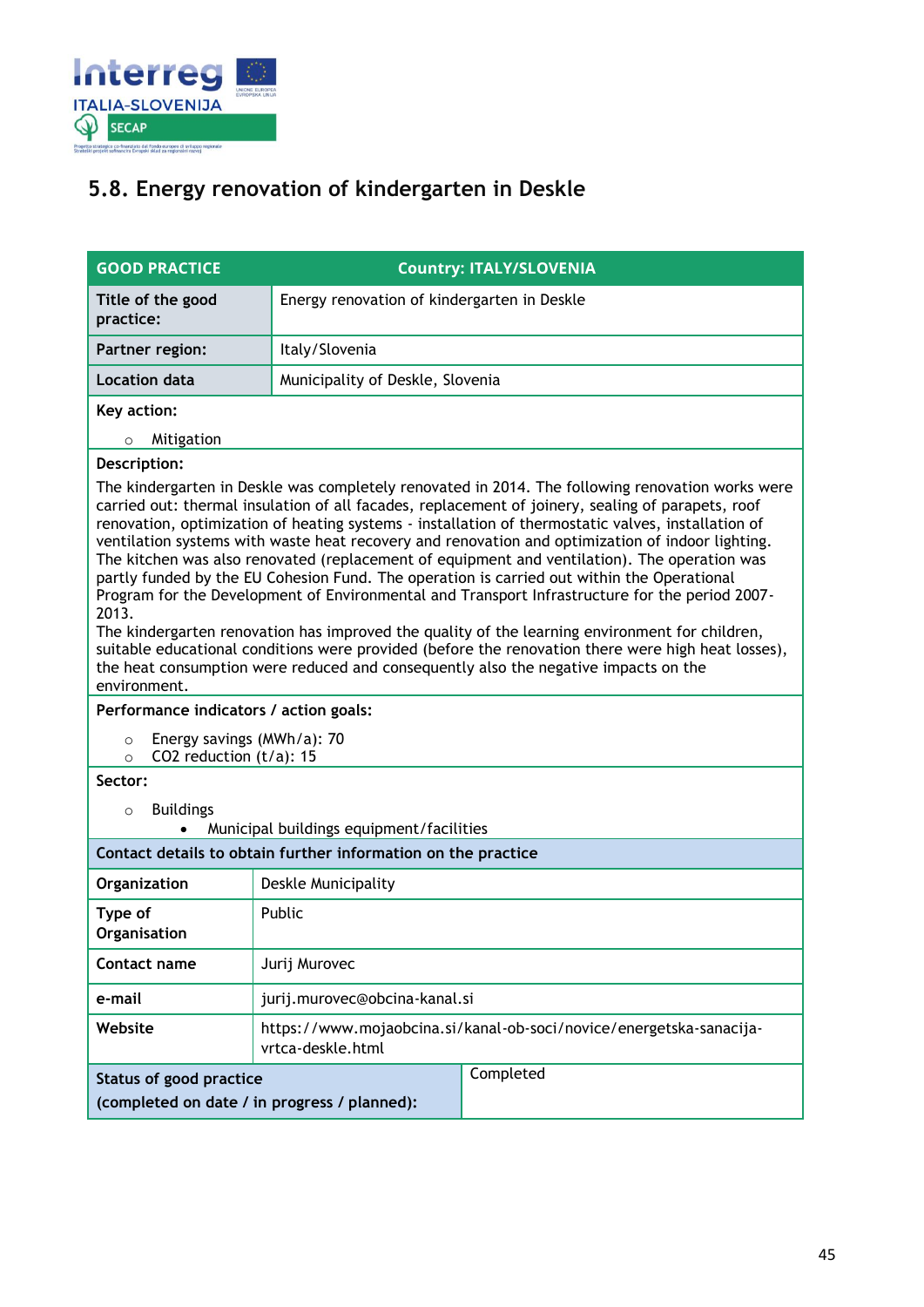

## <span id="page-44-0"></span>**5.8. Energy renovation of kindergarten in Deskle**

| <b>GOOD PRACTICE</b>                                                            |                                             | <b>Country: ITALY/SLOVENIA</b>                                                                                                                                                                                                                                                                                                                                                                                                                                                                                                                                                                                                                                                                                                                                                                                                                                                                                                                                                                                 |
|---------------------------------------------------------------------------------|---------------------------------------------|----------------------------------------------------------------------------------------------------------------------------------------------------------------------------------------------------------------------------------------------------------------------------------------------------------------------------------------------------------------------------------------------------------------------------------------------------------------------------------------------------------------------------------------------------------------------------------------------------------------------------------------------------------------------------------------------------------------------------------------------------------------------------------------------------------------------------------------------------------------------------------------------------------------------------------------------------------------------------------------------------------------|
| Title of the good<br>practice:                                                  | Energy renovation of kindergarten in Deskle |                                                                                                                                                                                                                                                                                                                                                                                                                                                                                                                                                                                                                                                                                                                                                                                                                                                                                                                                                                                                                |
| Partner region:                                                                 | Italy/Slovenia                              |                                                                                                                                                                                                                                                                                                                                                                                                                                                                                                                                                                                                                                                                                                                                                                                                                                                                                                                                                                                                                |
| <b>Location data</b>                                                            | Municipality of Deskle, Slovenia            |                                                                                                                                                                                                                                                                                                                                                                                                                                                                                                                                                                                                                                                                                                                                                                                                                                                                                                                                                                                                                |
| Key action:                                                                     |                                             |                                                                                                                                                                                                                                                                                                                                                                                                                                                                                                                                                                                                                                                                                                                                                                                                                                                                                                                                                                                                                |
| Mitigation<br>$\circ$                                                           |                                             |                                                                                                                                                                                                                                                                                                                                                                                                                                                                                                                                                                                                                                                                                                                                                                                                                                                                                                                                                                                                                |
| Description:                                                                    |                                             |                                                                                                                                                                                                                                                                                                                                                                                                                                                                                                                                                                                                                                                                                                                                                                                                                                                                                                                                                                                                                |
| 2013.<br>environment.                                                           |                                             | The kindergarten in Deskle was completely renovated in 2014. The following renovation works were<br>carried out: thermal insulation of all facades, replacement of joinery, sealing of parapets, roof<br>renovation, optimization of heating systems - installation of thermostatic valves, installation of<br>ventilation systems with waste heat recovery and renovation and optimization of indoor lighting.<br>The kitchen was also renovated (replacement of equipment and ventilation). The operation was<br>partly funded by the EU Cohesion Fund. The operation is carried out within the Operational<br>Program for the Development of Environmental and Transport Infrastructure for the period 2007-<br>The kindergarten renovation has improved the quality of the learning environment for children,<br>suitable educational conditions were provided (before the renovation there were high heat losses),<br>the heat consumption were reduced and consequently also the negative impacts on the |
| Performance indicators / action goals:                                          |                                             |                                                                                                                                                                                                                                                                                                                                                                                                                                                                                                                                                                                                                                                                                                                                                                                                                                                                                                                                                                                                                |
| Energy savings (MWh/a): 70<br>$\circ$<br>CO2 reduction $(t/a)$ : 15<br>$\Omega$ |                                             |                                                                                                                                                                                                                                                                                                                                                                                                                                                                                                                                                                                                                                                                                                                                                                                                                                                                                                                                                                                                                |
| Sector:                                                                         |                                             |                                                                                                                                                                                                                                                                                                                                                                                                                                                                                                                                                                                                                                                                                                                                                                                                                                                                                                                                                                                                                |
| <b>Buildings</b><br>$\circ$                                                     |                                             |                                                                                                                                                                                                                                                                                                                                                                                                                                                                                                                                                                                                                                                                                                                                                                                                                                                                                                                                                                                                                |
| Municipal buildings equipment/facilities                                        |                                             |                                                                                                                                                                                                                                                                                                                                                                                                                                                                                                                                                                                                                                                                                                                                                                                                                                                                                                                                                                                                                |
| Contact details to obtain further information on the practice                   |                                             |                                                                                                                                                                                                                                                                                                                                                                                                                                                                                                                                                                                                                                                                                                                                                                                                                                                                                                                                                                                                                |
| Organization                                                                    | Deskle Municipality                         |                                                                                                                                                                                                                                                                                                                                                                                                                                                                                                                                                                                                                                                                                                                                                                                                                                                                                                                                                                                                                |
| Type of<br>Organisation                                                         | Public                                      |                                                                                                                                                                                                                                                                                                                                                                                                                                                                                                                                                                                                                                                                                                                                                                                                                                                                                                                                                                                                                |
| Contact name                                                                    | Jurij Murovec                               |                                                                                                                                                                                                                                                                                                                                                                                                                                                                                                                                                                                                                                                                                                                                                                                                                                                                                                                                                                                                                |
| e-mail                                                                          | jurij.murovec@obcina-kanal.si               |                                                                                                                                                                                                                                                                                                                                                                                                                                                                                                                                                                                                                                                                                                                                                                                                                                                                                                                                                                                                                |
| Website                                                                         | vrtca-deskle.html                           | https://www.mojaobcina.si/kanal-ob-soci/novice/energetska-sanacija-                                                                                                                                                                                                                                                                                                                                                                                                                                                                                                                                                                                                                                                                                                                                                                                                                                                                                                                                            |
| Status of good practice<br>(completed on date / in progress / planned):         |                                             | Completed                                                                                                                                                                                                                                                                                                                                                                                                                                                                                                                                                                                                                                                                                                                                                                                                                                                                                                                                                                                                      |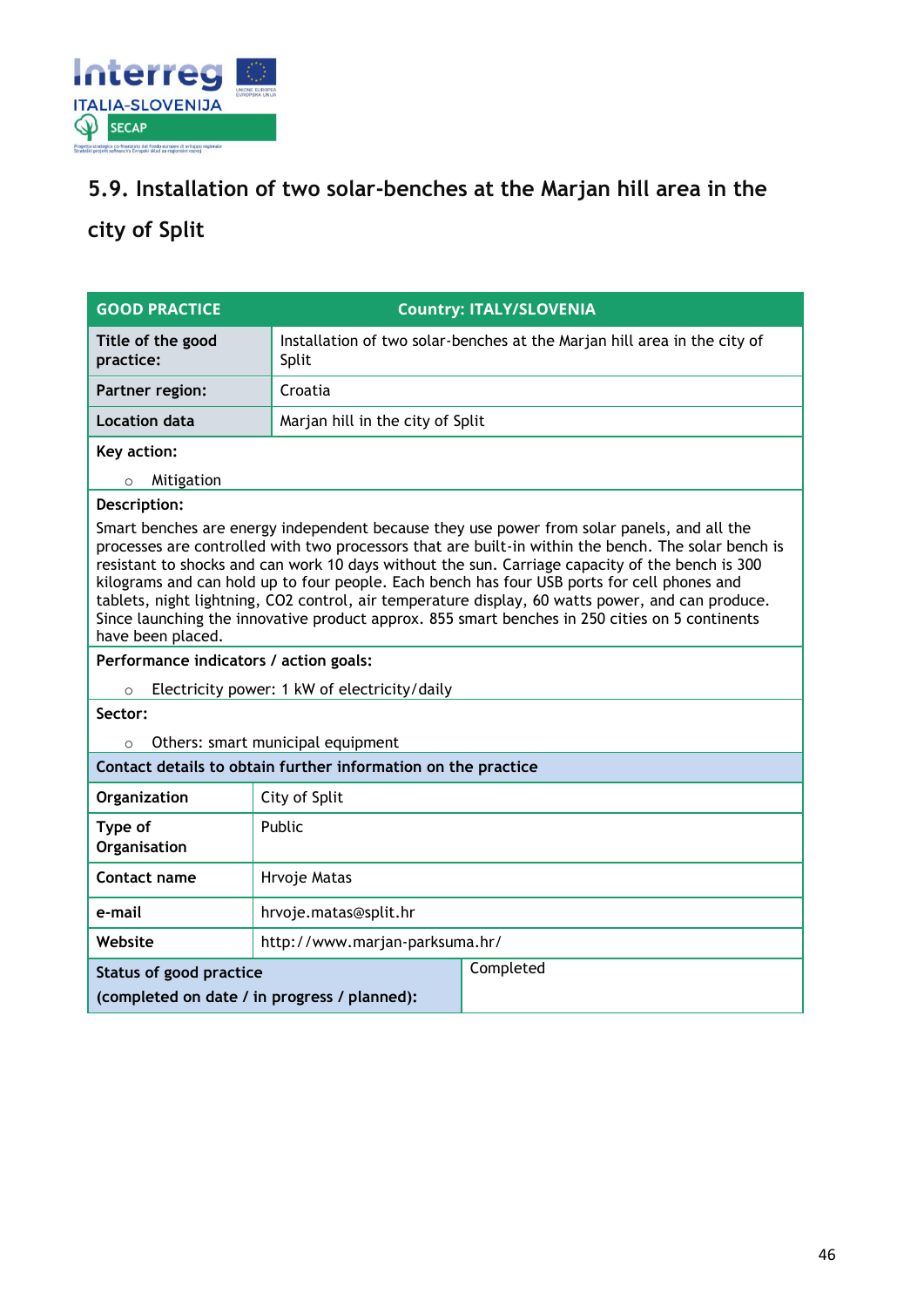

### <span id="page-45-0"></span>**5.9. Installation of two solar-benches at the Marjan hill area in the**

## <span id="page-45-1"></span>**city of Split**

| <b>GOOD PRACTICE</b>                                                                                                                                                                                                                                                                                                                                                                                                                                                                                                                                                                                                           |                                   | <b>Country: ITALY/SLOVENIA</b>                                           |
|--------------------------------------------------------------------------------------------------------------------------------------------------------------------------------------------------------------------------------------------------------------------------------------------------------------------------------------------------------------------------------------------------------------------------------------------------------------------------------------------------------------------------------------------------------------------------------------------------------------------------------|-----------------------------------|--------------------------------------------------------------------------|
| Title of the good<br>practice:                                                                                                                                                                                                                                                                                                                                                                                                                                                                                                                                                                                                 | Split                             | Installation of two solar-benches at the Marjan hill area in the city of |
| Partner region:                                                                                                                                                                                                                                                                                                                                                                                                                                                                                                                                                                                                                | Croatia                           |                                                                          |
| <b>Location data</b>                                                                                                                                                                                                                                                                                                                                                                                                                                                                                                                                                                                                           | Marjan hill in the city of Split  |                                                                          |
| Key action:                                                                                                                                                                                                                                                                                                                                                                                                                                                                                                                                                                                                                    |                                   |                                                                          |
| Mitigation<br>$\circ$                                                                                                                                                                                                                                                                                                                                                                                                                                                                                                                                                                                                          |                                   |                                                                          |
| Description:                                                                                                                                                                                                                                                                                                                                                                                                                                                                                                                                                                                                                   |                                   |                                                                          |
| Smart benches are energy independent because they use power from solar panels, and all the<br>processes are controlled with two processors that are built-in within the bench. The solar bench is<br>resistant to shocks and can work 10 days without the sun. Carriage capacity of the bench is 300<br>kilograms and can hold up to four people. Each bench has four USB ports for cell phones and<br>tablets, night lightning, CO2 control, air temperature display, 60 watts power, and can produce.<br>Since launching the innovative product approx. 855 smart benches in 250 cities on 5 continents<br>have been placed. |                                   |                                                                          |
| Performance indicators / action goals:                                                                                                                                                                                                                                                                                                                                                                                                                                                                                                                                                                                         |                                   |                                                                          |
| Electricity power: 1 kW of electricity/daily<br>$\circ$                                                                                                                                                                                                                                                                                                                                                                                                                                                                                                                                                                        |                                   |                                                                          |
| Sector:                                                                                                                                                                                                                                                                                                                                                                                                                                                                                                                                                                                                                        |                                   |                                                                          |
| $\Omega$                                                                                                                                                                                                                                                                                                                                                                                                                                                                                                                                                                                                                       | Others: smart municipal equipment |                                                                          |
| Contact details to obtain further information on the practice                                                                                                                                                                                                                                                                                                                                                                                                                                                                                                                                                                  |                                   |                                                                          |
| Organization                                                                                                                                                                                                                                                                                                                                                                                                                                                                                                                                                                                                                   | City of Split                     |                                                                          |
| Type of<br>Organisation                                                                                                                                                                                                                                                                                                                                                                                                                                                                                                                                                                                                        | Public                            |                                                                          |
| Contact name                                                                                                                                                                                                                                                                                                                                                                                                                                                                                                                                                                                                                   | Hrvoje Matas                      |                                                                          |
| e-mail                                                                                                                                                                                                                                                                                                                                                                                                                                                                                                                                                                                                                         | hrvoje.matas@split.hr             |                                                                          |
| Website                                                                                                                                                                                                                                                                                                                                                                                                                                                                                                                                                                                                                        | http://www.marjan-parksuma.hr/    |                                                                          |
| <b>Status of good practice</b><br>(completed on date / in progress / planned):                                                                                                                                                                                                                                                                                                                                                                                                                                                                                                                                                 |                                   | Completed                                                                |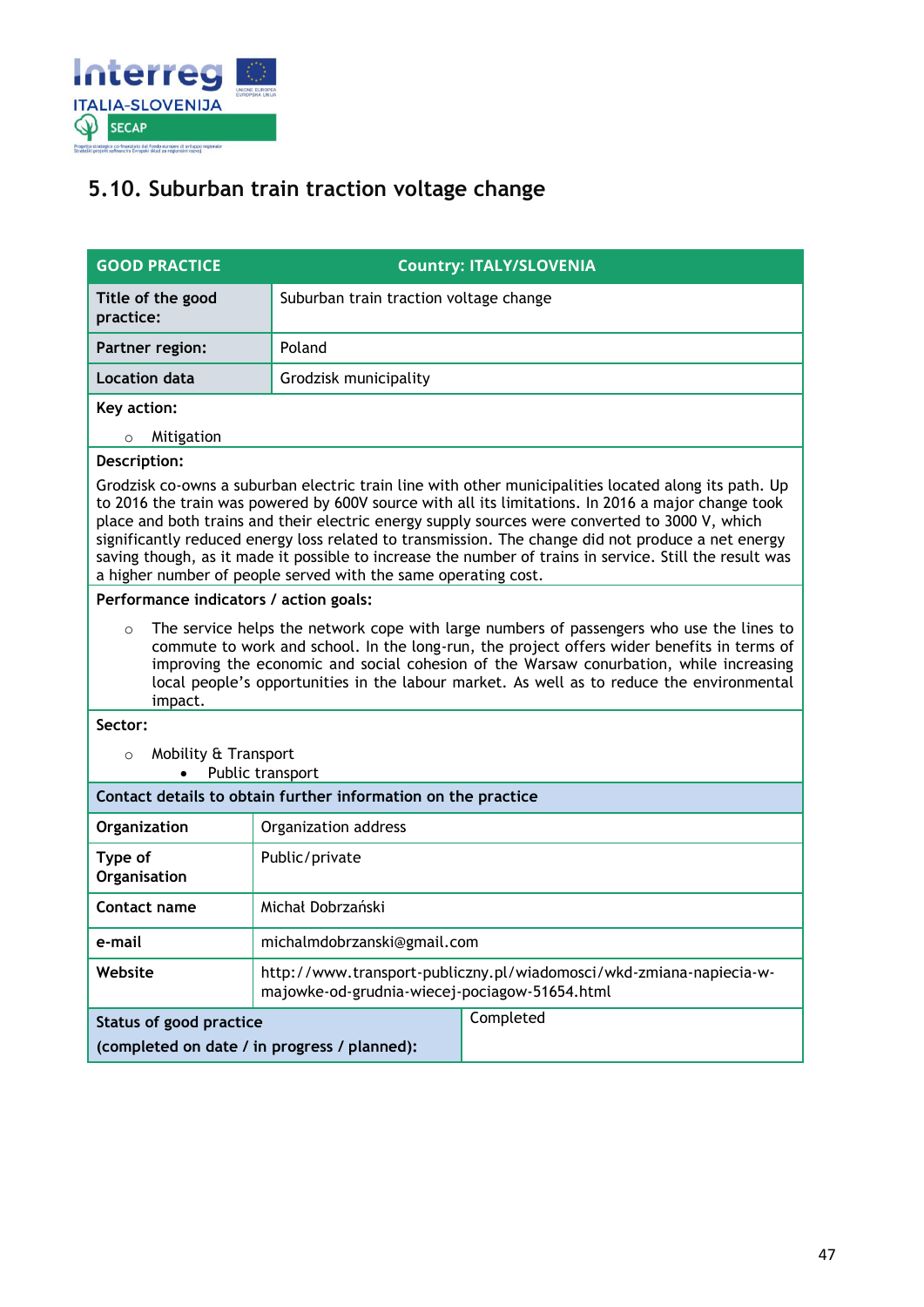

### <span id="page-46-0"></span>**5.10. Suburban train traction voltage change**

| <b>GOOD PRACTICE</b>                                                                                                                                                                                                                                                                                                                                                                                                                                                                                                                                                                                            |                                        | <b>Country: ITALY/SLOVENIA</b>                                                                                       |  |
|-----------------------------------------------------------------------------------------------------------------------------------------------------------------------------------------------------------------------------------------------------------------------------------------------------------------------------------------------------------------------------------------------------------------------------------------------------------------------------------------------------------------------------------------------------------------------------------------------------------------|----------------------------------------|----------------------------------------------------------------------------------------------------------------------|--|
| Title of the good<br>practice:                                                                                                                                                                                                                                                                                                                                                                                                                                                                                                                                                                                  | Suburban train traction voltage change |                                                                                                                      |  |
| Partner region:                                                                                                                                                                                                                                                                                                                                                                                                                                                                                                                                                                                                 | Poland                                 |                                                                                                                      |  |
| <b>Location data</b>                                                                                                                                                                                                                                                                                                                                                                                                                                                                                                                                                                                            | Grodzisk municipality                  |                                                                                                                      |  |
| Key action:                                                                                                                                                                                                                                                                                                                                                                                                                                                                                                                                                                                                     |                                        |                                                                                                                      |  |
| Mitigation<br>$\circ$                                                                                                                                                                                                                                                                                                                                                                                                                                                                                                                                                                                           |                                        |                                                                                                                      |  |
| Description:<br>Grodzisk co-owns a suburban electric train line with other municipalities located along its path. Up<br>to 2016 the train was powered by 600V source with all its limitations. In 2016 a major change took<br>place and both trains and their electric energy supply sources were converted to 3000 V, which<br>significantly reduced energy loss related to transmission. The change did not produce a net energy<br>saving though, as it made it possible to increase the number of trains in service. Still the result was<br>a higher number of people served with the same operating cost. |                                        |                                                                                                                      |  |
| Performance indicators / action goals:                                                                                                                                                                                                                                                                                                                                                                                                                                                                                                                                                                          |                                        |                                                                                                                      |  |
| The service helps the network cope with large numbers of passengers who use the lines to<br>$\circ$<br>commute to work and school. In the long-run, the project offers wider benefits in terms of<br>improving the economic and social cohesion of the Warsaw conurbation, while increasing<br>local people's opportunities in the labour market. As well as to reduce the environmental<br>impact.                                                                                                                                                                                                             |                                        |                                                                                                                      |  |
| Sector:                                                                                                                                                                                                                                                                                                                                                                                                                                                                                                                                                                                                         |                                        |                                                                                                                      |  |
| Mobility & Transport<br>$\circ$<br>Public transport                                                                                                                                                                                                                                                                                                                                                                                                                                                                                                                                                             |                                        |                                                                                                                      |  |
| Contact details to obtain further information on the practice                                                                                                                                                                                                                                                                                                                                                                                                                                                                                                                                                   |                                        |                                                                                                                      |  |
| Organization                                                                                                                                                                                                                                                                                                                                                                                                                                                                                                                                                                                                    | Organization address                   |                                                                                                                      |  |
| Type of<br>Organisation                                                                                                                                                                                                                                                                                                                                                                                                                                                                                                                                                                                         | Public/private                         |                                                                                                                      |  |
| Contact name                                                                                                                                                                                                                                                                                                                                                                                                                                                                                                                                                                                                    | Michał Dobrzański                      |                                                                                                                      |  |
| e-mail                                                                                                                                                                                                                                                                                                                                                                                                                                                                                                                                                                                                          | michalmdobrzanski@gmail.com            |                                                                                                                      |  |
| Website                                                                                                                                                                                                                                                                                                                                                                                                                                                                                                                                                                                                         |                                        | http://www.transport-publiczny.pl/wiadomosci/wkd-zmiana-napiecia-w-<br>majowke-od-grudnia-wiecej-pociagow-51654.html |  |
| <b>Status of good practice</b>                                                                                                                                                                                                                                                                                                                                                                                                                                                                                                                                                                                  |                                        | Completed                                                                                                            |  |
| (completed on date / in progress / planned):                                                                                                                                                                                                                                                                                                                                                                                                                                                                                                                                                                    |                                        |                                                                                                                      |  |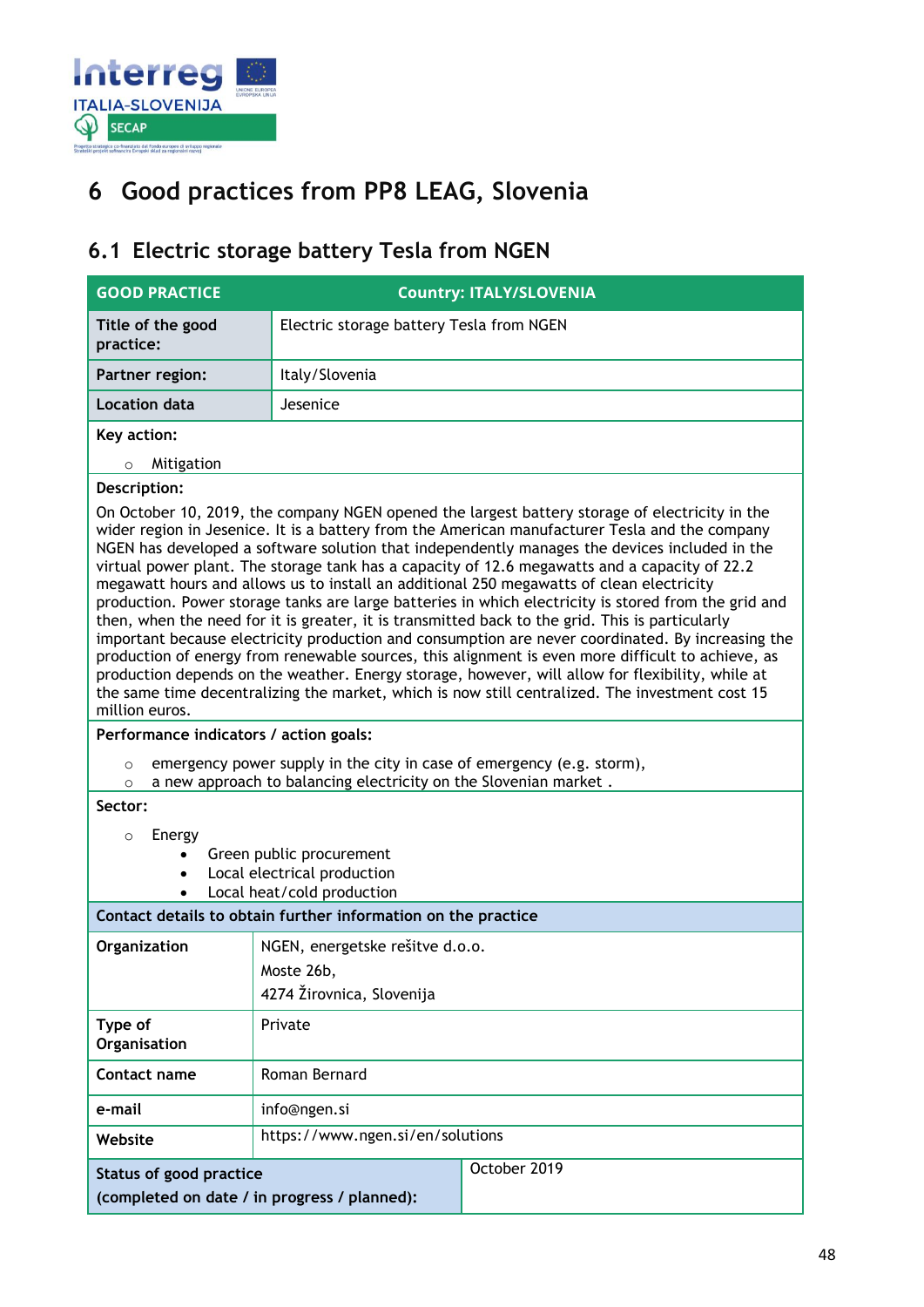

## <span id="page-47-0"></span>**6 Good practices from PP8 LEAG, Slovenia**

### <span id="page-47-1"></span>**6.1 Electric storage battery Tesla from NGEN**

| <b>GOOD PRACTICE</b>                                                                                                           | <b>Country: ITALY/SLOVENIA</b>                                                                                                                                                                                                                                                                                                                                                                                                                                                                                                                                                                                                                                                                                                                                                                                                                                                                                                                                                                                                                                                                                                                                                                                                                                                                      |
|--------------------------------------------------------------------------------------------------------------------------------|-----------------------------------------------------------------------------------------------------------------------------------------------------------------------------------------------------------------------------------------------------------------------------------------------------------------------------------------------------------------------------------------------------------------------------------------------------------------------------------------------------------------------------------------------------------------------------------------------------------------------------------------------------------------------------------------------------------------------------------------------------------------------------------------------------------------------------------------------------------------------------------------------------------------------------------------------------------------------------------------------------------------------------------------------------------------------------------------------------------------------------------------------------------------------------------------------------------------------------------------------------------------------------------------------------|
| Title of the good<br>practice:                                                                                                 | Electric storage battery Tesla from NGEN                                                                                                                                                                                                                                                                                                                                                                                                                                                                                                                                                                                                                                                                                                                                                                                                                                                                                                                                                                                                                                                                                                                                                                                                                                                            |
| <b>Partner region:</b>                                                                                                         | Italy/Slovenia                                                                                                                                                                                                                                                                                                                                                                                                                                                                                                                                                                                                                                                                                                                                                                                                                                                                                                                                                                                                                                                                                                                                                                                                                                                                                      |
| <b>Location data</b>                                                                                                           | Jesenice                                                                                                                                                                                                                                                                                                                                                                                                                                                                                                                                                                                                                                                                                                                                                                                                                                                                                                                                                                                                                                                                                                                                                                                                                                                                                            |
| Key action:                                                                                                                    |                                                                                                                                                                                                                                                                                                                                                                                                                                                                                                                                                                                                                                                                                                                                                                                                                                                                                                                                                                                                                                                                                                                                                                                                                                                                                                     |
| Mitigation<br>$\circ$                                                                                                          |                                                                                                                                                                                                                                                                                                                                                                                                                                                                                                                                                                                                                                                                                                                                                                                                                                                                                                                                                                                                                                                                                                                                                                                                                                                                                                     |
| Description:<br>million euros.<br>Performance indicators / action goals:<br>$\circ$<br>$\circ$<br>Sector:<br>Energy<br>$\circ$ | On October 10, 2019, the company NGEN opened the largest battery storage of electricity in the<br>wider region in Jesenice. It is a battery from the American manufacturer Tesla and the company<br>NGEN has developed a software solution that independently manages the devices included in the<br>virtual power plant. The storage tank has a capacity of 12.6 megawatts and a capacity of 22.2<br>megawatt hours and allows us to install an additional 250 megawatts of clean electricity<br>production. Power storage tanks are large batteries in which electricity is stored from the grid and<br>then, when the need for it is greater, it is transmitted back to the grid. This is particularly<br>important because electricity production and consumption are never coordinated. By increasing the<br>production of energy from renewable sources, this alignment is even more difficult to achieve, as<br>production depends on the weather. Energy storage, however, will allow for flexibility, while at<br>the same time decentralizing the market, which is now still centralized. The investment cost 15<br>emergency power supply in the city in case of emergency (e.g. storm),<br>a new approach to balancing electricity on the Slovenian market.<br>Green public procurement |
| $\bullet$                                                                                                                      | Local electrical production<br>Local heat/cold production                                                                                                                                                                                                                                                                                                                                                                                                                                                                                                                                                                                                                                                                                                                                                                                                                                                                                                                                                                                                                                                                                                                                                                                                                                           |
|                                                                                                                                | Contact details to obtain further information on the practice                                                                                                                                                                                                                                                                                                                                                                                                                                                                                                                                                                                                                                                                                                                                                                                                                                                                                                                                                                                                                                                                                                                                                                                                                                       |
| Organization                                                                                                                   | NGEN, energetske rešitve d.o.o.<br>Moste 26b,<br>4274 Žirovnica, Slovenija                                                                                                                                                                                                                                                                                                                                                                                                                                                                                                                                                                                                                                                                                                                                                                                                                                                                                                                                                                                                                                                                                                                                                                                                                          |
| Type of<br>Organisation                                                                                                        | Private                                                                                                                                                                                                                                                                                                                                                                                                                                                                                                                                                                                                                                                                                                                                                                                                                                                                                                                                                                                                                                                                                                                                                                                                                                                                                             |
| Contact name                                                                                                                   | Roman Bernard                                                                                                                                                                                                                                                                                                                                                                                                                                                                                                                                                                                                                                                                                                                                                                                                                                                                                                                                                                                                                                                                                                                                                                                                                                                                                       |
| e-mail                                                                                                                         | info@ngen.si                                                                                                                                                                                                                                                                                                                                                                                                                                                                                                                                                                                                                                                                                                                                                                                                                                                                                                                                                                                                                                                                                                                                                                                                                                                                                        |
| Website                                                                                                                        | https://www.ngen.si/en/solutions                                                                                                                                                                                                                                                                                                                                                                                                                                                                                                                                                                                                                                                                                                                                                                                                                                                                                                                                                                                                                                                                                                                                                                                                                                                                    |
| <b>Status of good practice</b><br>(completed on date / in progress / planned):                                                 | October 2019                                                                                                                                                                                                                                                                                                                                                                                                                                                                                                                                                                                                                                                                                                                                                                                                                                                                                                                                                                                                                                                                                                                                                                                                                                                                                        |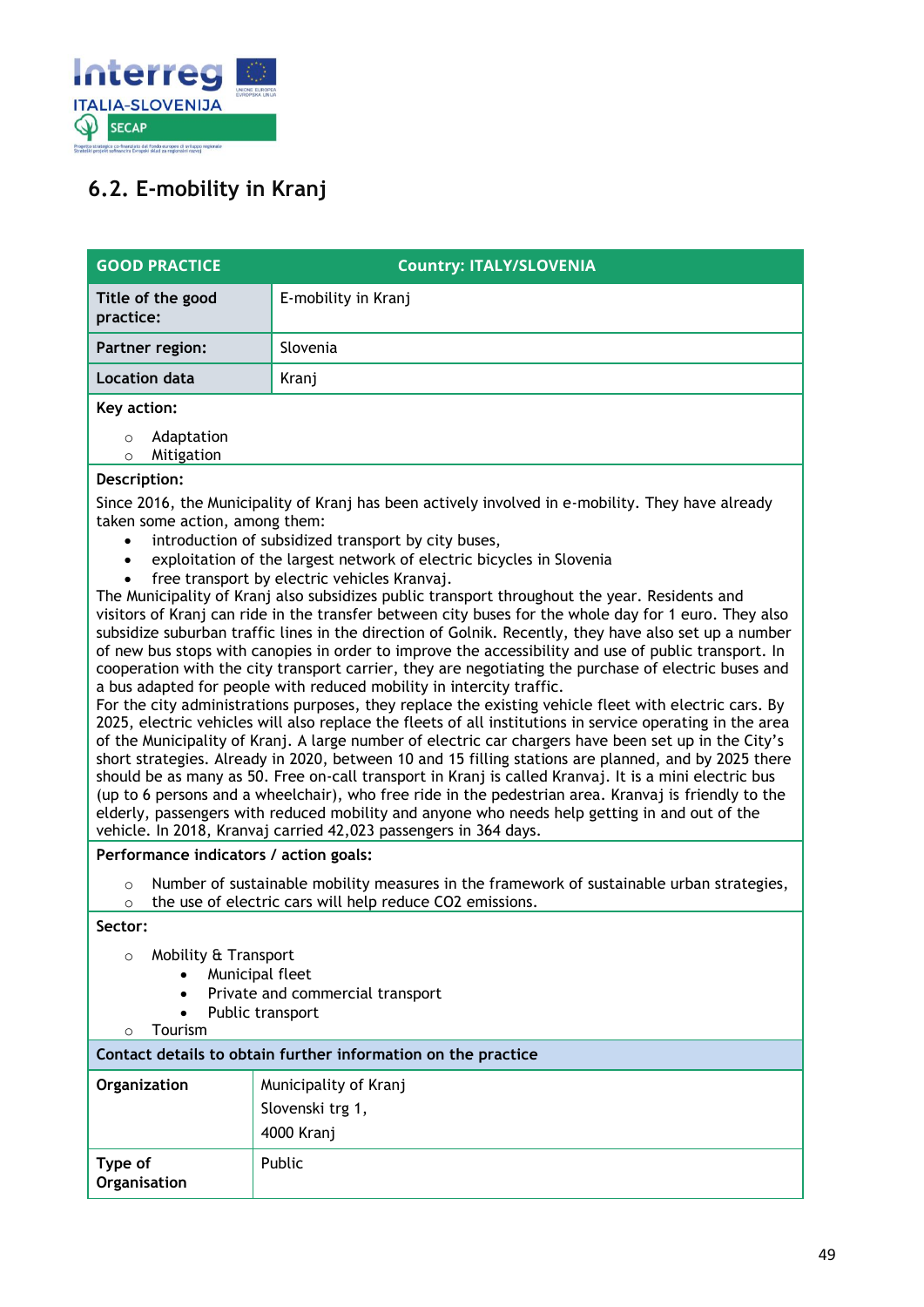

### <span id="page-48-0"></span>**6.2. E-mobility in Kranj**

| <b>GOOD PRACTICE</b>                           | <b>Country: ITALY/SLOVENIA</b>                                                                                                                                                                                                                                                                                                                                                                                                                                                                                                                                                                                                                                                                                                                                                                                                                                                                                                                                                                                                                                                                                                                                                                                                                                                                                                                                                                                                      |  |
|------------------------------------------------|-------------------------------------------------------------------------------------------------------------------------------------------------------------------------------------------------------------------------------------------------------------------------------------------------------------------------------------------------------------------------------------------------------------------------------------------------------------------------------------------------------------------------------------------------------------------------------------------------------------------------------------------------------------------------------------------------------------------------------------------------------------------------------------------------------------------------------------------------------------------------------------------------------------------------------------------------------------------------------------------------------------------------------------------------------------------------------------------------------------------------------------------------------------------------------------------------------------------------------------------------------------------------------------------------------------------------------------------------------------------------------------------------------------------------------------|--|
| Title of the good<br>practice:                 | E-mobility in Kranj                                                                                                                                                                                                                                                                                                                                                                                                                                                                                                                                                                                                                                                                                                                                                                                                                                                                                                                                                                                                                                                                                                                                                                                                                                                                                                                                                                                                                 |  |
| Partner region:                                | Slovenia                                                                                                                                                                                                                                                                                                                                                                                                                                                                                                                                                                                                                                                                                                                                                                                                                                                                                                                                                                                                                                                                                                                                                                                                                                                                                                                                                                                                                            |  |
| <b>Location data</b>                           | Kranj                                                                                                                                                                                                                                                                                                                                                                                                                                                                                                                                                                                                                                                                                                                                                                                                                                                                                                                                                                                                                                                                                                                                                                                                                                                                                                                                                                                                                               |  |
| Key action:                                    |                                                                                                                                                                                                                                                                                                                                                                                                                                                                                                                                                                                                                                                                                                                                                                                                                                                                                                                                                                                                                                                                                                                                                                                                                                                                                                                                                                                                                                     |  |
| Adaptation<br>$\circ$<br>Mitigation<br>$\circ$ |                                                                                                                                                                                                                                                                                                                                                                                                                                                                                                                                                                                                                                                                                                                                                                                                                                                                                                                                                                                                                                                                                                                                                                                                                                                                                                                                                                                                                                     |  |
| Description:                                   |                                                                                                                                                                                                                                                                                                                                                                                                                                                                                                                                                                                                                                                                                                                                                                                                                                                                                                                                                                                                                                                                                                                                                                                                                                                                                                                                                                                                                                     |  |
| taken some action, among them:<br>$\bullet$    | Since 2016, the Municipality of Kranj has been actively involved in e-mobility. They have already<br>introduction of subsidized transport by city buses,                                                                                                                                                                                                                                                                                                                                                                                                                                                                                                                                                                                                                                                                                                                                                                                                                                                                                                                                                                                                                                                                                                                                                                                                                                                                            |  |
| $\bullet$                                      | exploitation of the largest network of electric bicycles in Slovenia<br>free transport by electric vehicles Kranvaj.                                                                                                                                                                                                                                                                                                                                                                                                                                                                                                                                                                                                                                                                                                                                                                                                                                                                                                                                                                                                                                                                                                                                                                                                                                                                                                                |  |
| Performance indicators / action goals:         | The Municipality of Kranj also subsidizes public transport throughout the year. Residents and<br>visitors of Kranj can ride in the transfer between city buses for the whole day for 1 euro. They also<br>subsidize suburban traffic lines in the direction of Golnik. Recently, they have also set up a number<br>of new bus stops with canopies in order to improve the accessibility and use of public transport. In<br>cooperation with the city transport carrier, they are negotiating the purchase of electric buses and<br>a bus adapted for people with reduced mobility in intercity traffic.<br>For the city administrations purposes, they replace the existing vehicle fleet with electric cars. By<br>2025, electric vehicles will also replace the fleets of all institutions in service operating in the area<br>of the Municipality of Kranj. A large number of electric car chargers have been set up in the City's<br>short strategies. Already in 2020, between 10 and 15 filling stations are planned, and by 2025 there<br>should be as many as 50. Free on-call transport in Kranj is called Kranvaj. It is a mini electric bus<br>(up to 6 persons and a wheelchair), who free ride in the pedestrian area. Kranvaj is friendly to the<br>elderly, passengers with reduced mobility and anyone who needs help getting in and out of the<br>vehicle. In 2018, Kranvaj carried 42,023 passengers in 364 days. |  |
| $\circ$                                        | Number of sustainable mobility measures in the framework of sustainable urban strategies,                                                                                                                                                                                                                                                                                                                                                                                                                                                                                                                                                                                                                                                                                                                                                                                                                                                                                                                                                                                                                                                                                                                                                                                                                                                                                                                                           |  |
| $\circ$                                        | the use of electric cars will help reduce CO2 emissions.                                                                                                                                                                                                                                                                                                                                                                                                                                                                                                                                                                                                                                                                                                                                                                                                                                                                                                                                                                                                                                                                                                                                                                                                                                                                                                                                                                            |  |
| Sector:                                        |                                                                                                                                                                                                                                                                                                                                                                                                                                                                                                                                                                                                                                                                                                                                                                                                                                                                                                                                                                                                                                                                                                                                                                                                                                                                                                                                                                                                                                     |  |
| Mobility & Transport<br>$\circ$                | Municipal fleet                                                                                                                                                                                                                                                                                                                                                                                                                                                                                                                                                                                                                                                                                                                                                                                                                                                                                                                                                                                                                                                                                                                                                                                                                                                                                                                                                                                                                     |  |
| $\bullet$                                      | Private and commercial transport                                                                                                                                                                                                                                                                                                                                                                                                                                                                                                                                                                                                                                                                                                                                                                                                                                                                                                                                                                                                                                                                                                                                                                                                                                                                                                                                                                                                    |  |
| $\bullet$<br>Tourism<br>$\Omega$               | Public transport                                                                                                                                                                                                                                                                                                                                                                                                                                                                                                                                                                                                                                                                                                                                                                                                                                                                                                                                                                                                                                                                                                                                                                                                                                                                                                                                                                                                                    |  |
|                                                | Contact details to obtain further information on the practice                                                                                                                                                                                                                                                                                                                                                                                                                                                                                                                                                                                                                                                                                                                                                                                                                                                                                                                                                                                                                                                                                                                                                                                                                                                                                                                                                                       |  |
| Organization                                   | Municipality of Kranj                                                                                                                                                                                                                                                                                                                                                                                                                                                                                                                                                                                                                                                                                                                                                                                                                                                                                                                                                                                                                                                                                                                                                                                                                                                                                                                                                                                                               |  |
|                                                | Slovenski trg 1,                                                                                                                                                                                                                                                                                                                                                                                                                                                                                                                                                                                                                                                                                                                                                                                                                                                                                                                                                                                                                                                                                                                                                                                                                                                                                                                                                                                                                    |  |
|                                                | 4000 Kranj                                                                                                                                                                                                                                                                                                                                                                                                                                                                                                                                                                                                                                                                                                                                                                                                                                                                                                                                                                                                                                                                                                                                                                                                                                                                                                                                                                                                                          |  |
| Type of<br>Organisation                        | Public                                                                                                                                                                                                                                                                                                                                                                                                                                                                                                                                                                                                                                                                                                                                                                                                                                                                                                                                                                                                                                                                                                                                                                                                                                                                                                                                                                                                                              |  |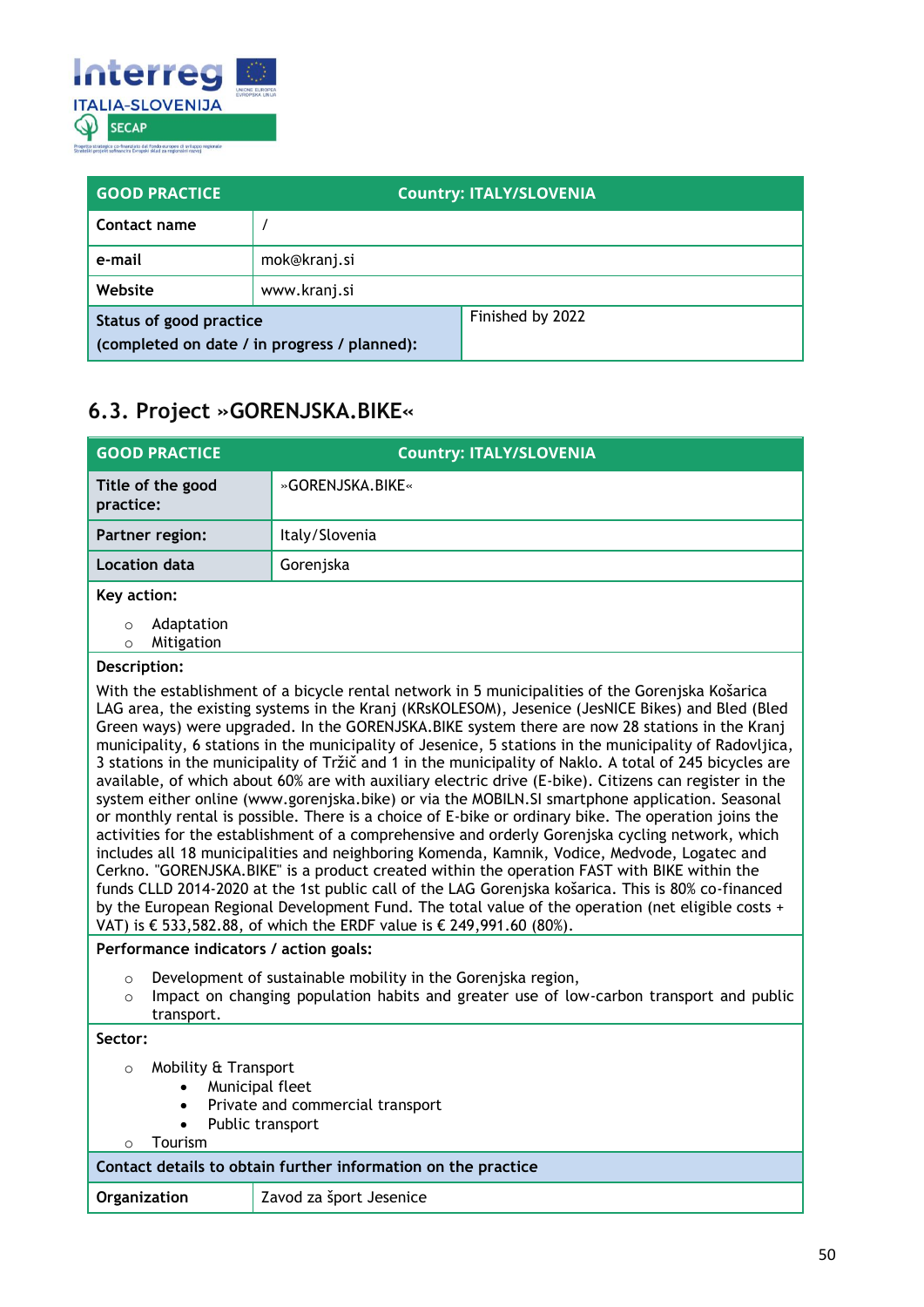

| <b>GOOD PRACTICE</b>                         |              | <b>Country: ITALY/SLOVENIA</b> |
|----------------------------------------------|--------------|--------------------------------|
| Contact name                                 |              |                                |
| e-mail                                       | mok@kranj.si |                                |
| Website                                      | www.kranj.si |                                |
| Status of good practice                      |              | Finished by 2022               |
| (completed on date / in progress / planned): |              |                                |

### <span id="page-49-0"></span>**6.3. Project »GORENJSKA.BIKE«**

| <b>GOOD PRACTICE</b>                           | <b>Country: ITALY/SLOVENIA</b> |
|------------------------------------------------|--------------------------------|
| Title of the good<br>practice:                 | »GORENJSKA.BIKE«               |
| Partner region:                                | Italy/Slovenia                 |
| <b>Location data</b>                           | Gorenjska                      |
| Key action:                                    |                                |
| Adaptation<br>$\circ$<br>Mitigation<br>$\circ$ |                                |

### **Description:**

With the establishment of a bicycle rental network in 5 municipalities of the Gorenjska Košarica LAG area, the existing systems in the Kranj (KRsKOLESOM), Jesenice (JesNICE Bikes) and Bled (Bled Green ways) were upgraded. In the GORENJSKA.BIKE system there are now 28 stations in the Kranj municipality, 6 stations in the municipality of Jesenice, 5 stations in the municipality of Radovljica, 3 stations in the municipality of Tržič and 1 in the municipality of Naklo. A total of 245 bicycles are available, of which about 60% are with auxiliary electric drive (E-bike). Citizens can register in the system either online (www.gorenjska.bike) or via the MOBILN.SI smartphone application. Seasonal or monthly rental is possible. There is a choice of E-bike or ordinary bike. The operation joins the activities for the establishment of a comprehensive and orderly Gorenjska cycling network, which includes all 18 municipalities and neighboring Komenda, Kamnik, Vodice, Medvode, Logatec and Cerkno. "GORENJSKA.BIKE" is a product created within the operation FAST with BIKE within the funds CLLD 2014-2020 at the 1st public call of the LAG Gorenjska košarica. This is 80% co-financed by the European Regional Development Fund. The total value of the operation (net eligible costs + VAT) is € 533,582.88, of which the ERDF value is € 249,991.60 (80%).

#### **Performance indicators / action goals:**

- o Development of sustainable mobility in the Gorenjska region,
- $\circ$  Impact on changing population habits and greater use of low-carbon transport and public transport.

**Sector:**

#### o Mobility & Transport

- Municipal fleet
- Private and commercial transport
- Public transport

### o Tourism

### **Contact details to obtain further information on the practice**

| Organization | Zavod za šport Jesenice |
|--------------|-------------------------|
|              |                         |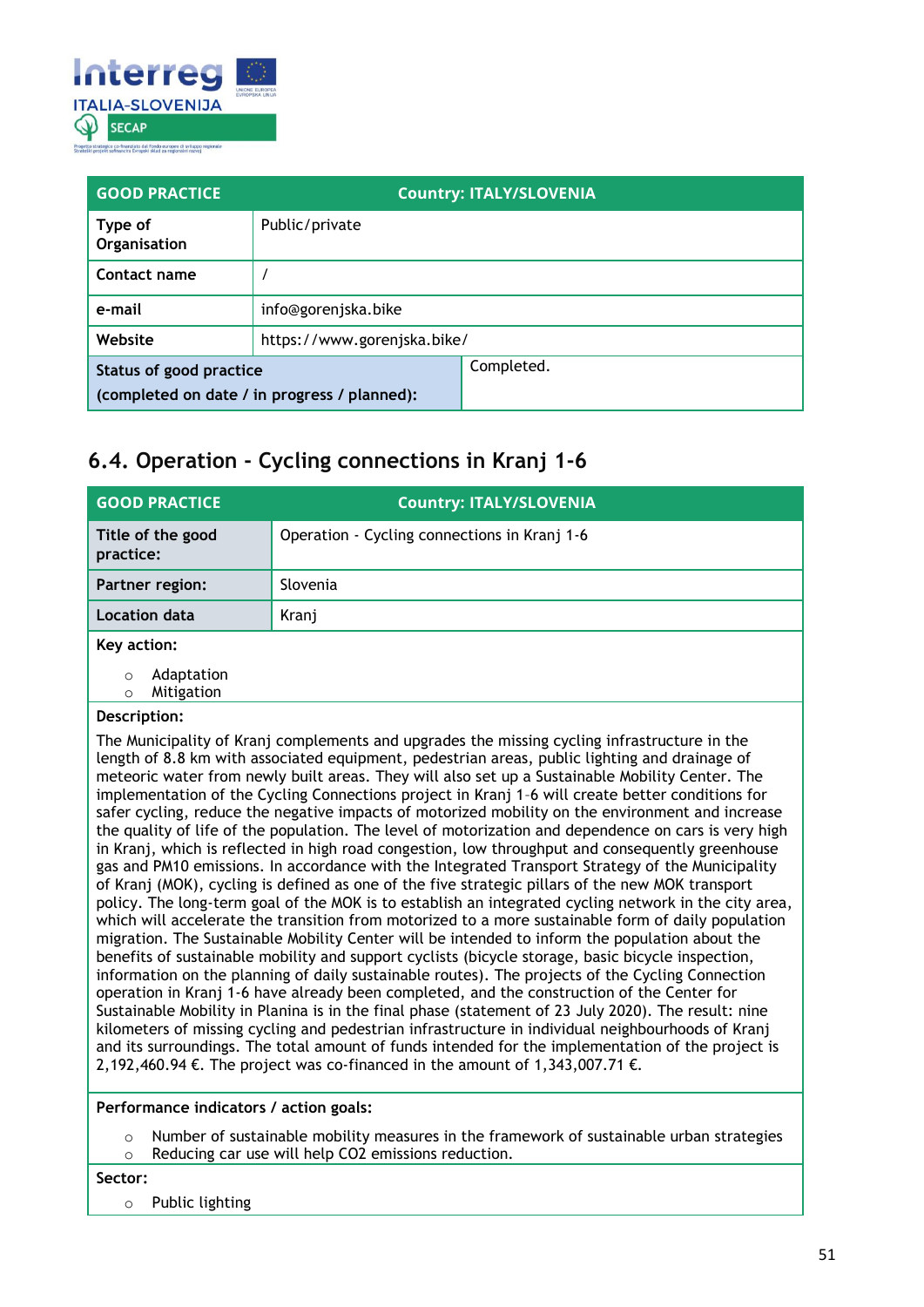

| <b>GOOD PRACTICE</b>    |                                              | <b>Country: ITALY/SLOVENIA</b> |
|-------------------------|----------------------------------------------|--------------------------------|
| Type of<br>Organisation | Public/private                               |                                |
| Contact name            |                                              |                                |
| e-mail                  | info@gorenjska.bike                          |                                |
| Website                 | https://www.gorenjska.bike/                  |                                |
| Status of good practice | (completed on date / in progress / planned): | Completed.                     |

### <span id="page-50-0"></span>**6.4. Operation - Cycling connections in Kranj 1-6**

| <b>GOOD PRACTICE</b>                     | <b>Country: ITALY/SLOVENIA</b>               |
|------------------------------------------|----------------------------------------------|
| Title of the good<br>practice:           | Operation - Cycling connections in Kranj 1-6 |
| Partner region:                          | Slovenia                                     |
| <b>Location data</b>                     | Kranj                                        |
| Key action:                              |                                              |
| Adaptation<br>$\circ$<br>Mitigation<br>O |                                              |

#### **Description:**

The Municipality of Kranj complements and upgrades the missing cycling infrastructure in the length of 8.8 km with associated equipment, pedestrian areas, public lighting and drainage of meteoric water from newly built areas. They will also set up a Sustainable Mobility Center. The implementation of the Cycling Connections project in Kranj 1–6 will create better conditions for safer cycling, reduce the negative impacts of motorized mobility on the environment and increase the quality of life of the population. The level of motorization and dependence on cars is very high in Kranj, which is reflected in high road congestion, low throughput and consequently greenhouse gas and PM10 emissions. In accordance with the Integrated Transport Strategy of the Municipality of Kranj (MOK), cycling is defined as one of the five strategic pillars of the new MOK transport policy. The long-term goal of the MOK is to establish an integrated cycling network in the city area, which will accelerate the transition from motorized to a more sustainable form of daily population migration. The Sustainable Mobility Center will be intended to inform the population about the benefits of sustainable mobility and support cyclists (bicycle storage, basic bicycle inspection, information on the planning of daily sustainable routes). The projects of the Cycling Connection operation in Kranj 1-6 have already been completed, and the construction of the Center for Sustainable Mobility in Planina is in the final phase (statement of 23 July 2020). The result: nine kilometers of missing cycling and pedestrian infrastructure in individual neighbourhoods of Kranj and its surroundings. The total amount of funds intended for the implementation of the project is 2,192,460.94 €. The project was co-financed in the amount of 1,343,007.71 €.

**Performance indicators / action goals:**

Number of sustainable mobility measures in the framework of sustainable urban strategies o Reducing car use will help CO2 emissions reduction.

#### **Sector:**

o Public lighting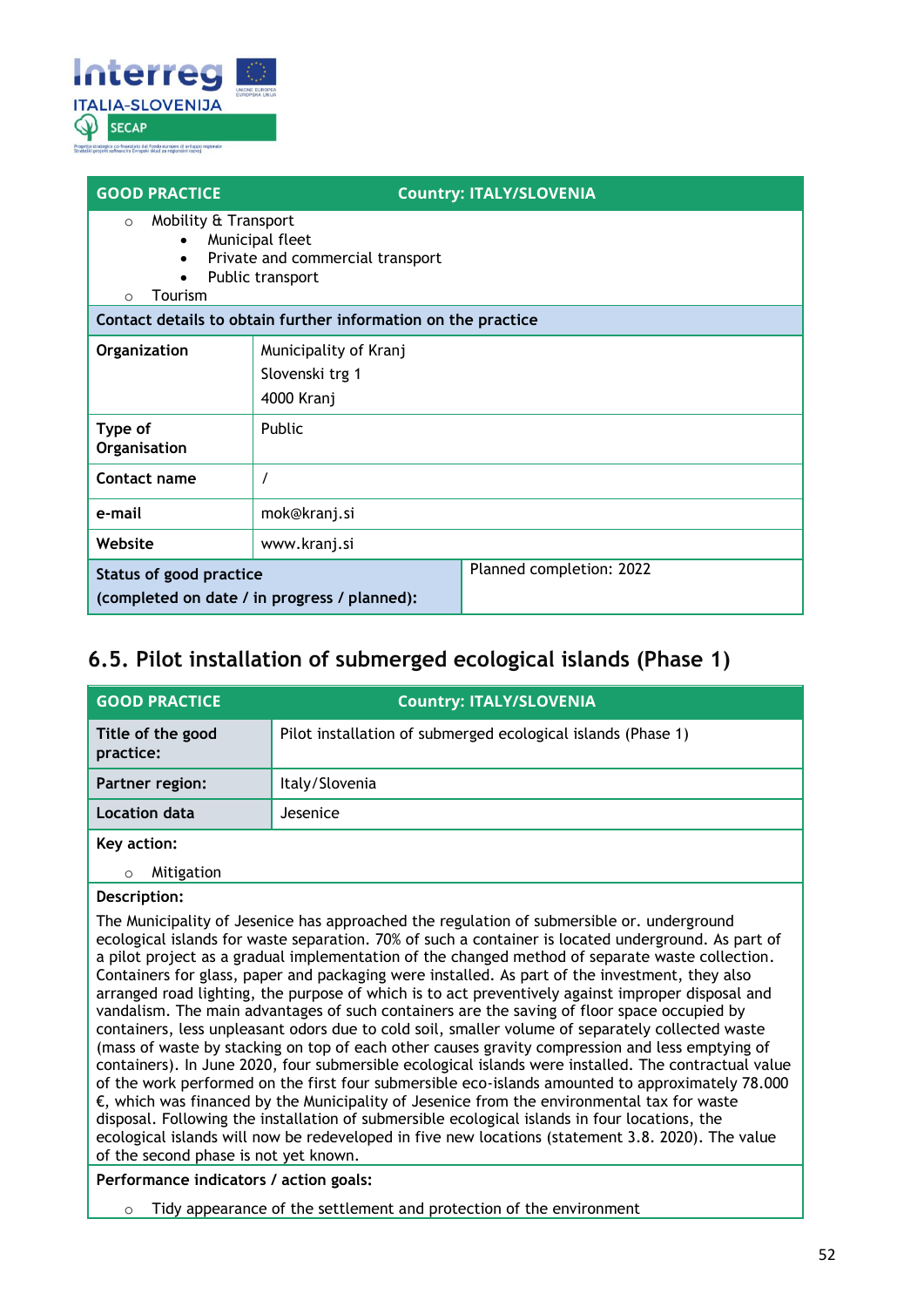

| <b>GOOD PRACTICE</b>                                                                                                                                                                                            |                       | <b>Country: ITALY/SLOVENIA</b> |
|-----------------------------------------------------------------------------------------------------------------------------------------------------------------------------------------------------------------|-----------------------|--------------------------------|
| Mobility & Transport<br>$\circ$<br>Municipal fleet<br>Private and commercial transport<br>$\bullet$<br>Public transport<br>Tourism<br>$\Omega$<br>Contact details to obtain further information on the practice |                       |                                |
| Organization                                                                                                                                                                                                    | Municipality of Kranj |                                |
|                                                                                                                                                                                                                 | Slovenski trg 1       |                                |
|                                                                                                                                                                                                                 | 4000 Kranj            |                                |
| Type of                                                                                                                                                                                                         | Public                |                                |
| Organisation                                                                                                                                                                                                    |                       |                                |
| Contact name                                                                                                                                                                                                    |                       |                                |
| e-mail                                                                                                                                                                                                          | mok@kranj.si          |                                |
| Website                                                                                                                                                                                                         | www.kranj.si          |                                |
| Status of good practice<br>(completed on date / in progress / planned):                                                                                                                                         |                       | Planned completion: 2022       |

### <span id="page-51-0"></span>**6.5. Pilot installation of submerged ecological islands (Phase 1)**

| <b>GOOD PRACTICE</b>           | <b>Country: ITALY/SLOVENIA</b>                               |
|--------------------------------|--------------------------------------------------------------|
| Title of the good<br>practice: | Pilot installation of submerged ecological islands (Phase 1) |
| Partner region:                | Italy/Slovenia                                               |
| <b>Location data</b>           | Jesenice                                                     |
| Key action:                    |                                                              |
| Mitigation<br>$\Omega$         |                                                              |

#### **Description:**

The Municipality of Jesenice has approached the regulation of submersible or. underground ecological islands for waste separation. 70% of such a container is located underground. As part of a pilot project as a gradual implementation of the changed method of separate waste collection. Containers for glass, paper and packaging were installed. As part of the investment, they also arranged road lighting, the purpose of which is to act preventively against improper disposal and vandalism. The main advantages of such containers are the saving of floor space occupied by containers, less unpleasant odors due to cold soil, smaller volume of separately collected waste (mass of waste by stacking on top of each other causes gravity compression and less emptying of containers). In June 2020, four submersible ecological islands were installed. The contractual value of the work performed on the first four submersible eco-islands amounted to approximately 78.000 €, which was financed by the Municipality of Jesenice from the environmental tax for waste disposal. Following the installation of submersible ecological islands in four locations, the ecological islands will now be redeveloped in five new locations (statement 3.8. 2020). The value of the second phase is not yet known.

#### **Performance indicators / action goals:**

o Tidy appearance of the settlement and protection of the environment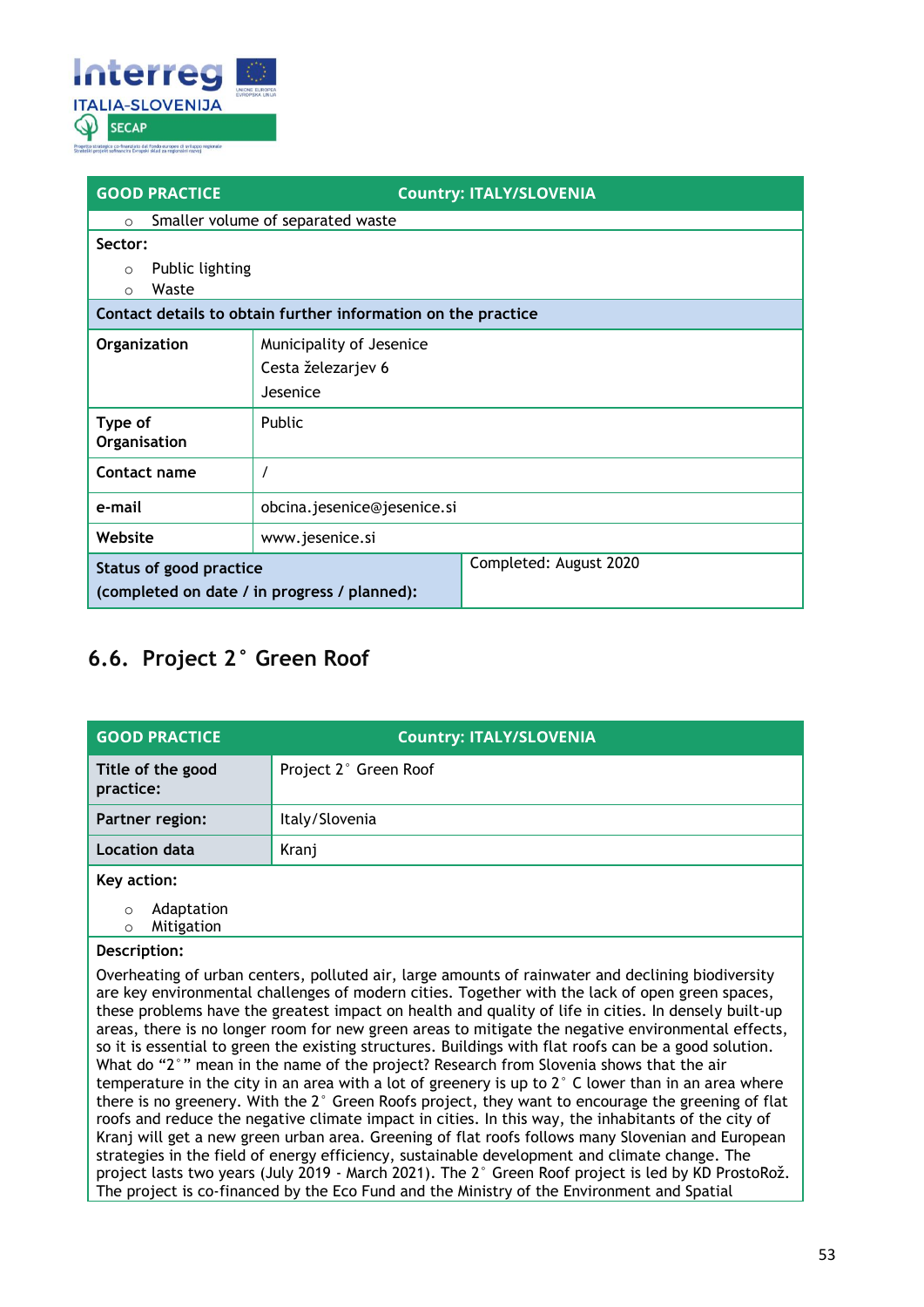

| <b>GOOD PRACTICE</b>                         | <b>Country: ITALY/SLOVENIA</b>                                |  |
|----------------------------------------------|---------------------------------------------------------------|--|
| $\circ$                                      | Smaller volume of separated waste                             |  |
| Sector:                                      |                                                               |  |
| Public lighting<br>$\circ$                   |                                                               |  |
| Waste<br>$\Omega$                            |                                                               |  |
|                                              | Contact details to obtain further information on the practice |  |
| Organization                                 | Municipality of Jesenice                                      |  |
|                                              | Cesta železarjev 6                                            |  |
|                                              | Jesenice                                                      |  |
| Type of<br>Organisation                      | <b>Public</b>                                                 |  |
|                                              |                                                               |  |
| Contact name                                 |                                                               |  |
| e-mail                                       | obcina.jesenice@jesenice.si                                   |  |
| Website                                      | www.jesenice.si                                               |  |
| Status of good practice                      | Completed: August 2020                                        |  |
| (completed on date / in progress / planned): |                                                               |  |

## <span id="page-52-0"></span>**6.6. Project 2° Green Roof**

| <b>GOOD PRACTICE</b>                                                                                                                                                                                                                                                                                                                                                                                                                                                                                                                                                                                                                                                                                                                                                                                                                                                                                                                                                                                                                                                                                                                                                                                                                                                              | <b>Country: ITALY/SLOVENIA</b> |
|-----------------------------------------------------------------------------------------------------------------------------------------------------------------------------------------------------------------------------------------------------------------------------------------------------------------------------------------------------------------------------------------------------------------------------------------------------------------------------------------------------------------------------------------------------------------------------------------------------------------------------------------------------------------------------------------------------------------------------------------------------------------------------------------------------------------------------------------------------------------------------------------------------------------------------------------------------------------------------------------------------------------------------------------------------------------------------------------------------------------------------------------------------------------------------------------------------------------------------------------------------------------------------------|--------------------------------|
| Title of the good<br>practice:                                                                                                                                                                                                                                                                                                                                                                                                                                                                                                                                                                                                                                                                                                                                                                                                                                                                                                                                                                                                                                                                                                                                                                                                                                                    | Project 2° Green Roof          |
| Partner region:                                                                                                                                                                                                                                                                                                                                                                                                                                                                                                                                                                                                                                                                                                                                                                                                                                                                                                                                                                                                                                                                                                                                                                                                                                                                   | Italy/Slovenia                 |
| Location data                                                                                                                                                                                                                                                                                                                                                                                                                                                                                                                                                                                                                                                                                                                                                                                                                                                                                                                                                                                                                                                                                                                                                                                                                                                                     | Kranj                          |
| Key action:<br>Adaptation<br>$\circ$<br>Mitigation<br>$\circ$                                                                                                                                                                                                                                                                                                                                                                                                                                                                                                                                                                                                                                                                                                                                                                                                                                                                                                                                                                                                                                                                                                                                                                                                                     |                                |
| Description:<br>Overheating of urban centers, polluted air, large amounts of rainwater and declining biodiversity<br>are key environmental challenges of modern cities. Together with the lack of open green spaces,<br>these problems have the greatest impact on health and quality of life in cities. In densely built-up<br>areas, there is no longer room for new green areas to mitigate the negative environmental effects,<br>so it is essential to green the existing structures. Buildings with flat roofs can be a good solution.<br>What do "2°" mean in the name of the project? Research from Slovenia shows that the air<br>temperature in the city in an area with a lot of greenery is up to $2^{\circ}$ C lower than in an area where<br>there is no greenery. With the 2° Green Roofs project, they want to encourage the greening of flat<br>roofs and reduce the negative climate impact in cities. In this way, the inhabitants of the city of<br>Kranj will get a new green urban area. Greening of flat roofs follows many Slovenian and European<br>strategies in the field of energy efficiency, sustainable development and climate change. The<br>project lasts two years (July 2019 - March 2021). The 2° Green Roof project is led by KD ProstoRož. |                                |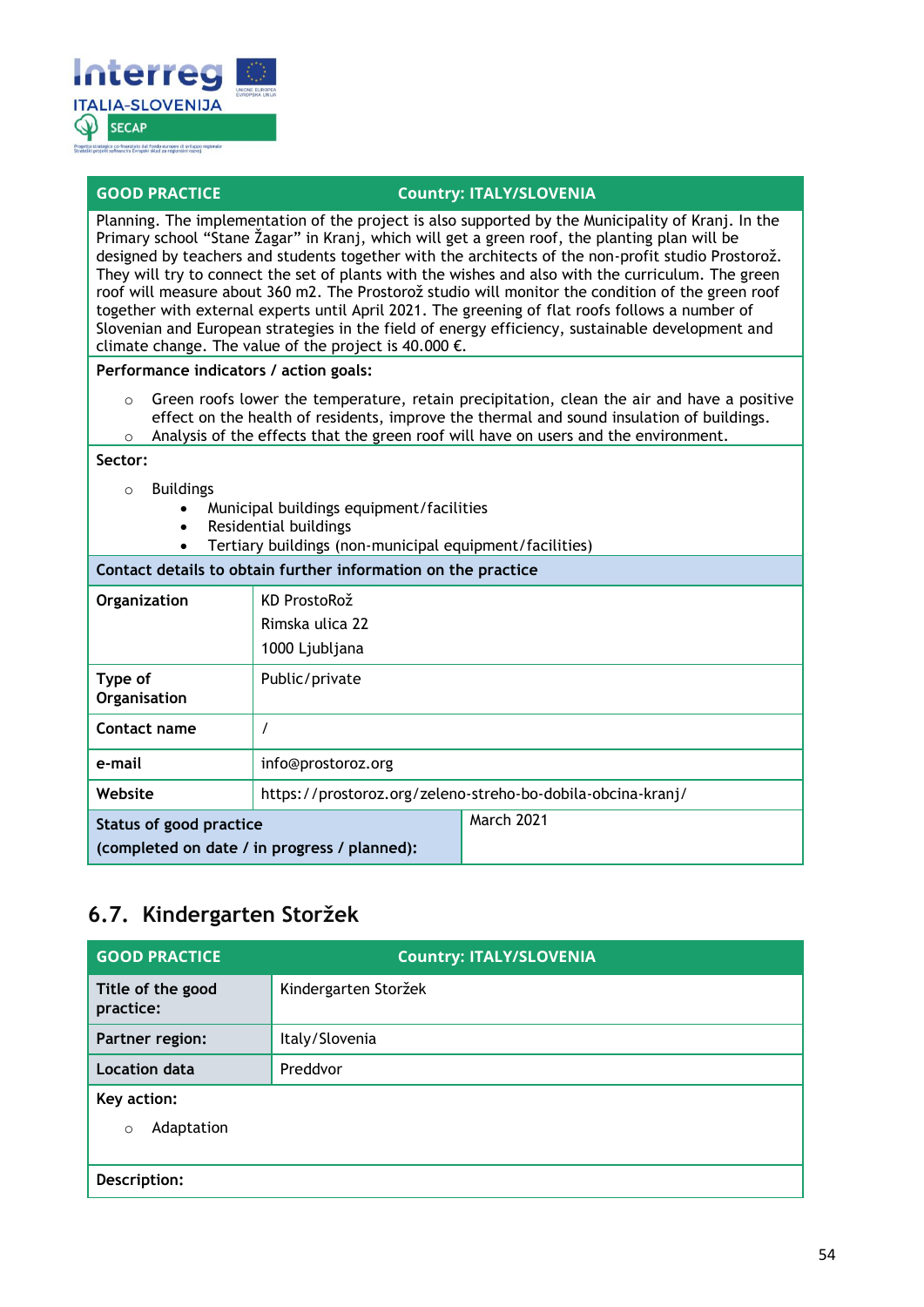

#### **GOOD PRACTICE COUNTY: ITALY/SLOVENIA**

Planning. The implementation of the project is also supported by the Municipality of Kranj. In the Primary school "Stane Žagar" in Kranj, which will get a green roof, the planting plan will be designed by teachers and students together with the architects of the non-profit studio Prostorož. They will try to connect the set of plants with the wishes and also with the curriculum. The green roof will measure about 360 m2. The Prostorož studio will monitor the condition of the green roof together with external experts until April 2021. The greening of flat roofs follows a number of Slovenian and European strategies in the field of energy efficiency, sustainable development and climate change. The value of the project is 40.000  $\epsilon$ .

#### **Performance indicators / action goals:**

o Green roofs lower the temperature, retain precipitation, clean the air and have a positive effect on the health of residents, improve the thermal and sound insulation of buildings.  $\circ$  Analysis of the effects that the green roof will have on users and the environment.

#### **Sector:**

- o Buildings
	- Municipal buildings equipment/facilities
	- Residential buildings
	- Tertiary buildings (non-municipal equipment/facilities)

### **Contact details to obtain further information on the practice Organization** | KD ProstoRož Rimska ulica 22 1000 Ljubljana **Type of Organisation** Public/private **Contact name** / **e-mail** info@prostoroz.org **Website** https://prostoroz.org/zeleno-streho-bo-dobila-obcina-kranj/ **Status of good practice (completed on date / in progress / planned):** March 2021

### <span id="page-53-0"></span>**6.7. Kindergarten Storžek**

| <b>GOOD PRACTICE</b>                 | <b>Country: ITALY/SLOVENIA</b> |
|--------------------------------------|--------------------------------|
| Title of the good<br>practice:       | Kindergarten Storžek           |
| Partner region:                      | Italy/Slovenia                 |
| <b>Location data</b>                 | Preddvor                       |
| Key action:<br>Adaptation<br>$\circ$ |                                |
| Description:                         |                                |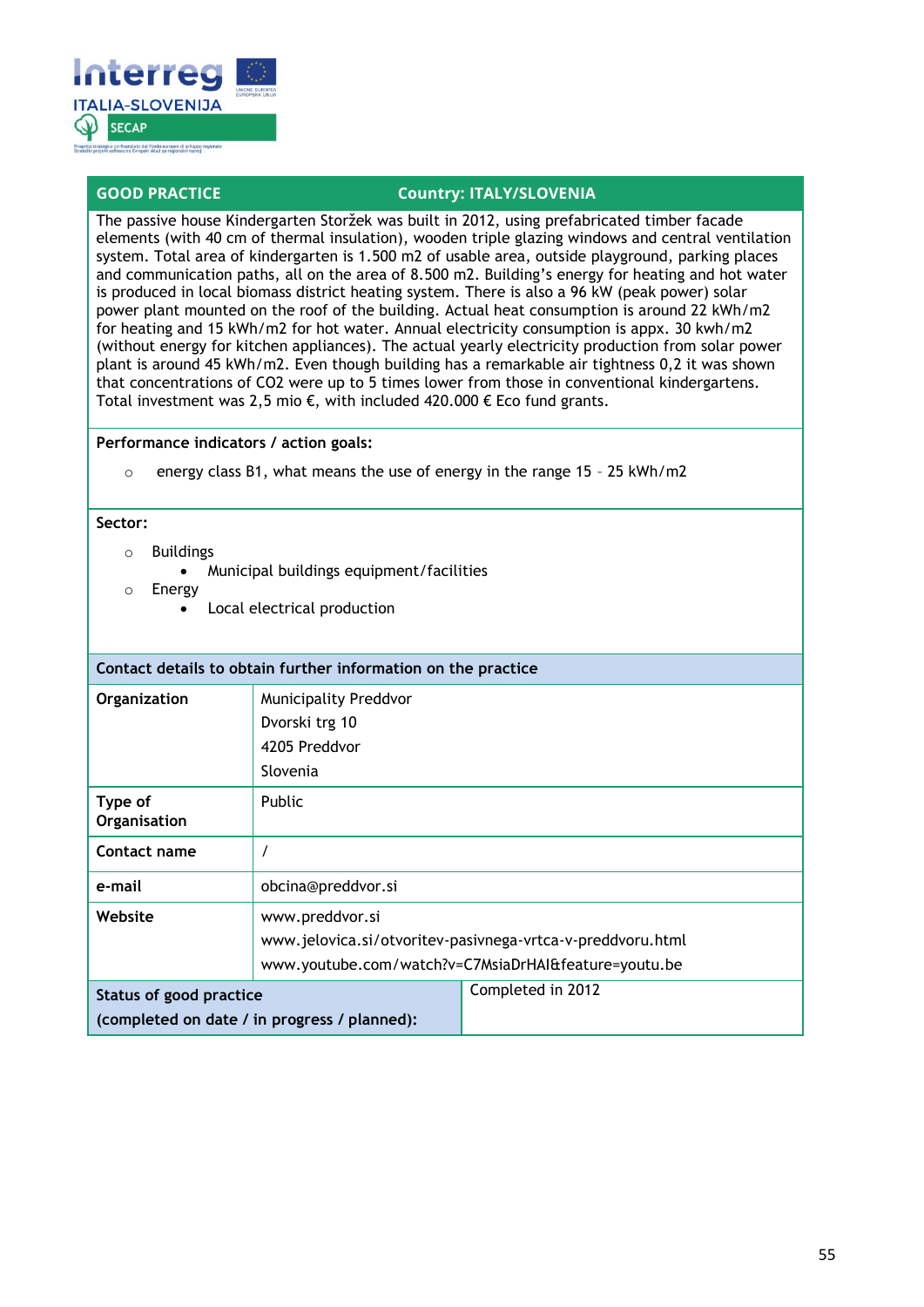

The passive house Kindergarten Storžek was built in 2012, using prefabricated timber facade elements (with 40 cm of thermal insulation), wooden triple glazing windows and central ventilation system. Total area of kindergarten is 1.500 m2 of usable area, outside playground, parking places and communication paths, all on the area of 8.500 m2. Building's energy for heating and hot water is produced in local biomass district heating system. There is also a 96 kW (peak power) solar power plant mounted on the roof of the building. Actual heat consumption is around 22 kWh/m2 for heating and 15 kWh/m2 for hot water. Annual electricity consumption is appx. 30 kwh/m2 (without energy for kitchen appliances). The actual yearly electricity production from solar power plant is around 45 kWh/m2. Even though building has a remarkable air tightness 0,2 it was shown that concentrations of CO2 were up to 5 times lower from those in conventional kindergartens. Total investment was 2,5 mio €, with included 420.000 € Eco fund grants.

#### **Performance indicators / action goals:**

o energy class B1, what means the use of energy in the range 15 – 25 kWh/m2

#### **Sector:**

- o Buildings
	- Municipal buildings equipment/facilities
- o Energy
	- Local electrical production

| Contact details to obtain further information on the practice |                                                            |                                                      |
|---------------------------------------------------------------|------------------------------------------------------------|------------------------------------------------------|
| Organization                                                  | <b>Municipality Preddvor</b>                               |                                                      |
|                                                               | Dvorski trg 10                                             |                                                      |
|                                                               | 4205 Preddvor                                              |                                                      |
|                                                               | Slovenia                                                   |                                                      |
| Type of<br>Organisation                                       | Public                                                     |                                                      |
| Contact name                                                  |                                                            |                                                      |
| e-mail                                                        | obcina@preddvor.si                                         |                                                      |
| Website                                                       | www.preddvor.si                                            |                                                      |
|                                                               | www.jelovica.si/otvoritev-pasivnega-vrtca-v-preddvoru.html |                                                      |
|                                                               |                                                            | www.youtube.com/watch?v=C7MsiaDrHAI&feature=youtu.be |
| <b>Status of good practice</b>                                |                                                            | Completed in 2012                                    |
| (completed on date / in progress / planned):                  |                                                            |                                                      |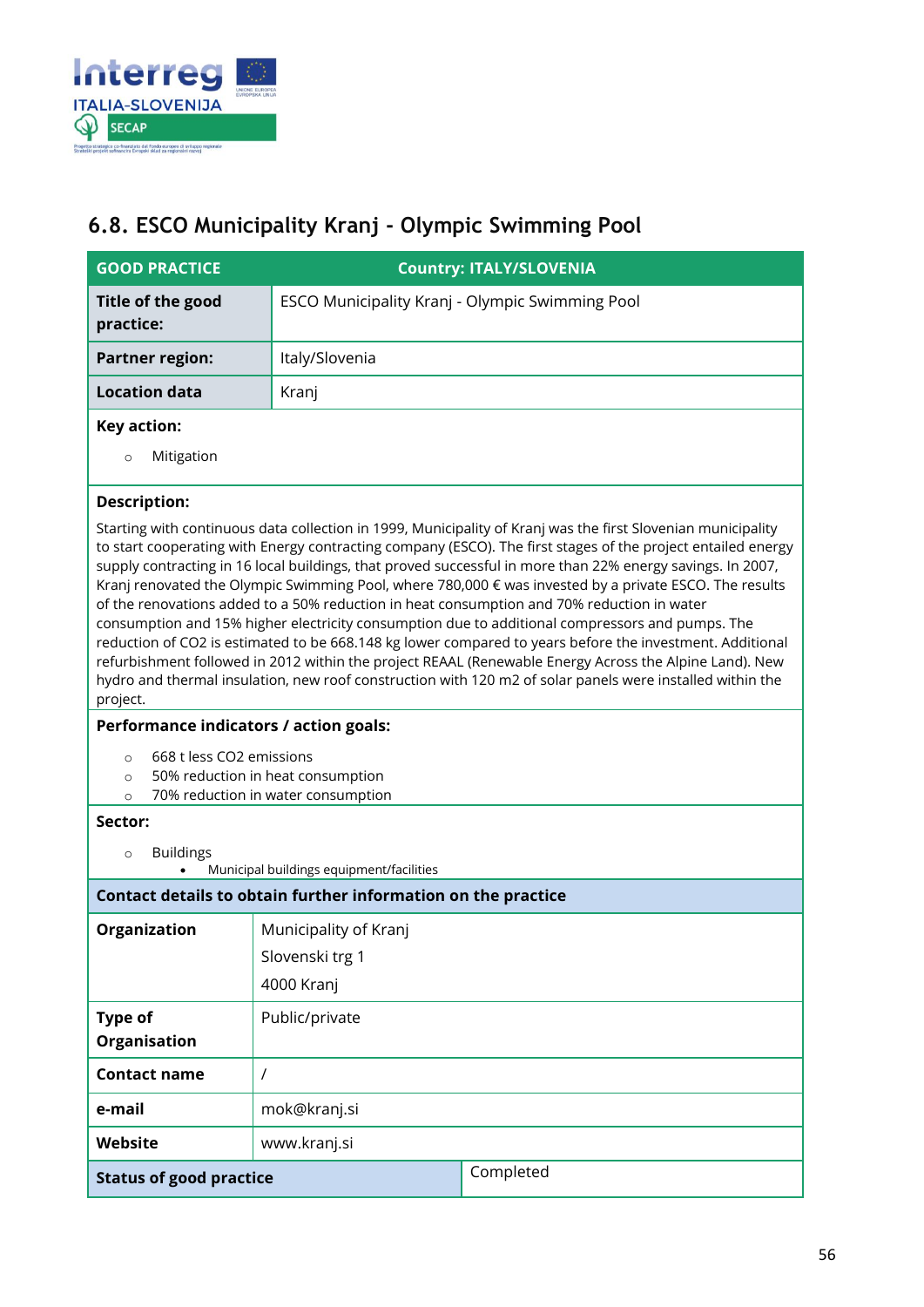

### <span id="page-55-0"></span>**6.8. ESCO Municipality Kranj - Olympic Swimming Pool**

| <b>GOOD PRACTICE</b>                                                                                                                                                                                                                                                                                                                                                                                                                                                                                                                                                                                                                                                                                                                                                                                                                                                                                                                                                                                 |                                                               | <b>Country: ITALY/SLOVENIA</b> |
|------------------------------------------------------------------------------------------------------------------------------------------------------------------------------------------------------------------------------------------------------------------------------------------------------------------------------------------------------------------------------------------------------------------------------------------------------------------------------------------------------------------------------------------------------------------------------------------------------------------------------------------------------------------------------------------------------------------------------------------------------------------------------------------------------------------------------------------------------------------------------------------------------------------------------------------------------------------------------------------------------|---------------------------------------------------------------|--------------------------------|
| Title of the good<br>practice:                                                                                                                                                                                                                                                                                                                                                                                                                                                                                                                                                                                                                                                                                                                                                                                                                                                                                                                                                                       | ESCO Municipality Kranj - Olympic Swimming Pool               |                                |
| <b>Partner region:</b>                                                                                                                                                                                                                                                                                                                                                                                                                                                                                                                                                                                                                                                                                                                                                                                                                                                                                                                                                                               | Italy/Slovenia                                                |                                |
| <b>Location data</b>                                                                                                                                                                                                                                                                                                                                                                                                                                                                                                                                                                                                                                                                                                                                                                                                                                                                                                                                                                                 | Kranj                                                         |                                |
| <b>Key action:</b>                                                                                                                                                                                                                                                                                                                                                                                                                                                                                                                                                                                                                                                                                                                                                                                                                                                                                                                                                                                   |                                                               |                                |
| Mitigation<br>$\circ$                                                                                                                                                                                                                                                                                                                                                                                                                                                                                                                                                                                                                                                                                                                                                                                                                                                                                                                                                                                |                                                               |                                |
| <b>Description:</b>                                                                                                                                                                                                                                                                                                                                                                                                                                                                                                                                                                                                                                                                                                                                                                                                                                                                                                                                                                                  |                                                               |                                |
| Starting with continuous data collection in 1999, Municipality of Kranj was the first Slovenian municipality<br>to start cooperating with Energy contracting company (ESCO). The first stages of the project entailed energy<br>supply contracting in 16 local buildings, that proved successful in more than 22% energy savings. In 2007,<br>Kranj renovated the Olympic Swimming Pool, where 780,000 € was invested by a private ESCO. The results<br>of the renovations added to a 50% reduction in heat consumption and 70% reduction in water<br>consumption and 15% higher electricity consumption due to additional compressors and pumps. The<br>reduction of CO2 is estimated to be 668.148 kg lower compared to years before the investment. Additional<br>refurbishment followed in 2012 within the project REAAL (Renewable Energy Across the Alpine Land). New<br>hydro and thermal insulation, new roof construction with 120 m2 of solar panels were installed within the<br>project. |                                                               |                                |
| Performance indicators / action goals:                                                                                                                                                                                                                                                                                                                                                                                                                                                                                                                                                                                                                                                                                                                                                                                                                                                                                                                                                               |                                                               |                                |
| 668 t less CO2 emissions<br>$\circ$<br>50% reduction in heat consumption<br>$\circ$<br>70% reduction in water consumption<br>$\circ$                                                                                                                                                                                                                                                                                                                                                                                                                                                                                                                                                                                                                                                                                                                                                                                                                                                                 |                                                               |                                |
| Sector:                                                                                                                                                                                                                                                                                                                                                                                                                                                                                                                                                                                                                                                                                                                                                                                                                                                                                                                                                                                              |                                                               |                                |
| <b>Buildings</b><br>$\circ$<br>Municipal buildings equipment/facilities                                                                                                                                                                                                                                                                                                                                                                                                                                                                                                                                                                                                                                                                                                                                                                                                                                                                                                                              |                                                               |                                |
|                                                                                                                                                                                                                                                                                                                                                                                                                                                                                                                                                                                                                                                                                                                                                                                                                                                                                                                                                                                                      | Contact details to obtain further information on the practice |                                |
| Organization                                                                                                                                                                                                                                                                                                                                                                                                                                                                                                                                                                                                                                                                                                                                                                                                                                                                                                                                                                                         | Municipality of Kranj                                         |                                |
|                                                                                                                                                                                                                                                                                                                                                                                                                                                                                                                                                                                                                                                                                                                                                                                                                                                                                                                                                                                                      | Slovenski trg 1                                               |                                |
|                                                                                                                                                                                                                                                                                                                                                                                                                                                                                                                                                                                                                                                                                                                                                                                                                                                                                                                                                                                                      | 4000 Kranj                                                    |                                |
| Type of                                                                                                                                                                                                                                                                                                                                                                                                                                                                                                                                                                                                                                                                                                                                                                                                                                                                                                                                                                                              | Public/private                                                |                                |
| Organisation                                                                                                                                                                                                                                                                                                                                                                                                                                                                                                                                                                                                                                                                                                                                                                                                                                                                                                                                                                                         |                                                               |                                |
| <b>Contact name</b>                                                                                                                                                                                                                                                                                                                                                                                                                                                                                                                                                                                                                                                                                                                                                                                                                                                                                                                                                                                  | $\prime$                                                      |                                |
| e-mail                                                                                                                                                                                                                                                                                                                                                                                                                                                                                                                                                                                                                                                                                                                                                                                                                                                                                                                                                                                               | mok@kranj.si                                                  |                                |
| Website                                                                                                                                                                                                                                                                                                                                                                                                                                                                                                                                                                                                                                                                                                                                                                                                                                                                                                                                                                                              | www.kranj.si                                                  |                                |
| <b>Status of good practice</b>                                                                                                                                                                                                                                                                                                                                                                                                                                                                                                                                                                                                                                                                                                                                                                                                                                                                                                                                                                       |                                                               | Completed                      |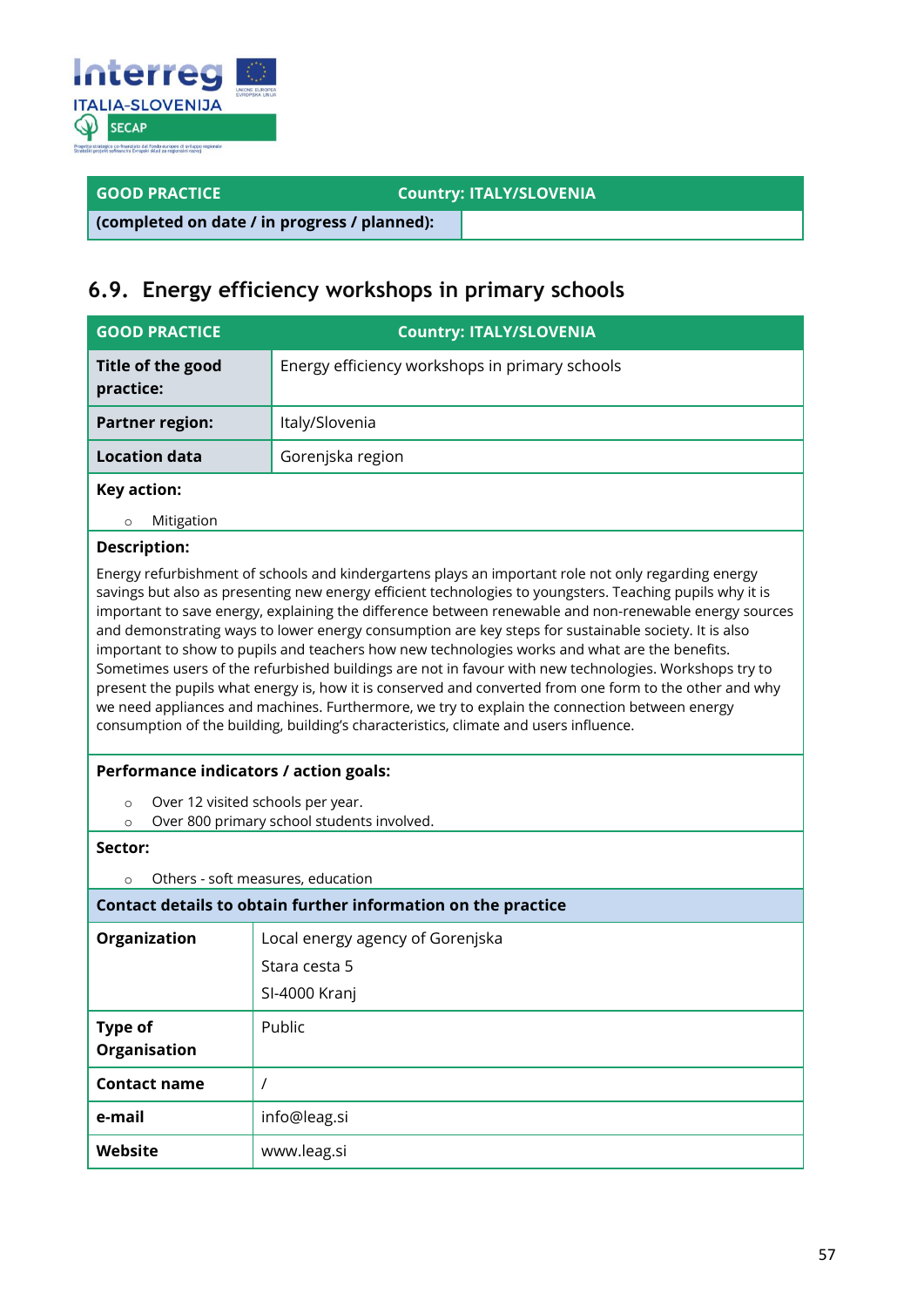

**GOOD PRACTICE COUNTY: ITALY/SLOVENIA** 

**(completed on date / in progress / planned):**

### <span id="page-56-0"></span>**6.9. Energy efficiency workshops in primary schools**

| <b>GOOD PRACTICE</b>                                                                                                                                                                                                                                                                                                                                                                                                                                                                                                                                                                                                                                                                                                                                                                                                                                                                                                                                | <b>Country: ITALY/SLOVENIA</b>                                |  |
|-----------------------------------------------------------------------------------------------------------------------------------------------------------------------------------------------------------------------------------------------------------------------------------------------------------------------------------------------------------------------------------------------------------------------------------------------------------------------------------------------------------------------------------------------------------------------------------------------------------------------------------------------------------------------------------------------------------------------------------------------------------------------------------------------------------------------------------------------------------------------------------------------------------------------------------------------------|---------------------------------------------------------------|--|
| Title of the good<br>practice:                                                                                                                                                                                                                                                                                                                                                                                                                                                                                                                                                                                                                                                                                                                                                                                                                                                                                                                      | Energy efficiency workshops in primary schools                |  |
| <b>Partner region:</b>                                                                                                                                                                                                                                                                                                                                                                                                                                                                                                                                                                                                                                                                                                                                                                                                                                                                                                                              | Italy/Slovenia                                                |  |
| <b>Location data</b>                                                                                                                                                                                                                                                                                                                                                                                                                                                                                                                                                                                                                                                                                                                                                                                                                                                                                                                                | Gorenjska region                                              |  |
| Key action:                                                                                                                                                                                                                                                                                                                                                                                                                                                                                                                                                                                                                                                                                                                                                                                                                                                                                                                                         |                                                               |  |
| Mitigation<br>$\circ$                                                                                                                                                                                                                                                                                                                                                                                                                                                                                                                                                                                                                                                                                                                                                                                                                                                                                                                               |                                                               |  |
| <b>Description:</b>                                                                                                                                                                                                                                                                                                                                                                                                                                                                                                                                                                                                                                                                                                                                                                                                                                                                                                                                 |                                                               |  |
| Energy refurbishment of schools and kindergartens plays an important role not only regarding energy<br>savings but also as presenting new energy efficient technologies to youngsters. Teaching pupils why it is<br>important to save energy, explaining the difference between renewable and non-renewable energy sources<br>and demonstrating ways to lower energy consumption are key steps for sustainable society. It is also<br>important to show to pupils and teachers how new technologies works and what are the benefits.<br>Sometimes users of the refurbished buildings are not in favour with new technologies. Workshops try to<br>present the pupils what energy is, how it is conserved and converted from one form to the other and why<br>we need appliances and machines. Furthermore, we try to explain the connection between energy<br>consumption of the building, building's characteristics, climate and users influence. |                                                               |  |
| Performance indicators / action goals:                                                                                                                                                                                                                                                                                                                                                                                                                                                                                                                                                                                                                                                                                                                                                                                                                                                                                                              |                                                               |  |
| Over 12 visited schools per year.<br>$\circ$<br>Over 800 primary school students involved.<br>$\circ$                                                                                                                                                                                                                                                                                                                                                                                                                                                                                                                                                                                                                                                                                                                                                                                                                                               |                                                               |  |
| Sector:                                                                                                                                                                                                                                                                                                                                                                                                                                                                                                                                                                                                                                                                                                                                                                                                                                                                                                                                             |                                                               |  |
| $\circ$                                                                                                                                                                                                                                                                                                                                                                                                                                                                                                                                                                                                                                                                                                                                                                                                                                                                                                                                             | Others - soft measures, education                             |  |
|                                                                                                                                                                                                                                                                                                                                                                                                                                                                                                                                                                                                                                                                                                                                                                                                                                                                                                                                                     | Contact details to obtain further information on the practice |  |
| Organization                                                                                                                                                                                                                                                                                                                                                                                                                                                                                                                                                                                                                                                                                                                                                                                                                                                                                                                                        | Local energy agency of Gorenjska                              |  |
|                                                                                                                                                                                                                                                                                                                                                                                                                                                                                                                                                                                                                                                                                                                                                                                                                                                                                                                                                     | Stara cesta 5                                                 |  |
|                                                                                                                                                                                                                                                                                                                                                                                                                                                                                                                                                                                                                                                                                                                                                                                                                                                                                                                                                     | SI-4000 Kranj                                                 |  |
| <b>Type of</b><br><b>Organisation</b>                                                                                                                                                                                                                                                                                                                                                                                                                                                                                                                                                                                                                                                                                                                                                                                                                                                                                                               | Public                                                        |  |
| <b>Contact name</b>                                                                                                                                                                                                                                                                                                                                                                                                                                                                                                                                                                                                                                                                                                                                                                                                                                                                                                                                 | $\prime$                                                      |  |
| e-mail                                                                                                                                                                                                                                                                                                                                                                                                                                                                                                                                                                                                                                                                                                                                                                                                                                                                                                                                              | info@leag.si                                                  |  |
| Website                                                                                                                                                                                                                                                                                                                                                                                                                                                                                                                                                                                                                                                                                                                                                                                                                                                                                                                                             | www.leag.si                                                   |  |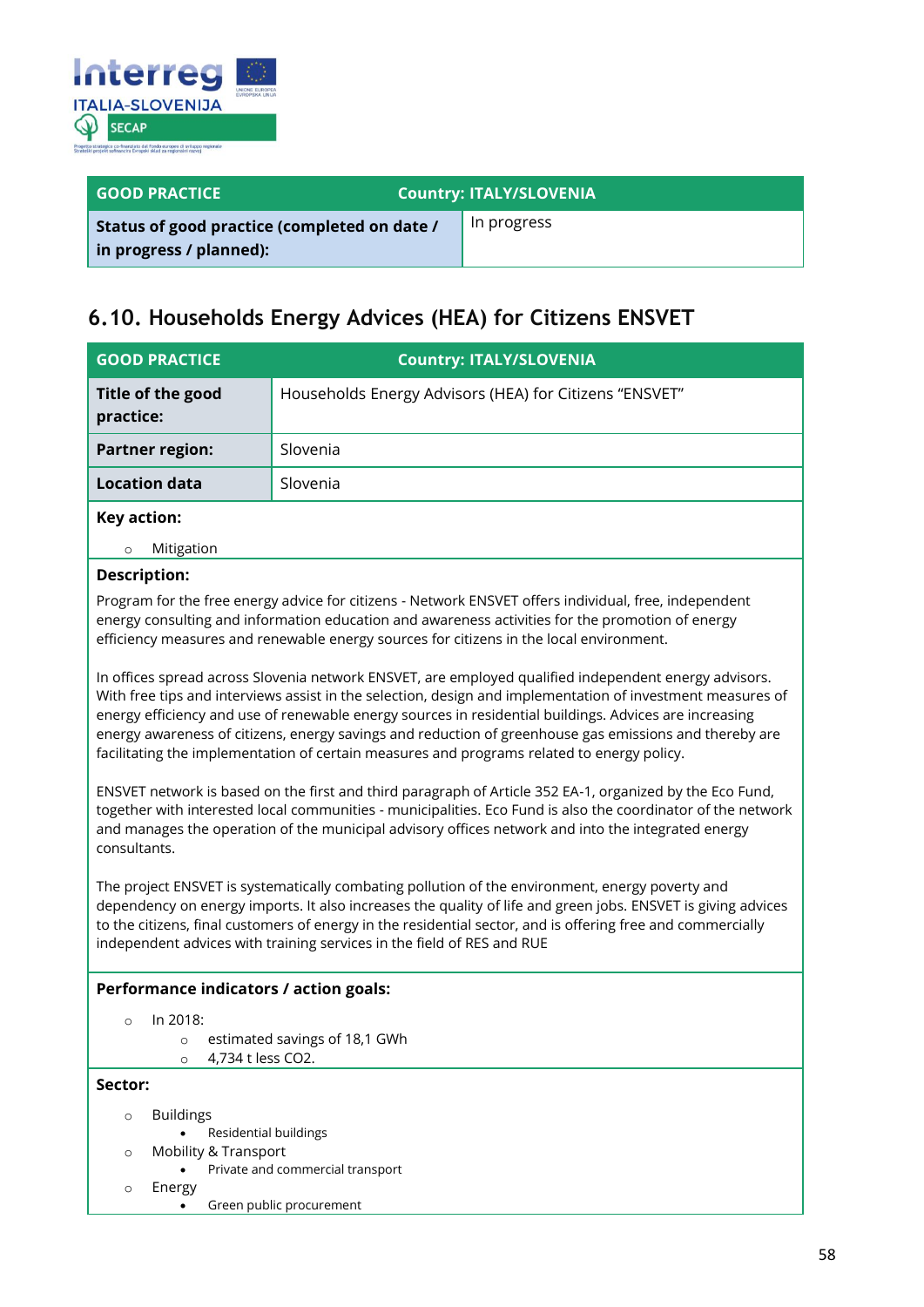

| <b>GOOD PRACTICE</b>                                                    | <b>Country: ITALY/SLOVENIA</b> |
|-------------------------------------------------------------------------|--------------------------------|
| Status of good practice (completed on date /<br>in progress / planned): | In progress                    |

### <span id="page-57-0"></span>**6.10. Households Energy Advices (HEA) for Citizens ENSVET**

| <b>GOOD PRACTICE</b>           | <b>Country: ITALY/SLOVENIA</b>                         |
|--------------------------------|--------------------------------------------------------|
| Title of the good<br>practice: | Households Energy Advisors (HEA) for Citizens "ENSVET" |
| <b>Partner region:</b>         | Slovenia                                               |
| <b>Location data</b>           | Slovenia                                               |
| Key action:                    |                                                        |

o Mitigation

#### **Description:**

Program for the free energy advice for citizens - Network ENSVET offers individual, free, independent energy consulting and information education and awareness activities for the promotion of energy efficiency measures and renewable energy sources for citizens in the local environment.

In offices spread across Slovenia network ENSVET, are employed qualified independent energy advisors. With free tips and interviews assist in the selection, design and implementation of investment measures of energy efficiency and use of renewable energy sources in residential buildings. Advices are increasing energy awareness of citizens, energy savings and reduction of greenhouse gas emissions and thereby are facilitating the implementation of certain measures and programs related to energy policy.

ENSVET network is based on the first and third paragraph of Article 352 EA-1, organized by the Eco Fund, together with interested local communities - municipalities. Eco Fund is also the coordinator of the network and manages the operation of the municipal advisory offices network and into the integrated energy consultants.

The project ENSVET is systematically combating pollution of the environment, energy poverty and dependency on energy imports. It also increases the quality of life and green jobs. ENSVET is giving advices to the citizens, final customers of energy in the residential sector, and is offering free and commercially independent advices with training services in the field of RES and RUE

#### **Performance indicators / action goals:**

- o In 2018:
	- o estimated savings of 18,1 GWh
	- o 4,734 t less CO2.

#### **Sector:**

- o Buildings
	- Residential buildings
- o Mobility & Transport
	- Private and commercial transport
- o Energy
	- Green public procurement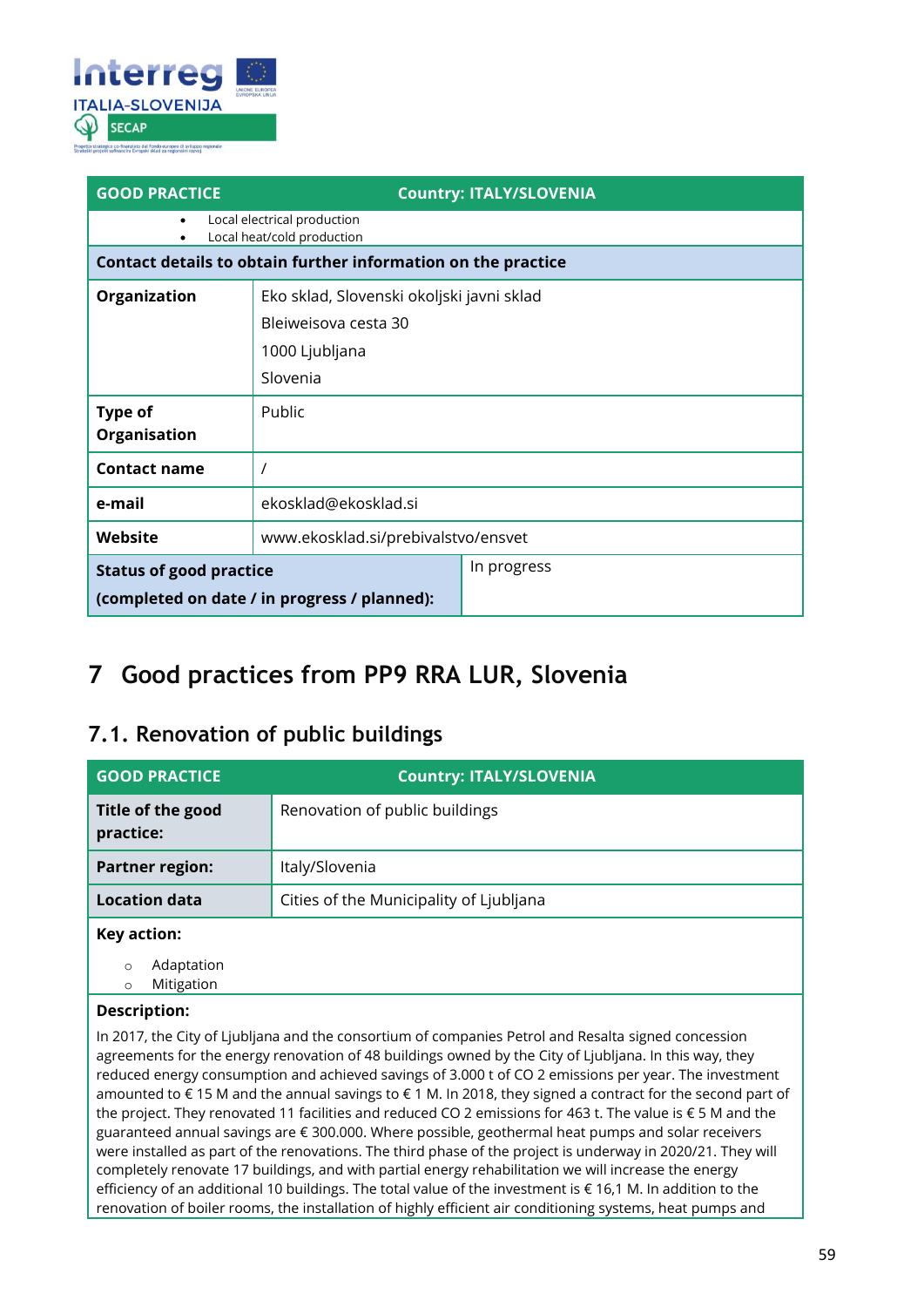

| <b>GOOD PRACTICE</b>                         | <b>Country: ITALY/SLOVENIA</b>                                |  |  |
|----------------------------------------------|---------------------------------------------------------------|--|--|
| ٠                                            | Local electrical production<br>Local heat/cold production     |  |  |
|                                              | Contact details to obtain further information on the practice |  |  |
| Organization                                 | Eko sklad, Slovenski okoljski javni sklad                     |  |  |
|                                              | Bleiweisova cesta 30                                          |  |  |
|                                              | 1000 Ljubljana                                                |  |  |
|                                              | Slovenia                                                      |  |  |
| Type of                                      | Public                                                        |  |  |
| Organisation                                 |                                                               |  |  |
| <b>Contact name</b>                          |                                                               |  |  |
| e-mail                                       | ekosklad@ekosklad.si                                          |  |  |
| Website                                      | www.ekosklad.si/prebivalstvo/ensvet                           |  |  |
| <b>Status of good practice</b>               | In progress                                                   |  |  |
| (completed on date / in progress / planned): |                                                               |  |  |

## <span id="page-58-0"></span>**7 Good practices from PP9 RRA LUR, Slovenia**

### <span id="page-58-1"></span>**7.1. Renovation of public buildings**

| <b>GOOD PRACTICE</b>           | <b>Country: ITALY/SLOVENIA</b>          |
|--------------------------------|-----------------------------------------|
| Title of the good<br>practice: | Renovation of public buildings          |
| <b>Partner region:</b>         | Italy/Slovenia                          |
| <b>Location data</b>           | Cities of the Municipality of Ljubljana |
| Key action:                    |                                         |

o Adaptation

o Mitigation

### **Description:**

In 2017, the City of Ljubljana and the consortium of companies Petrol and Resalta signed concession agreements for the energy renovation of 48 buildings owned by the City of Ljubljana. In this way, they reduced energy consumption and achieved savings of 3.000 t of CO 2 emissions per year. The investment amounted to € 15 M and the annual savings to € 1 M. In 2018, they signed a contract for the second part of the project. They renovated 11 facilities and reduced CO 2 emissions for 463 t. The value is € 5 M and the guaranteed annual savings are € 300.000. Where possible, geothermal heat pumps and solar receivers were installed as part of the renovations. The third phase of the project is underway in 2020/21. They will completely renovate 17 buildings, and with partial energy rehabilitation we will increase the energy efficiency of an additional 10 buildings. The total value of the investment is € 16,1 M. In addition to the renovation of boiler rooms, the installation of highly efficient air conditioning systems, heat pumps and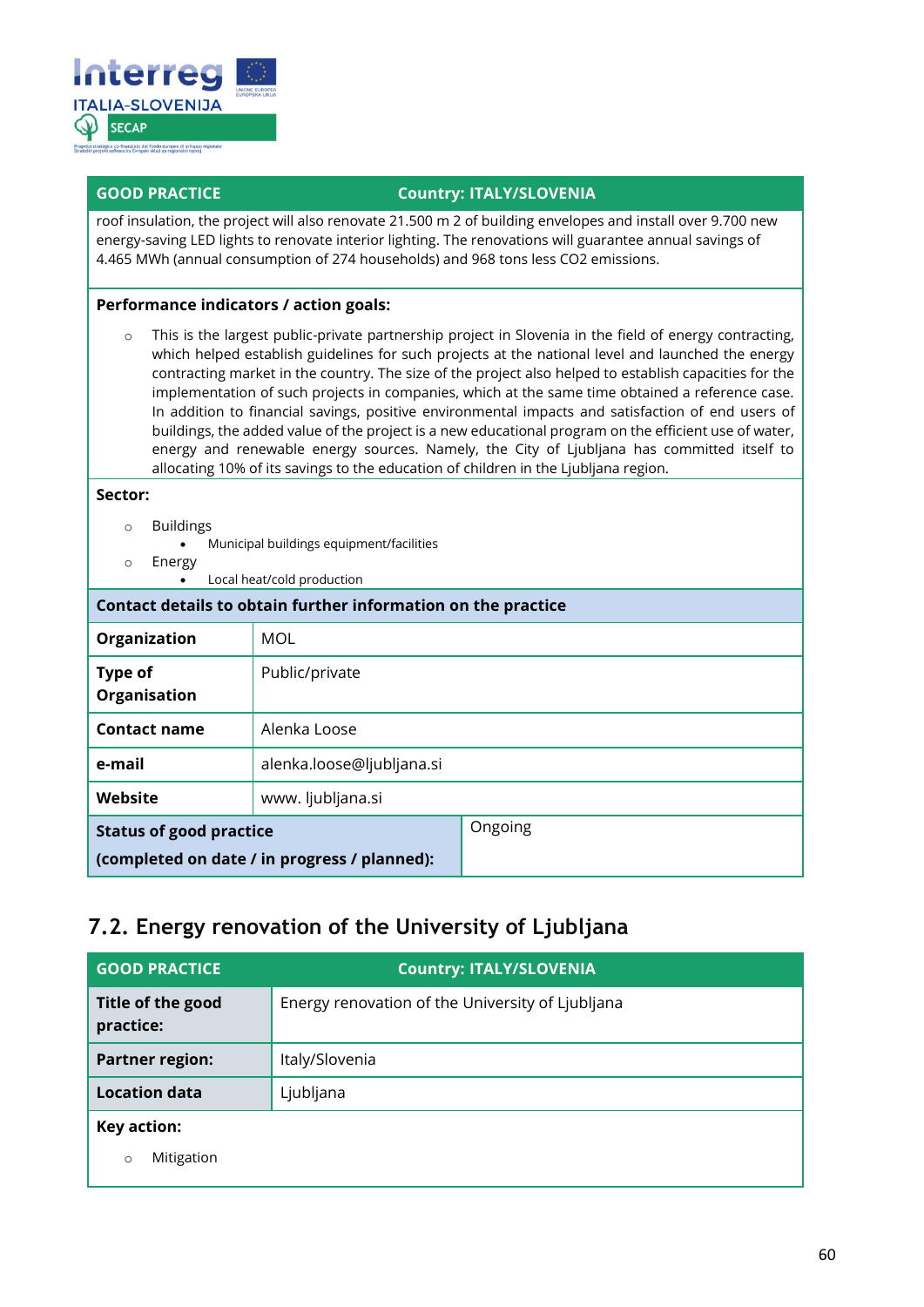

roof insulation, the project will also renovate 21.500 m 2 of building envelopes and install over 9.700 new energy-saving LED lights to renovate interior lighting. The renovations will guarantee annual savings of 4.465 MWh (annual consumption of 274 households) and 968 tons less CO2 emissions.

#### **Performance indicators / action goals:**

o This is the largest public-private partnership project in Slovenia in the field of energy contracting, which helped establish guidelines for such projects at the national level and launched the energy contracting market in the country. The size of the project also helped to establish capacities for the implementation of such projects in companies, which at the same time obtained a reference case. In addition to financial savings, positive environmental impacts and satisfaction of end users of buildings, the added value of the project is a new educational program on the efficient use of water, energy and renewable energy sources. Namely, the City of Ljubljana has committed itself to allocating 10% of its savings to the education of children in the Ljubljana region.

#### **Sector:**

- o Buildings
	- Municipal buildings equipment/facilities
- o Energy
	- Local heat/cold production

| Contact details to obtain further information on the practice |                           |         |
|---------------------------------------------------------------|---------------------------|---------|
| Organization                                                  | MOL                       |         |
| <b>Type of</b><br>Organisation                                | Public/private            |         |
| <b>Contact name</b>                                           | Alenka Loose              |         |
| e-mail                                                        | alenka.loose@ljubljana.si |         |
| Website                                                       | www. ljubljana.si         |         |
| <b>Status of good practice</b>                                |                           | Ongoing |
| (completed on date / in progress / planned):                  |                           |         |

### <span id="page-59-0"></span>**7.2. Energy renovation of the University of Ljubljana**

| <b>GOOD PRACTICE</b>           | <b>Country: ITALY/SLOVENIA</b>                   |  |
|--------------------------------|--------------------------------------------------|--|
| Title of the good<br>practice: | Energy renovation of the University of Ljubljana |  |
| <b>Partner region:</b>         | Italy/Slovenia                                   |  |
| <b>Location data</b>           | Ljubljana                                        |  |
| Key action:                    |                                                  |  |
| Mitigation<br>$\circ$          |                                                  |  |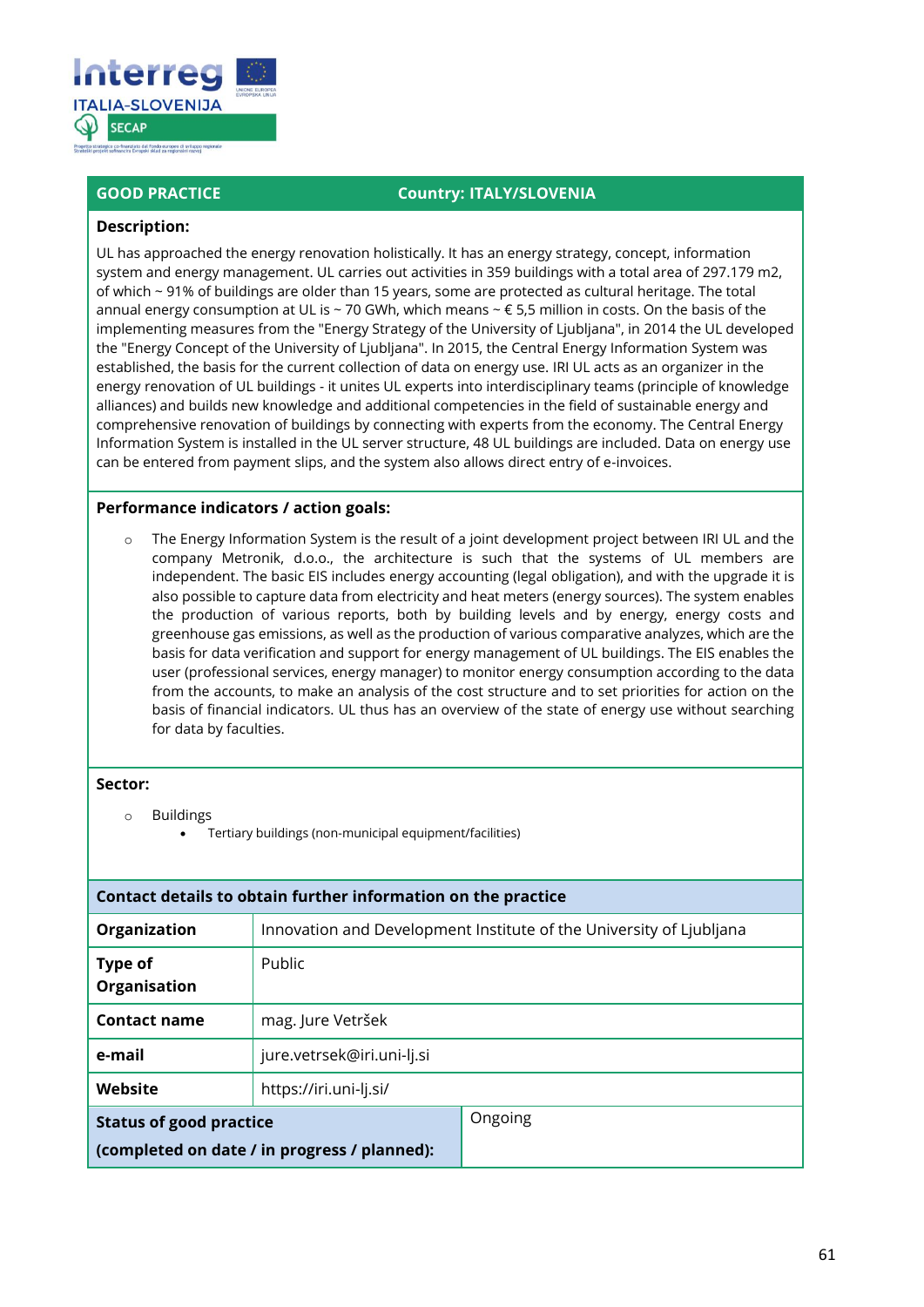

#### **Description:**

UL has approached the energy renovation holistically. It has an energy strategy, concept, information system and energy management. UL carries out activities in 359 buildings with a total area of 297.179 m2, of which ~ 91% of buildings are older than 15 years, some are protected as cultural heritage. The total annual energy consumption at UL is ~ 70 GWh, which means ~  $\epsilon$  5,5 million in costs. On the basis of the implementing measures from the "Energy Strategy of the University of Ljubljana", in 2014 the UL developed the "Energy Concept of the University of Ljubljana". In 2015, the Central Energy Information System was established, the basis for the current collection of data on energy use. IRI UL acts as an organizer in the energy renovation of UL buildings - it unites UL experts into interdisciplinary teams (principle of knowledge alliances) and builds new knowledge and additional competencies in the field of sustainable energy and comprehensive renovation of buildings by connecting with experts from the economy. The Central Energy Information System is installed in the UL server structure, 48 UL buildings are included. Data on energy use can be entered from payment slips, and the system also allows direct entry of e-invoices.

#### **Performance indicators / action goals:**

The Energy Information System is the result of a joint development project between IRI UL and the company Metronik, d.o.o., the architecture is such that the systems of UL members are independent. The basic EIS includes energy accounting (legal obligation), and with the upgrade it is also possible to capture data from electricity and heat meters (energy sources). The system enables the production of various reports, both by building levels and by energy, energy costs and greenhouse gas emissions, as well as the production of various comparative analyzes, which are the basis for data verification and support for energy management of UL buildings. The EIS enables the user (professional services, energy manager) to monitor energy consumption according to the data from the accounts, to make an analysis of the cost structure and to set priorities for action on the basis of financial indicators. UL thus has an overview of the state of energy use without searching for data by faculties.

#### **Sector:**

- o Buildings
	- Tertiary buildings (non-municipal equipment/facilities)

| Contact details to obtain further information on the practice                  |                                                                     |         |  |
|--------------------------------------------------------------------------------|---------------------------------------------------------------------|---------|--|
| Organization                                                                   | Innovation and Development Institute of the University of Ljubljana |         |  |
| Type of<br>Organisation                                                        | Public                                                              |         |  |
| <b>Contact name</b>                                                            | mag. Jure Vetršek                                                   |         |  |
| e-mail                                                                         | jure.vetrsek@iri.uni-lj.si                                          |         |  |
| Website                                                                        | https://iri.uni-lj.si/                                              |         |  |
| <b>Status of good practice</b><br>(completed on date / in progress / planned): |                                                                     | Ongoing |  |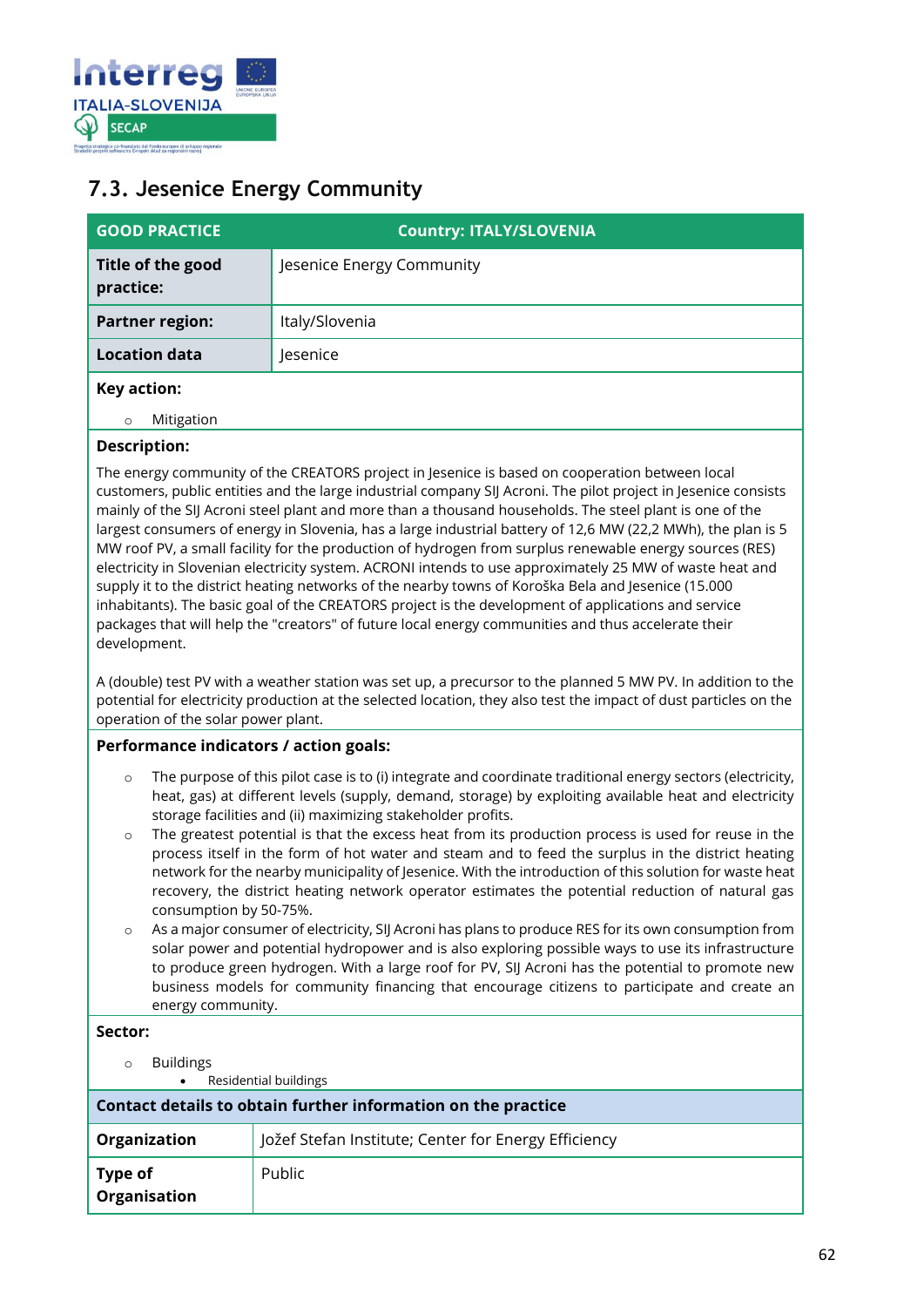

### <span id="page-61-0"></span>**7.3. Jesenice Energy Community**

| <b>GOOD PRACTICE</b>           | <b>Country: ITALY/SLOVENIA</b> |  |
|--------------------------------|--------------------------------|--|
| Title of the good<br>practice: | Jesenice Energy Community      |  |
| <b>Partner region:</b>         | Italy/Slovenia                 |  |
| <b>Location data</b>           | Jesenice                       |  |
| Key action:                    |                                |  |
| Mitigation<br>$\circ$          |                                |  |

### **Description:**

The energy community of the CREATORS project in Jesenice is based on cooperation between local customers, public entities and the large industrial company SIJ Acroni. The pilot project in Jesenice consists mainly of the SIJ Acroni steel plant and more than a thousand households. The steel plant is one of the largest consumers of energy in Slovenia, has a large industrial battery of 12,6 MW (22,2 MWh), the plan is 5 MW roof PV, a small facility for the production of hydrogen from surplus renewable energy sources (RES) electricity in Slovenian electricity system. ACRONI intends to use approximately 25 MW of waste heat and supply it to the district heating networks of the nearby towns of Koroška Bela and Jesenice (15.000 inhabitants). The basic goal of the CREATORS project is the development of applications and service packages that will help the "creators" of future local energy communities and thus accelerate their development.

A (double) test PV with a weather station was set up, a precursor to the planned 5 MW PV. In addition to the potential for electricity production at the selected location, they also test the impact of dust particles on the operation of the solar power plant.

### **Performance indicators / action goals:**

- o The purpose of this pilot case is to (i) integrate and coordinate traditional energy sectors (electricity, heat, gas) at different levels (supply, demand, storage) by exploiting available heat and electricity storage facilities and (ii) maximizing stakeholder profits.
- $\circ$  The greatest potential is that the excess heat from its production process is used for reuse in the process itself in the form of hot water and steam and to feed the surplus in the district heating network for the nearby municipality of Jesenice. With the introduction of this solution for waste heat recovery, the district heating network operator estimates the potential reduction of natural gas consumption by 50-75%.
- As a major consumer of electricity, SIJ Acroni has plans to produce RES for its own consumption from solar power and potential hydropower and is also exploring possible ways to use its infrastructure to produce green hydrogen. With a large roof for PV, SIJ Acroni has the potential to promote new business models for community financing that encourage citizens to participate and create an energy community.

### **Sector:**

o Buildings • Residential buildings

| Contact details to obtain further information on the practice |                                                      |  |
|---------------------------------------------------------------|------------------------------------------------------|--|
| Organization                                                  | Jožef Stefan Institute; Center for Energy Efficiency |  |
| Type of<br>Organisation                                       | Public                                               |  |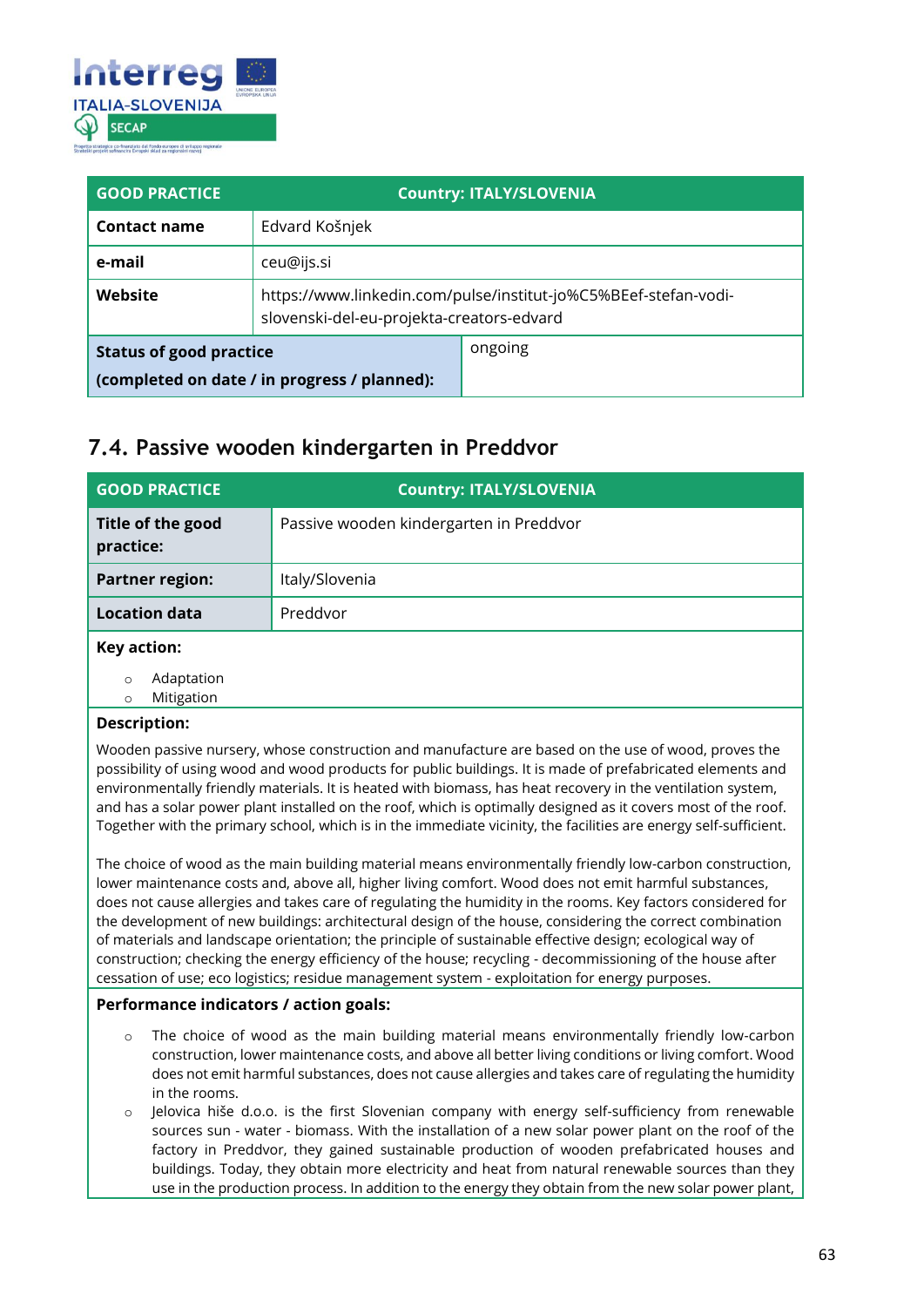

| <b>GOOD PRACTICE</b>                                                           | <b>Country: ITALY/SLOVENIA</b>                                                                               |         |  |
|--------------------------------------------------------------------------------|--------------------------------------------------------------------------------------------------------------|---------|--|
| <b>Contact name</b>                                                            | Edvard Košnjek                                                                                               |         |  |
| e-mail                                                                         | ceu@ijs.si                                                                                                   |         |  |
| Website                                                                        | https://www.linkedin.com/pulse/institut-jo%C5%BEef-stefan-vodi-<br>slovenski-del-eu-projekta-creators-edvard |         |  |
| <b>Status of good practice</b><br>(completed on date / in progress / planned): |                                                                                                              | ongoing |  |

### <span id="page-62-0"></span>**7.4. Passive wooden kindergarten in Preddvor**

| <b>GOOD PRACTICE</b>           | <b>Country: ITALY/SLOVENIA</b>          |
|--------------------------------|-----------------------------------------|
| Title of the good<br>practice: | Passive wooden kindergarten in Preddvor |
| <b>Partner region:</b>         | Italy/Slovenia                          |
| <b>Location data</b>           | Preddvor                                |
| Key action:                    |                                         |
|                                |                                         |

Adaptation

o Mitigation

#### **Description:**

Wooden passive nursery, whose construction and manufacture are based on the use of wood, proves the possibility of using wood and wood products for public buildings. It is made of prefabricated elements and environmentally friendly materials. It is heated with biomass, has heat recovery in the ventilation system, and has a solar power plant installed on the roof, which is optimally designed as it covers most of the roof. Together with the primary school, which is in the immediate vicinity, the facilities are energy self-sufficient.

The choice of wood as the main building material means environmentally friendly low-carbon construction, lower maintenance costs and, above all, higher living comfort. Wood does not emit harmful substances, does not cause allergies and takes care of regulating the humidity in the rooms. Key factors considered for the development of new buildings: architectural design of the house, considering the correct combination of materials and landscape orientation; the principle of sustainable effective design; ecological way of construction; checking the energy efficiency of the house; recycling - decommissioning of the house after cessation of use; eco logistics; residue management system - exploitation for energy purposes.

#### **Performance indicators / action goals:**

- The choice of wood as the main building material means environmentally friendly low-carbon construction, lower maintenance costs, and above all better living conditions or living comfort. Wood does not emit harmful substances, does not cause allergies and takes care of regulating the humidity in the rooms.
- o Jelovica hiše d.o.o. is the first Slovenian company with energy self-sufficiency from renewable sources sun - water - biomass. With the installation of a new solar power plant on the roof of the factory in Preddvor, they gained sustainable production of wooden prefabricated houses and buildings. Today, they obtain more electricity and heat from natural renewable sources than they use in the production process. In addition to the energy they obtain from the new solar power plant,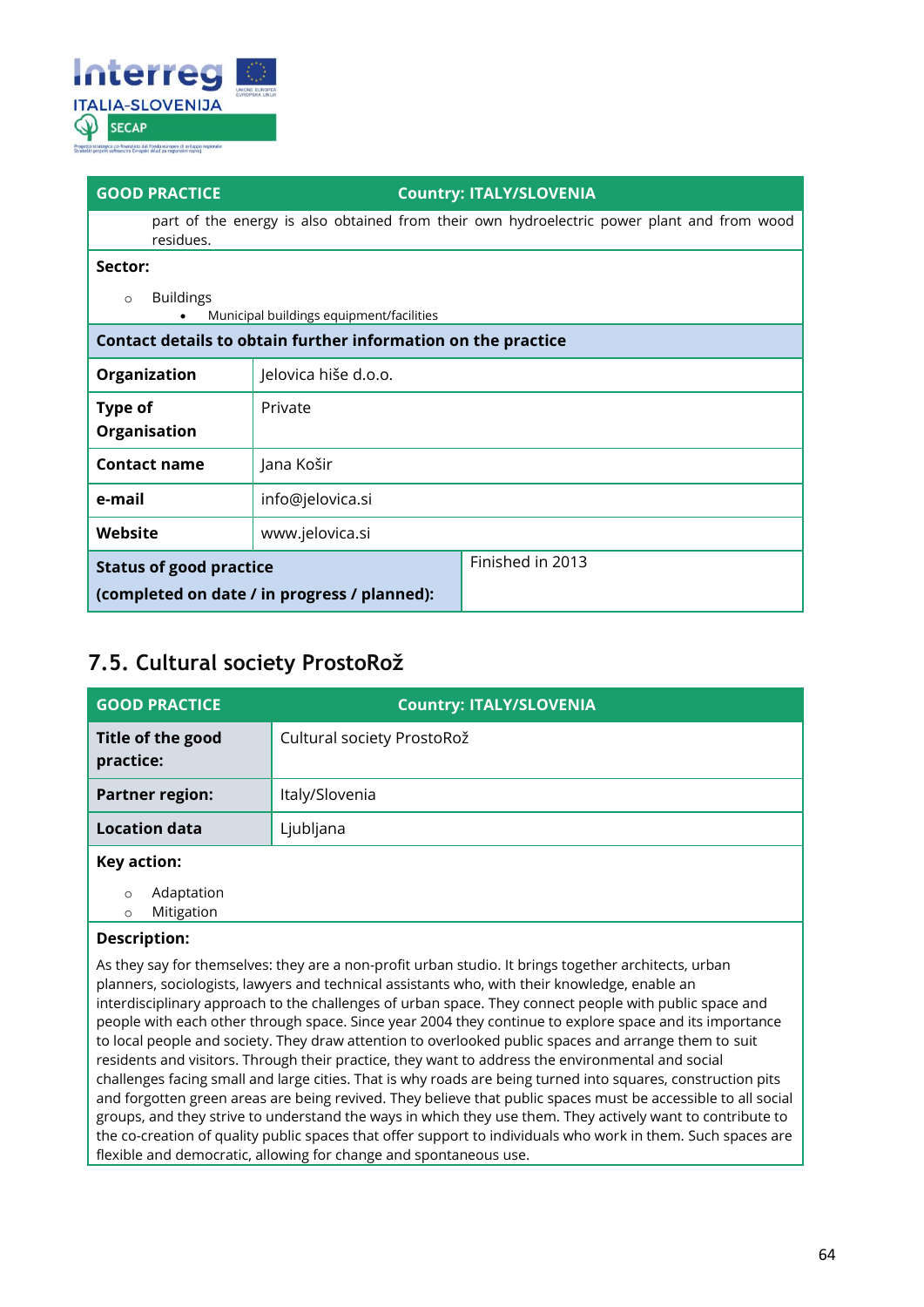

part of the energy is also obtained from their own hydroelectric power plant and from wood residues.

#### **Sector:**

o Buildings

| $\circ$<br><b>DUIJUILLES</b><br>Municipal buildings equipment/facilities<br>$\bullet$ |                      |                  |
|---------------------------------------------------------------------------------------|----------------------|------------------|
| Contact details to obtain further information on the practice                         |                      |                  |
| Organization                                                                          | Jelovica hiše d.o.o. |                  |
| <b>Type of</b><br>Organisation                                                        | Private              |                  |
| <b>Contact name</b>                                                                   | Jana Košir           |                  |
| e-mail                                                                                | info@jelovica.si     |                  |
| Website                                                                               | www.jelovica.si      |                  |
| <b>Status of good practice</b><br>(completed on date / in progress / planned):        |                      | Finished in 2013 |

### <span id="page-63-0"></span>**7.5. Cultural society ProstoRož**

| <b>GOOD PRACTICE</b>           | <b>Country: ITALY/SLOVENIA</b> |
|--------------------------------|--------------------------------|
| Title of the good<br>practice: | Cultural society ProstoRož     |
| <b>Partner region:</b>         | Italy/Slovenia                 |
| <b>Location data</b>           | Ljubljana                      |
| Key action:                    |                                |
| $\sim$ $\sim$ $\sim$           |                                |

o Adaptation o Mitigation

### **Description:**

As they say for themselves: they are a non-profit urban studio. It brings together architects, urban planners, sociologists, lawyers and technical assistants who, with their knowledge, enable an interdisciplinary approach to the challenges of urban space. They connect people with public space and people with each other through space. Since year 2004 they continue to explore space and its importance to local people and society. They draw attention to overlooked public spaces and arrange them to suit residents and visitors. Through their practice, they want to address the environmental and social challenges facing small and large cities. That is why roads are being turned into squares, construction pits and forgotten green areas are being revived. They believe that public spaces must be accessible to all social groups, and they strive to understand the ways in which they use them. They actively want to contribute to the co-creation of quality public spaces that offer support to individuals who work in them. Such spaces are flexible and democratic, allowing for change and spontaneous use.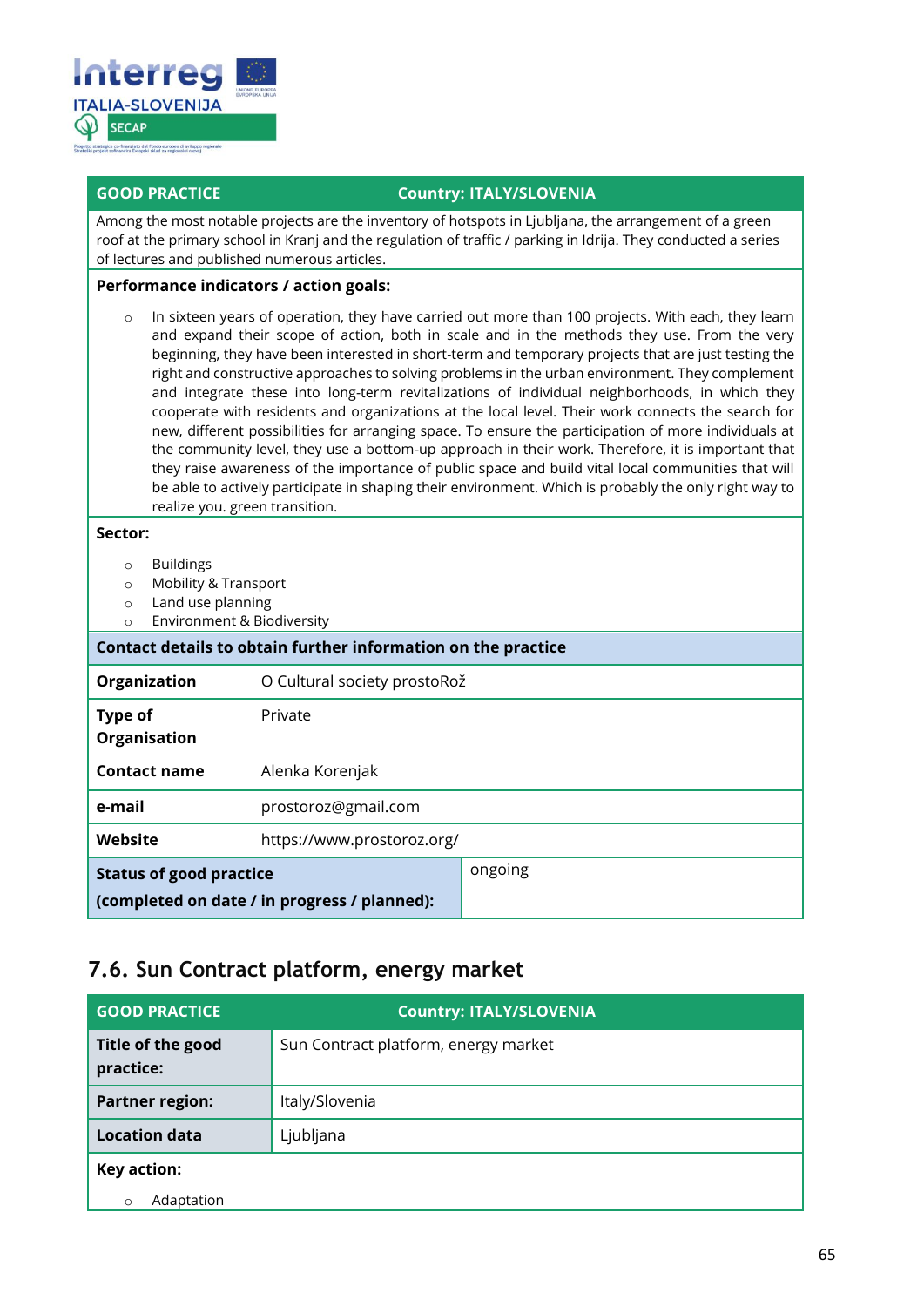

Among the most notable projects are the inventory of hotspots in Ljubljana, the arrangement of a green roof at the primary school in Kranj and the regulation of traffic / parking in Idrija. They conducted a series of lectures and published numerous articles.

#### **Performance indicators / action goals:**

o In sixteen years of operation, they have carried out more than 100 projects. With each, they learn and expand their scope of action, both in scale and in the methods they use. From the very beginning, they have been interested in short-term and temporary projects that are just testing the right and constructive approaches to solving problems in the urban environment. They complement and integrate these into long-term revitalizations of individual neighborhoods, in which they cooperate with residents and organizations at the local level. Their work connects the search for new, different possibilities for arranging space. To ensure the participation of more individuals at the community level, they use a bottom-up approach in their work. Therefore, it is important that they raise awareness of the importance of public space and build vital local communities that will be able to actively participate in shaping their environment. Which is probably the only right way to realize you. green transition.

#### **Sector:**

- o Buildings
- o Mobility & Transport
- o Land use planning
- o Environment & Biodiversity

| Contact details to obtain further information on the practice                  |                              |         |  |
|--------------------------------------------------------------------------------|------------------------------|---------|--|
| Organization                                                                   | O Cultural society prostoRož |         |  |
| Type of<br>Organisation                                                        | Private                      |         |  |
| <b>Contact name</b>                                                            | Alenka Korenjak              |         |  |
| e-mail                                                                         | prostoroz@gmail.com          |         |  |
| Website                                                                        | https://www.prostoroz.org/   |         |  |
| <b>Status of good practice</b><br>(completed on date / in progress / planned): |                              | ongoing |  |

### <span id="page-64-0"></span>**7.6. Sun Contract platform, energy market**

| <b>GOOD PRACTICE</b>           | <b>Country: ITALY/SLOVENIA</b>       |  |
|--------------------------------|--------------------------------------|--|
| Title of the good<br>practice: | Sun Contract platform, energy market |  |
| <b>Partner region:</b>         | Italy/Slovenia                       |  |
| <b>Location data</b>           | Ljubljana                            |  |
| Key action:                    |                                      |  |
| Adaptation                     |                                      |  |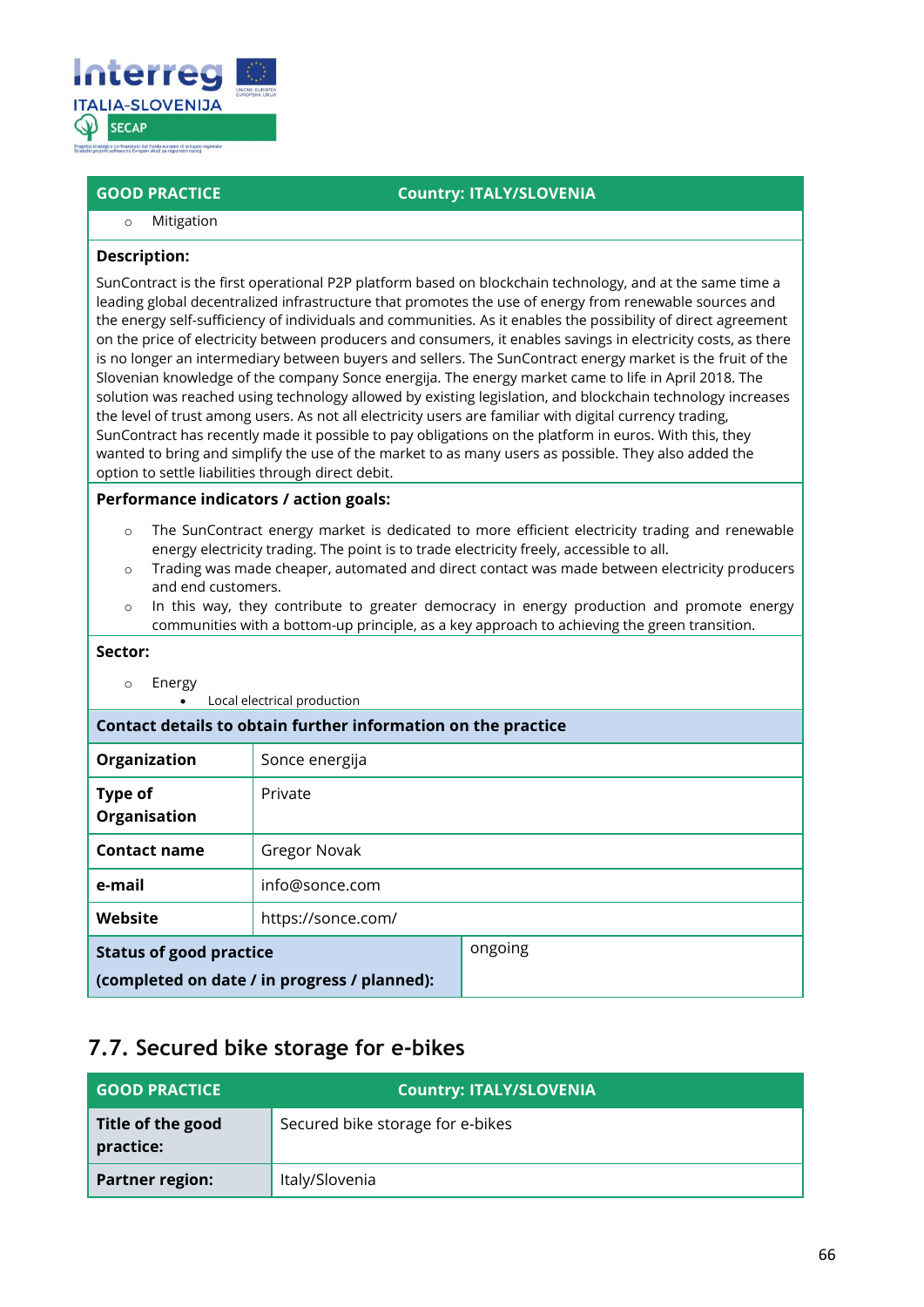

o Mitigation

#### **Description:**

SunContract is the first operational P2P platform based on blockchain technology, and at the same time a leading global decentralized infrastructure that promotes the use of energy from renewable sources and the energy self-sufficiency of individuals and communities. As it enables the possibility of direct agreement on the price of electricity between producers and consumers, it enables savings in electricity costs, as there is no longer an intermediary between buyers and sellers. The SunContract energy market is the fruit of the Slovenian knowledge of the company Sonce energija. The energy market came to life in April 2018. The solution was reached using technology allowed by existing legislation, and blockchain technology increases the level of trust among users. As not all electricity users are familiar with digital currency trading, SunContract has recently made it possible to pay obligations on the platform in euros. With this, they wanted to bring and simplify the use of the market to as many users as possible. They also added the option to settle liabilities through direct debit.

#### **Performance indicators / action goals:**

- The SunContract energy market is dedicated to more efficient electricity trading and renewable energy electricity trading. The point is to trade electricity freely, accessible to all.
- o Trading was made cheaper, automated and direct contact was made between electricity producers and end customers.
- $\circ$  In this way, they contribute to greater democracy in energy production and promote energy communities with a bottom-up principle, as a key approach to achieving the green transition.

#### **Sector:**

o Energy

• Local electrical production

**Contact details to obtain further information on the practice Organization** Sonce energija

| Organization                                 | Sonce energija     |         |
|----------------------------------------------|--------------------|---------|
| <b>Type of</b><br>Organisation               | Private            |         |
| <b>Contact name</b>                          | Gregor Novak       |         |
| e-mail                                       | info@sonce.com     |         |
| Website                                      | https://sonce.com/ |         |
| <b>Status of good practice</b>               |                    | ongoing |
| (completed on date / in progress / planned): |                    |         |

### <span id="page-65-0"></span>**7.7. Secured bike storage for e-bikes**

| <b>GOOD PRACTICE</b>           | <b>Country: ITALY/SLOVENIA</b>   |  |
|--------------------------------|----------------------------------|--|
| Title of the good<br>practice: | Secured bike storage for e-bikes |  |
| <b>Partner region:</b>         | Italy/Slovenia                   |  |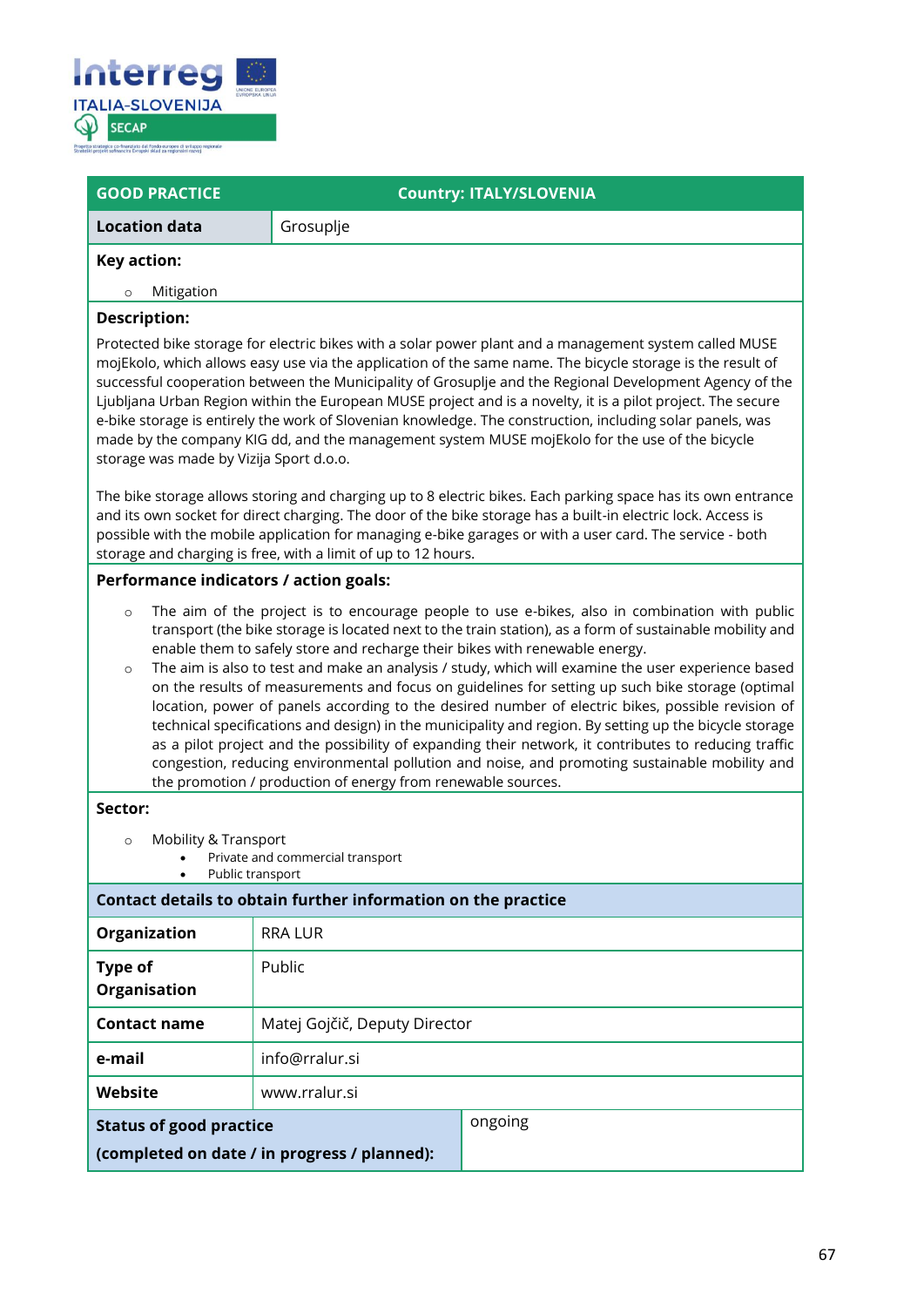

| <b>GOOD PRACTICE</b>                                                                                                                                                                                                                                                                                                                                                                                                                                                                                                                                                                                                                                                                                                                                                                                                                                                                                                                                                                                                                                                                                                                                                                   | <b>Country: ITALY/SLOVENIA</b> |  |  |  |  |
|----------------------------------------------------------------------------------------------------------------------------------------------------------------------------------------------------------------------------------------------------------------------------------------------------------------------------------------------------------------------------------------------------------------------------------------------------------------------------------------------------------------------------------------------------------------------------------------------------------------------------------------------------------------------------------------------------------------------------------------------------------------------------------------------------------------------------------------------------------------------------------------------------------------------------------------------------------------------------------------------------------------------------------------------------------------------------------------------------------------------------------------------------------------------------------------|--------------------------------|--|--|--|--|
| <b>Location data</b>                                                                                                                                                                                                                                                                                                                                                                                                                                                                                                                                                                                                                                                                                                                                                                                                                                                                                                                                                                                                                                                                                                                                                                   | Grosuplje                      |  |  |  |  |
| <b>Key action:</b>                                                                                                                                                                                                                                                                                                                                                                                                                                                                                                                                                                                                                                                                                                                                                                                                                                                                                                                                                                                                                                                                                                                                                                     |                                |  |  |  |  |
| Mitigation<br>$\circ$                                                                                                                                                                                                                                                                                                                                                                                                                                                                                                                                                                                                                                                                                                                                                                                                                                                                                                                                                                                                                                                                                                                                                                  |                                |  |  |  |  |
| <b>Description:</b><br>Protected bike storage for electric bikes with a solar power plant and a management system called MUSE<br>mojEkolo, which allows easy use via the application of the same name. The bicycle storage is the result of<br>successful cooperation between the Municipality of Grosuplje and the Regional Development Agency of the<br>Ljubljana Urban Region within the European MUSE project and is a novelty, it is a pilot project. The secure<br>e-bike storage is entirely the work of Slovenian knowledge. The construction, including solar panels, was<br>made by the company KIG dd, and the management system MUSE mojEkolo for the use of the bicycle<br>storage was made by Vizija Sport d.o.o.<br>The bike storage allows storing and charging up to 8 electric bikes. Each parking space has its own entrance<br>and its own socket for direct charging. The door of the bike storage has a built-in electric lock. Access is<br>possible with the mobile application for managing e-bike garages or with a user card. The service - both<br>storage and charging is free, with a limit of up to 12 hours.<br>Performance indicators / action goals: |                                |  |  |  |  |
| The aim of the project is to encourage people to use e-bikes, also in combination with public<br>$\circ$<br>transport (the bike storage is located next to the train station), as a form of sustainable mobility and<br>enable them to safely store and recharge their bikes with renewable energy.<br>The aim is also to test and make an analysis / study, which will examine the user experience based<br>$\circ$<br>on the results of measurements and focus on guidelines for setting up such bike storage (optimal<br>location, power of panels according to the desired number of electric bikes, possible revision of<br>technical specifications and design) in the municipality and region. By setting up the bicycle storage<br>as a pilot project and the possibility of expanding their network, it contributes to reducing traffic<br>congestion, reducing environmental pollution and noise, and promoting sustainable mobility and<br>the promotion / production of energy from renewable sources.                                                                                                                                                                     |                                |  |  |  |  |
| Sector:<br>Mobility & Transport<br>$\circ$<br>Private and commercial transport<br>Public transport                                                                                                                                                                                                                                                                                                                                                                                                                                                                                                                                                                                                                                                                                                                                                                                                                                                                                                                                                                                                                                                                                     |                                |  |  |  |  |
| Contact details to obtain further information on the practice                                                                                                                                                                                                                                                                                                                                                                                                                                                                                                                                                                                                                                                                                                                                                                                                                                                                                                                                                                                                                                                                                                                          |                                |  |  |  |  |
| Organization                                                                                                                                                                                                                                                                                                                                                                                                                                                                                                                                                                                                                                                                                                                                                                                                                                                                                                                                                                                                                                                                                                                                                                           | <b>RRA LUR</b>                 |  |  |  |  |
| Type of<br>Organisation                                                                                                                                                                                                                                                                                                                                                                                                                                                                                                                                                                                                                                                                                                                                                                                                                                                                                                                                                                                                                                                                                                                                                                | Public                         |  |  |  |  |
| <b>Contact name</b>                                                                                                                                                                                                                                                                                                                                                                                                                                                                                                                                                                                                                                                                                                                                                                                                                                                                                                                                                                                                                                                                                                                                                                    | Matej Gojčič, Deputy Director  |  |  |  |  |
| e-mail                                                                                                                                                                                                                                                                                                                                                                                                                                                                                                                                                                                                                                                                                                                                                                                                                                                                                                                                                                                                                                                                                                                                                                                 | info@rralur.si                 |  |  |  |  |
| Website                                                                                                                                                                                                                                                                                                                                                                                                                                                                                                                                                                                                                                                                                                                                                                                                                                                                                                                                                                                                                                                                                                                                                                                | www.rralur.si                  |  |  |  |  |
| ongoing<br><b>Status of good practice</b><br>(completed on date / in progress / planned):                                                                                                                                                                                                                                                                                                                                                                                                                                                                                                                                                                                                                                                                                                                                                                                                                                                                                                                                                                                                                                                                                              |                                |  |  |  |  |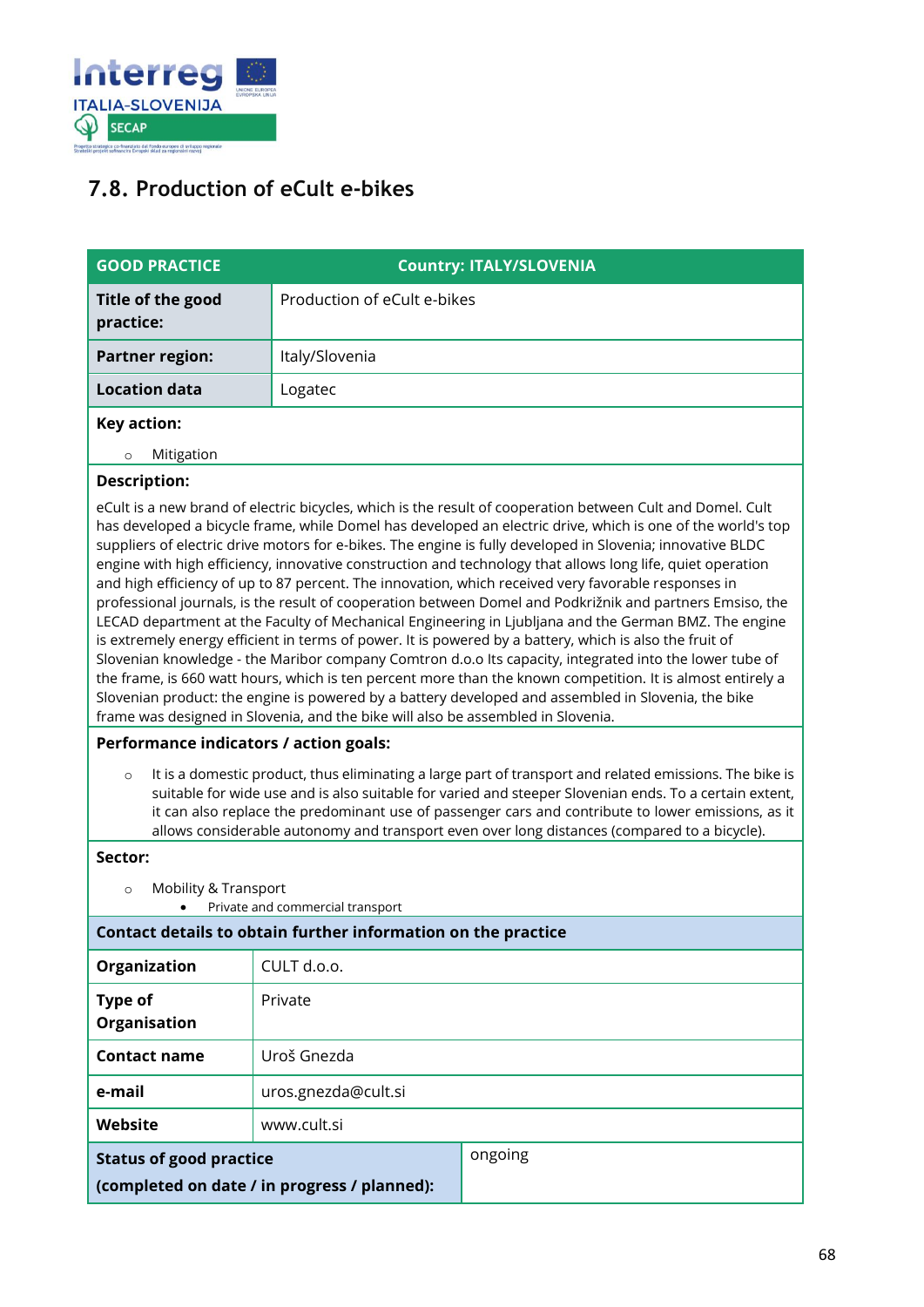

### <span id="page-67-0"></span>**7.8. Production of eCult e-bikes**

| <b>GOOD PRACTICE</b>           | <b>Country: ITALY/SLOVENIA</b> |
|--------------------------------|--------------------------------|
| Title of the good<br>practice: | Production of eCult e-bikes    |
| <b>Partner region:</b>         | Italy/Slovenia                 |
| <b>Location data</b>           | Logatec                        |
| Key action:                    |                                |

#### o Mitigation

#### **Description:**

eCult is a new brand of electric bicycles, which is the result of cooperation between Cult and Domel. Cult has developed a bicycle frame, while Domel has developed an electric drive, which is one of the world's top suppliers of electric drive motors for e-bikes. The engine is fully developed in Slovenia; innovative BLDC engine with high efficiency, innovative construction and technology that allows long life, quiet operation and high efficiency of up to 87 percent. The innovation, which received very favorable responses in professional journals, is the result of cooperation between Domel and Podkrižnik and partners Emsiso, the LECAD department at the Faculty of Mechanical Engineering in Ljubljana and the German BMZ. The engine is extremely energy efficient in terms of power. It is powered by a battery, which is also the fruit of Slovenian knowledge - the Maribor company Comtron d.o.o Its capacity, integrated into the lower tube of the frame, is 660 watt hours, which is ten percent more than the known competition. It is almost entirely a Slovenian product: the engine is powered by a battery developed and assembled in Slovenia, the bike frame was designed in Slovenia, and the bike will also be assembled in Slovenia.

#### **Performance indicators / action goals:**

 $\circ$  It is a domestic product, thus eliminating a large part of transport and related emissions. The bike is suitable for wide use and is also suitable for varied and steeper Slovenian ends. To a certain extent, it can also replace the predominant use of passenger cars and contribute to lower emissions, as it allows considerable autonomy and transport even over long distances (compared to a bicycle).

#### **Sector:**

- o Mobility & Transport
	- Private and commercial transport

#### **Contact details to obtain further information on the practice**

| Organization                                 | CULT d.o.o.         |         |
|----------------------------------------------|---------------------|---------|
| <b>Type of</b><br>Organisation               | Private             |         |
| <b>Contact name</b>                          | Uroš Gnezda         |         |
| e-mail                                       | uros.gnezda@cult.si |         |
| Website                                      | www.cult.si         |         |
| <b>Status of good practice</b>               |                     | ongoing |
| (completed on date / in progress / planned): |                     |         |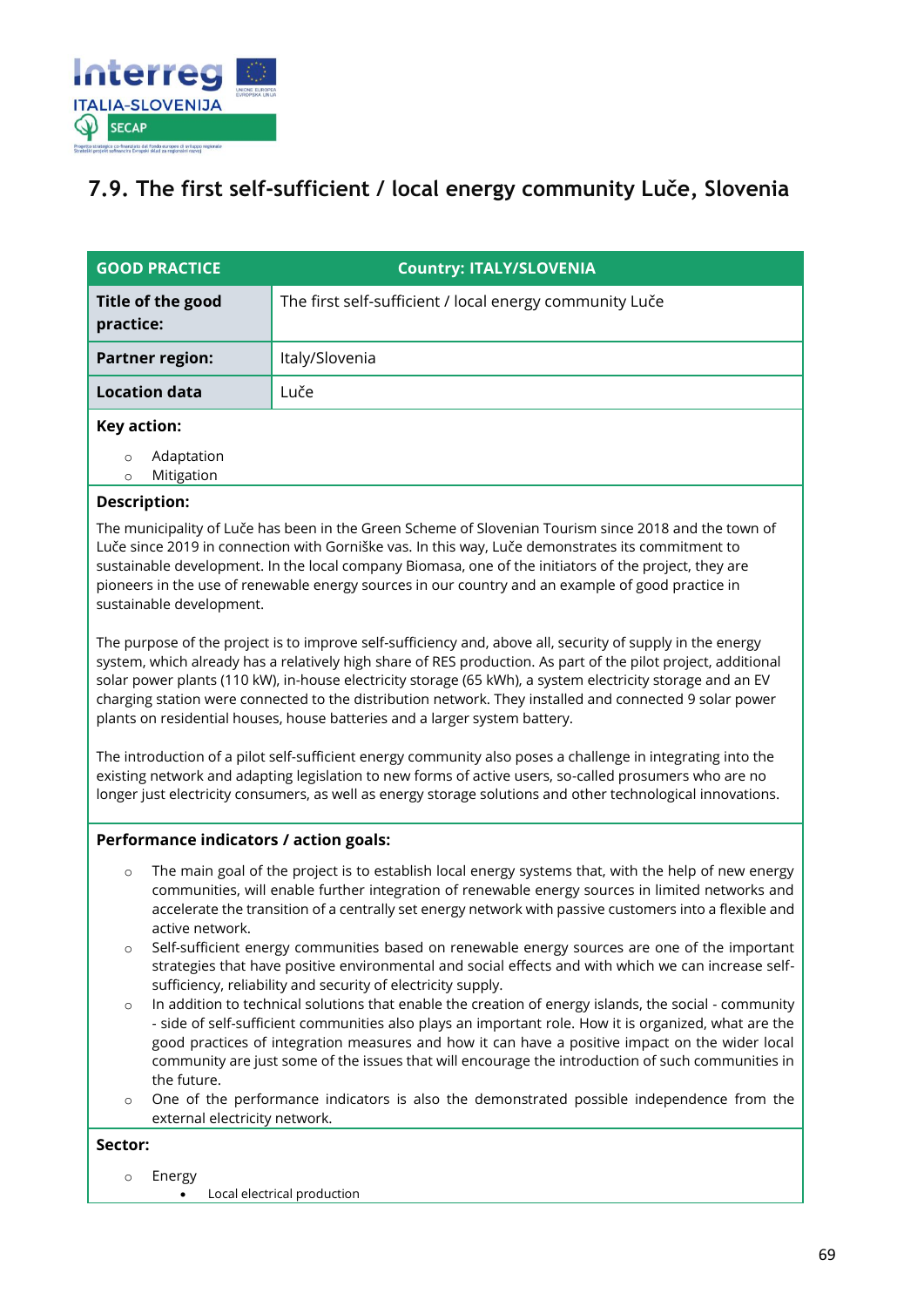

### <span id="page-68-0"></span>**7.9. The first self-sufficient / local energy community Luče, Slovenia**

| <b>GOOD PRACTICE</b>               | <b>Country: ITALY/SLOVENIA</b>                          |  |  |
|------------------------------------|---------------------------------------------------------|--|--|
| Title of the good<br>practice:     | The first self-sufficient / local energy community Luče |  |  |
| <b>Partner region:</b>             | Italy/Slovenia                                          |  |  |
| <b>Location data</b>               | Luče                                                    |  |  |
| Key action:                        |                                                         |  |  |
| Adaptation<br>O<br>Mitigation<br>O |                                                         |  |  |

#### **Description:**

The municipality of Luče has been in the Green Scheme of Slovenian Tourism since 2018 and the town of Luče since 2019 in connection with Gorniške vas. In this way, Luče demonstrates its commitment to sustainable development. In the local company Biomasa, one of the initiators of the project, they are pioneers in the use of renewable energy sources in our country and an example of good practice in sustainable development.

The purpose of the project is to improve self-sufficiency and, above all, security of supply in the energy system, which already has a relatively high share of RES production. As part of the pilot project, additional solar power plants (110 kW), in-house electricity storage (65 kWh), a system electricity storage and an EV charging station were connected to the distribution network. They installed and connected 9 solar power plants on residential houses, house batteries and a larger system battery.

The introduction of a pilot self-sufficient energy community also poses a challenge in integrating into the existing network and adapting legislation to new forms of active users, so-called prosumers who are no longer just electricity consumers, as well as energy storage solutions and other technological innovations.

#### **Performance indicators / action goals:**

- o The main goal of the project is to establish local energy systems that, with the help of new energy communities, will enable further integration of renewable energy sources in limited networks and accelerate the transition of a centrally set energy network with passive customers into a flexible and active network.
- Self-sufficient energy communities based on renewable energy sources are one of the important strategies that have positive environmental and social effects and with which we can increase selfsufficiency, reliability and security of electricity supply.
- In addition to technical solutions that enable the creation of energy islands, the social community - side of self-sufficient communities also plays an important role. How it is organized, what are the good practices of integration measures and how it can have a positive impact on the wider local community are just some of the issues that will encourage the introduction of such communities in the future.
- o One of the performance indicators is also the demonstrated possible independence from the external electricity network.

#### **Sector:**

- o Energy
	- Local electrical production